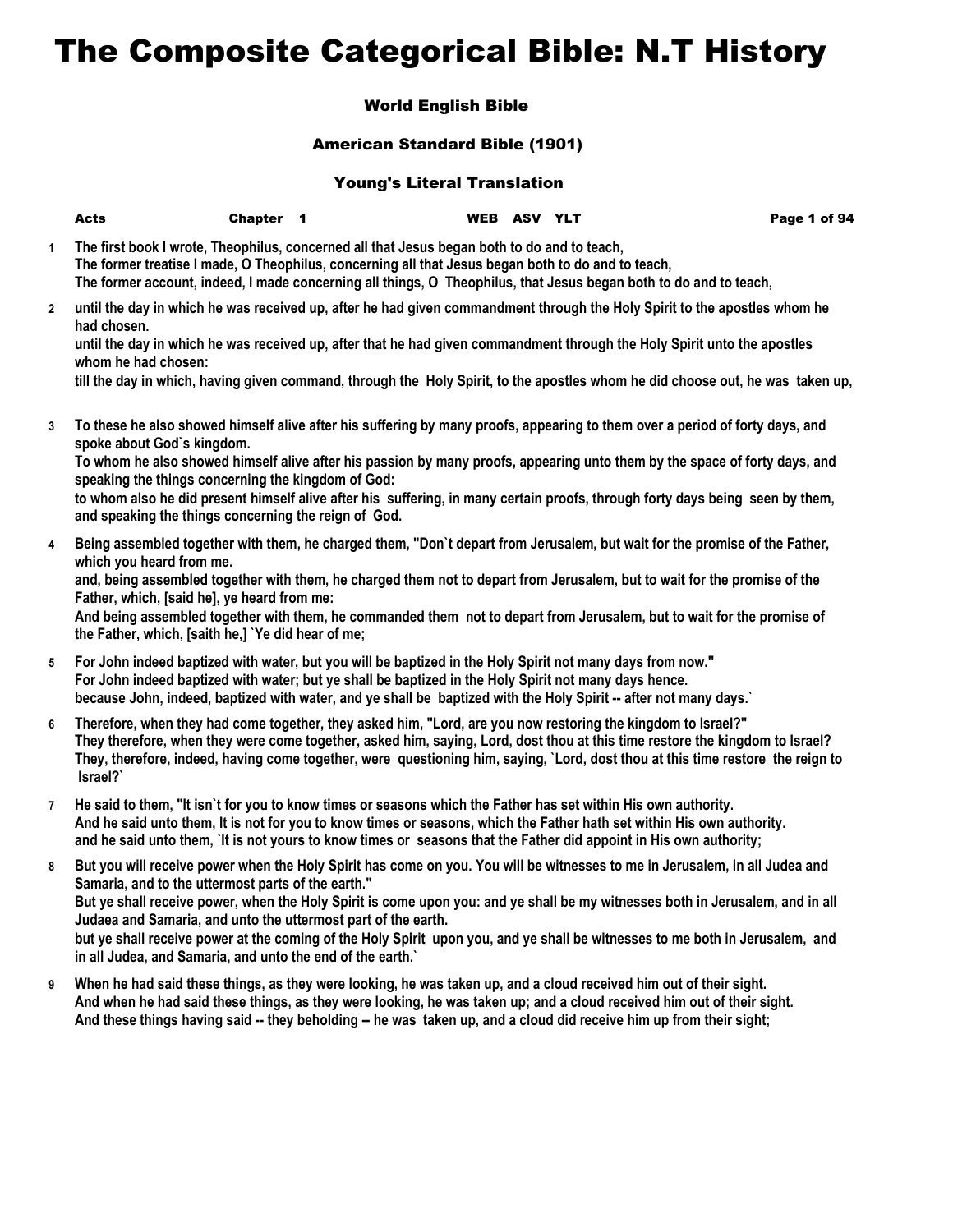# The Composite Categorical Bible: N.T History

## World English Bible

### American Standard Bible (1901)

#### Young's Literal Translation

|                | <b>Acts</b>                                                                                                                              | Chapter 1 |                                                                                                                                                                                                                                                                                                                                        | WEB ASV YLT |  | Page 1 of 94                                                                                                                                                                                                                                                                                                                                                                                |
|----------------|------------------------------------------------------------------------------------------------------------------------------------------|-----------|----------------------------------------------------------------------------------------------------------------------------------------------------------------------------------------------------------------------------------------------------------------------------------------------------------------------------------------|-------------|--|---------------------------------------------------------------------------------------------------------------------------------------------------------------------------------------------------------------------------------------------------------------------------------------------------------------------------------------------------------------------------------------------|
| $\mathbf{1}$   |                                                                                                                                          |           | The first book I wrote, Theophilus, concerned all that Jesus began both to do and to teach,<br>The former treatise I made, O Theophilus, concerning all that Jesus began both to do and to teach,                                                                                                                                      |             |  | The former account, indeed, I made concerning all things, O Theophilus, that Jesus began both to do and to teach,                                                                                                                                                                                                                                                                           |
| $\overline{2}$ | had chosen.<br>whom he had chosen:                                                                                                       |           |                                                                                                                                                                                                                                                                                                                                        |             |  | until the day in which he was received up, after he had given commandment through the Holy Spirit to the apostles whom he<br>until the day in which he was received up, after that he had given commandment through the Holy Spirit unto the apostles<br>till the day in which, having given command, through the Holy Spirit, to the apostles whom he did choose out, he was taken up,     |
| 3              | spoke about God's kingdom.<br>speaking the things concerning the kingdom of God:<br>and speaking the things concerning the reign of God. |           |                                                                                                                                                                                                                                                                                                                                        |             |  | To these he also showed himself alive after his suffering by many proofs, appearing to them over a period of forty days, and<br>To whom he also showed himself alive after his passion by many proofs, appearing unto them by the space of forty days, and<br>to whom also he did present himself alive after his suffering, in many certain proofs, through forty days being seen by them, |
| 4              | which you heard from me.<br>Father, which, [said he], ye heard from me:<br>the Father, which, [saith he,] 'Ye did hear of me;            |           |                                                                                                                                                                                                                                                                                                                                        |             |  | Being assembled together with them, he charged them, "Don't depart from Jerusalem, but wait for the promise of the Father,<br>and, being assembled together with them, he charged them not to depart from Jerusalem, but to wait for the promise of the<br>And being assembled together with them, he commanded them not to depart from Jerusalem, but to wait for the promise of           |
| 5              |                                                                                                                                          |           | For John indeed baptized with water, but you will be baptized in the Holy Spirit not many days from now."<br>For John indeed baptized with water; but ye shall be baptized in the Holy Spirit not many days hence.<br>because John, indeed, baptized with water, and ye shall be baptized with the Holy Spirit -- after not many days. |             |  |                                                                                                                                                                                                                                                                                                                                                                                             |
| 6              | Israel?`                                                                                                                                 |           | Therefore, when they had come together, they asked him, "Lord, are you now restoring the kingdom to Israel?"                                                                                                                                                                                                                           |             |  | They therefore, when they were come together, asked him, saying, Lord, dost thou at this time restore the kingdom to Israel?<br>They, therefore, indeed, having come together, were questioning him, saying, `Lord, dost thou at this time restore the reign to                                                                                                                             |
| $\overline{7}$ |                                                                                                                                          |           | He said to them, "It isn't for you to know times or seasons which the Father has set within His own authority.                                                                                                                                                                                                                         |             |  | And he said unto them, It is not for you to know times or seasons, which the Father hath set within His own authority.<br>and he said unto them, `It is not yours to know times or seasons that the Father did appoint in His own authority;                                                                                                                                                |
| 8              |                                                                                                                                          |           |                                                                                                                                                                                                                                                                                                                                        |             |  | But you will receive power when the Holy Spirit has come on you. You will be witnesses to me in Jerusalem, in all Judea and                                                                                                                                                                                                                                                                 |

- **Samaria, and to the uttermost parts of the earth." But ye shall receive power, when the Holy Spirit is come upon you: and ye shall be my witnesses both in Jerusalem, and in all Judaea and Samaria, and unto the uttermost part of the earth. but ye shall receive power at the coming of the Holy Spirit upon you, and ye shall be witnesses to me both in Jerusalem, and in all Judea, and Samaria, and unto the end of the earth.`**
- **9 When he had said these things, as they were looking, he was taken up, and a cloud received him out of their sight. And when he had said these things, as they were looking, he was taken up; and a cloud received him out of their sight. And these things having said -- they beholding -- he was taken up, and a cloud did receive him up from their sight;**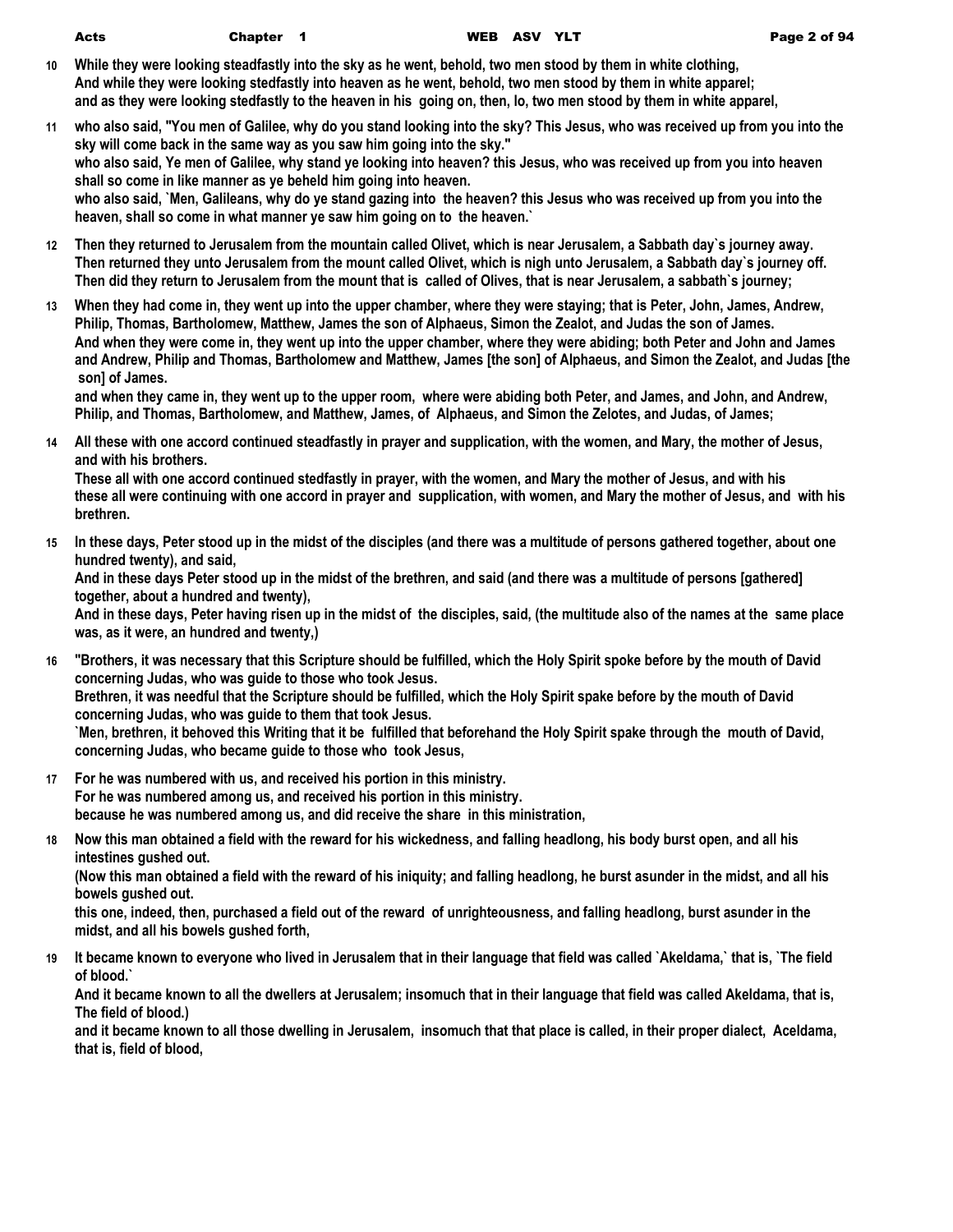- **10 While they were looking steadfastly into the sky as he went, behold, two men stood by them in white clothing, And while they were looking stedfastly into heaven as he went, behold, two men stood by them in white apparel; and as they were looking stedfastly to the heaven in his going on, then, lo, two men stood by them in white apparel,**
- **11 who also said, "You men of Galilee, why do you stand looking into the sky? This Jesus, who was received up from you into the sky will come back in the same way as you saw him going into the sky." who also said, Ye men of Galilee, why stand ye looking into heaven? this Jesus, who was received up from you into heaven shall so come in like manner as ye beheld him going into heaven. who also said, `Men, Galileans, why do ye stand gazing into the heaven? this Jesus who was received up from you into the heaven, shall so come in what manner ye saw him going on to the heaven.`**
- **12 Then they returned to Jerusalem from the mountain called Olivet, which is near Jerusalem, a Sabbath day`s journey away. Then returned they unto Jerusalem from the mount called Olivet, which is nigh unto Jerusalem, a Sabbath day`s journey off. Then did they return to Jerusalem from the mount that is called of Olives, that is near Jerusalem, a sabbath`s journey;**
- **13 When they had come in, they went up into the upper chamber, where they were staying; that is Peter, John, James, Andrew, Philip, Thomas, Bartholomew, Matthew, James the son of Alphaeus, Simon the Zealot, and Judas the son of James. And when they were come in, they went up into the upper chamber, where they were abiding; both Peter and John and James and Andrew, Philip and Thomas, Bartholomew and Matthew, James [the son] of Alphaeus, and Simon the Zealot, and Judas [the son] of James.**

**and when they came in, they went up to the upper room, where were abiding both Peter, and James, and John, and Andrew, Philip, and Thomas, Bartholomew, and Matthew, James, of Alphaeus, and Simon the Zelotes, and Judas, of James;**

**14 All these with one accord continued steadfastly in prayer and supplication, with the women, and Mary, the mother of Jesus, and with his brothers.**

**These all with one accord continued stedfastly in prayer, with the women, and Mary the mother of Jesus, and with his these all were continuing with one accord in prayer and supplication, with women, and Mary the mother of Jesus, and with his brethren.**

**15 In these days, Peter stood up in the midst of the disciples (and there was a multitude of persons gathered together, about one hundred twenty), and said,**

**And in these days Peter stood up in the midst of the brethren, and said (and there was a multitude of persons [gathered] together, about a hundred and twenty),**

**And in these days, Peter having risen up in the midst of the disciples, said, (the multitude also of the names at the same place was, as it were, an hundred and twenty,)**

- **16 "Brothers, it was necessary that this Scripture should be fulfilled, which the Holy Spirit spoke before by the mouth of David concerning Judas, who was guide to those who took Jesus. Brethren, it was needful that the Scripture should be fulfilled, which the Holy Spirit spake before by the mouth of David concerning Judas, who was guide to them that took Jesus. `Men, brethren, it behoved this Writing that it be fulfilled that beforehand the Holy Spirit spake through the mouth of David, concerning Judas, who became guide to those who took Jesus,**
- **17 For he was numbered with us, and received his portion in this ministry. For he was numbered among us, and received his portion in this ministry. because he was numbered among us, and did receive the share in this ministration,**
- **18 Now this man obtained a field with the reward for his wickedness, and falling headlong, his body burst open, and all his intestines gushed out.**

**(Now this man obtained a field with the reward of his iniquity; and falling headlong, he burst asunder in the midst, and all his bowels gushed out.**

**this one, indeed, then, purchased a field out of the reward of unrighteousness, and falling headlong, burst asunder in the midst, and all his bowels gushed forth,**

**19 It became known to everyone who lived in Jerusalem that in their language that field was called `Akeldama,` that is, `The field of blood.`**

**And it became known to all the dwellers at Jerusalem; insomuch that in their language that field was called Akeldama, that is, The field of blood.)**

**and it became known to all those dwelling in Jerusalem, insomuch that that place is called, in their proper dialect, Aceldama, that is, field of blood,**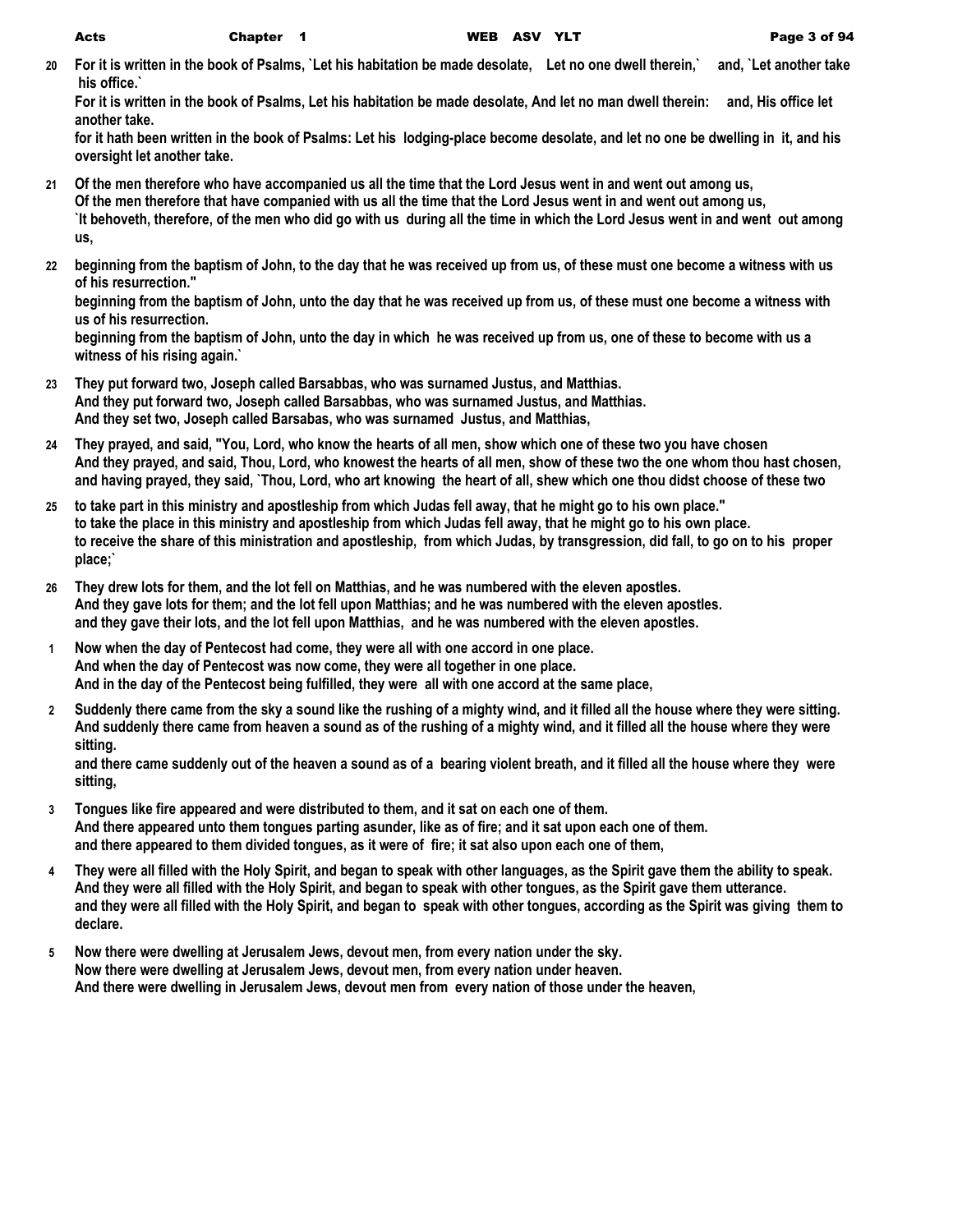**20 For it is written in the book of Psalms, `Let his habitation be made desolate, Let no one dwell therein,` and, `Let another take his office.`**

**For it is written in the book of Psalms, Let his habitation be made desolate, And let no man dwell therein: and, His office let another take.**

**for it hath been written in the book of Psalms: Let his lodging-place become desolate, and let no one be dwelling in it, and his oversight let another take.**

- **21 Of the men therefore who have accompanied us all the time that the Lord Jesus went in and went out among us, Of the men therefore that have companied with us all the time that the Lord Jesus went in and went out among us, `It behoveth, therefore, of the men who did go with us during all the time in which the Lord Jesus went in and went out among us,**
- **22 beginning from the baptism of John, to the day that he was received up from us, of these must one become a witness with us of his resurrection."**

**beginning from the baptism of John, unto the day that he was received up from us, of these must one become a witness with us of his resurrection.**

**beginning from the baptism of John, unto the day in which he was received up from us, one of these to become with us a witness of his rising again.`**

- **23 They put forward two, Joseph called Barsabbas, who was surnamed Justus, and Matthias. And they put forward two, Joseph called Barsabbas, who was surnamed Justus, and Matthias. And they set two, Joseph called Barsabas, who was surnamed Justus, and Matthias,**
- **24 They prayed, and said, "You, Lord, who know the hearts of all men, show which one of these two you have chosen And they prayed, and said, Thou, Lord, who knowest the hearts of all men, show of these two the one whom thou hast chosen, and having prayed, they said, `Thou, Lord, who art knowing the heart of all, shew which one thou didst choose of these two**
- **25 to take part in this ministry and apostleship from which Judas fell away, that he might go to his own place." to take the place in this ministry and apostleship from which Judas fell away, that he might go to his own place. to receive the share of this ministration and apostleship, from which Judas, by transgression, did fall, to go on to his proper place;`**
- **26 They drew lots for them, and the lot fell on Matthias, and he was numbered with the eleven apostles. And they gave lots for them; and the lot fell upon Matthias; and he was numbered with the eleven apostles. and they gave their lots, and the lot fell upon Matthias, and he was numbered with the eleven apostles.**
- **1 Now when the day of Pentecost had come, they were all with one accord in one place. And when the day of Pentecost was now come, they were all together in one place. And in the day of the Pentecost being fulfilled, they were all with one accord at the same place,**
- **2 Suddenly there came from the sky a sound like the rushing of a mighty wind, and it filled all the house where they were sitting. And suddenly there came from heaven a sound as of the rushing of a mighty wind, and it filled all the house where they were sitting.**

**and there came suddenly out of the heaven a sound as of a bearing violent breath, and it filled all the house where they were sitting,**

- **3 Tongues like fire appeared and were distributed to them, and it sat on each one of them. And there appeared unto them tongues parting asunder, like as of fire; and it sat upon each one of them. and there appeared to them divided tongues, as it were of fire; it sat also upon each one of them,**
- **4 They were all filled with the Holy Spirit, and began to speak with other languages, as the Spirit gave them the ability to speak. And they were all filled with the Holy Spirit, and began to speak with other tongues, as the Spirit gave them utterance. and they were all filled with the Holy Spirit, and began to speak with other tongues, according as the Spirit was giving them to declare.**
- **5 Now there were dwelling at Jerusalem Jews, devout men, from every nation under the sky. Now there were dwelling at Jerusalem Jews, devout men, from every nation under heaven. And there were dwelling in Jerusalem Jews, devout men from every nation of those under the heaven,**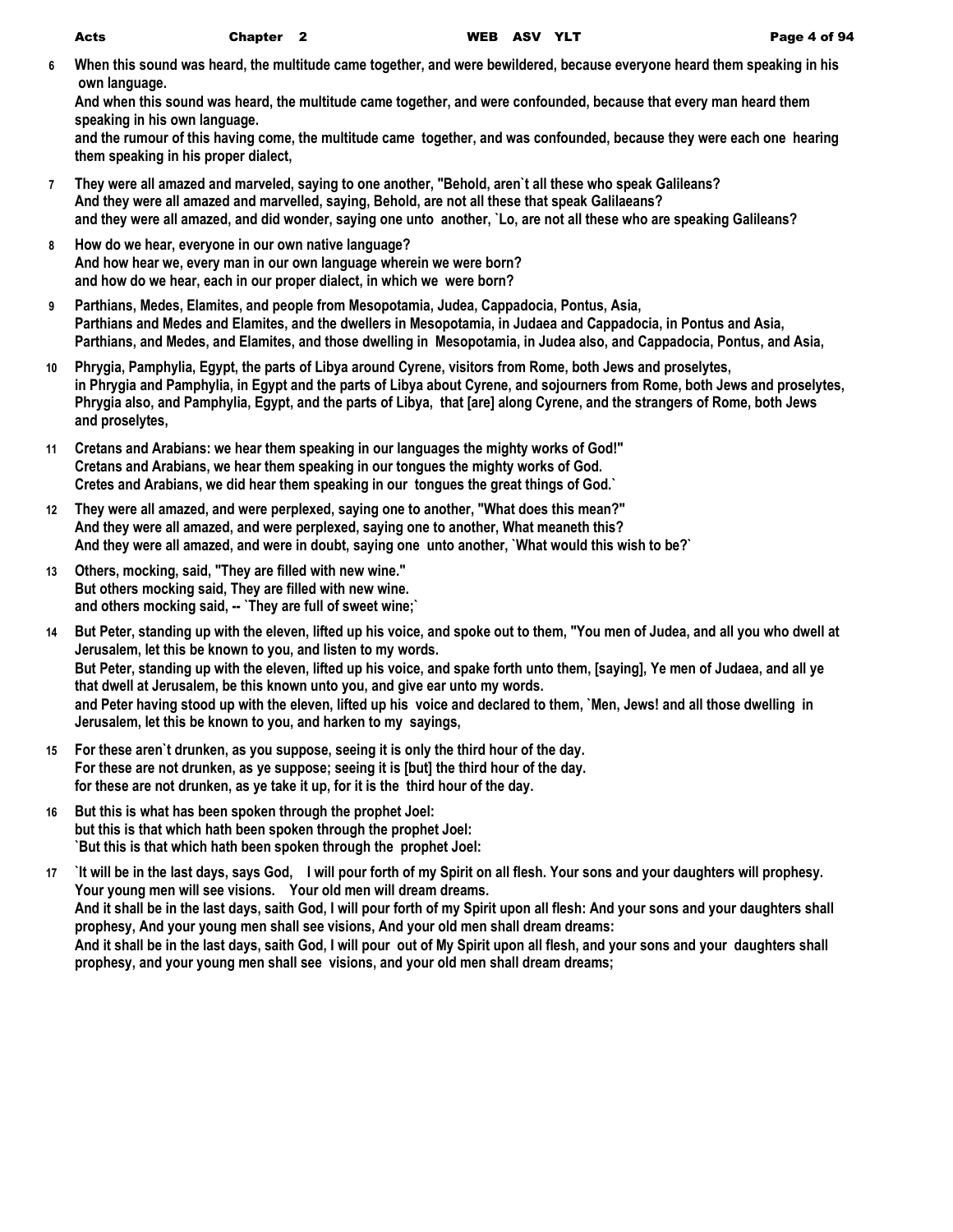**6 When this sound was heard, the multitude came together, and were bewildered, because everyone heard them speaking in his own language.**

**And when this sound was heard, the multitude came together, and were confounded, because that every man heard them speaking in his own language.**

**and the rumour of this having come, the multitude came together, and was confounded, because they were each one hearing them speaking in his proper dialect,**

- **7 They were all amazed and marveled, saying to one another, "Behold, aren`t all these who speak Galileans? And they were all amazed and marvelled, saying, Behold, are not all these that speak Galilaeans? and they were all amazed, and did wonder, saying one unto another, `Lo, are not all these who are speaking Galileans?**
- **8 How do we hear, everyone in our own native language? And how hear we, every man in our own language wherein we were born? and how do we hear, each in our proper dialect, in which we were born?**
- **9 Parthians, Medes, Elamites, and people from Mesopotamia, Judea, Cappadocia, Pontus, Asia, Parthians and Medes and Elamites, and the dwellers in Mesopotamia, in Judaea and Cappadocia, in Pontus and Asia, Parthians, and Medes, and Elamites, and those dwelling in Mesopotamia, in Judea also, and Cappadocia, Pontus, and Asia,**
- **10 Phrygia, Pamphylia, Egypt, the parts of Libya around Cyrene, visitors from Rome, both Jews and proselytes, in Phrygia and Pamphylia, in Egypt and the parts of Libya about Cyrene, and sojourners from Rome, both Jews and proselytes, Phrygia also, and Pamphylia, Egypt, and the parts of Libya, that [are] along Cyrene, and the strangers of Rome, both Jews and proselytes,**
- **11 Cretans and Arabians: we hear them speaking in our languages the mighty works of God!" Cretans and Arabians, we hear them speaking in our tongues the mighty works of God. Cretes and Arabians, we did hear them speaking in our tongues the great things of God.`**
- **12 They were all amazed, and were perplexed, saying one to another, "What does this mean?" And they were all amazed, and were perplexed, saying one to another, What meaneth this? And they were all amazed, and were in doubt, saying one unto another, `What would this wish to be?`**
- **13 Others, mocking, said, "They are filled with new wine." But others mocking said, They are filled with new wine. and others mocking said, -- `They are full of sweet wine;`**
- **14 But Peter, standing up with the eleven, lifted up his voice, and spoke out to them, "You men of Judea, and all you who dwell at Jerusalem, let this be known to you, and listen to my words. But Peter, standing up with the eleven, lifted up his voice, and spake forth unto them, [saying], Ye men of Judaea, and all ye that dwell at Jerusalem, be this known unto you, and give ear unto my words. and Peter having stood up with the eleven, lifted up his voice and declared to them, `Men, Jews! and all those dwelling in Jerusalem, let this be known to you, and harken to my sayings,**
- **15 For these aren`t drunken, as you suppose, seeing it is only the third hour of the day. For these are not drunken, as ye suppose; seeing it is [but] the third hour of the day. for these are not drunken, as ye take it up, for it is the third hour of the day.**
- **16 But this is what has been spoken through the prophet Joel: but this is that which hath been spoken through the prophet Joel: `But this is that which hath been spoken through the prophet Joel:**
- **17 `It will be in the last days, says God, I will pour forth of my Spirit on all flesh. Your sons and your daughters will prophesy. Your young men will see visions. Your old men will dream dreams. And it shall be in the last days, saith God, I will pour forth of my Spirit upon all flesh: And your sons and your daughters shall prophesy, And your young men shall see visions, And your old men shall dream dreams: And it shall be in the last days, saith God, I will pour out of My Spirit upon all flesh, and your sons and your daughters shall prophesy, and your young men shall see visions, and your old men shall dream dreams;**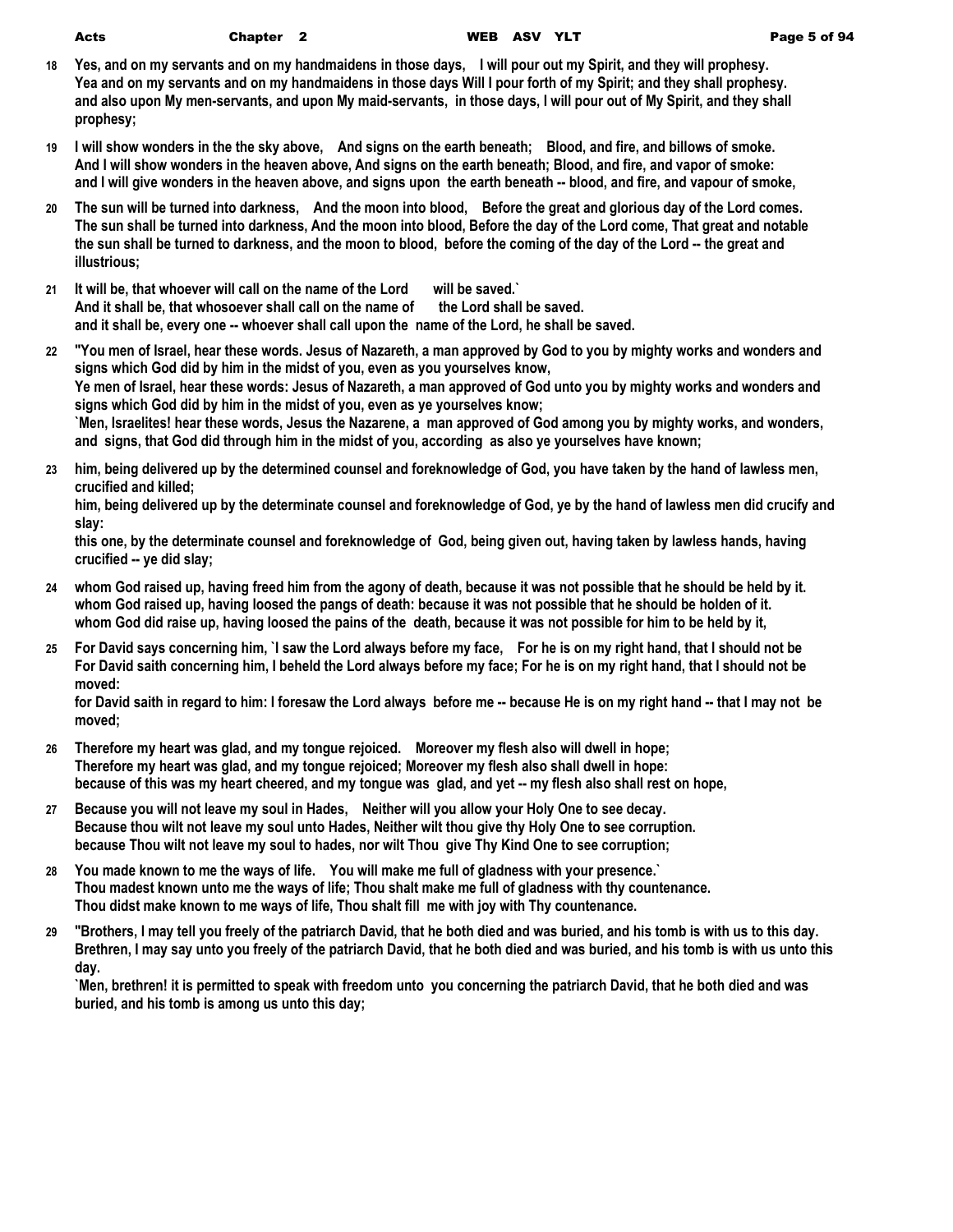- **18 Yes, and on my servants and on my handmaidens in those days, I will pour out my Spirit, and they will prophesy. Yea and on my servants and on my handmaidens in those days Will I pour forth of my Spirit; and they shall prophesy. and also upon My men-servants, and upon My maid-servants, in those days, I will pour out of My Spirit, and they shall prophesy;**
- **19 I will show wonders in the the sky above, And signs on the earth beneath; Blood, and fire, and billows of smoke. And I will show wonders in the heaven above, And signs on the earth beneath; Blood, and fire, and vapor of smoke: and I will give wonders in the heaven above, and signs upon the earth beneath -- blood, and fire, and vapour of smoke,**
- **20 The sun will be turned into darkness, And the moon into blood, Before the great and glorious day of the Lord comes. The sun shall be turned into darkness, And the moon into blood, Before the day of the Lord come, That great and notable the sun shall be turned to darkness, and the moon to blood, before the coming of the day of the Lord -- the great and illustrious;**
- **21 It will be, that whoever will call on the name of the Lord will be saved.`** And it shall be, that whosoever shall call on the name of the Lord shall be saved. **and it shall be, every one -- whoever shall call upon the name of the Lord, he shall be saved.**
- **22 "You men of Israel, hear these words. Jesus of Nazareth, a man approved by God to you by mighty works and wonders and signs which God did by him in the midst of you, even as you yourselves know, Ye men of Israel, hear these words: Jesus of Nazareth, a man approved of God unto you by mighty works and wonders and signs which God did by him in the midst of you, even as ye yourselves know; `Men, Israelites! hear these words, Jesus the Nazarene, a man approved of God among you by mighty works, and wonders, and signs, that God did through him in the midst of you, according as also ye yourselves have known;**
- **23 him, being delivered up by the determined counsel and foreknowledge of God, you have taken by the hand of lawless men, crucified and killed;**

**him, being delivered up by the determinate counsel and foreknowledge of God, ye by the hand of lawless men did crucify and slay:**

**this one, by the determinate counsel and foreknowledge of God, being given out, having taken by lawless hands, having crucified -- ye did slay;**

- **24 whom God raised up, having freed him from the agony of death, because it was not possible that he should be held by it. whom God raised up, having loosed the pangs of death: because it was not possible that he should be holden of it. whom God did raise up, having loosed the pains of the death, because it was not possible for him to be held by it,**
- **25 For David says concerning him, `I saw the Lord always before my face, For he is on my right hand, that I should not be For David saith concerning him, I beheld the Lord always before my face; For he is on my right hand, that I should not be moved:**

**for David saith in regard to him: I foresaw the Lord always before me -- because He is on my right hand -- that I may not be moved;**

- **26 Therefore my heart was glad, and my tongue rejoiced. Moreover my flesh also will dwell in hope; Therefore my heart was glad, and my tongue rejoiced; Moreover my flesh also shall dwell in hope: because of this was my heart cheered, and my tongue was glad, and yet -- my flesh also shall rest on hope,**
- **27 Because you will not leave my soul in Hades, Neither will you allow your Holy One to see decay. Because thou wilt not leave my soul unto Hades, Neither wilt thou give thy Holy One to see corruption. because Thou wilt not leave my soul to hades, nor wilt Thou give Thy Kind One to see corruption;**
- **28 You made known to me the ways of life. You will make me full of gladness with your presence.` Thou madest known unto me the ways of life; Thou shalt make me full of gladness with thy countenance. Thou didst make known to me ways of life, Thou shalt fill me with joy with Thy countenance.**
- **29 "Brothers, I may tell you freely of the patriarch David, that he both died and was buried, and his tomb is with us to this day. Brethren, I may say unto you freely of the patriarch David, that he both died and was buried, and his tomb is with us unto this day.**

**`Men, brethren! it is permitted to speak with freedom unto you concerning the patriarch David, that he both died and was buried, and his tomb is among us unto this day;**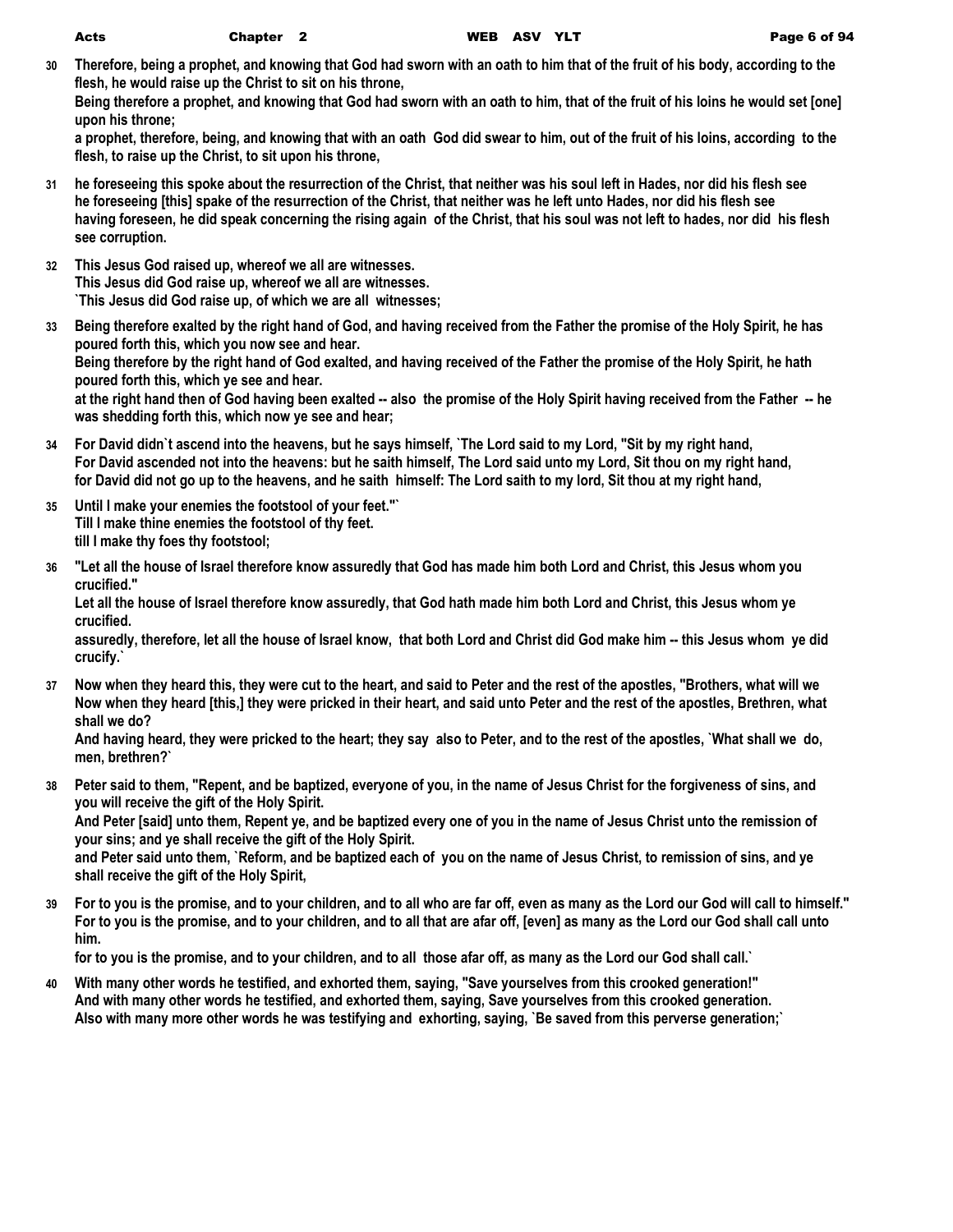**30 Therefore, being a prophet, and knowing that God had sworn with an oath to him that of the fruit of his body, according to the flesh, he would raise up the Christ to sit on his throne,**

**Being therefore a prophet, and knowing that God had sworn with an oath to him, that of the fruit of his loins he would set [one] upon his throne;**

**a prophet, therefore, being, and knowing that with an oath God did swear to him, out of the fruit of his loins, according to the flesh, to raise up the Christ, to sit upon his throne,**

- **31 he foreseeing this spoke about the resurrection of the Christ, that neither was his soul left in Hades, nor did his flesh see he foreseeing [this] spake of the resurrection of the Christ, that neither was he left unto Hades, nor did his flesh see having foreseen, he did speak concerning the rising again of the Christ, that his soul was not left to hades, nor did his flesh see corruption.**
- **32 This Jesus God raised up, whereof we all are witnesses. This Jesus did God raise up, whereof we all are witnesses. `This Jesus did God raise up, of which we are all witnesses;**
- **33 Being therefore exalted by the right hand of God, and having received from the Father the promise of the Holy Spirit, he has poured forth this, which you now see and hear. Being therefore by the right hand of God exalted, and having received of the Father the promise of the Holy Spirit, he hath poured forth this, which ye see and hear.**

**at the right hand then of God having been exalted -- also the promise of the Holy Spirit having received from the Father -- he was shedding forth this, which now ye see and hear;**

- **34 For David didn`t ascend into the heavens, but he says himself, `The Lord said to my Lord, "Sit by my right hand, For David ascended not into the heavens: but he saith himself, The Lord said unto my Lord, Sit thou on my right hand, for David did not go up to the heavens, and he saith himself: The Lord saith to my lord, Sit thou at my right hand,**
- **35 Until I make your enemies the footstool of your feet."` Till I make thine enemies the footstool of thy feet. till I make thy foes thy footstool;**
- **36 "Let all the house of Israel therefore know assuredly that God has made him both Lord and Christ, this Jesus whom you crucified."**

**Let all the house of Israel therefore know assuredly, that God hath made him both Lord and Christ, this Jesus whom ye crucified.**

**assuredly, therefore, let all the house of Israel know, that both Lord and Christ did God make him -- this Jesus whom ye did crucify.`**

**37 Now when they heard this, they were cut to the heart, and said to Peter and the rest of the apostles, "Brothers, what will we Now when they heard [this,] they were pricked in their heart, and said unto Peter and the rest of the apostles, Brethren, what shall we do?**

**And having heard, they were pricked to the heart; they say also to Peter, and to the rest of the apostles, `What shall we do, men, brethren?`**

**38 Peter said to them, "Repent, and be baptized, everyone of you, in the name of Jesus Christ for the forgiveness of sins, and you will receive the gift of the Holy Spirit.**

**And Peter [said] unto them, Repent ye, and be baptized every one of you in the name of Jesus Christ unto the remission of your sins; and ye shall receive the gift of the Holy Spirit.**

**and Peter said unto them, `Reform, and be baptized each of you on the name of Jesus Christ, to remission of sins, and ye shall receive the gift of the Holy Spirit,**

**39 For to you is the promise, and to your children, and to all who are far off, even as many as the Lord our God will call to himself." For to you is the promise, and to your children, and to all that are afar off, [even] as many as the Lord our God shall call unto him.**

**for to you is the promise, and to your children, and to all those afar off, as many as the Lord our God shall call.`**

**40 With many other words he testified, and exhorted them, saying, "Save yourselves from this crooked generation!" And with many other words he testified, and exhorted them, saying, Save yourselves from this crooked generation. Also with many more other words he was testifying and exhorting, saying, `Be saved from this perverse generation;`**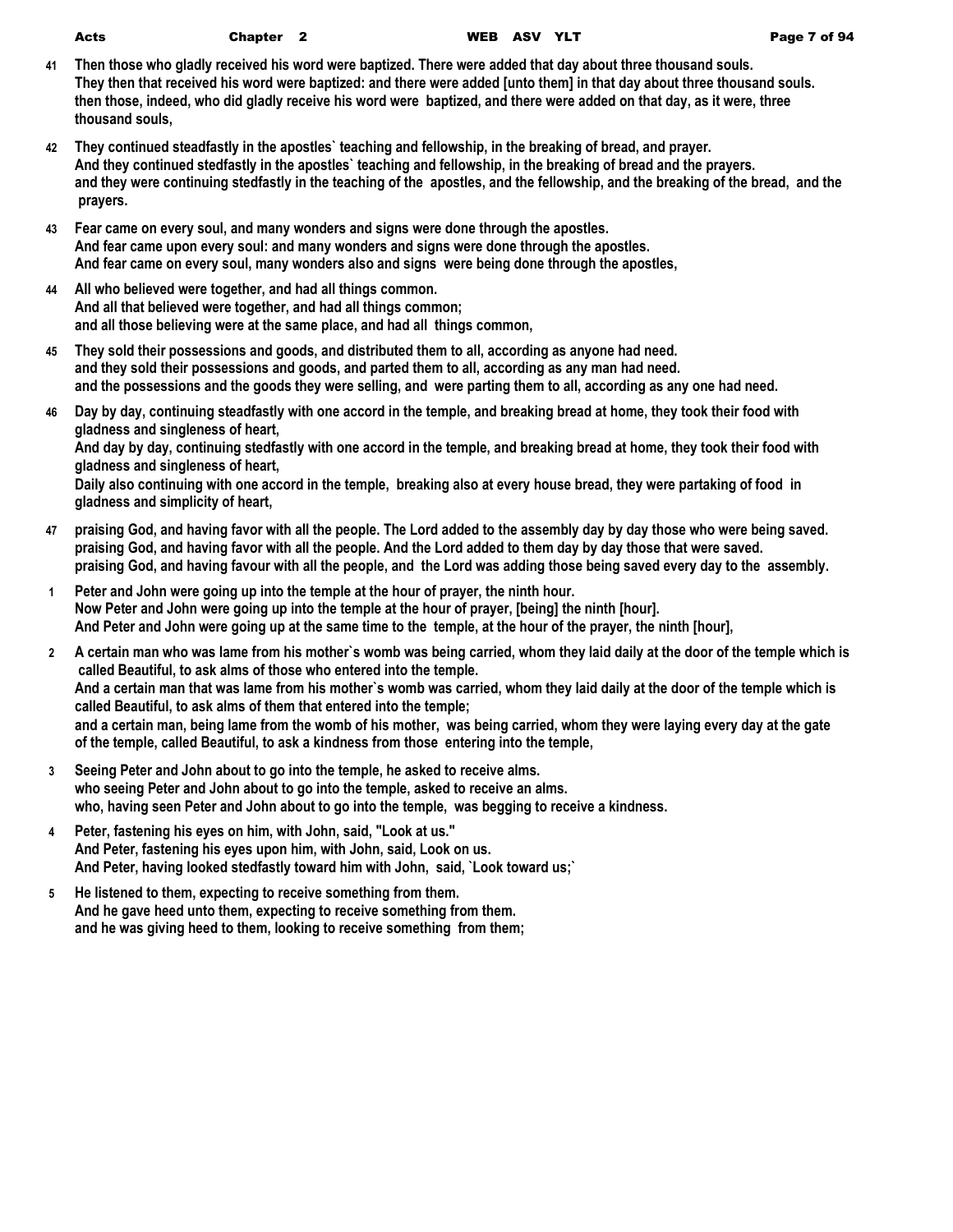| Acts | Chapter <sub>2</sub> |  |
|------|----------------------|--|
|------|----------------------|--|

- **41 Then those who gladly received his word were baptized. There were added that day about three thousand souls. They then that received his word were baptized: and there were added [unto them] in that day about three thousand souls. then those, indeed, who did gladly receive his word were baptized, and there were added on that day, as it were, three thousand souls,**
- **42 They continued steadfastly in the apostles` teaching and fellowship, in the breaking of bread, and prayer. And they continued stedfastly in the apostles` teaching and fellowship, in the breaking of bread and the prayers. and they were continuing stedfastly in the teaching of the apostles, and the fellowship, and the breaking of the bread, and the prayers.**
- **43 Fear came on every soul, and many wonders and signs were done through the apostles. And fear came upon every soul: and many wonders and signs were done through the apostles. And fear came on every soul, many wonders also and signs were being done through the apostles,**
- **44 All who believed were together, and had all things common. And all that believed were together, and had all things common; and all those believing were at the same place, and had all things common,**
- **45 They sold their possessions and goods, and distributed them to all, according as anyone had need. and they sold their possessions and goods, and parted them to all, according as any man had need. and the possessions and the goods they were selling, and were parting them to all, according as any one had need.**
- **46 Day by day, continuing steadfastly with one accord in the temple, and breaking bread at home, they took their food with gladness and singleness of heart,**

**And day by day, continuing stedfastly with one accord in the temple, and breaking bread at home, they took their food with gladness and singleness of heart,**

**Daily also continuing with one accord in the temple, breaking also at every house bread, they were partaking of food in gladness and simplicity of heart,**

- **47 praising God, and having favor with all the people. The Lord added to the assembly day by day those who were being saved. praising God, and having favor with all the people. And the Lord added to them day by day those that were saved. praising God, and having favour with all the people, and the Lord was adding those being saved every day to the assembly.**
- **1 Peter and John were going up into the temple at the hour of prayer, the ninth hour. Now Peter and John were going up into the temple at the hour of prayer, [being] the ninth [hour]. And Peter and John were going up at the same time to the temple, at the hour of the prayer, the ninth [hour],**
- **2 A certain man who was lame from his mother`s womb was being carried, whom they laid daily at the door of the temple which is called Beautiful, to ask alms of those who entered into the temple. And a certain man that was lame from his mother`s womb was carried, whom they laid daily at the door of the temple which is called Beautiful, to ask alms of them that entered into the temple; and a certain man, being lame from the womb of his mother, was being carried, whom they were laying every day at the gate of the temple, called Beautiful, to ask a kindness from those entering into the temple,**
- **3 Seeing Peter and John about to go into the temple, he asked to receive alms. who seeing Peter and John about to go into the temple, asked to receive an alms. who, having seen Peter and John about to go into the temple, was begging to receive a kindness.**
- **4 Peter, fastening his eyes on him, with John, said, "Look at us." And Peter, fastening his eyes upon him, with John, said, Look on us. And Peter, having looked stedfastly toward him with John, said, `Look toward us;`**
- **5 He listened to them, expecting to receive something from them. And he gave heed unto them, expecting to receive something from them. and he was giving heed to them, looking to receive something from them;**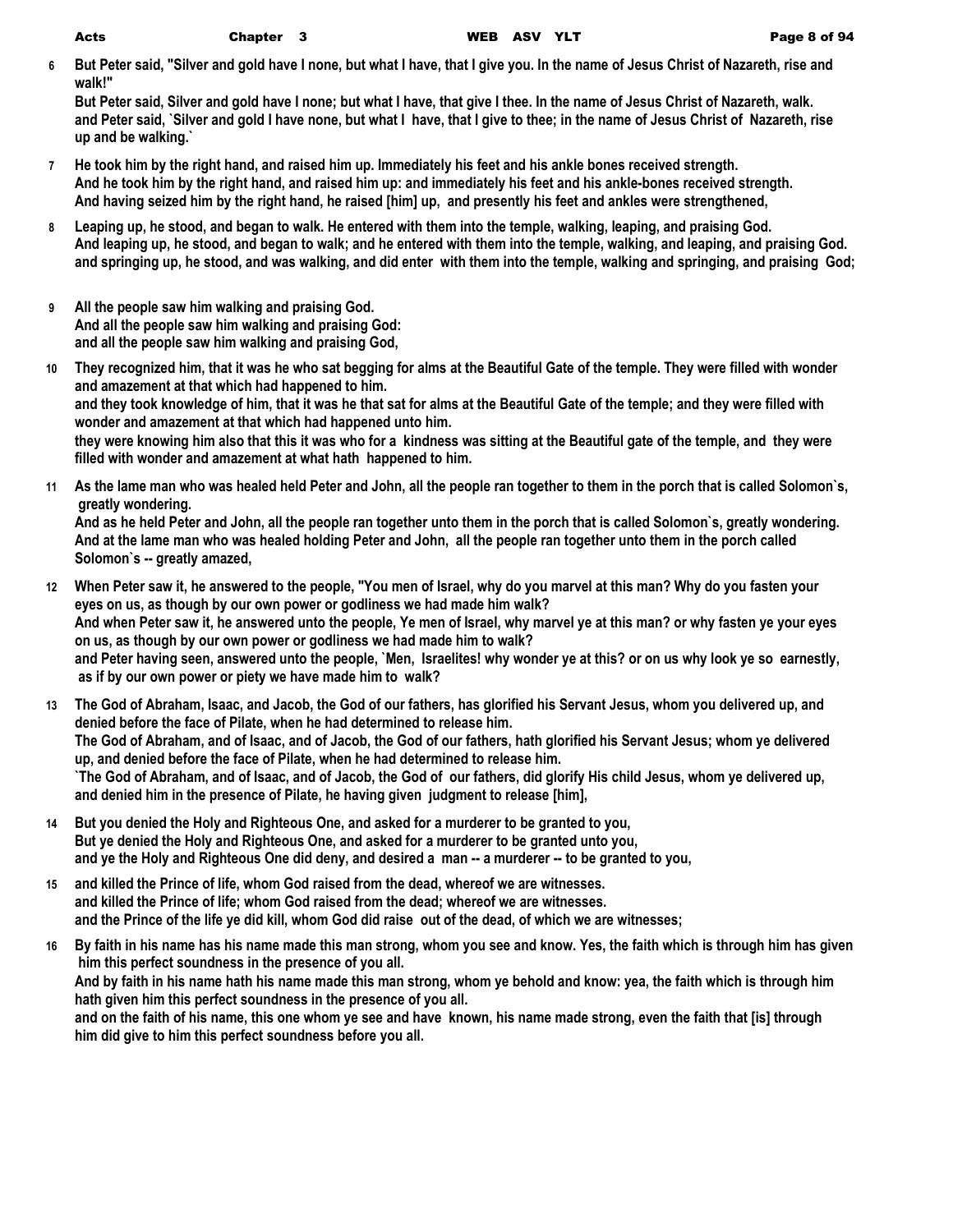**6 But Peter said, "Silver and gold have I none, but what I have, that I give you. In the name of Jesus Christ of Nazareth, rise and walk!"**

**But Peter said, Silver and gold have I none; but what I have, that give I thee. In the name of Jesus Christ of Nazareth, walk. and Peter said, `Silver and gold I have none, but what I have, that I give to thee; in the name of Jesus Christ of Nazareth, rise up and be walking.`**

- **7 He took him by the right hand, and raised him up. Immediately his feet and his ankle bones received strength. And he took him by the right hand, and raised him up: and immediately his feet and his ankle-bones received strength. And having seized him by the right hand, he raised [him] up, and presently his feet and ankles were strengthened,**
- **8 Leaping up, he stood, and began to walk. He entered with them into the temple, walking, leaping, and praising God. And leaping up, he stood, and began to walk; and he entered with them into the temple, walking, and leaping, and praising God. and springing up, he stood, and was walking, and did enter with them into the temple, walking and springing, and praising God;**
- **9 All the people saw him walking and praising God. And all the people saw him walking and praising God: and all the people saw him walking and praising God,**
- **10 They recognized him, that it was he who sat begging for alms at the Beautiful Gate of the temple. They were filled with wonder and amazement at that which had happened to him. and they took knowledge of him, that it was he that sat for alms at the Beautiful Gate of the temple; and they were filled with wonder and amazement at that which had happened unto him. they were knowing him also that this it was who for a kindness was sitting at the Beautiful gate of the temple, and they were filled with wonder and amazement at what hath happened to him.**
- **11 As the lame man who was healed held Peter and John, all the people ran together to them in the porch that is called Solomon`s, greatly wondering.**

**And as he held Peter and John, all the people ran together unto them in the porch that is called Solomon`s, greatly wondering. And at the lame man who was healed holding Peter and John, all the people ran together unto them in the porch called Solomon`s -- greatly amazed,**

- **12 When Peter saw it, he answered to the people, "You men of Israel, why do you marvel at this man? Why do you fasten your eyes on us, as though by our own power or godliness we had made him walk? And when Peter saw it, he answered unto the people, Ye men of Israel, why marvel ye at this man? or why fasten ye your eyes on us, as though by our own power or godliness we had made him to walk? and Peter having seen, answered unto the people, `Men, Israelites! why wonder ye at this? or on us why look ye so earnestly, as if by our own power or piety we have made him to walk?**
- **13 The God of Abraham, Isaac, and Jacob, the God of our fathers, has glorified his Servant Jesus, whom you delivered up, and denied before the face of Pilate, when he had determined to release him. The God of Abraham, and of Isaac, and of Jacob, the God of our fathers, hath glorified his Servant Jesus; whom ye delivered up, and denied before the face of Pilate, when he had determined to release him. `The God of Abraham, and of Isaac, and of Jacob, the God of our fathers, did glorify His child Jesus, whom ye delivered up, and denied him in the presence of Pilate, he having given judgment to release [him],**
- **14 But you denied the Holy and Righteous One, and asked for a murderer to be granted to you, But ye denied the Holy and Righteous One, and asked for a murderer to be granted unto you, and ye the Holy and Righteous One did deny, and desired a man -- a murderer -- to be granted to you,**
- **15 and killed the Prince of life, whom God raised from the dead, whereof we are witnesses. and killed the Prince of life; whom God raised from the dead; whereof we are witnesses. and the Prince of the life ye did kill, whom God did raise out of the dead, of which we are witnesses;**
- **16 By faith in his name has his name made this man strong, whom you see and know. Yes, the faith which is through him has given him this perfect soundness in the presence of you all. And by faith in his name hath his name made this man strong, whom ye behold and know: yea, the faith which is through him hath given him this perfect soundness in the presence of you all. and on the faith of his name, this one whom ye see and have known, his name made strong, even the faith that [is] through him did give to him this perfect soundness before you all.**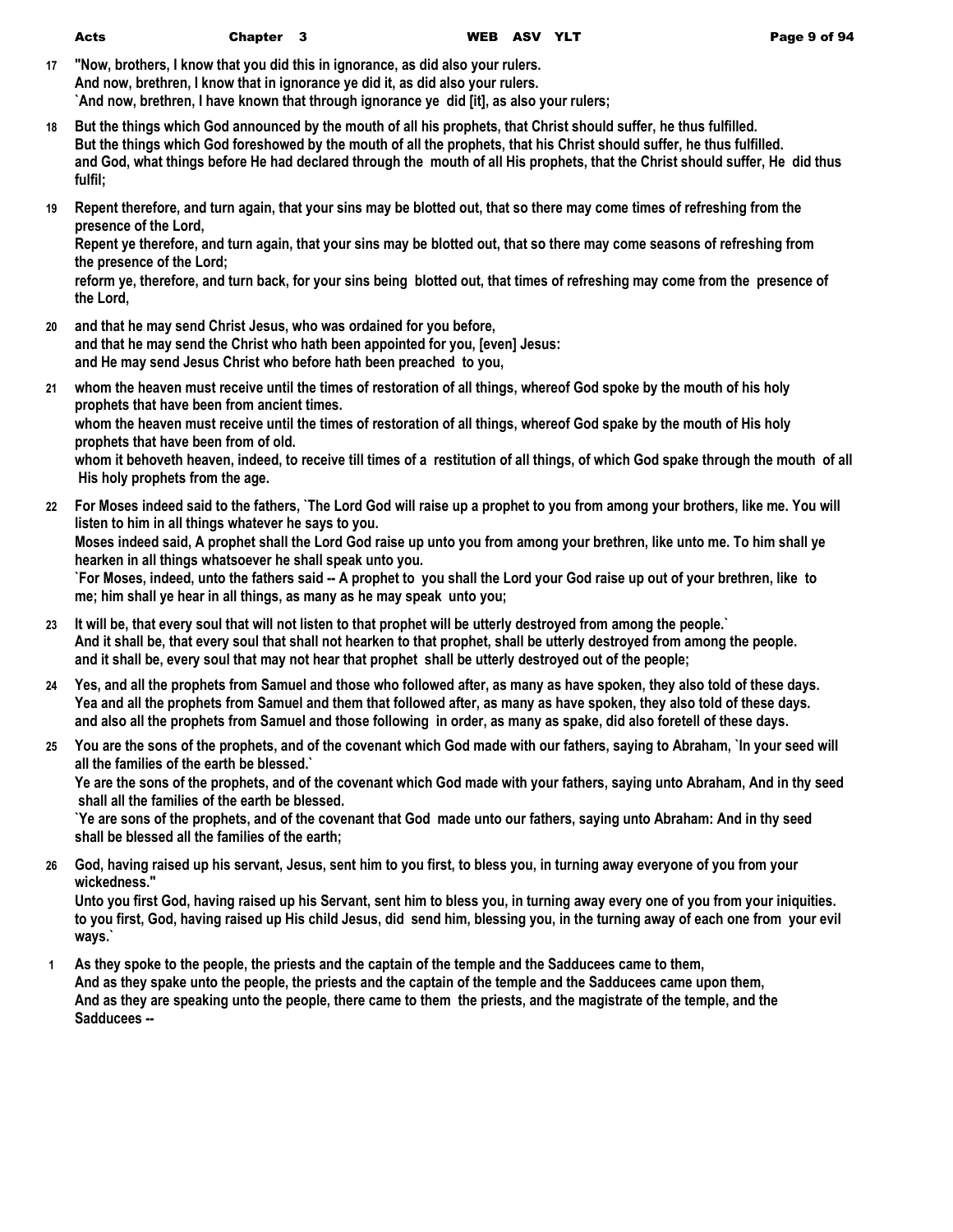| v<br>٦<br>- - - |
|-----------------|
|                 |

**17 "Now, brothers, I know that you did this in ignorance, as did also your rulers. And now, brethren, I know that in ignorance ye did it, as did also your rulers. `And now, brethren, I have known that through ignorance ye did [it], as also your rulers;**

- **18 But the things which God announced by the mouth of all his prophets, that Christ should suffer, he thus fulfilled. But the things which God foreshowed by the mouth of all the prophets, that his Christ should suffer, he thus fulfilled. and God, what things before He had declared through the mouth of all His prophets, that the Christ should suffer, He did thus fulfil;**
- **19 Repent therefore, and turn again, that your sins may be blotted out, that so there may come times of refreshing from the presence of the Lord,**

**Repent ye therefore, and turn again, that your sins may be blotted out, that so there may come seasons of refreshing from the presence of the Lord;**

**reform ye, therefore, and turn back, for your sins being blotted out, that times of refreshing may come from the presence of the Lord,**

- **20 and that he may send Christ Jesus, who was ordained for you before, and that he may send the Christ who hath been appointed for you, [even] Jesus: and He may send Jesus Christ who before hath been preached to you,**
- **21 whom the heaven must receive until the times of restoration of all things, whereof God spoke by the mouth of his holy prophets that have been from ancient times. whom the heaven must receive until the times of restoration of all things, whereof God spake by the mouth of His holy prophets that have been from of old. whom it behoveth heaven, indeed, to receive till times of a restitution of all things, of which God spake through the mouth of all His holy prophets from the age.**
- **22 For Moses indeed said to the fathers, `The Lord God will raise up a prophet to you from among your brothers, like me. You will listen to him in all things whatever he says to you. Moses indeed said, A prophet shall the Lord God raise up unto you from among your brethren, like unto me. To him shall ye hearken in all things whatsoever he shall speak unto you. `For Moses, indeed, unto the fathers said -- A prophet to you shall the Lord your God raise up out of your brethren, like to me; him shall ye hear in all things, as many as he may speak unto you;**
- **23 It will be, that every soul that will not listen to that prophet will be utterly destroyed from among the people.` And it shall be, that every soul that shall not hearken to that prophet, shall be utterly destroyed from among the people. and it shall be, every soul that may not hear that prophet shall be utterly destroyed out of the people;**
- **24 Yes, and all the prophets from Samuel and those who followed after, as many as have spoken, they also told of these days. Yea and all the prophets from Samuel and them that followed after, as many as have spoken, they also told of these days. and also all the prophets from Samuel and those following in order, as many as spake, did also foretell of these days.**
- **25 You are the sons of the prophets, and of the covenant which God made with our fathers, saying to Abraham, `In your seed will all the families of the earth be blessed.`**

**Ye are the sons of the prophets, and of the covenant which God made with your fathers, saying unto Abraham, And in thy seed shall all the families of the earth be blessed.**

**`Ye are sons of the prophets, and of the covenant that God made unto our fathers, saying unto Abraham: And in thy seed shall be blessed all the families of the earth;**

**26 God, having raised up his servant, Jesus, sent him to you first, to bless you, in turning away everyone of you from your wickedness."**

**Unto you first God, having raised up his Servant, sent him to bless you, in turning away every one of you from your iniquities. to you first, God, having raised up His child Jesus, did send him, blessing you, in the turning away of each one from your evil ways.`**

**1 As they spoke to the people, the priests and the captain of the temple and the Sadducees came to them, And as they spake unto the people, the priests and the captain of the temple and the Sadducees came upon them, And as they are speaking unto the people, there came to them the priests, and the magistrate of the temple, and the Sadducees --**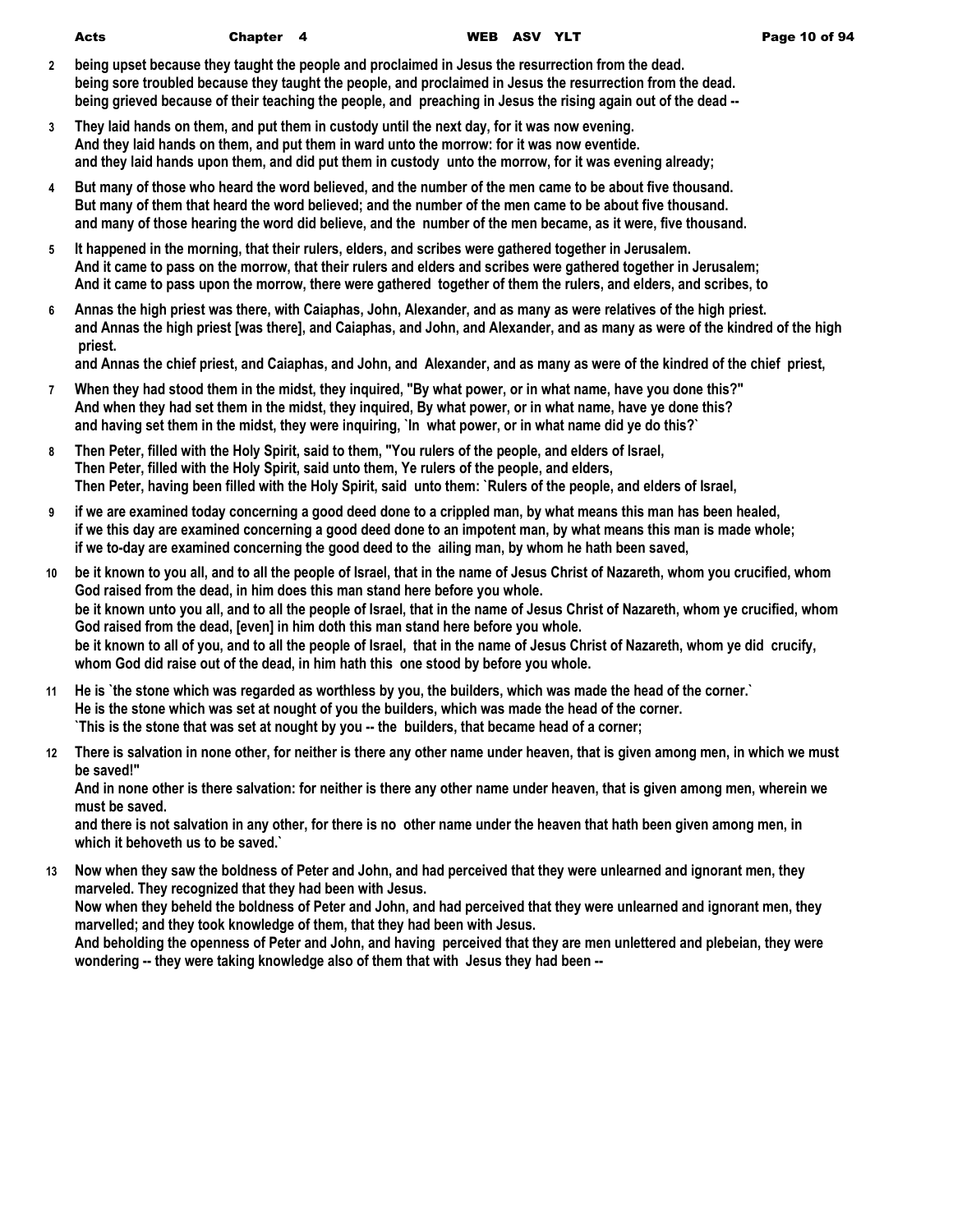| ۱cts |  |  |
|------|--|--|
|      |  |  |

Acts Chapter 4 WEB ASV YLT Page 10 of 94

- **2 being upset because they taught the people and proclaimed in Jesus the resurrection from the dead. being sore troubled because they taught the people, and proclaimed in Jesus the resurrection from the dead. being grieved because of their teaching the people, and preaching in Jesus the rising again out of the dead --**
- **3 They laid hands on them, and put them in custody until the next day, for it was now evening. And they laid hands on them, and put them in ward unto the morrow: for it was now eventide. and they laid hands upon them, and did put them in custody unto the morrow, for it was evening already;**
- **4 But many of those who heard the word believed, and the number of the men came to be about five thousand. But many of them that heard the word believed; and the number of the men came to be about five thousand. and many of those hearing the word did believe, and the number of the men became, as it were, five thousand.**
- **5 It happened in the morning, that their rulers, elders, and scribes were gathered together in Jerusalem. And it came to pass on the morrow, that their rulers and elders and scribes were gathered together in Jerusalem; And it came to pass upon the morrow, there were gathered together of them the rulers, and elders, and scribes, to**
- **6 Annas the high priest was there, with Caiaphas, John, Alexander, and as many as were relatives of the high priest. and Annas the high priest [was there], and Caiaphas, and John, and Alexander, and as many as were of the kindred of the high priest.**

**and Annas the chief priest, and Caiaphas, and John, and Alexander, and as many as were of the kindred of the chief priest,**

- **7 When they had stood them in the midst, they inquired, "By what power, or in what name, have you done this?" And when they had set them in the midst, they inquired, By what power, or in what name, have ye done this? and having set them in the midst, they were inquiring, `In what power, or in what name did ye do this?`**
- **8 Then Peter, filled with the Holy Spirit, said to them, "You rulers of the people, and elders of Israel, Then Peter, filled with the Holy Spirit, said unto them, Ye rulers of the people, and elders, Then Peter, having been filled with the Holy Spirit, said unto them: `Rulers of the people, and elders of Israel,**
- **9 if we are examined today concerning a good deed done to a crippled man, by what means this man has been healed, if we this day are examined concerning a good deed done to an impotent man, by what means this man is made whole; if we to-day are examined concerning the good deed to the ailing man, by whom he hath been saved,**
- **10 be it known to you all, and to all the people of Israel, that in the name of Jesus Christ of Nazareth, whom you crucified, whom God raised from the dead, in him does this man stand here before you whole. be it known unto you all, and to all the people of Israel, that in the name of Jesus Christ of Nazareth, whom ye crucified, whom God raised from the dead, [even] in him doth this man stand here before you whole. be it known to all of you, and to all the people of Israel, that in the name of Jesus Christ of Nazareth, whom ye did crucify, whom God did raise out of the dead, in him hath this one stood by before you whole.**
- **11 He is `the stone which was regarded as worthless by you, the builders, which was made the head of the corner.` He is the stone which was set at nought of you the builders, which was made the head of the corner. `This is the stone that was set at nought by you -- the builders, that became head of a corner;**
- **12 There is salvation in none other, for neither is there any other name under heaven, that is given among men, in which we must be saved!"**

**And in none other is there salvation: for neither is there any other name under heaven, that is given among men, wherein we must be saved.**

**and there is not salvation in any other, for there is no other name under the heaven that hath been given among men, in which it behoveth us to be saved.`**

**13 Now when they saw the boldness of Peter and John, and had perceived that they were unlearned and ignorant men, they marveled. They recognized that they had been with Jesus. Now when they beheld the boldness of Peter and John, and had perceived that they were unlearned and ignorant men, they** 

**marvelled; and they took knowledge of them, that they had been with Jesus. And beholding the openness of Peter and John, and having perceived that they are men unlettered and plebeian, they were** 

**wondering -- they were taking knowledge also of them that with Jesus they had been --**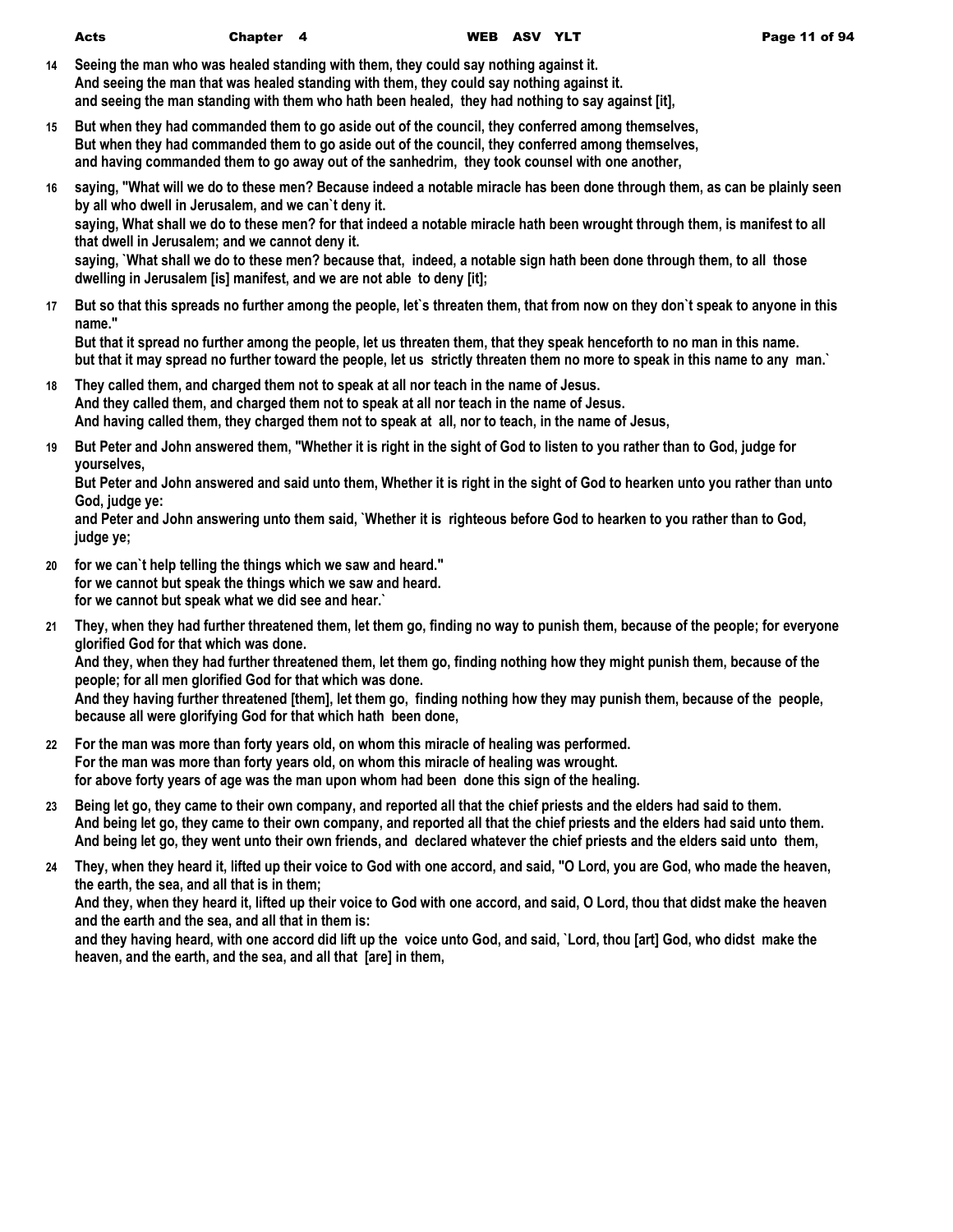- **14 Seeing the man who was healed standing with them, they could say nothing against it. And seeing the man that was healed standing with them, they could say nothing against it. and seeing the man standing with them who hath been healed, they had nothing to say against [it],**
- **15 But when they had commanded them to go aside out of the council, they conferred among themselves, But when they had commanded them to go aside out of the council, they conferred among themselves, and having commanded them to go away out of the sanhedrim, they took counsel with one another,**
- **16 saying, "What will we do to these men? Because indeed a notable miracle has been done through them, as can be plainly seen by all who dwell in Jerusalem, and we can`t deny it.**

**saying, What shall we do to these men? for that indeed a notable miracle hath been wrought through them, is manifest to all that dwell in Jerusalem; and we cannot deny it.**

**saying, `What shall we do to these men? because that, indeed, a notable sign hath been done through them, to all those dwelling in Jerusalem [is] manifest, and we are not able to deny [it];**

**17 But so that this spreads no further among the people, let`s threaten them, that from now on they don`t speak to anyone in this name."**

**But that it spread no further among the people, let us threaten them, that they speak henceforth to no man in this name. but that it may spread no further toward the people, let us strictly threaten them no more to speak in this name to any man.`**

- **18 They called them, and charged them not to speak at all nor teach in the name of Jesus. And they called them, and charged them not to speak at all nor teach in the name of Jesus. And having called them, they charged them not to speak at all, nor to teach, in the name of Jesus,**
- **19 But Peter and John answered them, "Whether it is right in the sight of God to listen to you rather than to God, judge for yourselves,**

**But Peter and John answered and said unto them, Whether it is right in the sight of God to hearken unto you rather than unto God, judge ye:**

**and Peter and John answering unto them said, `Whether it is righteous before God to hearken to you rather than to God, judge ye;**

- **20 for we can`t help telling the things which we saw and heard." for we cannot but speak the things which we saw and heard. for we cannot but speak what we did see and hear.`**
- **21 They, when they had further threatened them, let them go, finding no way to punish them, because of the people; for everyone glorified God for that which was done.**

**And they, when they had further threatened them, let them go, finding nothing how they might punish them, because of the people; for all men glorified God for that which was done.**

**And they having further threatened [them], let them go, finding nothing how they may punish them, because of the people, because all were glorifying God for that which hath been done,**

- **22 For the man was more than forty years old, on whom this miracle of healing was performed. For the man was more than forty years old, on whom this miracle of healing was wrought. for above forty years of age was the man upon whom had been done this sign of the healing.**
- **23 Being let go, they came to their own company, and reported all that the chief priests and the elders had said to them. And being let go, they came to their own company, and reported all that the chief priests and the elders had said unto them. And being let go, they went unto their own friends, and declared whatever the chief priests and the elders said unto them,**
- **24 They, when they heard it, lifted up their voice to God with one accord, and said, "O Lord, you are God, who made the heaven, the earth, the sea, and all that is in them;**

**And they, when they heard it, lifted up their voice to God with one accord, and said, O Lord, thou that didst make the heaven and the earth and the sea, and all that in them is:**

**and they having heard, with one accord did lift up the voice unto God, and said, `Lord, thou [art] God, who didst make the heaven, and the earth, and the sea, and all that [are] in them,**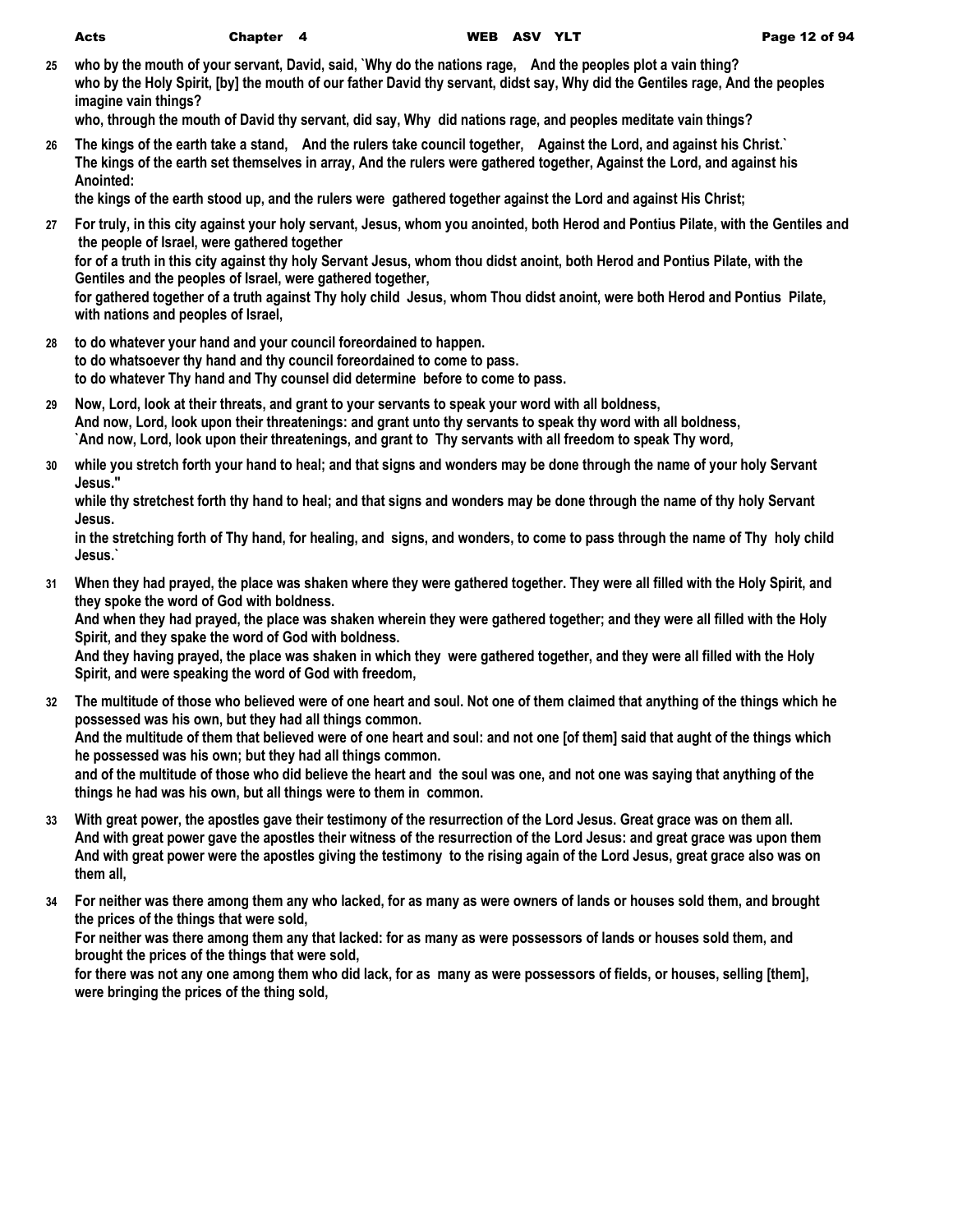**the kings of the earth stood up, and the rulers were gathered together against the Lord and against His Christ;**

- **27 For truly, in this city against your holy servant, Jesus, whom you anointed, both Herod and Pontius Pilate, with the Gentiles and the people of Israel, were gathered together for of a truth in this city against thy holy Servant Jesus, whom thou didst anoint, both Herod and Pontius Pilate, with the Gentiles and the peoples of Israel, were gathered together, for gathered together of a truth against Thy holy child Jesus, whom Thou didst anoint, were both Herod and Pontius Pilate, with nations and peoples of Israel,**
- **28 to do whatever your hand and your council foreordained to happen. to do whatsoever thy hand and thy council foreordained to come to pass. to do whatever Thy hand and Thy counsel did determine before to come to pass.**
- **29 Now, Lord, look at their threats, and grant to your servants to speak your word with all boldness, And now, Lord, look upon their threatenings: and grant unto thy servants to speak thy word with all boldness, `And now, Lord, look upon their threatenings, and grant to Thy servants with all freedom to speak Thy word,**
- **30 while you stretch forth your hand to heal; and that signs and wonders may be done through the name of your holy Servant Jesus."**

**while thy stretchest forth thy hand to heal; and that signs and wonders may be done through the name of thy holy Servant Jesus.**

**in the stretching forth of Thy hand, for healing, and signs, and wonders, to come to pass through the name of Thy holy child Jesus.`**

**31 When they had prayed, the place was shaken where they were gathered together. They were all filled with the Holy Spirit, and they spoke the word of God with boldness.**

**And when they had prayed, the place was shaken wherein they were gathered together; and they were all filled with the Holy Spirit, and they spake the word of God with boldness.**

**And they having prayed, the place was shaken in which they were gathered together, and they were all filled with the Holy Spirit, and were speaking the word of God with freedom,**

- **32 The multitude of those who believed were of one heart and soul. Not one of them claimed that anything of the things which he possessed was his own, but they had all things common. And the multitude of them that believed were of one heart and soul: and not one [of them] said that aught of the things which he possessed was his own; but they had all things common. and of the multitude of those who did believe the heart and the soul was one, and not one was saying that anything of the things he had was his own, but all things were to them in common.**
- **33 With great power, the apostles gave their testimony of the resurrection of the Lord Jesus. Great grace was on them all. And with great power gave the apostles their witness of the resurrection of the Lord Jesus: and great grace was upon them And with great power were the apostles giving the testimony to the rising again of the Lord Jesus, great grace also was on them all,**
- **34 For neither was there among them any who lacked, for as many as were owners of lands or houses sold them, and brought the prices of the things that were sold,**

**For neither was there among them any that lacked: for as many as were possessors of lands or houses sold them, and brought the prices of the things that were sold,**

**for there was not any one among them who did lack, for as many as were possessors of fields, or houses, selling [them], were bringing the prices of the thing sold,**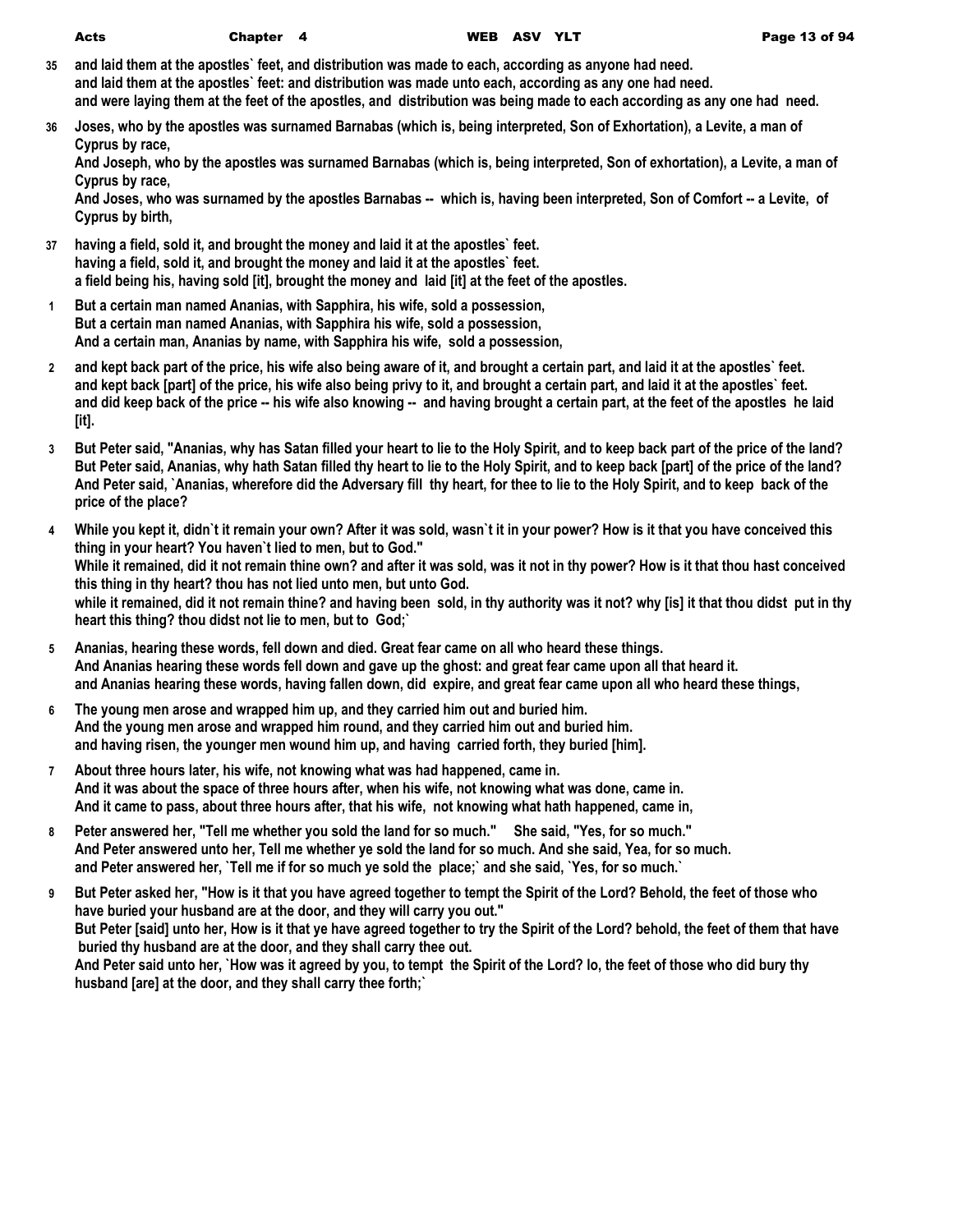- **35 and laid them at the apostles` feet, and distribution was made to each, according as anyone had need. and laid them at the apostles` feet: and distribution was made unto each, according as any one had need. and were laying them at the feet of the apostles, and distribution was being made to each according as any one had need.**
- **36 Joses, who by the apostles was surnamed Barnabas (which is, being interpreted, Son of Exhortation), a Levite, a man of Cyprus by race,**

**And Joseph, who by the apostles was surnamed Barnabas (which is, being interpreted, Son of exhortation), a Levite, a man of Cyprus by race,**

**And Joses, who was surnamed by the apostles Barnabas -- which is, having been interpreted, Son of Comfort -- a Levite, of Cyprus by birth,**

- **37 having a field, sold it, and brought the money and laid it at the apostles` feet. having a field, sold it, and brought the money and laid it at the apostles` feet. a field being his, having sold [it], brought the money and laid [it] at the feet of the apostles.**
- **1 But a certain man named Ananias, with Sapphira, his wife, sold a possession, But a certain man named Ananias, with Sapphira his wife, sold a possession, And a certain man, Ananias by name, with Sapphira his wife, sold a possession,**
- **2 and kept back part of the price, his wife also being aware of it, and brought a certain part, and laid it at the apostles` feet. and kept back [part] of the price, his wife also being privy to it, and brought a certain part, and laid it at the apostles` feet. and did keep back of the price -- his wife also knowing -- and having brought a certain part, at the feet of the apostles he laid [it].**
- **3 But Peter said, "Ananias, why has Satan filled your heart to lie to the Holy Spirit, and to keep back part of the price of the land? But Peter said, Ananias, why hath Satan filled thy heart to lie to the Holy Spirit, and to keep back [part] of the price of the land? And Peter said, `Ananias, wherefore did the Adversary fill thy heart, for thee to lie to the Holy Spirit, and to keep back of the price of the place?**
- **4 While you kept it, didn`t it remain your own? After it was sold, wasn`t it in your power? How is it that you have conceived this thing in your heart? You haven`t lied to men, but to God." While it remained, did it not remain thine own? and after it was sold, was it not in thy power? How is it that thou hast conceived this thing in thy heart? thou has not lied unto men, but unto God. while it remained, did it not remain thine? and having been sold, in thy authority was it not? why [is] it that thou didst put in thy heart this thing? thou didst not lie to men, but to God;`**
- **5 Ananias, hearing these words, fell down and died. Great fear came on all who heard these things. And Ananias hearing these words fell down and gave up the ghost: and great fear came upon all that heard it. and Ananias hearing these words, having fallen down, did expire, and great fear came upon all who heard these things,**
- **6 The young men arose and wrapped him up, and they carried him out and buried him. And the young men arose and wrapped him round, and they carried him out and buried him. and having risen, the younger men wound him up, and having carried forth, they buried [him].**
- **7 About three hours later, his wife, not knowing what was had happened, came in. And it was about the space of three hours after, when his wife, not knowing what was done, came in. And it came to pass, about three hours after, that his wife, not knowing what hath happened, came in,**
- **8 Peter answered her, "Tell me whether you sold the land for so much." She said, "Yes, for so much." And Peter answered unto her, Tell me whether ye sold the land for so much. And she said, Yea, for so much. and Peter answered her, `Tell me if for so much ye sold the place;` and she said, `Yes, for so much.`**
- **9 But Peter asked her, "How is it that you have agreed together to tempt the Spirit of the Lord? Behold, the feet of those who have buried your husband are at the door, and they will carry you out." But Peter [said] unto her, How is it that ye have agreed together to try the Spirit of the Lord? behold, the feet of them that have buried thy husband are at the door, and they shall carry thee out. And Peter said unto her, `How was it agreed by you, to tempt the Spirit of the Lord? lo, the feet of those who did bury thy husband [are] at the door, and they shall carry thee forth;`**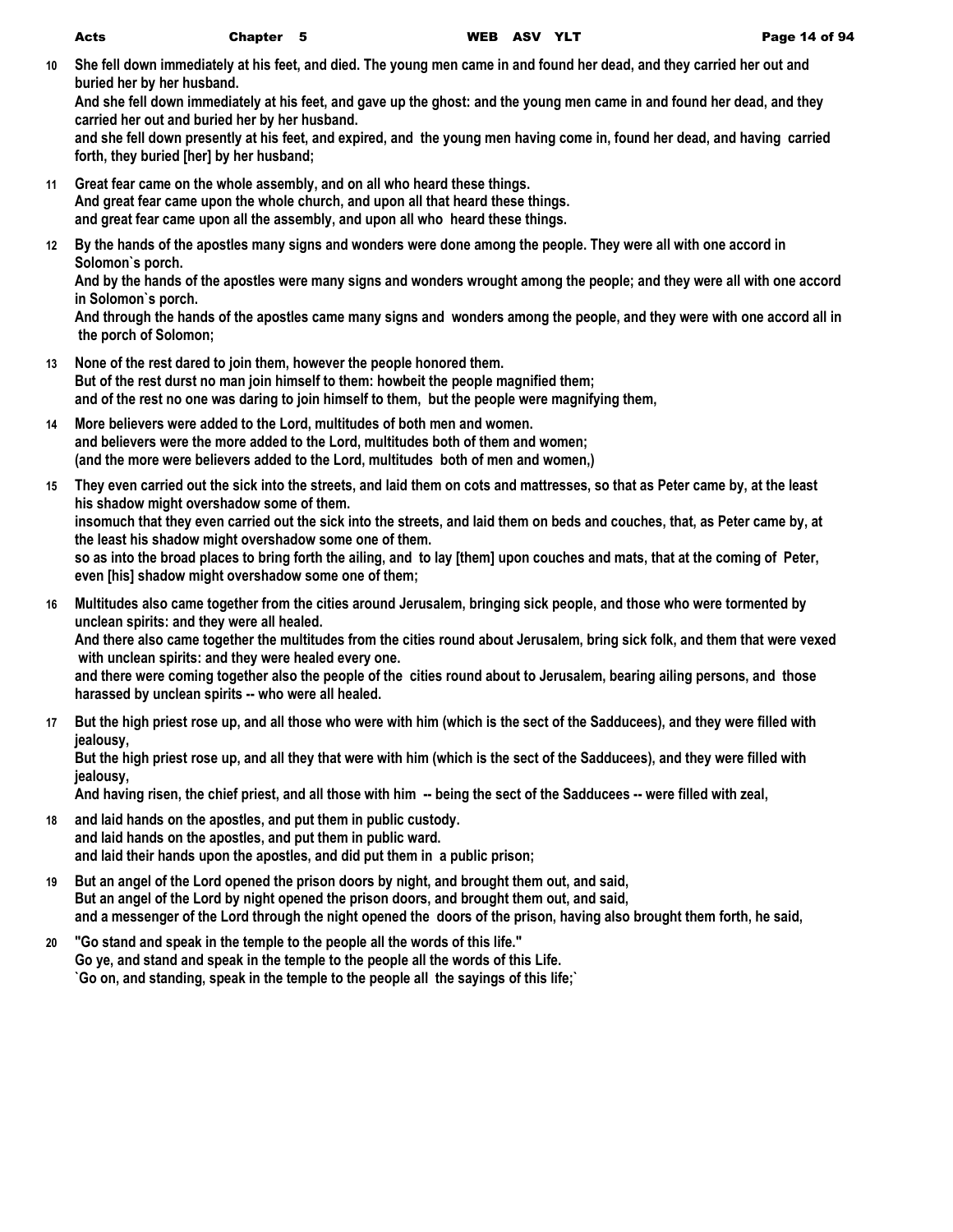**10 She fell down immediately at his feet, and died. The young men came in and found her dead, and they carried her out and buried her by her husband.**

**And she fell down immediately at his feet, and gave up the ghost: and the young men came in and found her dead, and they carried her out and buried her by her husband.**

**and she fell down presently at his feet, and expired, and the young men having come in, found her dead, and having carried forth, they buried [her] by her husband;**

- **11 Great fear came on the whole assembly, and on all who heard these things. And great fear came upon the whole church, and upon all that heard these things. and great fear came upon all the assembly, and upon all who heard these things.**
- **12 By the hands of the apostles many signs and wonders were done among the people. They were all with one accord in Solomon`s porch.**

**And by the hands of the apostles were many signs and wonders wrought among the people; and they were all with one accord in Solomon`s porch.**

**And through the hands of the apostles came many signs and wonders among the people, and they were with one accord all in the porch of Solomon;**

- **13 None of the rest dared to join them, however the people honored them. But of the rest durst no man join himself to them: howbeit the people magnified them; and of the rest no one was daring to join himself to them, but the people were magnifying them,**
- **14 More believers were added to the Lord, multitudes of both men and women. and believers were the more added to the Lord, multitudes both of them and women; (and the more were believers added to the Lord, multitudes both of men and women,)**
- **15 They even carried out the sick into the streets, and laid them on cots and mattresses, so that as Peter came by, at the least his shadow might overshadow some of them. insomuch that they even carried out the sick into the streets, and laid them on beds and couches, that, as Peter came by, at the least his shadow might overshadow some one of them. so as into the broad places to bring forth the ailing, and to lay [them] upon couches and mats, that at the coming of Peter, even [his] shadow might overshadow some one of them;**
- **16 Multitudes also came together from the cities around Jerusalem, bringing sick people, and those who were tormented by unclean spirits: and they were all healed.**

**And there also came together the multitudes from the cities round about Jerusalem, bring sick folk, and them that were vexed with unclean spirits: and they were healed every one.**

**and there were coming together also the people of the cities round about to Jerusalem, bearing ailing persons, and those harassed by unclean spirits -- who were all healed.**

**17 But the high priest rose up, and all those who were with him (which is the sect of the Sadducees), and they were filled with jealousy,**

**But the high priest rose up, and all they that were with him (which is the sect of the Sadducees), and they were filled with jealousy,**

**And having risen, the chief priest, and all those with him -- being the sect of the Sadducees -- were filled with zeal,**

- **18 and laid hands on the apostles, and put them in public custody. and laid hands on the apostles, and put them in public ward. and laid their hands upon the apostles, and did put them in a public prison;**
- **19 But an angel of the Lord opened the prison doors by night, and brought them out, and said, But an angel of the Lord by night opened the prison doors, and brought them out, and said, and a messenger of the Lord through the night opened the doors of the prison, having also brought them forth, he said,**
- **20 "Go stand and speak in the temple to the people all the words of this life." Go ye, and stand and speak in the temple to the people all the words of this Life. `Go on, and standing, speak in the temple to the people all the sayings of this life;`**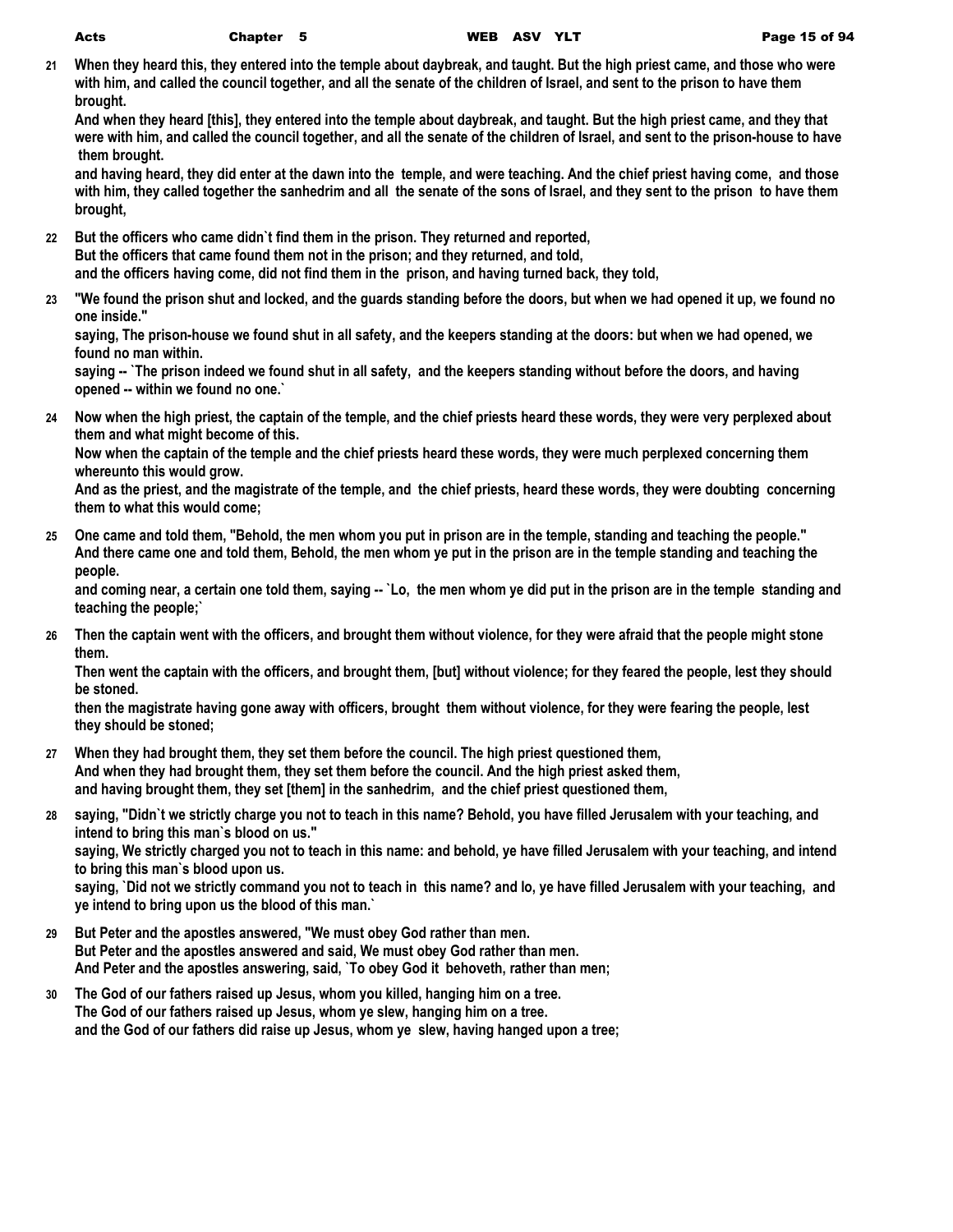**21 When they heard this, they entered into the temple about daybreak, and taught. But the high priest came, and those who were with him, and called the council together, and all the senate of the children of Israel, and sent to the prison to have them brought.**

**And when they heard [this], they entered into the temple about daybreak, and taught. But the high priest came, and they that were with him, and called the council together, and all the senate of the children of Israel, and sent to the prison-house to have them brought.**

**and having heard, they did enter at the dawn into the temple, and were teaching. And the chief priest having come, and those with him, they called together the sanhedrim and all the senate of the sons of Israel, and they sent to the prison to have them brought,**

**22 But the officers who came didn`t find them in the prison. They returned and reported, But the officers that came found them not in the prison; and they returned, and told, and the officers having come, did not find them in the prison, and having turned back, they told,**

**23 "We found the prison shut and locked, and the guards standing before the doors, but when we had opened it up, we found no one inside."**

**saying, The prison-house we found shut in all safety, and the keepers standing at the doors: but when we had opened, we found no man within.**

saying -- `The prison indeed we found shut in all safety, and the keepers standing without before the doors, and having **opened -- within we found no one.`**

**24 Now when the high priest, the captain of the temple, and the chief priests heard these words, they were very perplexed about them and what might become of this.**

**Now when the captain of the temple and the chief priests heard these words, they were much perplexed concerning them whereunto this would grow.**

**And as the priest, and the magistrate of the temple, and the chief priests, heard these words, they were doubting concerning them to what this would come;**

**25 One came and told them, "Behold, the men whom you put in prison are in the temple, standing and teaching the people." And there came one and told them, Behold, the men whom ye put in the prison are in the temple standing and teaching the people.**

and coming near, a certain one told them, saying -- `Lo, the men whom ye did put in the prison are in the temple standing and **teaching the people;`**

**26 Then the captain went with the officers, and brought them without violence, for they were afraid that the people might stone them.**

**Then went the captain with the officers, and brought them, [but] without violence; for they feared the people, lest they should be stoned.**

**then the magistrate having gone away with officers, brought them without violence, for they were fearing the people, lest they should be stoned;**

- **27 When they had brought them, they set them before the council. The high priest questioned them, And when they had brought them, they set them before the council. And the high priest asked them, and having brought them, they set [them] in the sanhedrim, and the chief priest questioned them,**
- **28 saying, "Didn`t we strictly charge you not to teach in this name? Behold, you have filled Jerusalem with your teaching, and intend to bring this man`s blood on us." saying, We strictly charged you not to teach in this name: and behold, ye have filled Jerusalem with your teaching, and intend**

**to bring this man`s blood upon us.**

**saying, `Did not we strictly command you not to teach in this name? and lo, ye have filled Jerusalem with your teaching, and ye intend to bring upon us the blood of this man.`**

- **29 But Peter and the apostles answered, "We must obey God rather than men. But Peter and the apostles answered and said, We must obey God rather than men. And Peter and the apostles answering, said, `To obey God it behoveth, rather than men;**
- **30 The God of our fathers raised up Jesus, whom you killed, hanging him on a tree. The God of our fathers raised up Jesus, whom ye slew, hanging him on a tree. and the God of our fathers did raise up Jesus, whom ye slew, having hanged upon a tree;**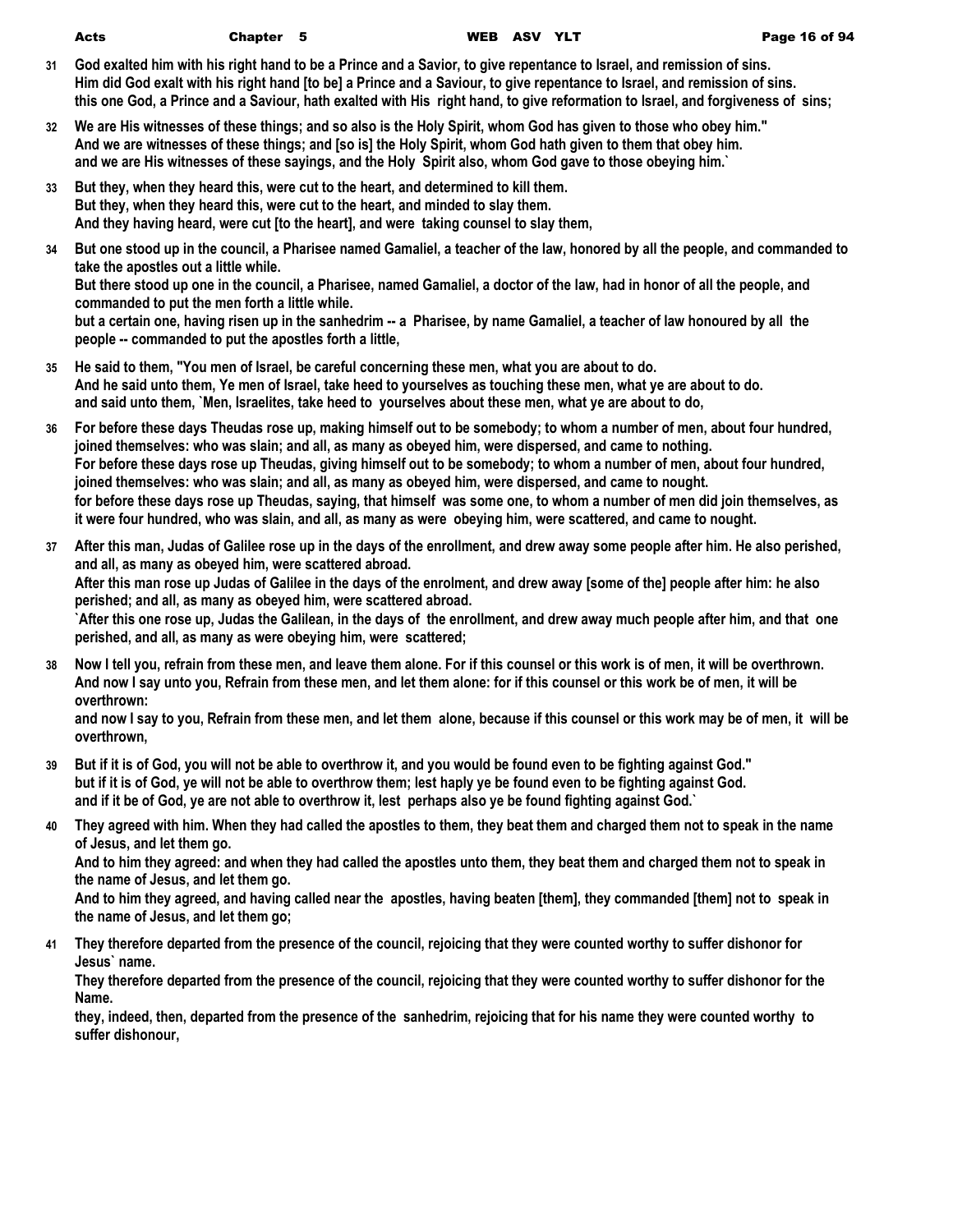- **31 God exalted him with his right hand to be a Prince and a Savior, to give repentance to Israel, and remission of sins. Him did God exalt with his right hand [to be] a Prince and a Saviour, to give repentance to Israel, and remission of sins. this one God, a Prince and a Saviour, hath exalted with His right hand, to give reformation to Israel, and forgiveness of sins;**
- **32 We are His witnesses of these things; and so also is the Holy Spirit, whom God has given to those who obey him." And we are witnesses of these things; and [so is] the Holy Spirit, whom God hath given to them that obey him. and we are His witnesses of these sayings, and the Holy Spirit also, whom God gave to those obeying him.`**
- **33 But they, when they heard this, were cut to the heart, and determined to kill them. But they, when they heard this, were cut to the heart, and minded to slay them. And they having heard, were cut [to the heart], and were taking counsel to slay them,**
- **34 But one stood up in the council, a Pharisee named Gamaliel, a teacher of the law, honored by all the people, and commanded to take the apostles out a little while.**

**But there stood up one in the council, a Pharisee, named Gamaliel, a doctor of the law, had in honor of all the people, and commanded to put the men forth a little while.**

but a certain one, having risen up in the sanhedrim -- a Pharisee, by name Gamaliel, a teacher of law honoured by all the **people -- commanded to put the apostles forth a little,**

- **35 He said to them, "You men of Israel, be careful concerning these men, what you are about to do. And he said unto them, Ye men of Israel, take heed to yourselves as touching these men, what ye are about to do. and said unto them, `Men, Israelites, take heed to yourselves about these men, what ye are about to do,**
- **36 For before these days Theudas rose up, making himself out to be somebody; to whom a number of men, about four hundred, joined themselves: who was slain; and all, as many as obeyed him, were dispersed, and came to nothing. For before these days rose up Theudas, giving himself out to be somebody; to whom a number of men, about four hundred, joined themselves: who was slain; and all, as many as obeyed him, were dispersed, and came to nought. for before these days rose up Theudas, saying, that himself was some one, to whom a number of men did join themselves, as it were four hundred, who was slain, and all, as many as were obeying him, were scattered, and came to nought.**
- **37 After this man, Judas of Galilee rose up in the days of the enrollment, and drew away some people after him. He also perished, and all, as many as obeyed him, were scattered abroad. After this man rose up Judas of Galilee in the days of the enrolment, and drew away [some of the] people after him: he also perished; and all, as many as obeyed him, were scattered abroad. `After this one rose up, Judas the Galilean, in the days of the enrollment, and drew away much people after him, and that one perished, and all, as many as were obeying him, were scattered;**
- **38 Now I tell you, refrain from these men, and leave them alone. For if this counsel or this work is of men, it will be overthrown. And now I say unto you, Refrain from these men, and let them alone: for if this counsel or this work be of men, it will be overthrown:**

**and now I say to you, Refrain from these men, and let them alone, because if this counsel or this work may be of men, it will be overthrown,**

- **39 But if it is of God, you will not be able to overthrow it, and you would be found even to be fighting against God." but if it is of God, ye will not be able to overthrow them; lest haply ye be found even to be fighting against God. and if it be of God, ye are not able to overthrow it, lest perhaps also ye be found fighting against God.`**
- **40 They agreed with him. When they had called the apostles to them, they beat them and charged them not to speak in the name of Jesus, and let them go.**

**And to him they agreed: and when they had called the apostles unto them, they beat them and charged them not to speak in the name of Jesus, and let them go.**

**And to him they agreed, and having called near the apostles, having beaten [them], they commanded [them] not to speak in the name of Jesus, and let them go;**

**41 They therefore departed from the presence of the council, rejoicing that they were counted worthy to suffer dishonor for Jesus` name.**

**They therefore departed from the presence of the council, rejoicing that they were counted worthy to suffer dishonor for the Name.**

**they, indeed, then, departed from the presence of the sanhedrim, rejoicing that for his name they were counted worthy to suffer dishonour,**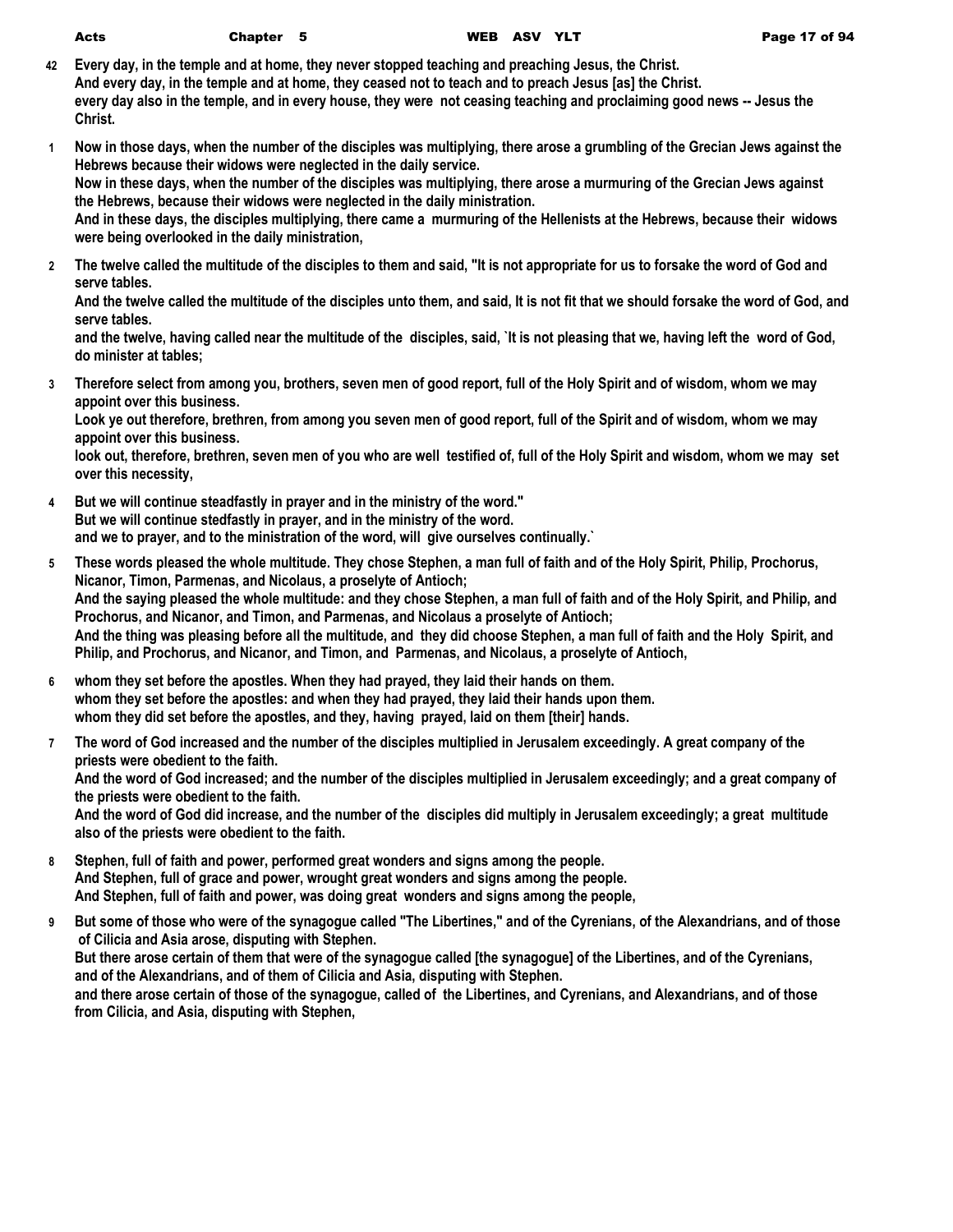**42 Every day, in the temple and at home, they never stopped teaching and preaching Jesus, the Christ. And every day, in the temple and at home, they ceased not to teach and to preach Jesus [as] the Christ. every day also in the temple, and in every house, they were not ceasing teaching and proclaiming good news -- Jesus the Christ.**

- **1 Now in those days, when the number of the disciples was multiplying, there arose a grumbling of the Grecian Jews against the Hebrews because their widows were neglected in the daily service. Now in these days, when the number of the disciples was multiplying, there arose a murmuring of the Grecian Jews against the Hebrews, because their widows were neglected in the daily ministration. And in these days, the disciples multiplying, there came a murmuring of the Hellenists at the Hebrews, because their widows were being overlooked in the daily ministration,**
- **2 The twelve called the multitude of the disciples to them and said, "It is not appropriate for us to forsake the word of God and serve tables.**

**And the twelve called the multitude of the disciples unto them, and said, It is not fit that we should forsake the word of God, and serve tables.**

**and the twelve, having called near the multitude of the disciples, said, `It is not pleasing that we, having left the word of God, do minister at tables;**

**3 Therefore select from among you, brothers, seven men of good report, full of the Holy Spirit and of wisdom, whom we may appoint over this business.**

**Look ye out therefore, brethren, from among you seven men of good report, full of the Spirit and of wisdom, whom we may appoint over this business.**

**look out, therefore, brethren, seven men of you who are well testified of, full of the Holy Spirit and wisdom, whom we may set over this necessity,**

- **4 But we will continue steadfastly in prayer and in the ministry of the word." But we will continue stedfastly in prayer, and in the ministry of the word. and we to prayer, and to the ministration of the word, will give ourselves continually.`**
- **5 These words pleased the whole multitude. They chose Stephen, a man full of faith and of the Holy Spirit, Philip, Prochorus, Nicanor, Timon, Parmenas, and Nicolaus, a proselyte of Antioch; And the saying pleased the whole multitude: and they chose Stephen, a man full of faith and of the Holy Spirit, and Philip, and Prochorus, and Nicanor, and Timon, and Parmenas, and Nicolaus a proselyte of Antioch; And the thing was pleasing before all the multitude, and they did choose Stephen, a man full of faith and the Holy Spirit, and Philip, and Prochorus, and Nicanor, and Timon, and Parmenas, and Nicolaus, a proselyte of Antioch,**
- **6 whom they set before the apostles. When they had prayed, they laid their hands on them. whom they set before the apostles: and when they had prayed, they laid their hands upon them. whom they did set before the apostles, and they, having prayed, laid on them [their] hands.**
- **7 The word of God increased and the number of the disciples multiplied in Jerusalem exceedingly. A great company of the priests were obedient to the faith. And the word of God increased; and the number of the disciples multiplied in Jerusalem exceedingly; and a great company of the priests were obedient to the faith. And the word of God did increase, and the number of the disciples did multiply in Jerusalem exceedingly; a great multitude also of the priests were obedient to the faith.**
- **8 Stephen, full of faith and power, performed great wonders and signs among the people. And Stephen, full of grace and power, wrought great wonders and signs among the people. And Stephen, full of faith and power, was doing great wonders and signs among the people,**
- **9 But some of those who were of the synagogue called "The Libertines," and of the Cyrenians, of the Alexandrians, and of those of Cilicia and Asia arose, disputing with Stephen. But there arose certain of them that were of the synagogue called [the synagogue] of the Libertines, and of the Cyrenians, and of the Alexandrians, and of them of Cilicia and Asia, disputing with Stephen. and there arose certain of those of the synagogue, called of the Libertines, and Cyrenians, and Alexandrians, and of those from Cilicia, and Asia, disputing with Stephen,**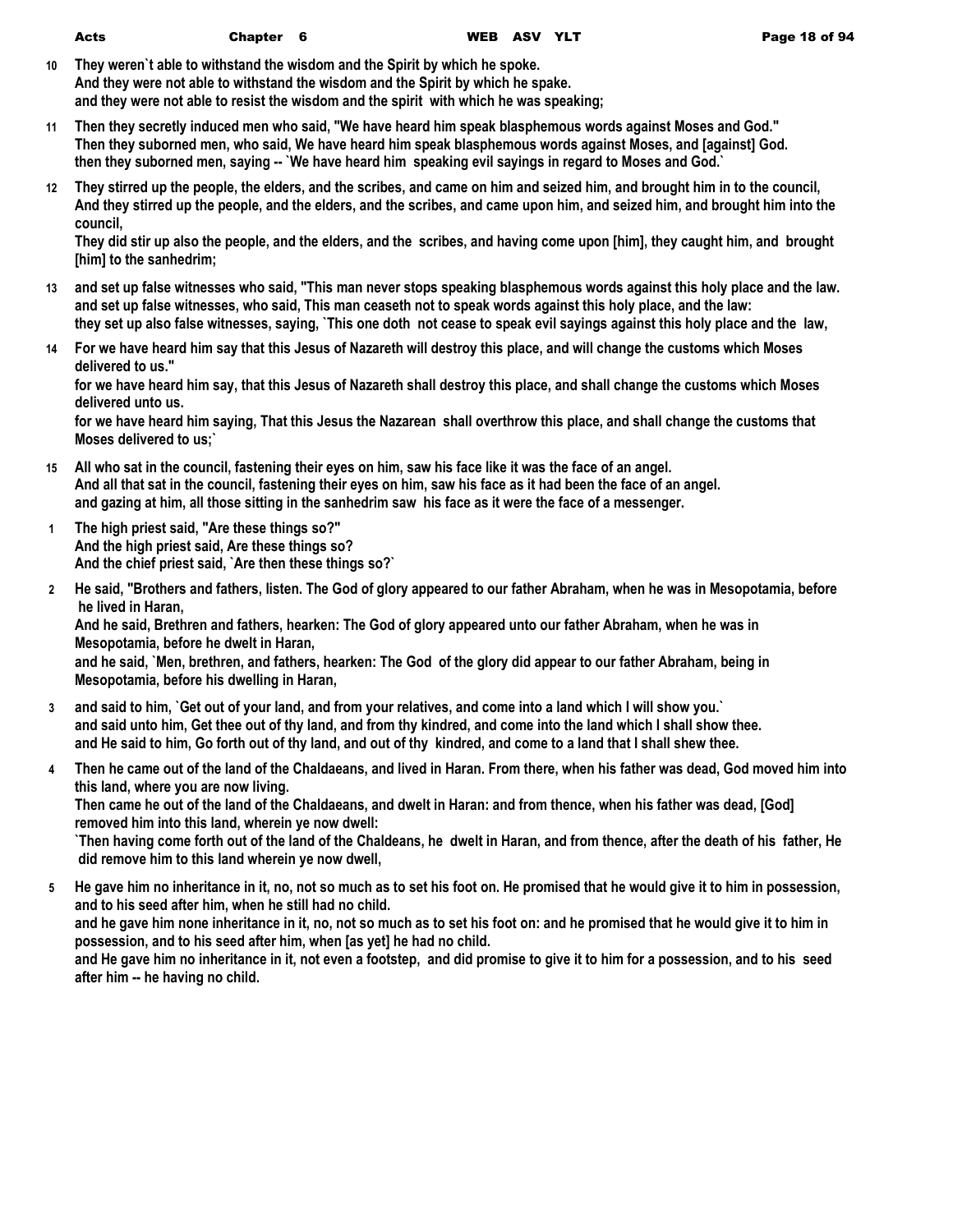**10 They weren`t able to withstand the wisdom and the Spirit by which he spoke. And they were not able to withstand the wisdom and the Spirit by which he spake. and they were not able to resist the wisdom and the spirit with which he was speaking;**

**11 Then they secretly induced men who said, "We have heard him speak blasphemous words against Moses and God." Then they suborned men, who said, We have heard him speak blasphemous words against Moses, and [against] God. then they suborned men, saying -- `We have heard him speaking evil sayings in regard to Moses and God.`**

**12 They stirred up the people, the elders, and the scribes, and came on him and seized him, and brought him in to the council, And they stirred up the people, and the elders, and the scribes, and came upon him, and seized him, and brought him into the council,**

**They did stir up also the people, and the elders, and the scribes, and having come upon [him], they caught him, and brought [him] to the sanhedrim;**

- **13 and set up false witnesses who said, "This man never stops speaking blasphemous words against this holy place and the law. and set up false witnesses, who said, This man ceaseth not to speak words against this holy place, and the law: they set up also false witnesses, saying, `This one doth not cease to speak evil sayings against this holy place and the law,**
- **14 For we have heard him say that this Jesus of Nazareth will destroy this place, and will change the customs which Moses delivered to us."**

**for we have heard him say, that this Jesus of Nazareth shall destroy this place, and shall change the customs which Moses delivered unto us.**

**for we have heard him saying, That this Jesus the Nazarean shall overthrow this place, and shall change the customs that Moses delivered to us;`**

- **15 All who sat in the council, fastening their eyes on him, saw his face like it was the face of an angel. And all that sat in the council, fastening their eyes on him, saw his face as it had been the face of an angel. and gazing at him, all those sitting in the sanhedrim saw his face as it were the face of a messenger.**
- **1 The high priest said, "Are these things so?" And the high priest said, Are these things so? And the chief priest said, `Are then these things so?`**
- **2 He said, "Brothers and fathers, listen. The God of glory appeared to our father Abraham, when he was in Mesopotamia, before he lived in Haran,**

**And he said, Brethren and fathers, hearken: The God of glory appeared unto our father Abraham, when he was in Mesopotamia, before he dwelt in Haran,**

**and he said, `Men, brethren, and fathers, hearken: The God of the glory did appear to our father Abraham, being in Mesopotamia, before his dwelling in Haran,**

- **3 and said to him, `Get out of your land, and from your relatives, and come into a land which I will show you.` and said unto him, Get thee out of thy land, and from thy kindred, and come into the land which I shall show thee. and He said to him, Go forth out of thy land, and out of thy kindred, and come to a land that I shall shew thee.**
- **4 Then he came out of the land of the Chaldaeans, and lived in Haran. From there, when his father was dead, God moved him into this land, where you are now living. Then came he out of the land of the Chaldaeans, and dwelt in Haran: and from thence, when his father was dead, [God] removed him into this land, wherein ye now dwell: `Then having come forth out of the land of the Chaldeans, he dwelt in Haran, and from thence, after the death of his father, He did remove him to this land wherein ye now dwell,**
- **5 He gave him no inheritance in it, no, not so much as to set his foot on. He promised that he would give it to him in possession, and to his seed after him, when he still had no child. and he gave him none inheritance in it, no, not so much as to set his foot on: and he promised that he would give it to him in possession, and to his seed after him, when [as yet] he had no child. and He gave him no inheritance in it, not even a footstep, and did promise to give it to him for a possession, and to his seed after him -- he having no child.**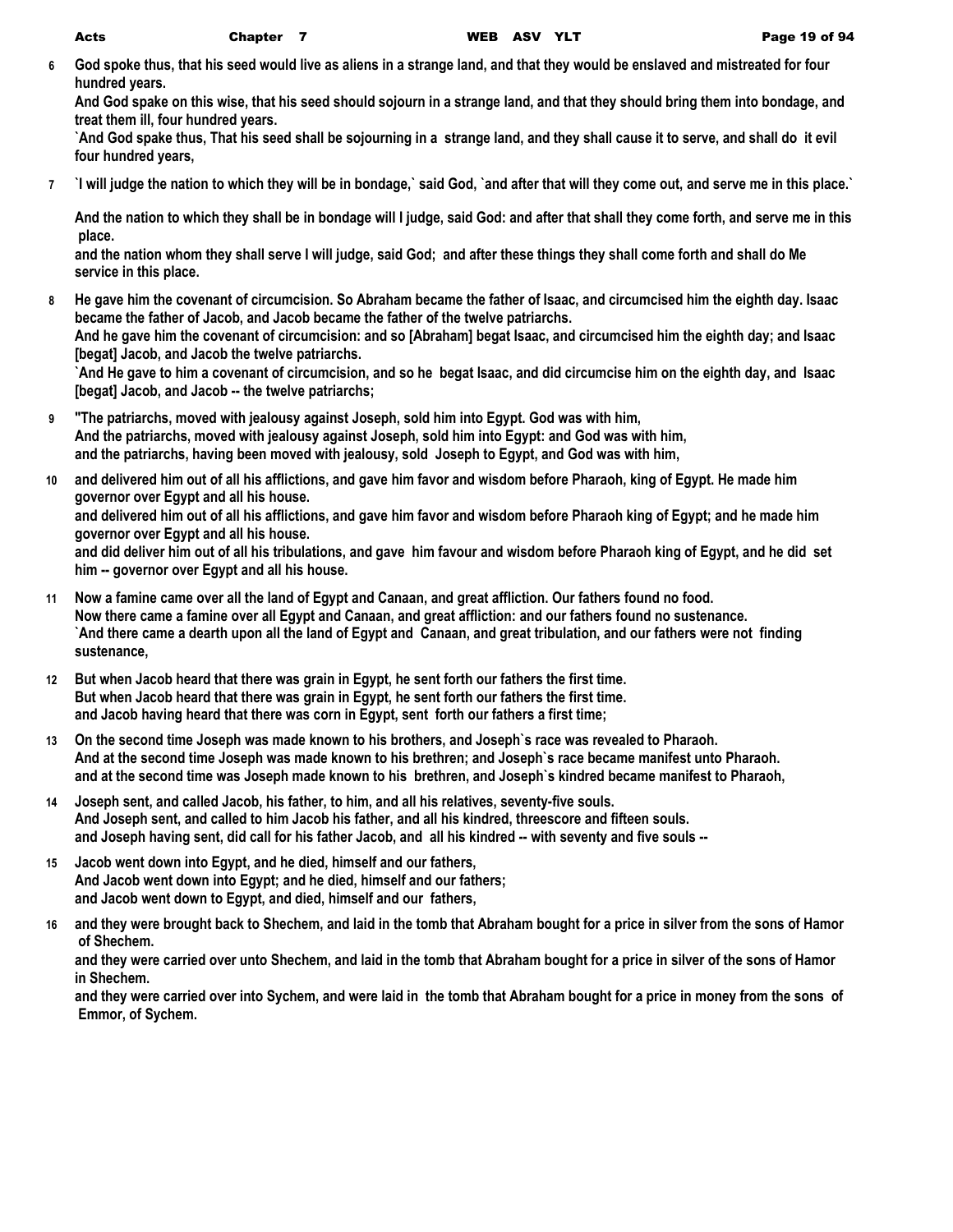**6 God spoke thus, that his seed would live as aliens in a strange land, and that they would be enslaved and mistreated for four hundred years.**

**And God spake on this wise, that his seed should sojourn in a strange land, and that they should bring them into bondage, and treat them ill, four hundred years.**

**`And God spake thus, That his seed shall be sojourning in a strange land, and they shall cause it to serve, and shall do it evil four hundred years,**

**7 `I will judge the nation to which they will be in bondage,` said God, `and after that will they come out, and serve me in this place.`**

**And the nation to which they shall be in bondage will I judge, said God: and after that shall they come forth, and serve me in this place.**

**and the nation whom they shall serve I will judge, said God; and after these things they shall come forth and shall do Me service in this place.**

**8 He gave him the covenant of circumcision. So Abraham became the father of Isaac, and circumcised him the eighth day. Isaac became the father of Jacob, and Jacob became the father of the twelve patriarchs.**

**And he gave him the covenant of circumcision: and so [Abraham] begat Isaac, and circumcised him the eighth day; and Isaac [begat] Jacob, and Jacob the twelve patriarchs.**

**`And He gave to him a covenant of circumcision, and so he begat Isaac, and did circumcise him on the eighth day, and Isaac [begat] Jacob, and Jacob -- the twelve patriarchs;**

- **9 "The patriarchs, moved with jealousy against Joseph, sold him into Egypt. God was with him, And the patriarchs, moved with jealousy against Joseph, sold him into Egypt: and God was with him, and the patriarchs, having been moved with jealousy, sold Joseph to Egypt, and God was with him,**
- **10 and delivered him out of all his afflictions, and gave him favor and wisdom before Pharaoh, king of Egypt. He made him governor over Egypt and all his house.**

**and delivered him out of all his afflictions, and gave him favor and wisdom before Pharaoh king of Egypt; and he made him governor over Egypt and all his house.**

**and did deliver him out of all his tribulations, and gave him favour and wisdom before Pharaoh king of Egypt, and he did set him -- governor over Egypt and all his house.**

- **11 Now a famine came over all the land of Egypt and Canaan, and great affliction. Our fathers found no food. Now there came a famine over all Egypt and Canaan, and great affliction: and our fathers found no sustenance. `And there came a dearth upon all the land of Egypt and Canaan, and great tribulation, and our fathers were not finding sustenance,**
- **12 But when Jacob heard that there was grain in Egypt, he sent forth our fathers the first time. But when Jacob heard that there was grain in Egypt, he sent forth our fathers the first time. and Jacob having heard that there was corn in Egypt, sent forth our fathers a first time;**
- **13 On the second time Joseph was made known to his brothers, and Joseph`s race was revealed to Pharaoh. And at the second time Joseph was made known to his brethren; and Joseph`s race became manifest unto Pharaoh. and at the second time was Joseph made known to his brethren, and Joseph`s kindred became manifest to Pharaoh,**
- **14 Joseph sent, and called Jacob, his father, to him, and all his relatives, seventy-five souls. And Joseph sent, and called to him Jacob his father, and all his kindred, threescore and fifteen souls. and Joseph having sent, did call for his father Jacob, and all his kindred -- with seventy and five souls --**
- **15 Jacob went down into Egypt, and he died, himself and our fathers, And Jacob went down into Egypt; and he died, himself and our fathers; and Jacob went down to Egypt, and died, himself and our fathers,**
- **16 and they were brought back to Shechem, and laid in the tomb that Abraham bought for a price in silver from the sons of Hamor of Shechem.**

**and they were carried over unto Shechem, and laid in the tomb that Abraham bought for a price in silver of the sons of Hamor in Shechem.**

**and they were carried over into Sychem, and were laid in the tomb that Abraham bought for a price in money from the sons of Emmor, of Sychem.**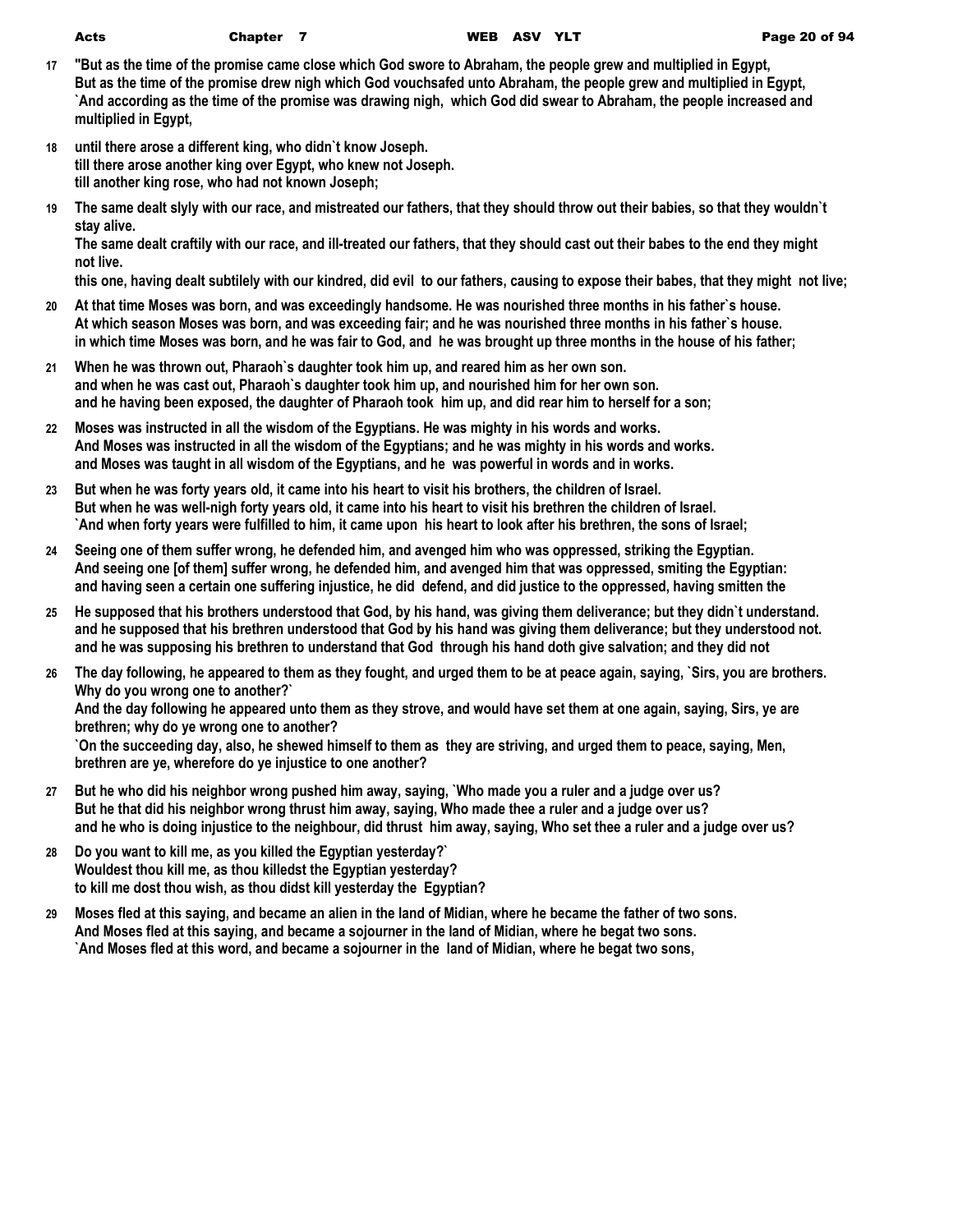- **17 "But as the time of the promise came close which God swore to Abraham, the people grew and multiplied in Egypt, But as the time of the promise drew nigh which God vouchsafed unto Abraham, the people grew and multiplied in Egypt, `And according as the time of the promise was drawing nigh, which God did swear to Abraham, the people increased and multiplied in Egypt,**
- **18 until there arose a different king, who didn`t know Joseph. till there arose another king over Egypt, who knew not Joseph. till another king rose, who had not known Joseph;**
- **19 The same dealt slyly with our race, and mistreated our fathers, that they should throw out their babies, so that they wouldn`t stay alive.**

**The same dealt craftily with our race, and ill-treated our fathers, that they should cast out their babes to the end they might not live.**

**this one, having dealt subtilely with our kindred, did evil to our fathers, causing to expose their babes, that they might not live;**

- **20 At that time Moses was born, and was exceedingly handsome. He was nourished three months in his father`s house. At which season Moses was born, and was exceeding fair; and he was nourished three months in his father`s house. in which time Moses was born, and he was fair to God, and he was brought up three months in the house of his father;**
- **21 When he was thrown out, Pharaoh`s daughter took him up, and reared him as her own son. and when he was cast out, Pharaoh`s daughter took him up, and nourished him for her own son. and he having been exposed, the daughter of Pharaoh took him up, and did rear him to herself for a son;**
- **22 Moses was instructed in all the wisdom of the Egyptians. He was mighty in his words and works. And Moses was instructed in all the wisdom of the Egyptians; and he was mighty in his words and works. and Moses was taught in all wisdom of the Egyptians, and he was powerful in words and in works.**
- **23 But when he was forty years old, it came into his heart to visit his brothers, the children of Israel. But when he was well-nigh forty years old, it came into his heart to visit his brethren the children of Israel. `And when forty years were fulfilled to him, it came upon his heart to look after his brethren, the sons of Israel;**
- **24 Seeing one of them suffer wrong, he defended him, and avenged him who was oppressed, striking the Egyptian. And seeing one [of them] suffer wrong, he defended him, and avenged him that was oppressed, smiting the Egyptian: and having seen a certain one suffering injustice, he did defend, and did justice to the oppressed, having smitten the**
- **25 He supposed that his brothers understood that God, by his hand, was giving them deliverance; but they didn`t understand. and he supposed that his brethren understood that God by his hand was giving them deliverance; but they understood not. and he was supposing his brethren to understand that God through his hand doth give salvation; and they did not**
- **26 The day following, he appeared to them as they fought, and urged them to be at peace again, saying, `Sirs, you are brothers. Why do you wrong one to another?` And the day following he appeared unto them as they strove, and would have set them at one again, saying, Sirs, ye are brethren; why do ye wrong one to another? `On the succeeding day, also, he shewed himself to them as they are striving, and urged them to peace, saying, Men, brethren are ye, wherefore do ye injustice to one another?**
- **27 But he who did his neighbor wrong pushed him away, saying, `Who made you a ruler and a judge over us? But he that did his neighbor wrong thrust him away, saying, Who made thee a ruler and a judge over us? and he who is doing injustice to the neighbour, did thrust him away, saying, Who set thee a ruler and a judge over us?**
- **28 Do you want to kill me, as you killed the Egyptian yesterday?` Wouldest thou kill me, as thou killedst the Egyptian yesterday? to kill me dost thou wish, as thou didst kill yesterday the Egyptian?**
- **29 Moses fled at this saying, and became an alien in the land of Midian, where he became the father of two sons. And Moses fled at this saying, and became a sojourner in the land of Midian, where he begat two sons. `And Moses fled at this word, and became a sojourner in the land of Midian, where he begat two sons,**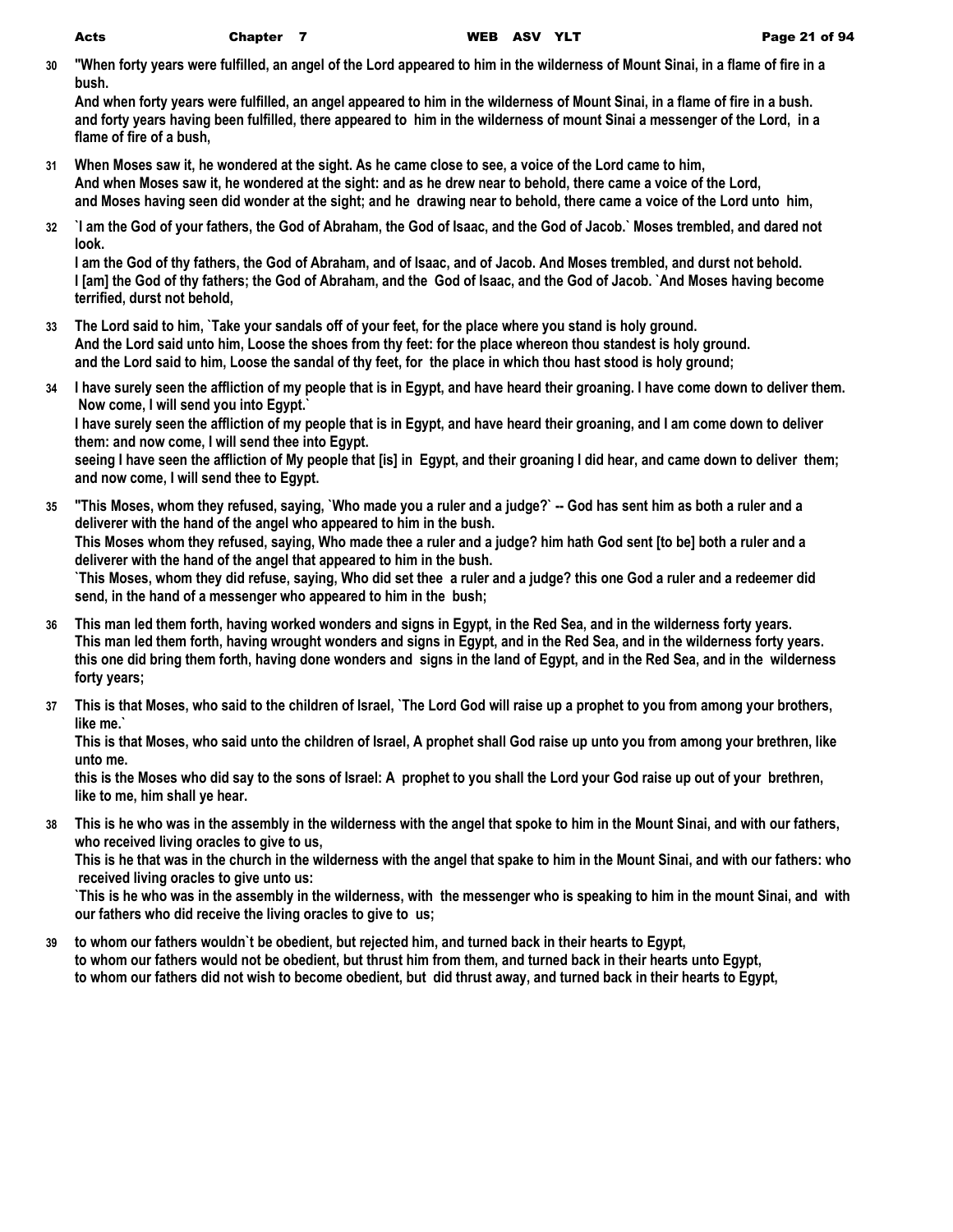**30 "When forty years were fulfilled, an angel of the Lord appeared to him in the wilderness of Mount Sinai, in a flame of fire in a bush.**

**And when forty years were fulfilled, an angel appeared to him in the wilderness of Mount Sinai, in a flame of fire in a bush. and forty years having been fulfilled, there appeared to him in the wilderness of mount Sinai a messenger of the Lord, in a flame of fire of a bush,**

- **31 When Moses saw it, he wondered at the sight. As he came close to see, a voice of the Lord came to him, And when Moses saw it, he wondered at the sight: and as he drew near to behold, there came a voice of the Lord, and Moses having seen did wonder at the sight; and he drawing near to behold, there came a voice of the Lord unto him,**
- **32 `I am the God of your fathers, the God of Abraham, the God of Isaac, and the God of Jacob.` Moses trembled, and dared not look.**

**I am the God of thy fathers, the God of Abraham, and of Isaac, and of Jacob. And Moses trembled, and durst not behold. I [am] the God of thy fathers; the God of Abraham, and the God of Isaac, and the God of Jacob. `And Moses having become terrified, durst not behold,**

- **33 The Lord said to him, `Take your sandals off of your feet, for the place where you stand is holy ground. And the Lord said unto him, Loose the shoes from thy feet: for the place whereon thou standest is holy ground. and the Lord said to him, Loose the sandal of thy feet, for the place in which thou hast stood is holy ground;**
- **34 I have surely seen the affliction of my people that is in Egypt, and have heard their groaning. I have come down to deliver them. Now come, I will send you into Egypt.` I have surely seen the affliction of my people that is in Egypt, and have heard their groaning, and I am come down to deliver them: and now come, I will send thee into Egypt. seeing I have seen the affliction of My people that [is] in Egypt, and their groaning I did hear, and came down to deliver them; and now come, I will send thee to Egypt.**
- **35 "This Moses, whom they refused, saying, `Who made you a ruler and a judge?` -- God has sent him as both a ruler and a deliverer with the hand of the angel who appeared to him in the bush. This Moses whom they refused, saying, Who made thee a ruler and a judge? him hath God sent [to be] both a ruler and a deliverer with the hand of the angel that appeared to him in the bush. `This Moses, whom they did refuse, saying, Who did set thee a ruler and a judge? this one God a ruler and a redeemer did send, in the hand of a messenger who appeared to him in the bush;**
- **36 This man led them forth, having worked wonders and signs in Egypt, in the Red Sea, and in the wilderness forty years. This man led them forth, having wrought wonders and signs in Egypt, and in the Red Sea, and in the wilderness forty years. this one did bring them forth, having done wonders and signs in the land of Egypt, and in the Red Sea, and in the wilderness forty years;**
- **37 This is that Moses, who said to the children of Israel, `The Lord God will raise up a prophet to you from among your brothers, like me.`**

**This is that Moses, who said unto the children of Israel, A prophet shall God raise up unto you from among your brethren, like unto me.**

**this is the Moses who did say to the sons of Israel: A prophet to you shall the Lord your God raise up out of your brethren, like to me, him shall ye hear.**

**38 This is he who was in the assembly in the wilderness with the angel that spoke to him in the Mount Sinai, and with our fathers, who received living oracles to give to us,**

**This is he that was in the church in the wilderness with the angel that spake to him in the Mount Sinai, and with our fathers: who received living oracles to give unto us:**

**`This is he who was in the assembly in the wilderness, with the messenger who is speaking to him in the mount Sinai, and with our fathers who did receive the living oracles to give to us;**

**39 to whom our fathers wouldn`t be obedient, but rejected him, and turned back in their hearts to Egypt, to whom our fathers would not be obedient, but thrust him from them, and turned back in their hearts unto Egypt, to whom our fathers did not wish to become obedient, but did thrust away, and turned back in their hearts to Egypt,**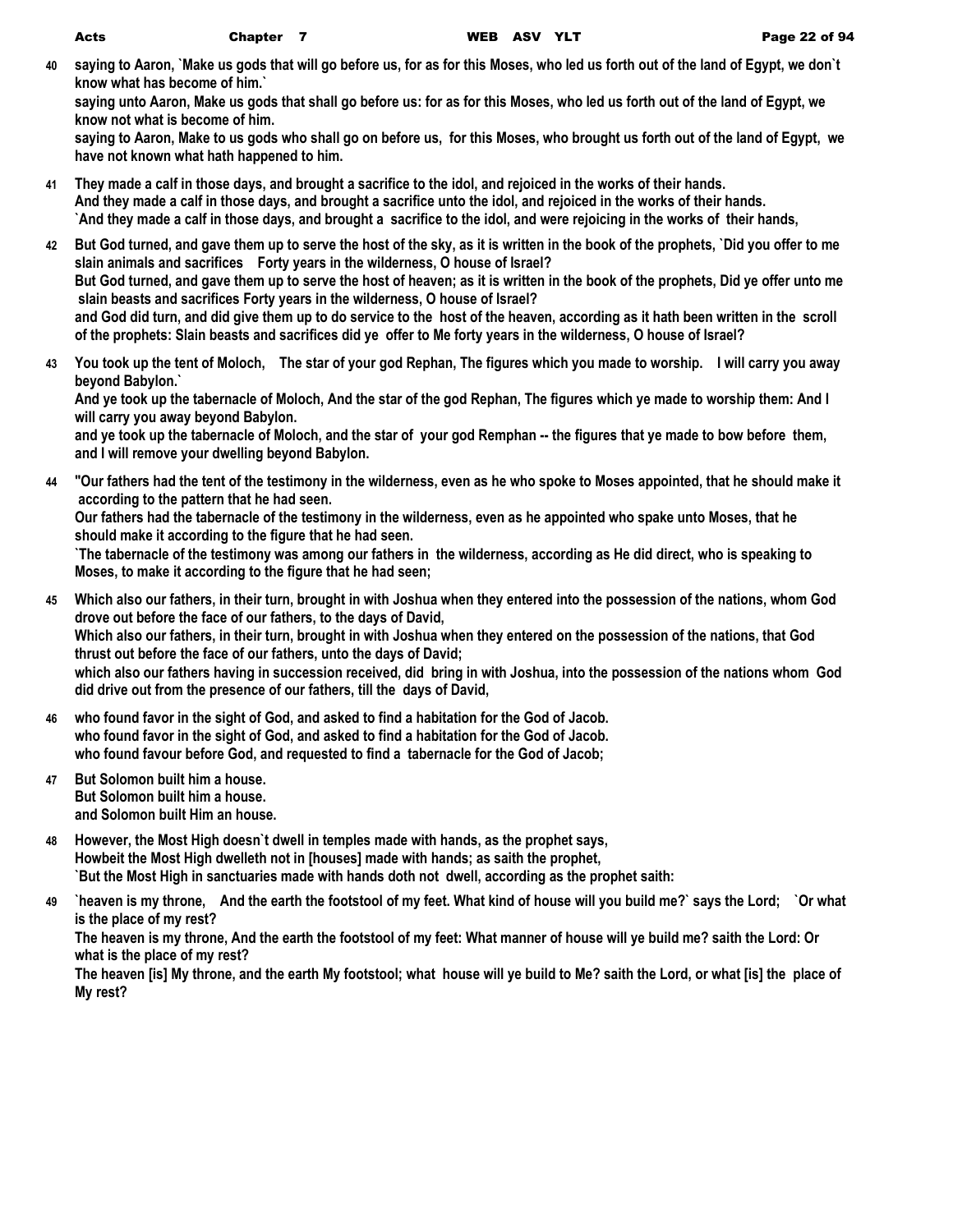**40 saying to Aaron, `Make us gods that will go before us, for as for this Moses, who led us forth out of the land of Egypt, we don`t know what has become of him.`**

**saying unto Aaron, Make us gods that shall go before us: for as for this Moses, who led us forth out of the land of Egypt, we know not what is become of him.**

**saying to Aaron, Make to us gods who shall go on before us, for this Moses, who brought us forth out of the land of Egypt, we have not known what hath happened to him.**

- **41 They made a calf in those days, and brought a sacrifice to the idol, and rejoiced in the works of their hands. And they made a calf in those days, and brought a sacrifice unto the idol, and rejoiced in the works of their hands. `And they made a calf in those days, and brought a sacrifice to the idol, and were rejoicing in the works of their hands,**
- **42 But God turned, and gave them up to serve the host of the sky, as it is written in the book of the prophets, `Did you offer to me slain animals and sacrifices Forty years in the wilderness, O house of Israel? But God turned, and gave them up to serve the host of heaven; as it is written in the book of the prophets, Did ye offer unto me slain beasts and sacrifices Forty years in the wilderness, O house of Israel? and God did turn, and did give them up to do service to the host of the heaven, according as it hath been written in the scroll of the prophets: Slain beasts and sacrifices did ye offer to Me forty years in the wilderness, O house of Israel?**
- **43 You took up the tent of Moloch, The star of your god Rephan, The figures which you made to worship. I will carry you away beyond Babylon.` And ye took up the tabernacle of Moloch, And the star of the god Rephan, The figures which ye made to worship them: And I will carry you away beyond Babylon.**

**and ye took up the tabernacle of Moloch, and the star of your god Remphan -- the figures that ye made to bow before them, and I will remove your dwelling beyond Babylon.**

**44 "Our fathers had the tent of the testimony in the wilderness, even as he who spoke to Moses appointed, that he should make it according to the pattern that he had seen.**

**Our fathers had the tabernacle of the testimony in the wilderness, even as he appointed who spake unto Moses, that he should make it according to the figure that he had seen.**

**`The tabernacle of the testimony was among our fathers in the wilderness, according as He did direct, who is speaking to Moses, to make it according to the figure that he had seen;**

- **45 Which also our fathers, in their turn, brought in with Joshua when they entered into the possession of the nations, whom God drove out before the face of our fathers, to the days of David, Which also our fathers, in their turn, brought in with Joshua when they entered on the possession of the nations, that God thrust out before the face of our fathers, unto the days of David; which also our fathers having in succession received, did bring in with Joshua, into the possession of the nations whom God did drive out from the presence of our fathers, till the days of David,**
- **46 who found favor in the sight of God, and asked to find a habitation for the God of Jacob. who found favor in the sight of God, and asked to find a habitation for the God of Jacob. who found favour before God, and requested to find a tabernacle for the God of Jacob;**
- **47 But Solomon built him a house. But Solomon built him a house. and Solomon built Him an house.**
- **48 However, the Most High doesn`t dwell in temples made with hands, as the prophet says, Howbeit the Most High dwelleth not in [houses] made with hands; as saith the prophet, `But the Most High in sanctuaries made with hands doth not dwell, according as the prophet saith:**
- **49 `heaven is my throne, And the earth the footstool of my feet. What kind of house will you build me?` says the Lord; `Or what is the place of my rest?**

**The heaven is my throne, And the earth the footstool of my feet: What manner of house will ye build me? saith the Lord: Or what is the place of my rest?**

**The heaven [is] My throne, and the earth My footstool; what house will ye build to Me? saith the Lord, or what [is] the place of My rest?**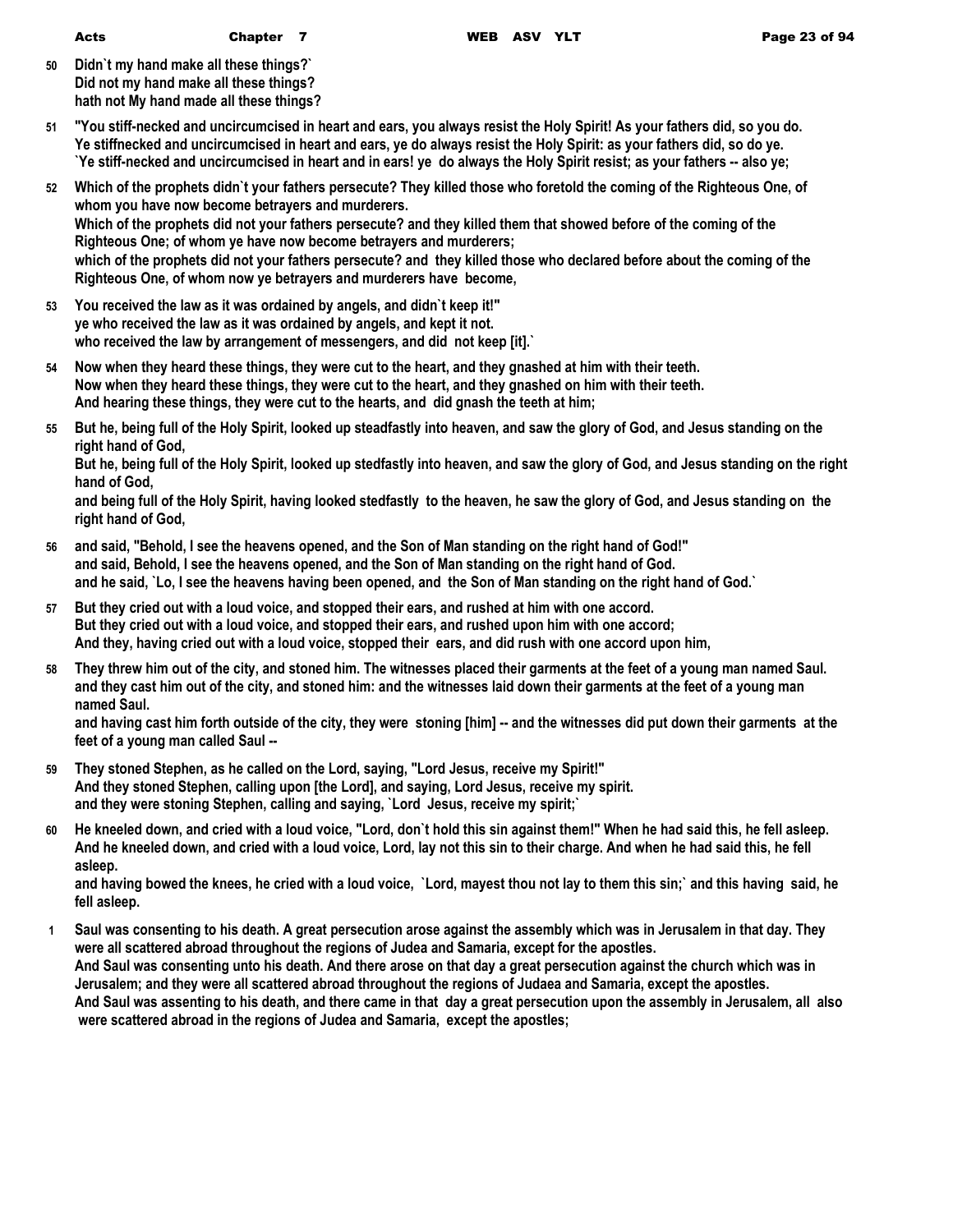- **50 Didn`t my hand make all these things?` Did not my hand make all these things? hath not My hand made all these things?**
- **51 "You stiff-necked and uncircumcised in heart and ears, you always resist the Holy Spirit! As your fathers did, so you do. Ye stiffnecked and uncircumcised in heart and ears, ye do always resist the Holy Spirit: as your fathers did, so do ye. `Ye stiff-necked and uncircumcised in heart and in ears! ye do always the Holy Spirit resist; as your fathers -- also ye;**
- **52 Which of the prophets didn`t your fathers persecute? They killed those who foretold the coming of the Righteous One, of whom you have now become betrayers and murderers. Which of the prophets did not your fathers persecute? and they killed them that showed before of the coming of the Righteous One; of whom ye have now become betrayers and murderers; which of the prophets did not your fathers persecute? and they killed those who declared before about the coming of the Righteous One, of whom now ye betrayers and murderers have become,**
- **53 You received the law as it was ordained by angels, and didn`t keep it!" ye who received the law as it was ordained by angels, and kept it not. who received the law by arrangement of messengers, and did not keep [it].`**
- **54 Now when they heard these things, they were cut to the heart, and they gnashed at him with their teeth. Now when they heard these things, they were cut to the heart, and they gnashed on him with their teeth. And hearing these things, they were cut to the hearts, and did gnash the teeth at him;**
- **55 But he, being full of the Holy Spirit, looked up steadfastly into heaven, and saw the glory of God, and Jesus standing on the right hand of God,**

**But he, being full of the Holy Spirit, looked up stedfastly into heaven, and saw the glory of God, and Jesus standing on the right hand of God,**

**and being full of the Holy Spirit, having looked stedfastly to the heaven, he saw the glory of God, and Jesus standing on the right hand of God,**

- **56 and said, "Behold, I see the heavens opened, and the Son of Man standing on the right hand of God!" and said, Behold, I see the heavens opened, and the Son of Man standing on the right hand of God. and he said, `Lo, I see the heavens having been opened, and the Son of Man standing on the right hand of God.`**
- **57 But they cried out with a loud voice, and stopped their ears, and rushed at him with one accord. But they cried out with a loud voice, and stopped their ears, and rushed upon him with one accord; And they, having cried out with a loud voice, stopped their ears, and did rush with one accord upon him,**
- **58 They threw him out of the city, and stoned him. The witnesses placed their garments at the feet of a young man named Saul. and they cast him out of the city, and stoned him: and the witnesses laid down their garments at the feet of a young man named Saul.**

**and having cast him forth outside of the city, they were stoning [him] -- and the witnesses did put down their garments at the feet of a young man called Saul --**

- **59 They stoned Stephen, as he called on the Lord, saying, "Lord Jesus, receive my Spirit!" And they stoned Stephen, calling upon [the Lord], and saying, Lord Jesus, receive my spirit. and they were stoning Stephen, calling and saying, `Lord Jesus, receive my spirit;`**
- **60 He kneeled down, and cried with a loud voice, "Lord, don`t hold this sin against them!" When he had said this, he fell asleep. And he kneeled down, and cried with a loud voice, Lord, lay not this sin to their charge. And when he had said this, he fell asleep.**

**and having bowed the knees, he cried with a loud voice, `Lord, mayest thou not lay to them this sin;` and this having said, he fell asleep.**

**1 Saul was consenting to his death. A great persecution arose against the assembly which was in Jerusalem in that day. They were all scattered abroad throughout the regions of Judea and Samaria, except for the apostles. And Saul was consenting unto his death. And there arose on that day a great persecution against the church which was in Jerusalem; and they were all scattered abroad throughout the regions of Judaea and Samaria, except the apostles. And Saul was assenting to his death, and there came in that day a great persecution upon the assembly in Jerusalem, all also were scattered abroad in the regions of Judea and Samaria, except the apostles;**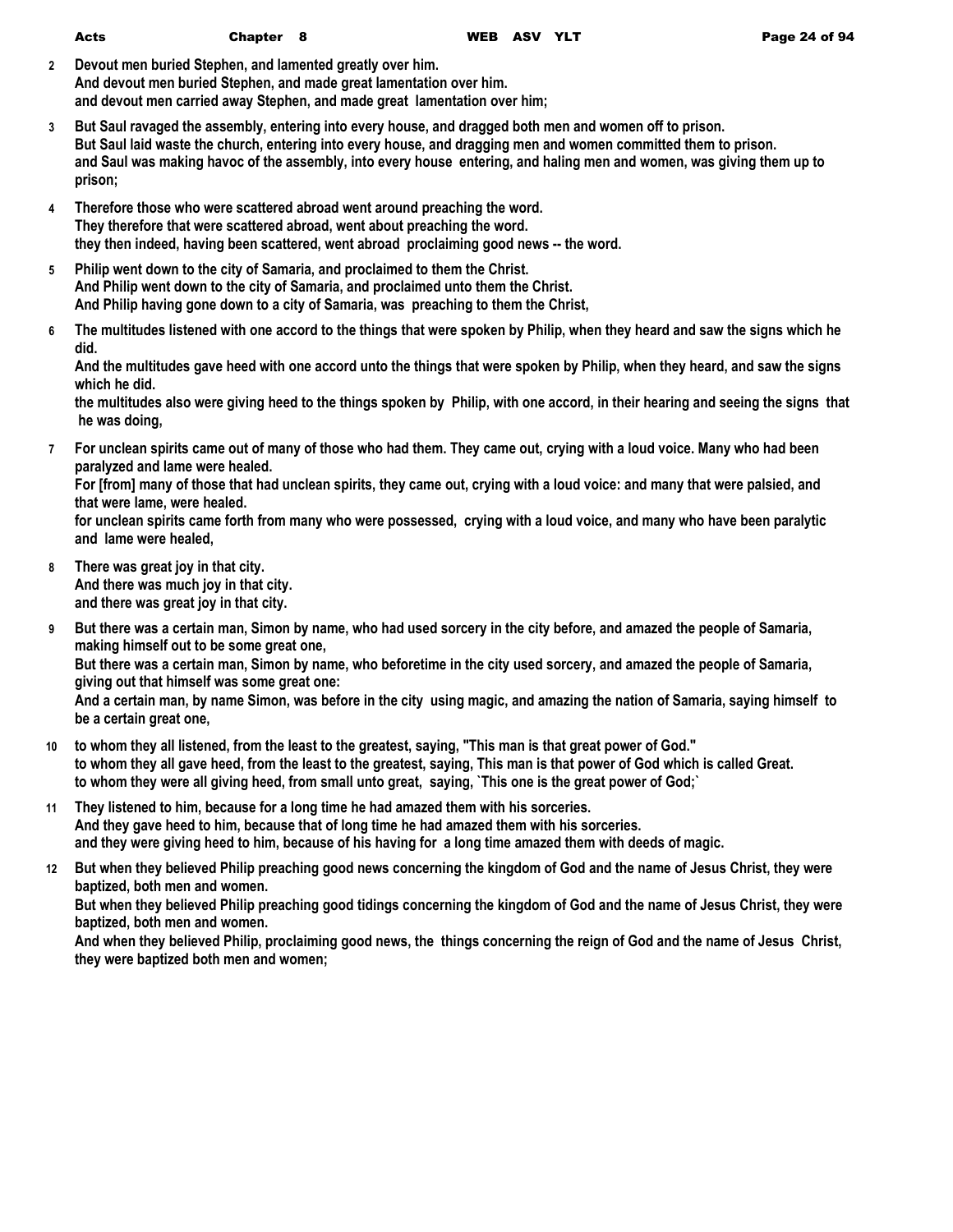| Acts | Сł |
|------|----|
|      |    |

- **2 Devout men buried Stephen, and lamented greatly over him. And devout men buried Stephen, and made great lamentation over him. and devout men carried away Stephen, and made great lamentation over him;**
- **3 But Saul ravaged the assembly, entering into every house, and dragged both men and women off to prison. But Saul laid waste the church, entering into every house, and dragging men and women committed them to prison. and Saul was making havoc of the assembly, into every house entering, and haling men and women, was giving them up to prison;**
- **4 Therefore those who were scattered abroad went around preaching the word. They therefore that were scattered abroad, went about preaching the word. they then indeed, having been scattered, went abroad proclaiming good news -- the word.**
- **5 Philip went down to the city of Samaria, and proclaimed to them the Christ. And Philip went down to the city of Samaria, and proclaimed unto them the Christ. And Philip having gone down to a city of Samaria, was preaching to them the Christ,**
- **6 The multitudes listened with one accord to the things that were spoken by Philip, when they heard and saw the signs which he did.**

**And the multitudes gave heed with one accord unto the things that were spoken by Philip, when they heard, and saw the signs which he did.**

**the multitudes also were giving heed to the things spoken by Philip, with one accord, in their hearing and seeing the signs that he was doing,**

**7 For unclean spirits came out of many of those who had them. They came out, crying with a loud voice. Many who had been paralyzed and lame were healed.**

**For [from] many of those that had unclean spirits, they came out, crying with a loud voice: and many that were palsied, and that were lame, were healed.**

**for unclean spirits came forth from many who were possessed, crying with a loud voice, and many who have been paralytic and lame were healed,**

- **8 There was great joy in that city. And there was much joy in that city. and there was great joy in that city.**
- **9 But there was a certain man, Simon by name, who had used sorcery in the city before, and amazed the people of Samaria, making himself out to be some great one, But there was a certain man, Simon by name, who beforetime in the city used sorcery, and amazed the people of Samaria, giving out that himself was some great one: And a certain man, by name Simon, was before in the city using magic, and amazing the nation of Samaria, saying himself to**
- **be a certain great one, 10 to whom they all listened, from the least to the greatest, saying, "This man is that great power of God."**
- **to whom they all gave heed, from the least to the greatest, saying, This man is that power of God which is called Great. to whom they were all giving heed, from small unto great, saying, `This one is the great power of God;`**
- **11 They listened to him, because for a long time he had amazed them with his sorceries. And they gave heed to him, because that of long time he had amazed them with his sorceries. and they were giving heed to him, because of his having for a long time amazed them with deeds of magic.**
- **12 But when they believed Philip preaching good news concerning the kingdom of God and the name of Jesus Christ, they were baptized, both men and women.**

**But when they believed Philip preaching good tidings concerning the kingdom of God and the name of Jesus Christ, they were baptized, both men and women.**

**And when they believed Philip, proclaiming good news, the things concerning the reign of God and the name of Jesus Christ, they were baptized both men and women;**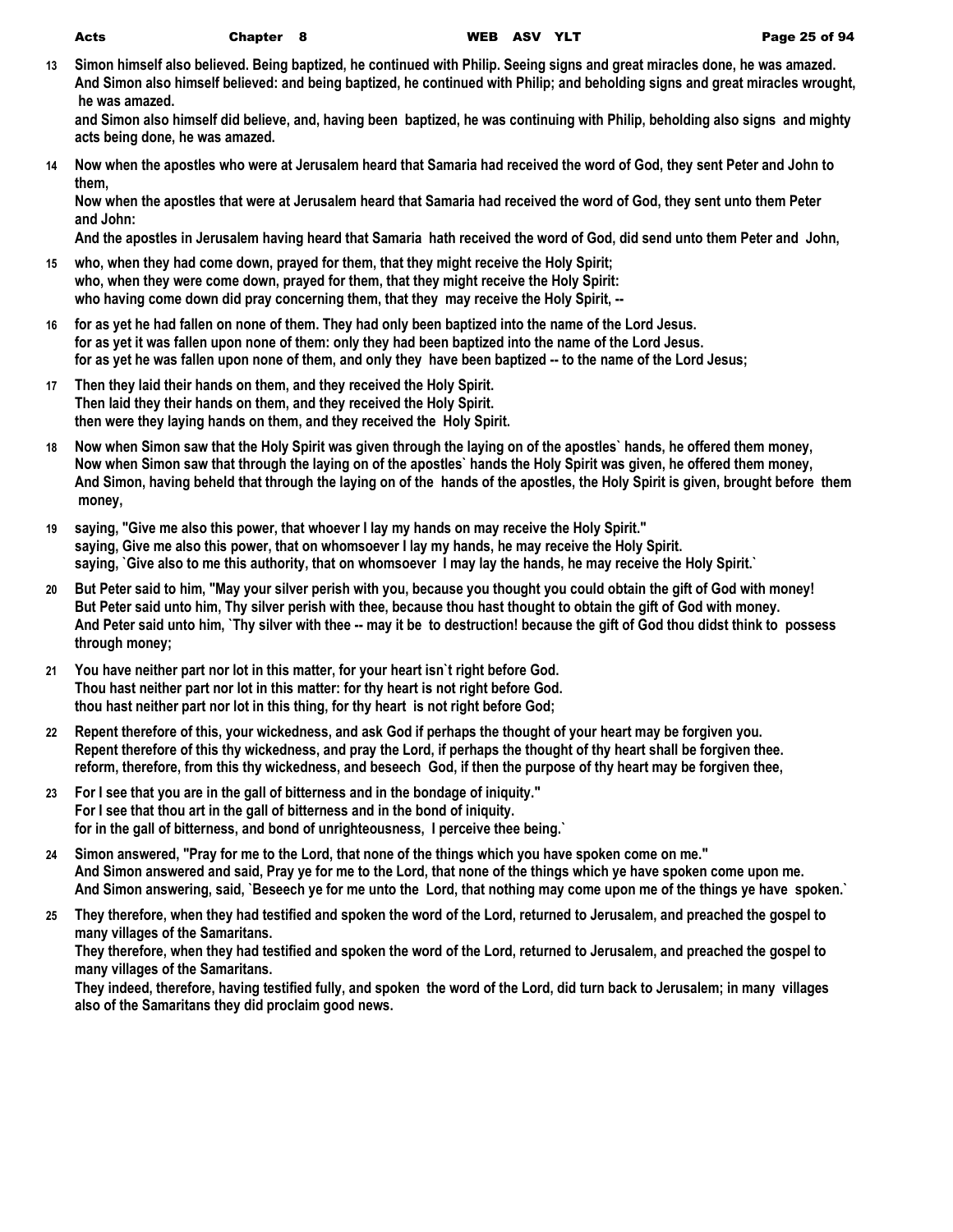**13 Simon himself also believed. Being baptized, he continued with Philip. Seeing signs and great miracles done, he was amazed. And Simon also himself believed: and being baptized, he continued with Philip; and beholding signs and great miracles wrought, he was amazed.**

**and Simon also himself did believe, and, having been baptized, he was continuing with Philip, beholding also signs and mighty acts being done, he was amazed.**

**14 Now when the apostles who were at Jerusalem heard that Samaria had received the word of God, they sent Peter and John to them,**

**Now when the apostles that were at Jerusalem heard that Samaria had received the word of God, they sent unto them Peter and John:**

**And the apostles in Jerusalem having heard that Samaria hath received the word of God, did send unto them Peter and John,**

- **15 who, when they had come down, prayed for them, that they might receive the Holy Spirit; who, when they were come down, prayed for them, that they might receive the Holy Spirit: who having come down did pray concerning them, that they may receive the Holy Spirit, --**
- **16 for as yet he had fallen on none of them. They had only been baptized into the name of the Lord Jesus. for as yet it was fallen upon none of them: only they had been baptized into the name of the Lord Jesus. for as yet he was fallen upon none of them, and only they have been baptized -- to the name of the Lord Jesus;**
- **17 Then they laid their hands on them, and they received the Holy Spirit. Then laid they their hands on them, and they received the Holy Spirit. then were they laying hands on them, and they received the Holy Spirit.**
- **18 Now when Simon saw that the Holy Spirit was given through the laying on of the apostles` hands, he offered them money, Now when Simon saw that through the laying on of the apostles` hands the Holy Spirit was given, he offered them money, And Simon, having beheld that through the laying on of the hands of the apostles, the Holy Spirit is given, brought before them money,**
- **19 saying, "Give me also this power, that whoever I lay my hands on may receive the Holy Spirit." saying, Give me also this power, that on whomsoever I lay my hands, he may receive the Holy Spirit. saying, `Give also to me this authority, that on whomsoever I may lay the hands, he may receive the Holy Spirit.`**
- **20 But Peter said to him, "May your silver perish with you, because you thought you could obtain the gift of God with money! But Peter said unto him, Thy silver perish with thee, because thou hast thought to obtain the gift of God with money. And Peter said unto him, `Thy silver with thee -- may it be to destruction! because the gift of God thou didst think to possess through money;**
- **21 You have neither part nor lot in this matter, for your heart isn`t right before God. Thou hast neither part nor lot in this matter: for thy heart is not right before God. thou hast neither part nor lot in this thing, for thy heart is not right before God;**
- **22 Repent therefore of this, your wickedness, and ask God if perhaps the thought of your heart may be forgiven you. Repent therefore of this thy wickedness, and pray the Lord, if perhaps the thought of thy heart shall be forgiven thee. reform, therefore, from this thy wickedness, and beseech God, if then the purpose of thy heart may be forgiven thee,**
- **23 For I see that you are in the gall of bitterness and in the bondage of iniquity." For I see that thou art in the gall of bitterness and in the bond of iniquity. for in the gall of bitterness, and bond of unrighteousness, I perceive thee being.`**
- **24 Simon answered, "Pray for me to the Lord, that none of the things which you have spoken come on me." And Simon answered and said, Pray ye for me to the Lord, that none of the things which ye have spoken come upon me. And Simon answering, said, `Beseech ye for me unto the Lord, that nothing may come upon me of the things ye have spoken.`**
- **25 They therefore, when they had testified and spoken the word of the Lord, returned to Jerusalem, and preached the gospel to many villages of the Samaritans.**

**They therefore, when they had testified and spoken the word of the Lord, returned to Jerusalem, and preached the gospel to many villages of the Samaritans.**

**They indeed, therefore, having testified fully, and spoken the word of the Lord, did turn back to Jerusalem; in many villages also of the Samaritans they did proclaim good news.**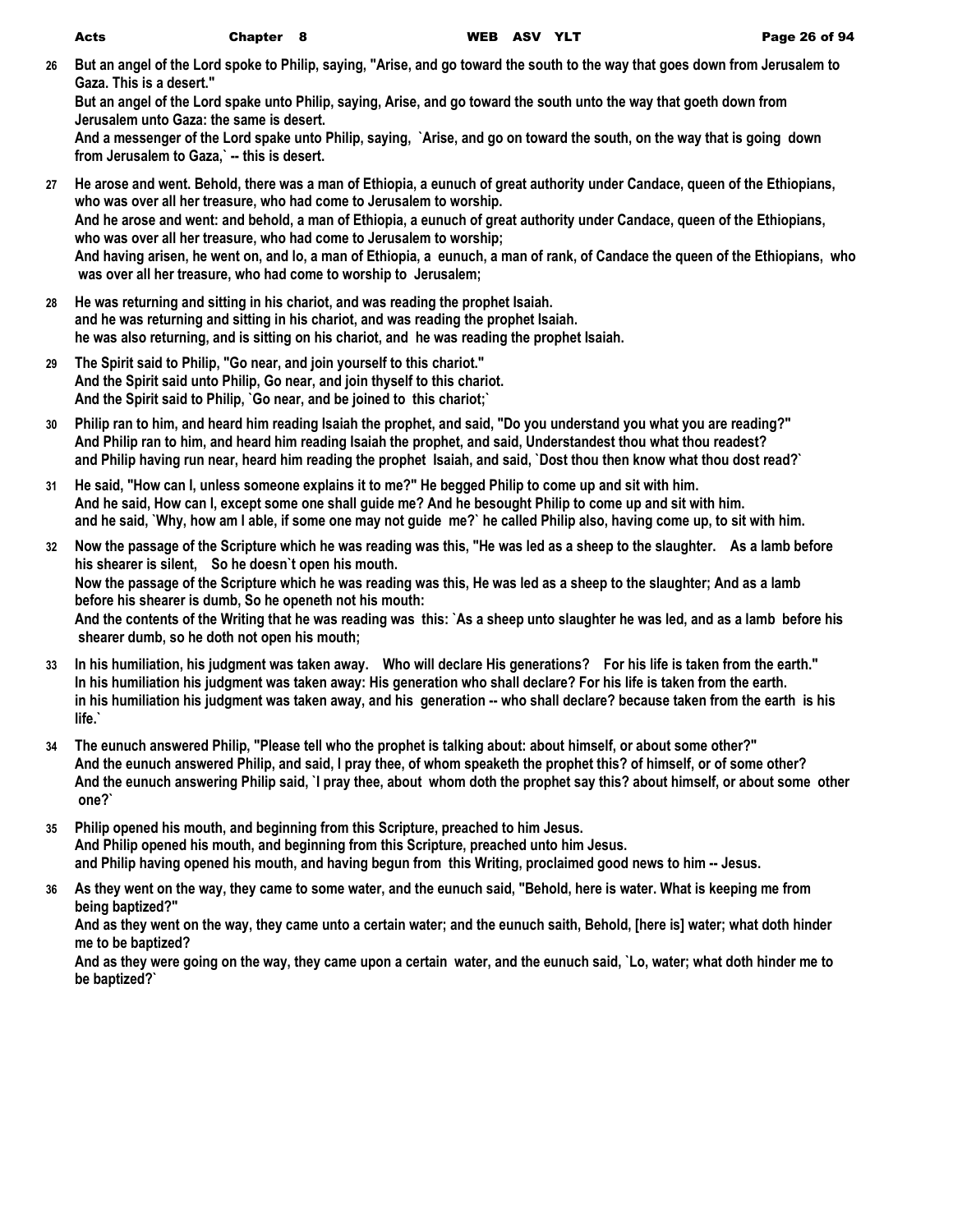**26 But an angel of the Lord spoke to Philip, saying, "Arise, and go toward the south to the way that goes down from Jerusalem to Gaza. This is a desert."**

**But an angel of the Lord spake unto Philip, saying, Arise, and go toward the south unto the way that goeth down from Jerusalem unto Gaza: the same is desert.**

**And a messenger of the Lord spake unto Philip, saying, `Arise, and go on toward the south, on the way that is going down from Jerusalem to Gaza,` -- this is desert.**

- **27 He arose and went. Behold, there was a man of Ethiopia, a eunuch of great authority under Candace, queen of the Ethiopians, who was over all her treasure, who had come to Jerusalem to worship. And he arose and went: and behold, a man of Ethiopia, a eunuch of great authority under Candace, queen of the Ethiopians, who was over all her treasure, who had come to Jerusalem to worship; And having arisen, he went on, and lo, a man of Ethiopia, a eunuch, a man of rank, of Candace the queen of the Ethiopians, who was over all her treasure, who had come to worship to Jerusalem;**
- **28 He was returning and sitting in his chariot, and was reading the prophet Isaiah. and he was returning and sitting in his chariot, and was reading the prophet Isaiah. he was also returning, and is sitting on his chariot, and he was reading the prophet Isaiah.**
- **29 The Spirit said to Philip, "Go near, and join yourself to this chariot." And the Spirit said unto Philip, Go near, and join thyself to this chariot. And the Spirit said to Philip, `Go near, and be joined to this chariot;`**
- **30 Philip ran to him, and heard him reading Isaiah the prophet, and said, "Do you understand you what you are reading?" And Philip ran to him, and heard him reading Isaiah the prophet, and said, Understandest thou what thou readest? and Philip having run near, heard him reading the prophet Isaiah, and said, `Dost thou then know what thou dost read?`**
- **31 He said, "How can I, unless someone explains it to me?" He begged Philip to come up and sit with him. And he said, How can I, except some one shall guide me? And he besought Philip to come up and sit with him. and he said, `Why, how am I able, if some one may not guide me?` he called Philip also, having come up, to sit with him.**
- **32 Now the passage of the Scripture which he was reading was this, "He was led as a sheep to the slaughter. As a lamb before his shearer is silent, So he doesn`t open his mouth. Now the passage of the Scripture which he was reading was this, He was led as a sheep to the slaughter; And as a lamb before his shearer is dumb, So he openeth not his mouth: And the contents of the Writing that he was reading was this: `As a sheep unto slaughter he was led, and as a lamb before his shearer dumb, so he doth not open his mouth;**
- **33 In his humiliation, his judgment was taken away. Who will declare His generations? For his life is taken from the earth." In his humiliation his judgment was taken away: His generation who shall declare? For his life is taken from the earth. in his humiliation his judgment was taken away, and his generation -- who shall declare? because taken from the earth is his life.`**
- **34 The eunuch answered Philip, "Please tell who the prophet is talking about: about himself, or about some other?" And the eunuch answered Philip, and said, I pray thee, of whom speaketh the prophet this? of himself, or of some other? And the eunuch answering Philip said, `I pray thee, about whom doth the prophet say this? about himself, or about some other one?`**
- **35 Philip opened his mouth, and beginning from this Scripture, preached to him Jesus. And Philip opened his mouth, and beginning from this Scripture, preached unto him Jesus. and Philip having opened his mouth, and having begun from this Writing, proclaimed good news to him -- Jesus.**
- **36 As they went on the way, they came to some water, and the eunuch said, "Behold, here is water. What is keeping me from being baptized?"**

**And as they went on the way, they came unto a certain water; and the eunuch saith, Behold, [here is] water; what doth hinder me to be baptized?**

**And as they were going on the way, they came upon a certain water, and the eunuch said, `Lo, water; what doth hinder me to be baptized?`**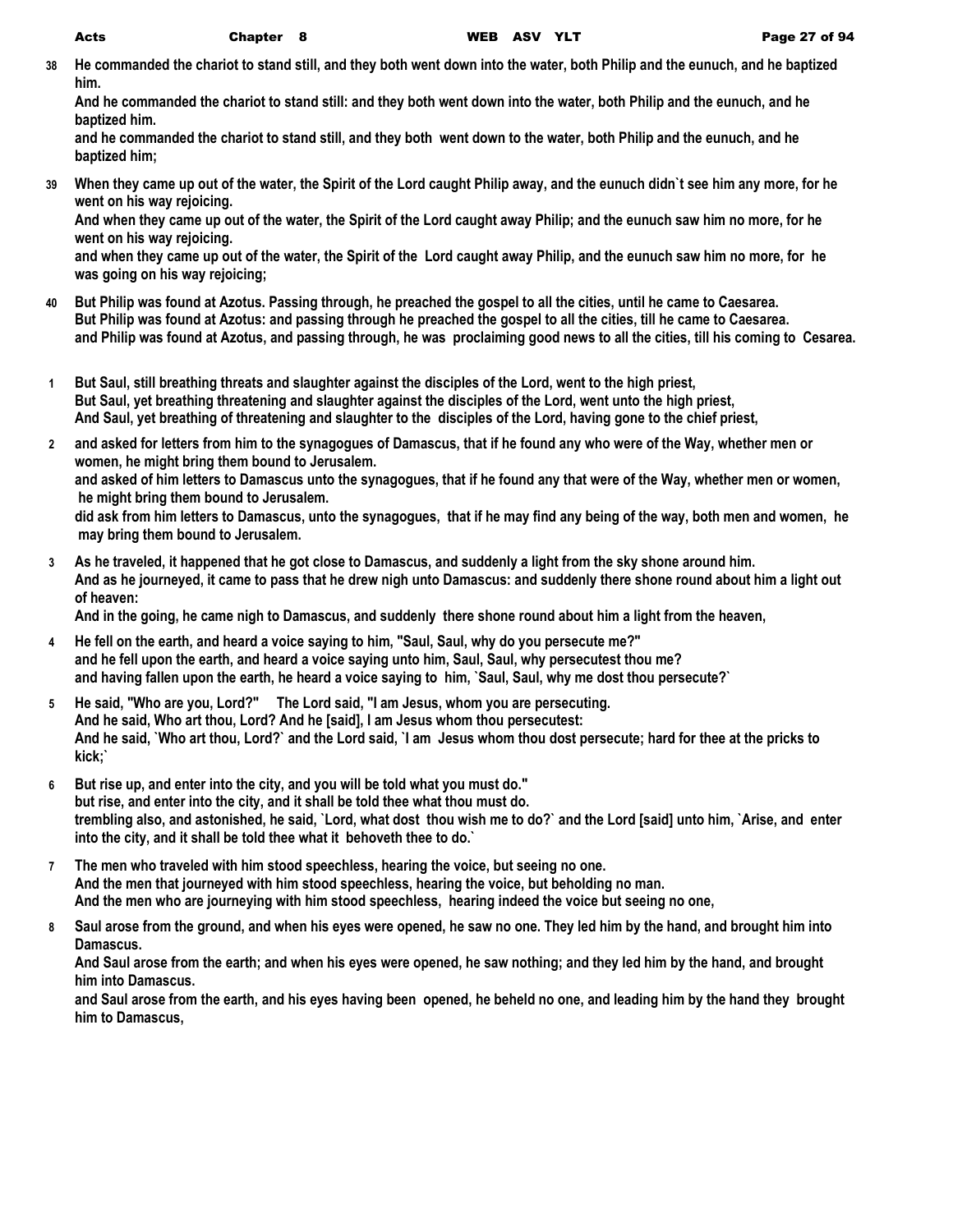**38 He commanded the chariot to stand still, and they both went down into the water, both Philip and the eunuch, and he baptized him.**

**And he commanded the chariot to stand still: and they both went down into the water, both Philip and the eunuch, and he baptized him.**

**and he commanded the chariot to stand still, and they both went down to the water, both Philip and the eunuch, and he baptized him;**

**39 When they came up out of the water, the Spirit of the Lord caught Philip away, and the eunuch didn`t see him any more, for he went on his way rejoicing.**

**And when they came up out of the water, the Spirit of the Lord caught away Philip; and the eunuch saw him no more, for he went on his way rejoicing.**

**and when they came up out of the water, the Spirit of the Lord caught away Philip, and the eunuch saw him no more, for he was going on his way rejoicing;**

- **40 But Philip was found at Azotus. Passing through, he preached the gospel to all the cities, until he came to Caesarea. But Philip was found at Azotus: and passing through he preached the gospel to all the cities, till he came to Caesarea. and Philip was found at Azotus, and passing through, he was proclaiming good news to all the cities, till his coming to Cesarea.**
- **1 But Saul, still breathing threats and slaughter against the disciples of the Lord, went to the high priest, But Saul, yet breathing threatening and slaughter against the disciples of the Lord, went unto the high priest, And Saul, yet breathing of threatening and slaughter to the disciples of the Lord, having gone to the chief priest,**
- **2 and asked for letters from him to the synagogues of Damascus, that if he found any who were of the Way, whether men or women, he might bring them bound to Jerusalem.**

**and asked of him letters to Damascus unto the synagogues, that if he found any that were of the Way, whether men or women, he might bring them bound to Jerusalem.**

**did ask from him letters to Damascus, unto the synagogues, that if he may find any being of the way, both men and women, he may bring them bound to Jerusalem.**

**3 As he traveled, it happened that he got close to Damascus, and suddenly a light from the sky shone around him. And as he journeyed, it came to pass that he drew nigh unto Damascus: and suddenly there shone round about him a light out of heaven:**

**And in the going, he came nigh to Damascus, and suddenly there shone round about him a light from the heaven,**

- 4 He fell on the earth, and heard a voice saying to him, "Saul, Saul, why do you persecute me?" **and he fell upon the earth, and heard a voice saying unto him, Saul, Saul, why persecutest thou me? and having fallen upon the earth, he heard a voice saying to him, `Saul, Saul, why me dost thou persecute?`**
- **5 He said, "Who are you, Lord?" The Lord said, "I am Jesus, whom you are persecuting. And he said, Who art thou, Lord? And he [said], I am Jesus whom thou persecutest: And he said, `Who art thou, Lord?` and the Lord said, `I am Jesus whom thou dost persecute; hard for thee at the pricks to kick;`**
- **6 But rise up, and enter into the city, and you will be told what you must do." but rise, and enter into the city, and it shall be told thee what thou must do. trembling also, and astonished, he said, `Lord, what dost thou wish me to do?` and the Lord [said] unto him, `Arise, and enter into the city, and it shall be told thee what it behoveth thee to do.`**
- **7 The men who traveled with him stood speechless, hearing the voice, but seeing no one. And the men that journeyed with him stood speechless, hearing the voice, but beholding no man. And the men who are journeying with him stood speechless, hearing indeed the voice but seeing no one,**
- **8 Saul arose from the ground, and when his eyes were opened, he saw no one. They led him by the hand, and brought him into Damascus.**

**And Saul arose from the earth; and when his eyes were opened, he saw nothing; and they led him by the hand, and brought him into Damascus.**

**and Saul arose from the earth, and his eyes having been opened, he beheld no one, and leading him by the hand they brought him to Damascus,**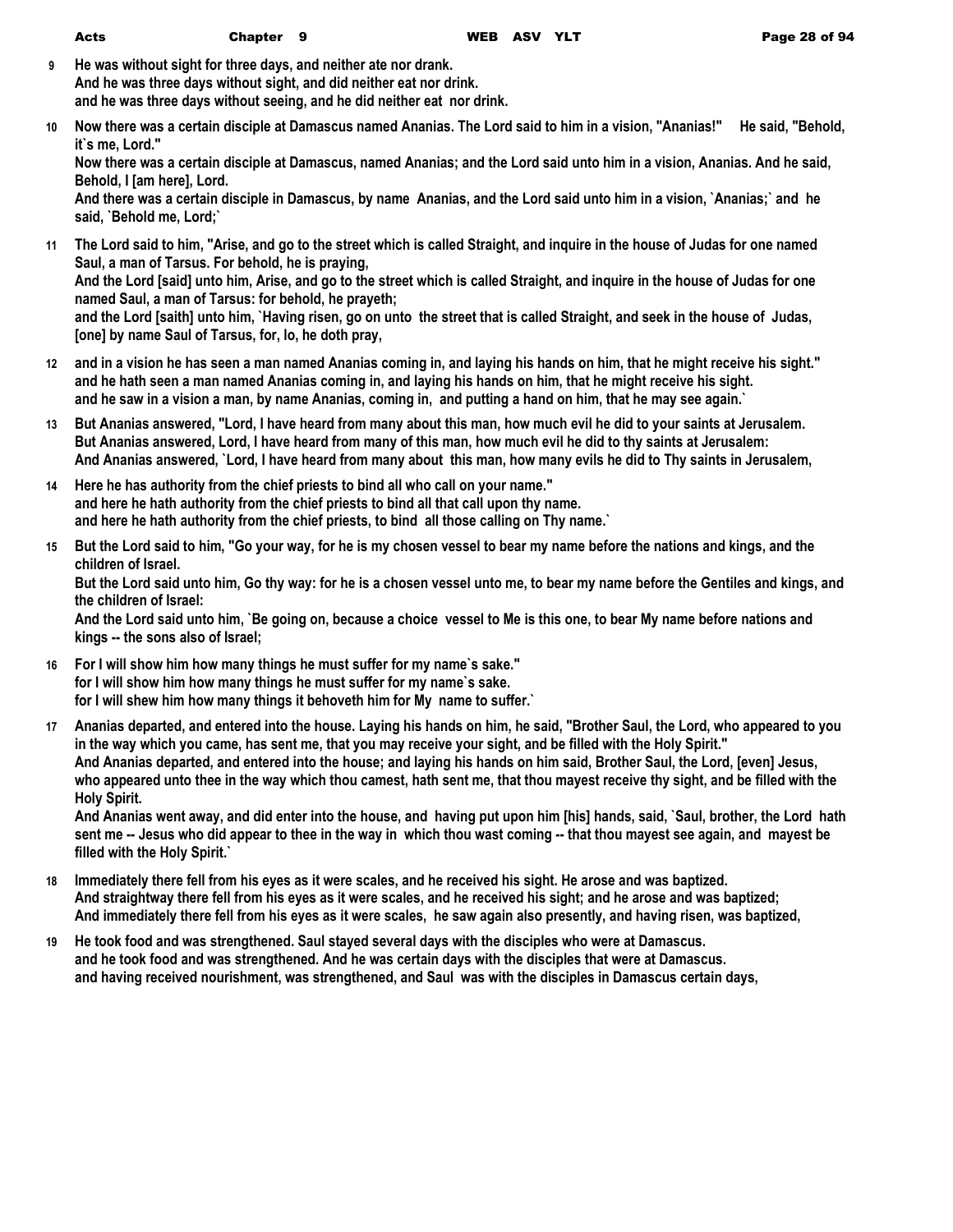| Acts | Chapter 9 |  |
|------|-----------|--|
|------|-----------|--|

- **9 He was without sight for three days, and neither ate nor drank. And he was three days without sight, and did neither eat nor drink. and he was three days without seeing, and he did neither eat nor drink.**
- **10 Now there was a certain disciple at Damascus named Ananias. The Lord said to him in a vision, "Ananias!" He said, "Behold, it`s me, Lord."**

**Now there was a certain disciple at Damascus, named Ananias; and the Lord said unto him in a vision, Ananias. And he said, Behold, I [am here], Lord.**

**And there was a certain disciple in Damascus, by name Ananias, and the Lord said unto him in a vision, `Ananias;` and he said, `Behold me, Lord;`**

- **11 The Lord said to him, "Arise, and go to the street which is called Straight, and inquire in the house of Judas for one named Saul, a man of Tarsus. For behold, he is praying, And the Lord [said] unto him, Arise, and go to the street which is called Straight, and inquire in the house of Judas for one named Saul, a man of Tarsus: for behold, he prayeth; and the Lord [saith] unto him, `Having risen, go on unto the street that is called Straight, and seek in the house of Judas, [one] by name Saul of Tarsus, for, lo, he doth pray,**
- **12 and in a vision he has seen a man named Ananias coming in, and laying his hands on him, that he might receive his sight." and he hath seen a man named Ananias coming in, and laying his hands on him, that he might receive his sight. and he saw in a vision a man, by name Ananias, coming in, and putting a hand on him, that he may see again.`**
- **13 But Ananias answered, "Lord, I have heard from many about this man, how much evil he did to your saints at Jerusalem. But Ananias answered, Lord, I have heard from many of this man, how much evil he did to thy saints at Jerusalem: And Ananias answered, `Lord, I have heard from many about this man, how many evils he did to Thy saints in Jerusalem,**
- **14 Here he has authority from the chief priests to bind all who call on your name." and here he hath authority from the chief priests to bind all that call upon thy name. and here he hath authority from the chief priests, to bind all those calling on Thy name.`**
- **15 But the Lord said to him, "Go your way, for he is my chosen vessel to bear my name before the nations and kings, and the children of Israel.**

**But the Lord said unto him, Go thy way: for he is a chosen vessel unto me, to bear my name before the Gentiles and kings, and the children of Israel:**

**And the Lord said unto him, `Be going on, because a choice vessel to Me is this one, to bear My name before nations and kings -- the sons also of Israel;**

- **16 For I will show him how many things he must suffer for my name`s sake." for I will show him how many things he must suffer for my name`s sake. for I will shew him how many things it behoveth him for My name to suffer.`**
- **17 Ananias departed, and entered into the house. Laying his hands on him, he said, "Brother Saul, the Lord, who appeared to you in the way which you came, has sent me, that you may receive your sight, and be filled with the Holy Spirit." And Ananias departed, and entered into the house; and laying his hands on him said, Brother Saul, the Lord, [even] Jesus, who appeared unto thee in the way which thou camest, hath sent me, that thou mayest receive thy sight, and be filled with the Holy Spirit.**

**And Ananias went away, and did enter into the house, and having put upon him [his] hands, said, `Saul, brother, the Lord hath sent me -- Jesus who did appear to thee in the way in which thou wast coming -- that thou mayest see again, and mayest be filled with the Holy Spirit.`**

- **18 Immediately there fell from his eyes as it were scales, and he received his sight. He arose and was baptized. And straightway there fell from his eyes as it were scales, and he received his sight; and he arose and was baptized; And immediately there fell from his eyes as it were scales, he saw again also presently, and having risen, was baptized,**
- **19 He took food and was strengthened. Saul stayed several days with the disciples who were at Damascus. and he took food and was strengthened. And he was certain days with the disciples that were at Damascus. and having received nourishment, was strengthened, and Saul was with the disciples in Damascus certain days,**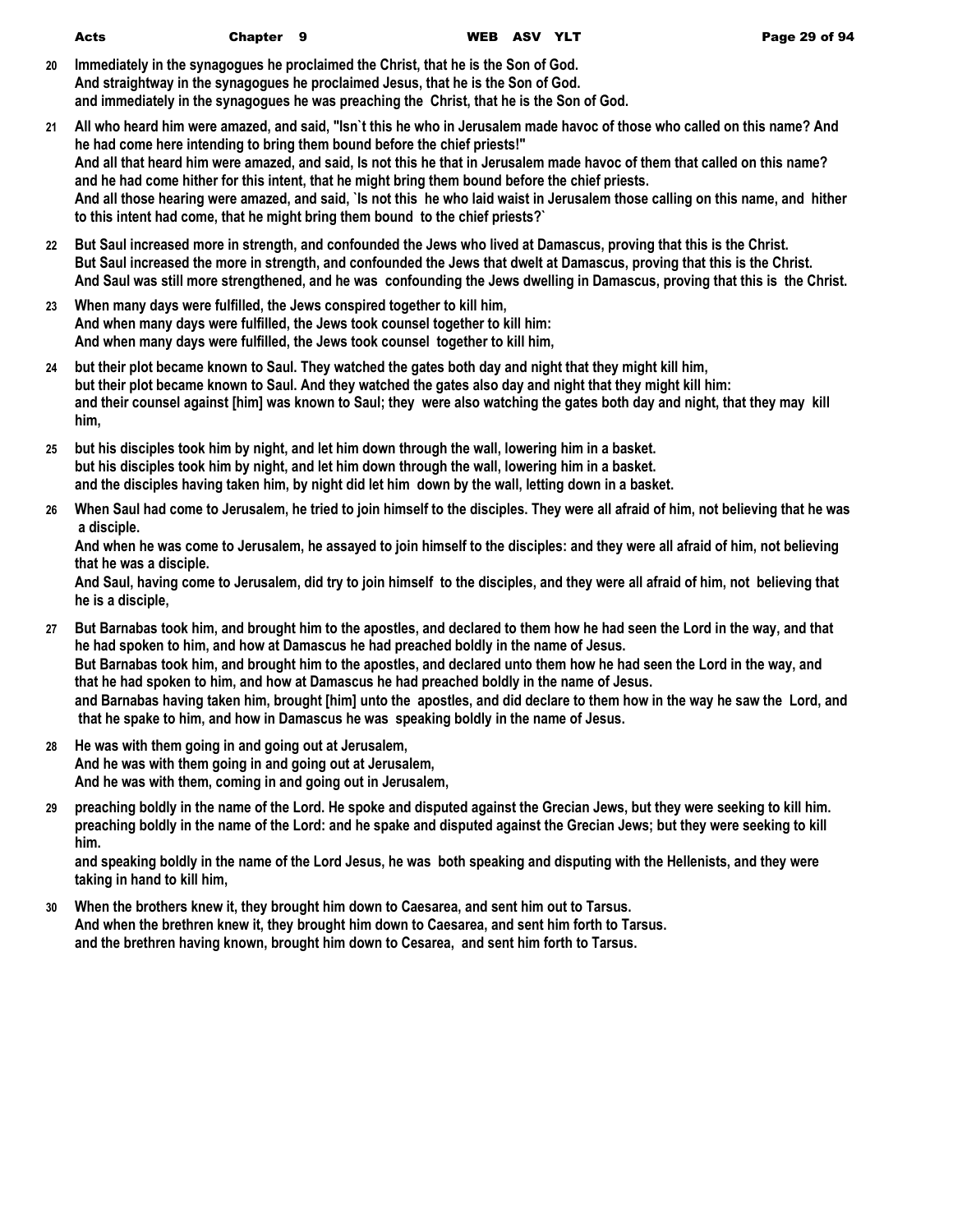| Acts |  |  |
|------|--|--|

- **20 Immediately in the synagogues he proclaimed the Christ, that he is the Son of God. And straightway in the synagogues he proclaimed Jesus, that he is the Son of God. and immediately in the synagogues he was preaching the Christ, that he is the Son of God.**
- **21 All who heard him were amazed, and said, "Isn`t this he who in Jerusalem made havoc of those who called on this name? And he had come here intending to bring them bound before the chief priests!" And all that heard him were amazed, and said, Is not this he that in Jerusalem made havoc of them that called on this name? and he had come hither for this intent, that he might bring them bound before the chief priests. And all those hearing were amazed, and said, `Is not this he who laid waist in Jerusalem those calling on this name, and hither to this intent had come, that he might bring them bound to the chief priests?`**
- **22 But Saul increased more in strength, and confounded the Jews who lived at Damascus, proving that this is the Christ. But Saul increased the more in strength, and confounded the Jews that dwelt at Damascus, proving that this is the Christ. And Saul was still more strengthened, and he was confounding the Jews dwelling in Damascus, proving that this is the Christ.**
- **23 When many days were fulfilled, the Jews conspired together to kill him, And when many days were fulfilled, the Jews took counsel together to kill him: And when many days were fulfilled, the Jews took counsel together to kill him,**
- **24 but their plot became known to Saul. They watched the gates both day and night that they might kill him, but their plot became known to Saul. And they watched the gates also day and night that they might kill him: and their counsel against [him] was known to Saul; they were also watching the gates both day and night, that they may kill him,**
- **25 but his disciples took him by night, and let him down through the wall, lowering him in a basket. but his disciples took him by night, and let him down through the wall, lowering him in a basket. and the disciples having taken him, by night did let him down by the wall, letting down in a basket.**
- **26 When Saul had come to Jerusalem, he tried to join himself to the disciples. They were all afraid of him, not believing that he was a disciple.**

**And when he was come to Jerusalem, he assayed to join himself to the disciples: and they were all afraid of him, not believing that he was a disciple.**

**And Saul, having come to Jerusalem, did try to join himself to the disciples, and they were all afraid of him, not believing that he is a disciple,**

- **27 But Barnabas took him, and brought him to the apostles, and declared to them how he had seen the Lord in the way, and that he had spoken to him, and how at Damascus he had preached boldly in the name of Jesus. But Barnabas took him, and brought him to the apostles, and declared unto them how he had seen the Lord in the way, and that he had spoken to him, and how at Damascus he had preached boldly in the name of Jesus. and Barnabas having taken him, brought [him] unto the apostles, and did declare to them how in the way he saw the Lord, and that he spake to him, and how in Damascus he was speaking boldly in the name of Jesus.**
- **28 He was with them going in and going out at Jerusalem, And he was with them going in and going out at Jerusalem, And he was with them, coming in and going out in Jerusalem,**
- **29 preaching boldly in the name of the Lord. He spoke and disputed against the Grecian Jews, but they were seeking to kill him. preaching boldly in the name of the Lord: and he spake and disputed against the Grecian Jews; but they were seeking to kill him.**

**and speaking boldly in the name of the Lord Jesus, he was both speaking and disputing with the Hellenists, and they were taking in hand to kill him,**

**30 When the brothers knew it, they brought him down to Caesarea, and sent him out to Tarsus. And when the brethren knew it, they brought him down to Caesarea, and sent him forth to Tarsus. and the brethren having known, brought him down to Cesarea, and sent him forth to Tarsus.**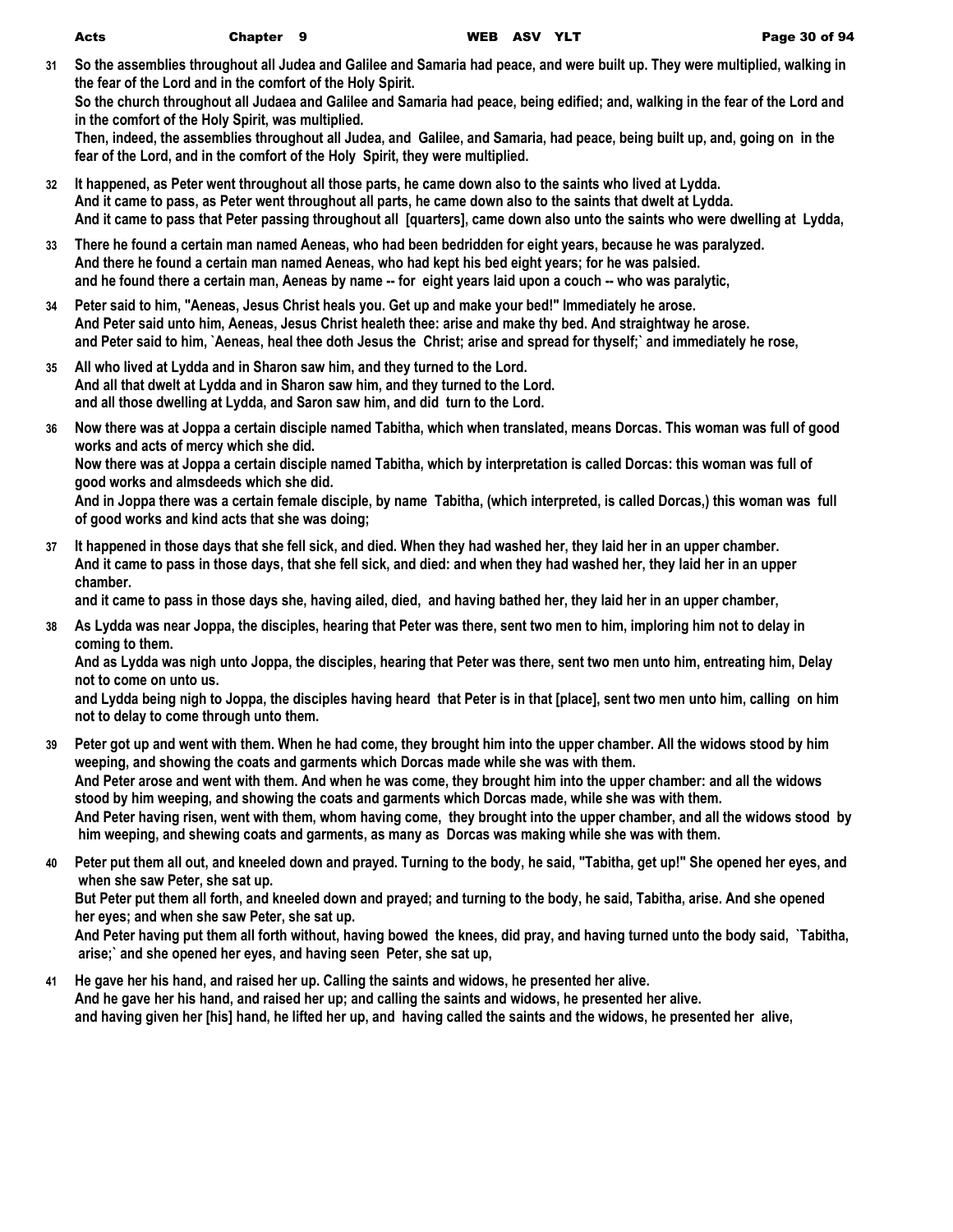**31 So the assemblies throughout all Judea and Galilee and Samaria had peace, and were built up. They were multiplied, walking in the fear of the Lord and in the comfort of the Holy Spirit.**

**So the church throughout all Judaea and Galilee and Samaria had peace, being edified; and, walking in the fear of the Lord and in the comfort of the Holy Spirit, was multiplied.**

**Then, indeed, the assemblies throughout all Judea, and Galilee, and Samaria, had peace, being built up, and, going on in the fear of the Lord, and in the comfort of the Holy Spirit, they were multiplied.**

- **32 It happened, as Peter went throughout all those parts, he came down also to the saints who lived at Lydda. And it came to pass, as Peter went throughout all parts, he came down also to the saints that dwelt at Lydda. And it came to pass that Peter passing throughout all [quarters], came down also unto the saints who were dwelling at Lydda,**
- **33 There he found a certain man named Aeneas, who had been bedridden for eight years, because he was paralyzed. And there he found a certain man named Aeneas, who had kept his bed eight years; for he was palsied. and he found there a certain man, Aeneas by name -- for eight years laid upon a couch -- who was paralytic,**
- **34 Peter said to him, "Aeneas, Jesus Christ heals you. Get up and make your bed!" Immediately he arose. And Peter said unto him, Aeneas, Jesus Christ healeth thee: arise and make thy bed. And straightway he arose. and Peter said to him, `Aeneas, heal thee doth Jesus the Christ; arise and spread for thyself;` and immediately he rose,**
- **35 All who lived at Lydda and in Sharon saw him, and they turned to the Lord. And all that dwelt at Lydda and in Sharon saw him, and they turned to the Lord. and all those dwelling at Lydda, and Saron saw him, and did turn to the Lord.**

**chamber.**

- **36 Now there was at Joppa a certain disciple named Tabitha, which when translated, means Dorcas. This woman was full of good works and acts of mercy which she did. Now there was at Joppa a certain disciple named Tabitha, which by interpretation is called Dorcas: this woman was full of good works and almsdeeds which she did. And in Joppa there was a certain female disciple, by name Tabitha, (which interpreted, is called Dorcas,) this woman was full**
- **of good works and kind acts that she was doing; 37 It happened in those days that she fell sick, and died. When they had washed her, they laid her in an upper chamber. And it came to pass in those days, that she fell sick, and died: and when they had washed her, they laid her in an upper**

**and it came to pass in those days she, having ailed, died, and having bathed her, they laid her in an upper chamber,**

**38 As Lydda was near Joppa, the disciples, hearing that Peter was there, sent two men to him, imploring him not to delay in coming to them.**

**And as Lydda was nigh unto Joppa, the disciples, hearing that Peter was there, sent two men unto him, entreating him, Delay not to come on unto us.**

**and Lydda being nigh to Joppa, the disciples having heard that Peter is in that [place], sent two men unto him, calling on him not to delay to come through unto them.**

- **39 Peter got up and went with them. When he had come, they brought him into the upper chamber. All the widows stood by him weeping, and showing the coats and garments which Dorcas made while she was with them. And Peter arose and went with them. And when he was come, they brought him into the upper chamber: and all the widows stood by him weeping, and showing the coats and garments which Dorcas made, while she was with them. And Peter having risen, went with them, whom having come, they brought into the upper chamber, and all the widows stood by him weeping, and shewing coats and garments, as many as Dorcas was making while she was with them.**
- **40 Peter put them all out, and kneeled down and prayed. Turning to the body, he said, "Tabitha, get up!" She opened her eyes, and when she saw Peter, she sat up.**

**But Peter put them all forth, and kneeled down and prayed; and turning to the body, he said, Tabitha, arise. And she opened her eyes; and when she saw Peter, she sat up.**

**And Peter having put them all forth without, having bowed the knees, did pray, and having turned unto the body said, `Tabitha, arise;` and she opened her eyes, and having seen Peter, she sat up,**

**41 He gave her his hand, and raised her up. Calling the saints and widows, he presented her alive. And he gave her his hand, and raised her up; and calling the saints and widows, he presented her alive. and having given her [his] hand, he lifted her up, and having called the saints and the widows, he presented her alive,**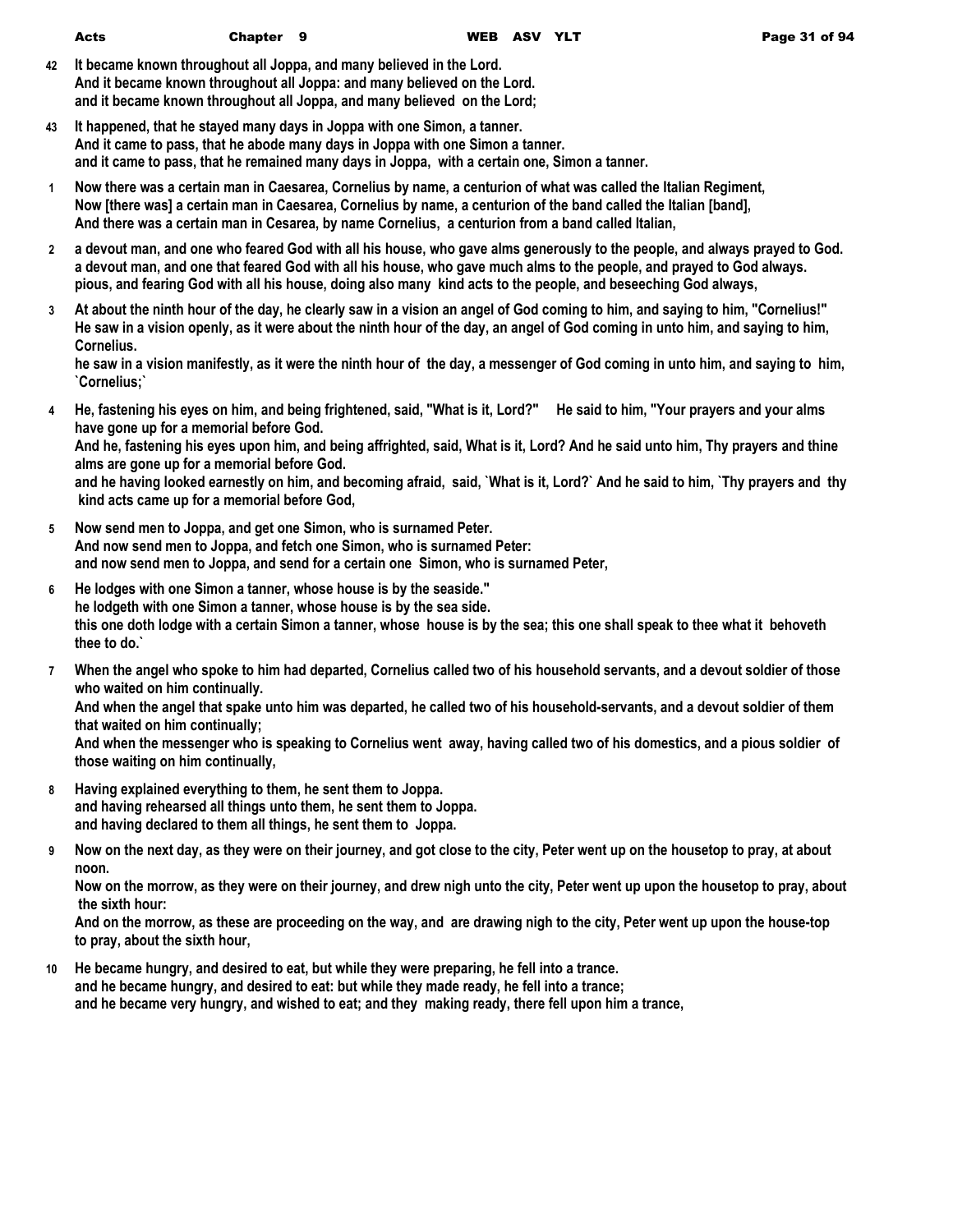- **42 It became known throughout all Joppa, and many believed in the Lord. And it became known throughout all Joppa: and many believed on the Lord. and it became known throughout all Joppa, and many believed on the Lord;**
- **43 It happened, that he stayed many days in Joppa with one Simon, a tanner. And it came to pass, that he abode many days in Joppa with one Simon a tanner. and it came to pass, that he remained many days in Joppa, with a certain one, Simon a tanner.**
- **1 Now there was a certain man in Caesarea, Cornelius by name, a centurion of what was called the Italian Regiment, Now [there was] a certain man in Caesarea, Cornelius by name, a centurion of the band called the Italian [band], And there was a certain man in Cesarea, by name Cornelius, a centurion from a band called Italian,**
- **2 a devout man, and one who feared God with all his house, who gave alms generously to the people, and always prayed to God. a devout man, and one that feared God with all his house, who gave much alms to the people, and prayed to God always. pious, and fearing God with all his house, doing also many kind acts to the people, and beseeching God always,**
- **3 At about the ninth hour of the day, he clearly saw in a vision an angel of God coming to him, and saying to him, "Cornelius!" He saw in a vision openly, as it were about the ninth hour of the day, an angel of God coming in unto him, and saying to him, Cornelius.**

**he saw in a vision manifestly, as it were the ninth hour of the day, a messenger of God coming in unto him, and saying to him, `Cornelius;`**

- **4 He, fastening his eyes on him, and being frightened, said, "What is it, Lord?" He said to him, "Your prayers and your alms have gone up for a memorial before God. And he, fastening his eyes upon him, and being affrighted, said, What is it, Lord? And he said unto him, Thy prayers and thine alms are gone up for a memorial before God. and he having looked earnestly on him, and becoming afraid, said, `What is it, Lord?` And he said to him, `Thy prayers and thy kind acts came up for a memorial before God,**
- **5 Now send men to Joppa, and get one Simon, who is surnamed Peter. And now send men to Joppa, and fetch one Simon, who is surnamed Peter: and now send men to Joppa, and send for a certain one Simon, who is surnamed Peter,**
- **6 He lodges with one Simon a tanner, whose house is by the seaside." he lodgeth with one Simon a tanner, whose house is by the sea side. this one doth lodge with a certain Simon a tanner, whose house is by the sea; this one shall speak to thee what it behoveth thee to do.`**
- **7 When the angel who spoke to him had departed, Cornelius called two of his household servants, and a devout soldier of those who waited on him continually. And when the angel that spake unto him was departed, he called two of his household-servants, and a devout soldier of them that waited on him continually;**

**And when the messenger who is speaking to Cornelius went away, having called two of his domestics, and a pious soldier of those waiting on him continually,**

- **8 Having explained everything to them, he sent them to Joppa. and having rehearsed all things unto them, he sent them to Joppa. and having declared to them all things, he sent them to Joppa.**
- **9 Now on the next day, as they were on their journey, and got close to the city, Peter went up on the housetop to pray, at about noon.**

**Now on the morrow, as they were on their journey, and drew nigh unto the city, Peter went up upon the housetop to pray, about the sixth hour:**

**And on the morrow, as these are proceeding on the way, and are drawing nigh to the city, Peter went up upon the house-top to pray, about the sixth hour,**

**10 He became hungry, and desired to eat, but while they were preparing, he fell into a trance. and he became hungry, and desired to eat: but while they made ready, he fell into a trance; and he became very hungry, and wished to eat; and they making ready, there fell upon him a trance,**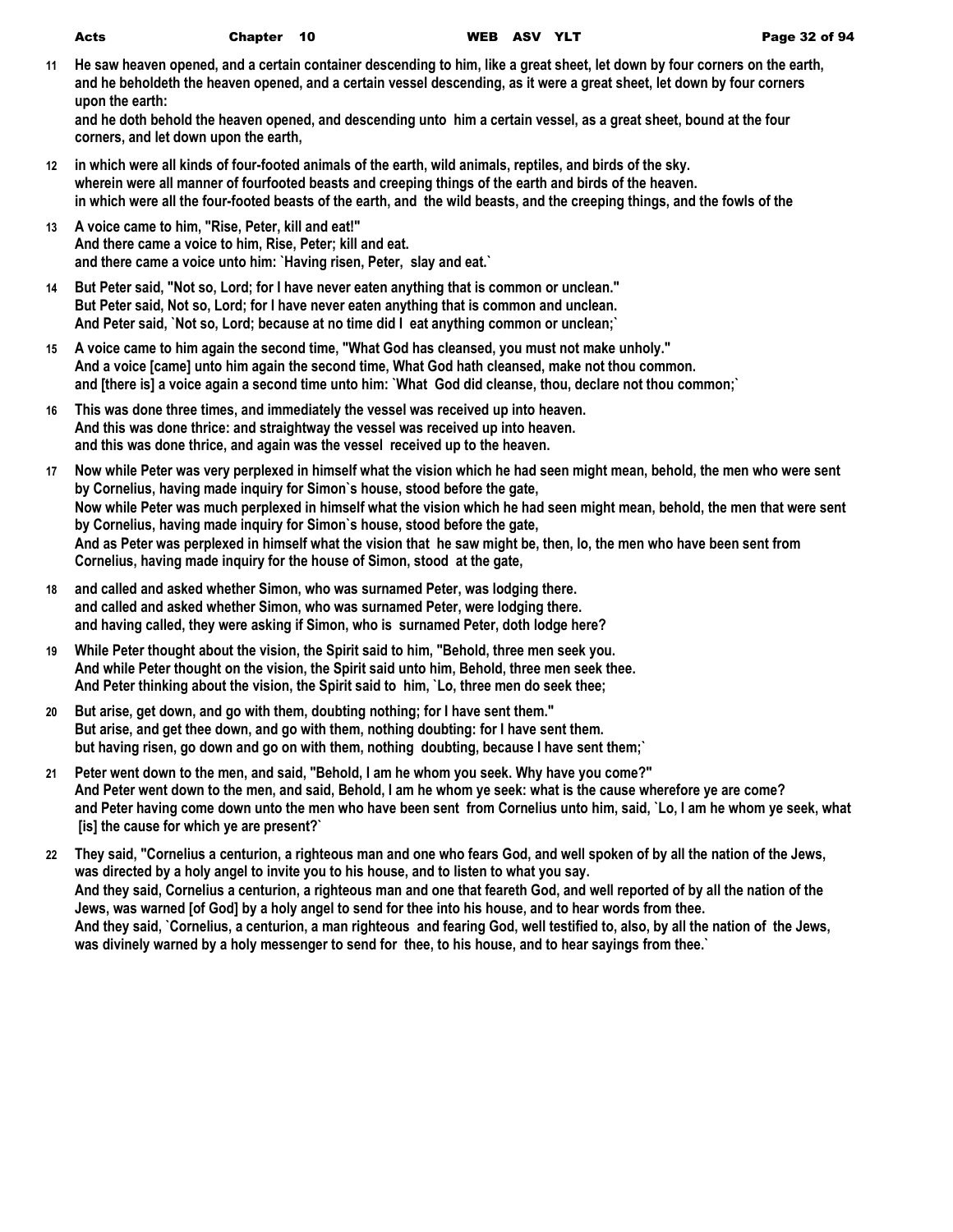|                  | Acts                                                                                                           | Chapter 10 |                                                                                                                                                                                                                                                                                                                  | WEB ASV YLT |  | Page 32 of 94                                                                                                                                                                                                                                                                                                                                                                                    |
|------------------|----------------------------------------------------------------------------------------------------------------|------------|------------------------------------------------------------------------------------------------------------------------------------------------------------------------------------------------------------------------------------------------------------------------------------------------------------------|-------------|--|--------------------------------------------------------------------------------------------------------------------------------------------------------------------------------------------------------------------------------------------------------------------------------------------------------------------------------------------------------------------------------------------------|
| 11               | upon the earth:<br>corners, and let down upon the earth,                                                       |            |                                                                                                                                                                                                                                                                                                                  |             |  | He saw heaven opened, and a certain container descending to him, like a great sheet, let down by four corners on the earth,<br>and he beholdeth the heaven opened, and a certain vessel descending, as it were a great sheet, let down by four corners<br>and he doth behold the heaven opened, and descending unto him a certain vessel, as a great sheet, bound at the four                    |
| 12 <sup>12</sup> |                                                                                                                |            | in which were all kinds of four-footed animals of the earth, wild animals, reptiles, and birds of the sky.<br>wherein were all manner of fourfooted beasts and creeping things of the earth and birds of the heaven.                                                                                             |             |  | in which were all the four-footed beasts of the earth, and the wild beasts, and the creeping things, and the fowls of the                                                                                                                                                                                                                                                                        |
| 13               | A voice came to him, "Rise, Peter, kill and eat!"<br>And there came a voice to him, Rise, Peter; kill and eat. |            | and there came a voice unto him: `Having risen, Peter, slay and eat.`                                                                                                                                                                                                                                            |             |  |                                                                                                                                                                                                                                                                                                                                                                                                  |
| 14               |                                                                                                                |            | But Peter said, "Not so, Lord; for I have never eaten anything that is common or unclean."<br>But Peter said, Not so, Lord; for I have never eaten anything that is common and unclean.<br>And Peter said, `Not so, Lord; because at no time did I eat anything common or unclean;`                              |             |  |                                                                                                                                                                                                                                                                                                                                                                                                  |
| 15               |                                                                                                                |            | A voice came to him again the second time, "What God has cleansed, you must not make unholy."<br>And a voice [came] unto him again the second time, What God hath cleansed, make not thou common.<br>and [there is] a voice again a second time unto him: `What God did cleanse, thou, declare not thou common;` |             |  |                                                                                                                                                                                                                                                                                                                                                                                                  |
| 16               |                                                                                                                |            | This was done three times, and immediately the vessel was received up into heaven.<br>And this was done thrice: and straightway the vessel was received up into heaven.<br>and this was done thrice, and again was the vessel received up to the heaven.                                                         |             |  |                                                                                                                                                                                                                                                                                                                                                                                                  |
| 17               |                                                                                                                |            | by Cornelius, having made inquiry for Simon's house, stood before the gate,<br>by Cornelius, having made inquiry for Simon's house, stood before the gate,<br>Cornelius, having made inquiry for the house of Simon, stood at the gate,                                                                          |             |  | Now while Peter was very perplexed in himself what the vision which he had seen might mean, behold, the men who were sent<br>Now while Peter was much perplexed in himself what the vision which he had seen might mean, behold, the men that were sent<br>And as Peter was perplexed in himself what the vision that he saw might be, then, lo, the men who have been sent from                 |
| 18               |                                                                                                                |            | and called and asked whether Simon, who was surnamed Peter, was lodging there.<br>and called and asked whether Simon, who was surnamed Peter, were lodging there.<br>and having called, they were asking if Simon, who is surnamed Peter, doth lodge here?                                                       |             |  |                                                                                                                                                                                                                                                                                                                                                                                                  |
| 19               |                                                                                                                |            | While Peter thought about the vision, the Spirit said to him, "Behold, three men seek you.<br>And while Peter thought on the vision, the Spirit said unto him, Behold, three men seek thee.<br>And Peter thinking about the vision, the Spirit said to him, `Lo, three men do seek thee;                         |             |  |                                                                                                                                                                                                                                                                                                                                                                                                  |
| 20               |                                                                                                                |            | But arise, get down, and go with them, doubting nothing; for I have sent them."<br>But arise, and get thee down, and go with them, nothing doubting: for I have sent them.<br>but having risen, go down and go on with them, nothing doubting, because I have sent them;                                         |             |  |                                                                                                                                                                                                                                                                                                                                                                                                  |
| 21               | [is] the cause for which ye are present?`                                                                      |            | Peter went down to the men, and said, "Behold, I am he whom you seek. Why have you come?"                                                                                                                                                                                                                        |             |  | And Peter went down to the men, and said, Behold, I am he whom ye seek: what is the cause wherefore ye are come?<br>and Peter having come down unto the men who have been sent from Cornelius unto him, said, `Lo, I am he whom ye seek, what                                                                                                                                                    |
| 22               |                                                                                                                |            | was directed by a holy angel to invite you to his house, and to listen to what you say.<br>Jews, was warned [of God] by a holy angel to send for thee into his house, and to hear words from thee.<br>was divinely warned by a holy messenger to send for thee, to his house, and to hear sayings from thee.'    |             |  | They said, "Cornelius a centurion, a righteous man and one who fears God, and well spoken of by all the nation of the Jews,<br>And they said, Cornelius a centurion, a righteous man and one that feareth God, and well reported of by all the nation of the<br>And they said, `Cornelius, a centurion, a man righteous and fearing God, well testified to, also, by all the nation of the Jews, |
|                  |                                                                                                                |            |                                                                                                                                                                                                                                                                                                                  |             |  |                                                                                                                                                                                                                                                                                                                                                                                                  |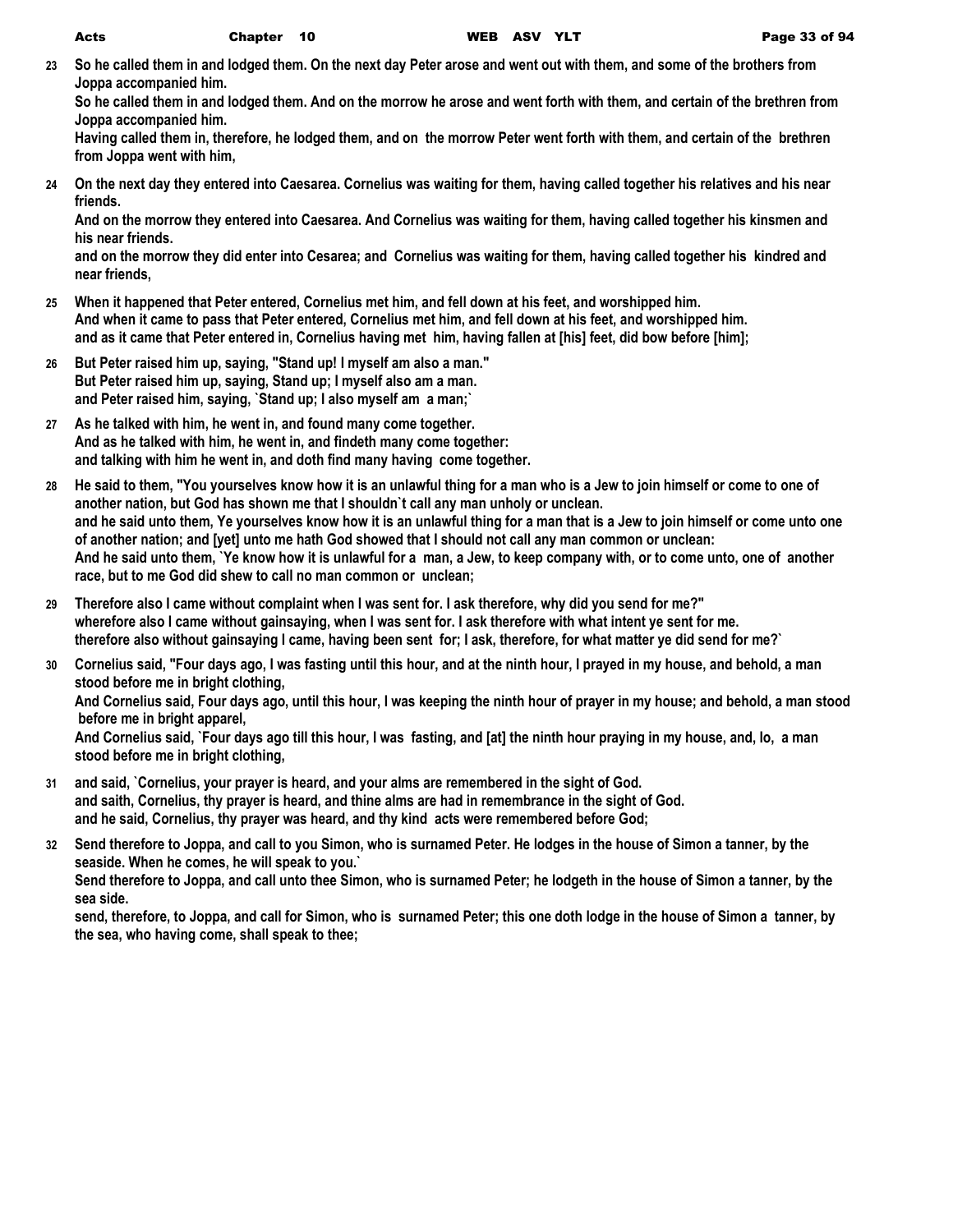**23 So he called them in and lodged them. On the next day Peter arose and went out with them, and some of the brothers from Joppa accompanied him.**

**So he called them in and lodged them. And on the morrow he arose and went forth with them, and certain of the brethren from Joppa accompanied him.**

**Having called them in, therefore, he lodged them, and on the morrow Peter went forth with them, and certain of the brethren from Joppa went with him,**

**24 On the next day they entered into Caesarea. Cornelius was waiting for them, having called together his relatives and his near friends.**

**And on the morrow they entered into Caesarea. And Cornelius was waiting for them, having called together his kinsmen and his near friends.**

**and on the morrow they did enter into Cesarea; and Cornelius was waiting for them, having called together his kindred and near friends,**

- **25 When it happened that Peter entered, Cornelius met him, and fell down at his feet, and worshipped him. And when it came to pass that Peter entered, Cornelius met him, and fell down at his feet, and worshipped him. and as it came that Peter entered in, Cornelius having met him, having fallen at [his] feet, did bow before [him];**
- **26 But Peter raised him up, saying, "Stand up! I myself am also a man." But Peter raised him up, saying, Stand up; I myself also am a man. and Peter raised him, saying, `Stand up; I also myself am a man;`**
- **27 As he talked with him, he went in, and found many come together. And as he talked with him, he went in, and findeth many come together: and talking with him he went in, and doth find many having come together.**
- **28 He said to them, "You yourselves know how it is an unlawful thing for a man who is a Jew to join himself or come to one of another nation, but God has shown me that I shouldn`t call any man unholy or unclean. and he said unto them, Ye yourselves know how it is an unlawful thing for a man that is a Jew to join himself or come unto one of another nation; and [yet] unto me hath God showed that I should not call any man common or unclean: And he said unto them, `Ye know how it is unlawful for a man, a Jew, to keep company with, or to come unto, one of another race, but to me God did shew to call no man common or unclean;**
- **29 Therefore also I came without complaint when I was sent for. I ask therefore, why did you send for me?" wherefore also I came without gainsaying, when I was sent for. I ask therefore with what intent ye sent for me. therefore also without gainsaying I came, having been sent for; I ask, therefore, for what matter ye did send for me?`**
- **30 Cornelius said, "Four days ago, I was fasting until this hour, and at the ninth hour, I prayed in my house, and behold, a man stood before me in bright clothing, And Cornelius said, Four days ago, until this hour, I was keeping the ninth hour of prayer in my house; and behold, a man stood before me in bright apparel, And Cornelius said, `Four days ago till this hour, I was fasting, and [at] the ninth hour praying in my house, and, lo, a man stood before me in bright clothing,**
- **31 and said, `Cornelius, your prayer is heard, and your alms are remembered in the sight of God. and saith, Cornelius, thy prayer is heard, and thine alms are had in remembrance in the sight of God. and he said, Cornelius, thy prayer was heard, and thy kind acts were remembered before God;**
- **32 Send therefore to Joppa, and call to you Simon, who is surnamed Peter. He lodges in the house of Simon a tanner, by the seaside. When he comes, he will speak to you.` Send therefore to Joppa, and call unto thee Simon, who is surnamed Peter; he lodgeth in the house of Simon a tanner, by the**

**sea side.**

**send, therefore, to Joppa, and call for Simon, who is surnamed Peter; this one doth lodge in the house of Simon a tanner, by the sea, who having come, shall speak to thee;**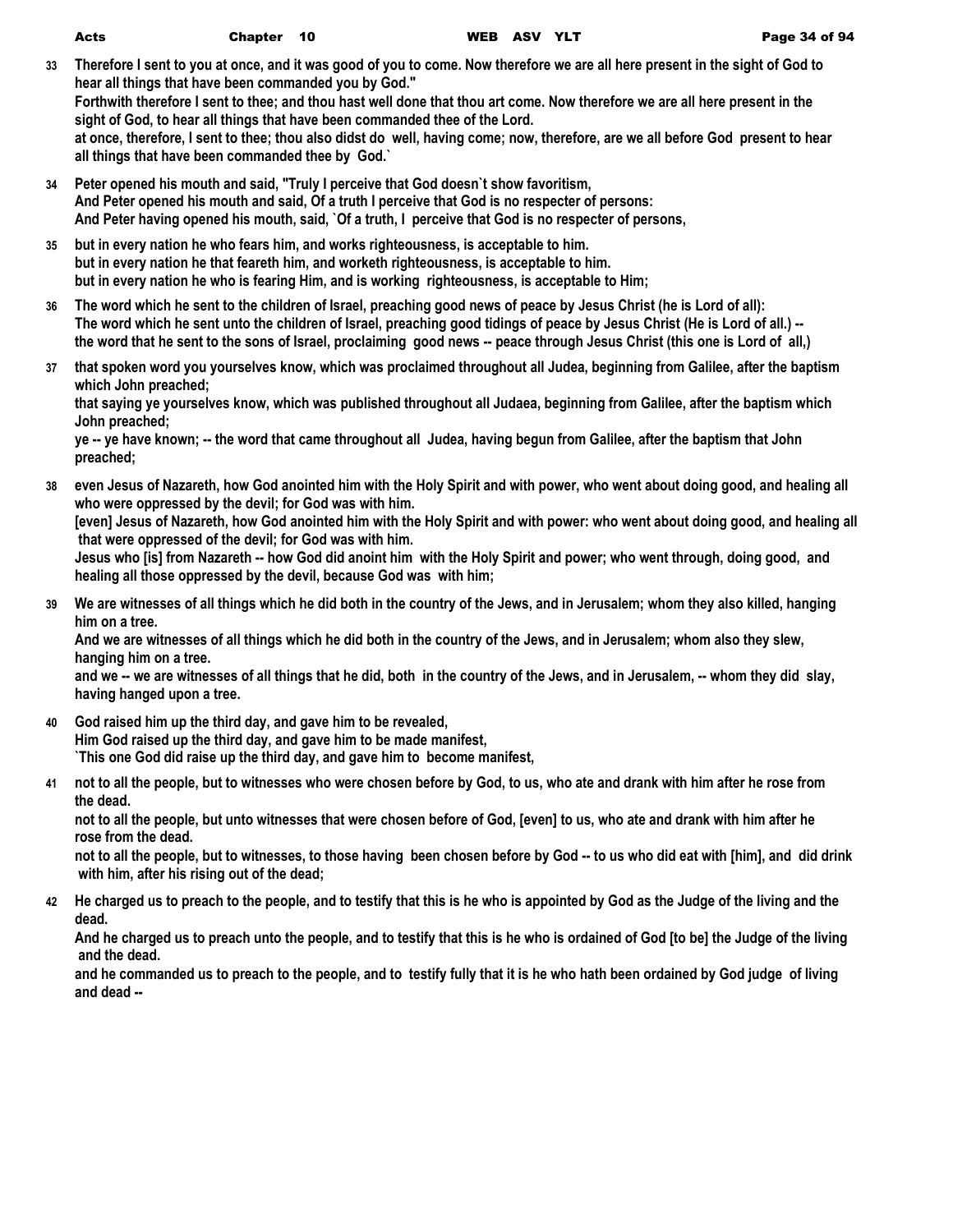- **33 Therefore I sent to you at once, and it was good of you to come. Now therefore we are all here present in the sight of God to hear all things that have been commanded you by God." Forthwith therefore I sent to thee; and thou hast well done that thou art come. Now therefore we are all here present in the sight of God, to hear all things that have been commanded thee of the Lord. at once, therefore, I sent to thee; thou also didst do well, having come; now, therefore, are we all before God present to hear all things that have been commanded thee by God.`**
- **34 Peter opened his mouth and said, "Truly I perceive that God doesn`t show favoritism, And Peter opened his mouth and said, Of a truth I perceive that God is no respecter of persons: And Peter having opened his mouth, said, `Of a truth, I perceive that God is no respecter of persons,**
- **35 but in every nation he who fears him, and works righteousness, is acceptable to him. but in every nation he that feareth him, and worketh righteousness, is acceptable to him. but in every nation he who is fearing Him, and is working righteousness, is acceptable to Him;**
- **36 The word which he sent to the children of Israel, preaching good news of peace by Jesus Christ (he is Lord of all): The word which he sent unto the children of Israel, preaching good tidings of peace by Jesus Christ (He is Lord of all.) - the word that he sent to the sons of Israel, proclaiming good news -- peace through Jesus Christ (this one is Lord of all,)**
- **37 that spoken word you yourselves know, which was proclaimed throughout all Judea, beginning from Galilee, after the baptism which John preached;**

**that saying ye yourselves know, which was published throughout all Judaea, beginning from Galilee, after the baptism which John preached;**

**ye -- ye have known; -- the word that came throughout all Judea, having begun from Galilee, after the baptism that John preached;**

- **38 even Jesus of Nazareth, how God anointed him with the Holy Spirit and with power, who went about doing good, and healing all who were oppressed by the devil; for God was with him. [even] Jesus of Nazareth, how God anointed him with the Holy Spirit and with power: who went about doing good, and healing all that were oppressed of the devil; for God was with him. Jesus who [is] from Nazareth -- how God did anoint him with the Holy Spirit and power; who went through, doing good, and healing all those oppressed by the devil, because God was with him;**
- **39 We are witnesses of all things which he did both in the country of the Jews, and in Jerusalem; whom they also killed, hanging him on a tree.**

**And we are witnesses of all things which he did both in the country of the Jews, and in Jerusalem; whom also they slew, hanging him on a tree.**

and we -- we are witnesses of all things that he did, both in the country of the Jews, and in Jerusalem, -- whom they did slay, **having hanged upon a tree.**

- **40 God raised him up the third day, and gave him to be revealed, Him God raised up the third day, and gave him to be made manifest, `This one God did raise up the third day, and gave him to become manifest,**
- **41 not to all the people, but to witnesses who were chosen before by God, to us, who ate and drank with him after he rose from the dead.**

**not to all the people, but unto witnesses that were chosen before of God, [even] to us, who ate and drank with him after he rose from the dead.**

**not to all the people, but to witnesses, to those having been chosen before by God -- to us who did eat with [him], and did drink with him, after his rising out of the dead;**

**42 He charged us to preach to the people, and to testify that this is he who is appointed by God as the Judge of the living and the dead.**

**And he charged us to preach unto the people, and to testify that this is he who is ordained of God [to be] the Judge of the living and the dead.**

**and he commanded us to preach to the people, and to testify fully that it is he who hath been ordained by God judge of living and dead --**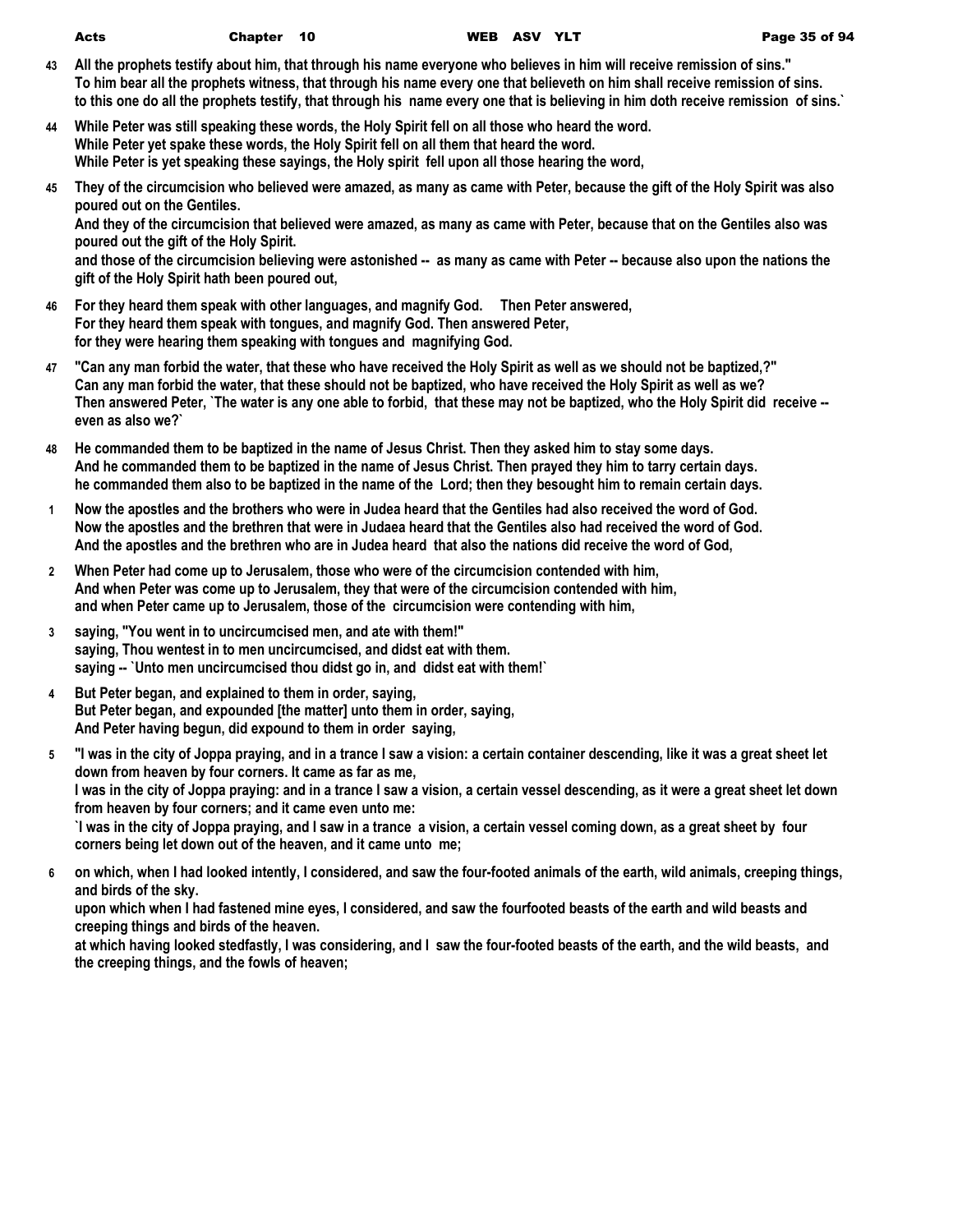- **43 All the prophets testify about him, that through his name everyone who believes in him will receive remission of sins." To him bear all the prophets witness, that through his name every one that believeth on him shall receive remission of sins. to this one do all the prophets testify, that through his name every one that is believing in him doth receive remission of sins.`**
- **44 While Peter was still speaking these words, the Holy Spirit fell on all those who heard the word. While Peter yet spake these words, the Holy Spirit fell on all them that heard the word. While Peter is yet speaking these sayings, the Holy spirit fell upon all those hearing the word,**
- **45 They of the circumcision who believed were amazed, as many as came with Peter, because the gift of the Holy Spirit was also poured out on the Gentiles.**

**And they of the circumcision that believed were amazed, as many as came with Peter, because that on the Gentiles also was poured out the gift of the Holy Spirit.**

**and those of the circumcision believing were astonished -- as many as came with Peter -- because also upon the nations the gift of the Holy Spirit hath been poured out,**

- **46 For they heard them speak with other languages, and magnify God. Then Peter answered, For they heard them speak with tongues, and magnify God. Then answered Peter, for they were hearing them speaking with tongues and magnifying God.**
- **47 "Can any man forbid the water, that these who have received the Holy Spirit as well as we should not be baptized,?" Can any man forbid the water, that these should not be baptized, who have received the Holy Spirit as well as we? Then answered Peter, `The water is any one able to forbid, that these may not be baptized, who the Holy Spirit did receive - even as also we?`**
- **48 He commanded them to be baptized in the name of Jesus Christ. Then they asked him to stay some days. And he commanded them to be baptized in the name of Jesus Christ. Then prayed they him to tarry certain days. he commanded them also to be baptized in the name of the Lord; then they besought him to remain certain days.**
- **1 Now the apostles and the brothers who were in Judea heard that the Gentiles had also received the word of God. Now the apostles and the brethren that were in Judaea heard that the Gentiles also had received the word of God. And the apostles and the brethren who are in Judea heard that also the nations did receive the word of God,**
- **2 When Peter had come up to Jerusalem, those who were of the circumcision contended with him, And when Peter was come up to Jerusalem, they that were of the circumcision contended with him, and when Peter came up to Jerusalem, those of the circumcision were contending with him,**
- **3 saying, "You went in to uncircumcised men, and ate with them!" saying, Thou wentest in to men uncircumcised, and didst eat with them. saying -- `Unto men uncircumcised thou didst go in, and didst eat with them!`**
- **4 But Peter began, and explained to them in order, saying, But Peter began, and expounded [the matter] unto them in order, saying, And Peter having begun, did expound to them in order saying,**
- **5 "I was in the city of Joppa praying, and in a trance I saw a vision: a certain container descending, like it was a great sheet let down from heaven by four corners. It came as far as me, I was in the city of Joppa praying: and in a trance I saw a vision, a certain vessel descending, as it were a great sheet let down from heaven by four corners; and it came even unto me: `I was in the city of Joppa praying, and I saw in a trance a vision, a certain vessel coming down, as a great sheet by four corners being let down out of the heaven, and it came unto me;**
- **6 on which, when I had looked intently, I considered, and saw the four-footed animals of the earth, wild animals, creeping things, and birds of the sky.**

**upon which when I had fastened mine eyes, I considered, and saw the fourfooted beasts of the earth and wild beasts and creeping things and birds of the heaven.**

**at which having looked stedfastly, I was considering, and I saw the four-footed beasts of the earth, and the wild beasts, and the creeping things, and the fowls of heaven;**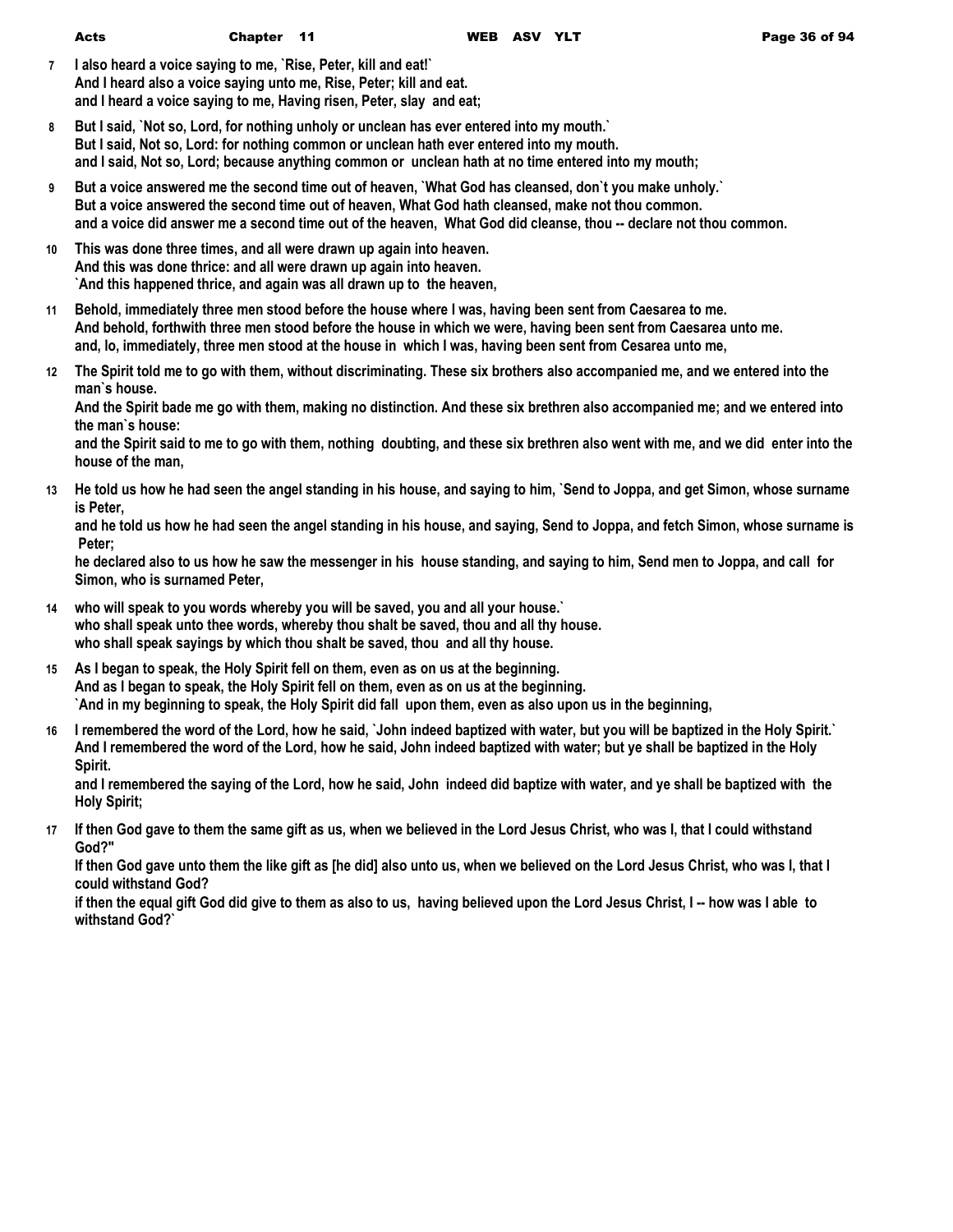- **7 I also heard a voice saying to me, `Rise, Peter, kill and eat!` And I heard also a voice saying unto me, Rise, Peter; kill and eat. and I heard a voice saying to me, Having risen, Peter, slay and eat;**
- **8 But I said, `Not so, Lord, for nothing unholy or unclean has ever entered into my mouth.` But I said, Not so, Lord: for nothing common or unclean hath ever entered into my mouth. and I said, Not so, Lord; because anything common or unclean hath at no time entered into my mouth;**
- **9 But a voice answered me the second time out of heaven, `What God has cleansed, don`t you make unholy.` But a voice answered the second time out of heaven, What God hath cleansed, make not thou common. and a voice did answer me a second time out of the heaven, What God did cleanse, thou -- declare not thou common.**
- **10 This was done three times, and all were drawn up again into heaven. And this was done thrice: and all were drawn up again into heaven. `And this happened thrice, and again was all drawn up to the heaven,**
- **11 Behold, immediately three men stood before the house where I was, having been sent from Caesarea to me. And behold, forthwith three men stood before the house in which we were, having been sent from Caesarea unto me. and, lo, immediately, three men stood at the house in which I was, having been sent from Cesarea unto me,**
- **12 The Spirit told me to go with them, without discriminating. These six brothers also accompanied me, and we entered into the man`s house.**

**And the Spirit bade me go with them, making no distinction. And these six brethren also accompanied me; and we entered into the man`s house:**

**and the Spirit said to me to go with them, nothing doubting, and these six brethren also went with me, and we did enter into the house of the man,**

**13 He told us how he had seen the angel standing in his house, and saying to him, `Send to Joppa, and get Simon, whose surname is Peter,**

**and he told us how he had seen the angel standing in his house, and saying, Send to Joppa, and fetch Simon, whose surname is Peter;**

**he declared also to us how he saw the messenger in his house standing, and saying to him, Send men to Joppa, and call for Simon, who is surnamed Peter,**

- **14 who will speak to you words whereby you will be saved, you and all your house.` who shall speak unto thee words, whereby thou shalt be saved, thou and all thy house. who shall speak sayings by which thou shalt be saved, thou and all thy house.**
- **15 As I began to speak, the Holy Spirit fell on them, even as on us at the beginning. And as I began to speak, the Holy Spirit fell on them, even as on us at the beginning. `And in my beginning to speak, the Holy Spirit did fall upon them, even as also upon us in the beginning,**
- **16 I remembered the word of the Lord, how he said, `John indeed baptized with water, but you will be baptized in the Holy Spirit.` And I remembered the word of the Lord, how he said, John indeed baptized with water; but ye shall be baptized in the Holy Spirit.**

**and I remembered the saying of the Lord, how he said, John indeed did baptize with water, and ye shall be baptized with the Holy Spirit;**

**17 If then God gave to them the same gift as us, when we believed in the Lord Jesus Christ, who was I, that I could withstand God?"**

**If then God gave unto them the like gift as [he did] also unto us, when we believed on the Lord Jesus Christ, who was I, that I could withstand God?**

**if then the equal gift God did give to them as also to us, having believed upon the Lord Jesus Christ, I -- how was I able to withstand God?`**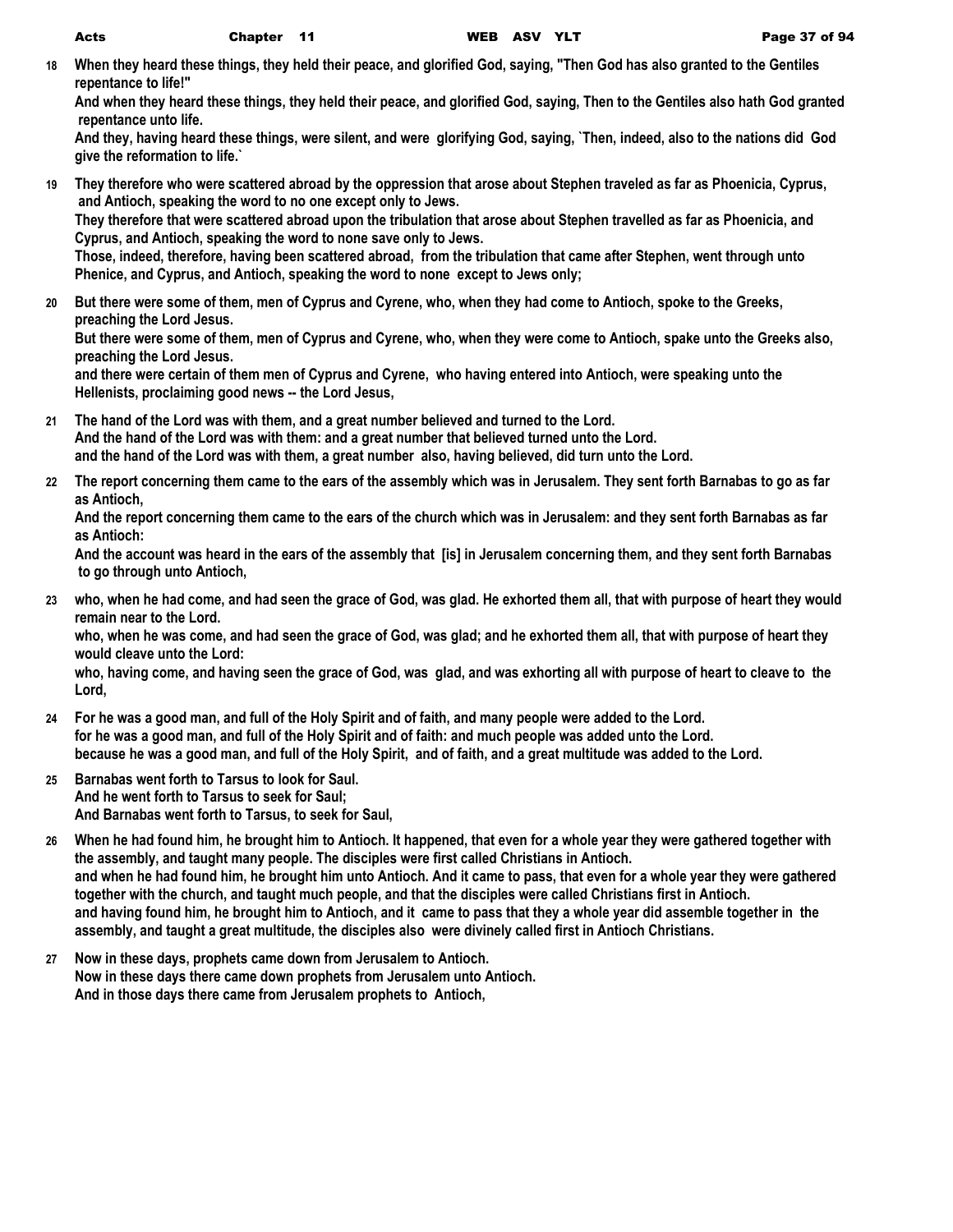**18 When they heard these things, they held their peace, and glorified God, saying, "Then God has also granted to the Gentiles repentance to life!"**

**And when they heard these things, they held their peace, and glorified God, saying, Then to the Gentiles also hath God granted repentance unto life.**

**And they, having heard these things, were silent, and were glorifying God, saying, `Then, indeed, also to the nations did God give the reformation to life.`**

**19 They therefore who were scattered abroad by the oppression that arose about Stephen traveled as far as Phoenicia, Cyprus, and Antioch, speaking the word to no one except only to Jews. They therefore that were scattered abroad upon the tribulation that arose about Stephen travelled as far as Phoenicia, and Cyprus, and Antioch, speaking the word to none save only to Jews.**

**Those, indeed, therefore, having been scattered abroad, from the tribulation that came after Stephen, went through unto Phenice, and Cyprus, and Antioch, speaking the word to none except to Jews only;**

**20 But there were some of them, men of Cyprus and Cyrene, who, when they had come to Antioch, spoke to the Greeks, preaching the Lord Jesus.**

**But there were some of them, men of Cyprus and Cyrene, who, when they were come to Antioch, spake unto the Greeks also, preaching the Lord Jesus.**

**and there were certain of them men of Cyprus and Cyrene, who having entered into Antioch, were speaking unto the Hellenists, proclaiming good news -- the Lord Jesus,**

- **21 The hand of the Lord was with them, and a great number believed and turned to the Lord. And the hand of the Lord was with them: and a great number that believed turned unto the Lord. and the hand of the Lord was with them, a great number also, having believed, did turn unto the Lord.**
- **22 The report concerning them came to the ears of the assembly which was in Jerusalem. They sent forth Barnabas to go as far as Antioch,**

**And the report concerning them came to the ears of the church which was in Jerusalem: and they sent forth Barnabas as far as Antioch:**

**And the account was heard in the ears of the assembly that [is] in Jerusalem concerning them, and they sent forth Barnabas to go through unto Antioch,**

**23 who, when he had come, and had seen the grace of God, was glad. He exhorted them all, that with purpose of heart they would remain near to the Lord.**

**who, when he was come, and had seen the grace of God, was glad; and he exhorted them all, that with purpose of heart they would cleave unto the Lord:**

**who, having come, and having seen the grace of God, was glad, and was exhorting all with purpose of heart to cleave to the Lord,**

- **24 For he was a good man, and full of the Holy Spirit and of faith, and many people were added to the Lord. for he was a good man, and full of the Holy Spirit and of faith: and much people was added unto the Lord. because he was a good man, and full of the Holy Spirit, and of faith, and a great multitude was added to the Lord.**
- **25 Barnabas went forth to Tarsus to look for Saul. And he went forth to Tarsus to seek for Saul; And Barnabas went forth to Tarsus, to seek for Saul,**
- **26 When he had found him, he brought him to Antioch. It happened, that even for a whole year they were gathered together with the assembly, and taught many people. The disciples were first called Christians in Antioch. and when he had found him, he brought him unto Antioch. And it came to pass, that even for a whole year they were gathered together with the church, and taught much people, and that the disciples were called Christians first in Antioch. and having found him, he brought him to Antioch, and it came to pass that they a whole year did assemble together in the assembly, and taught a great multitude, the disciples also were divinely called first in Antioch Christians.**
- **27 Now in these days, prophets came down from Jerusalem to Antioch. Now in these days there came down prophets from Jerusalem unto Antioch. And in those days there came from Jerusalem prophets to Antioch,**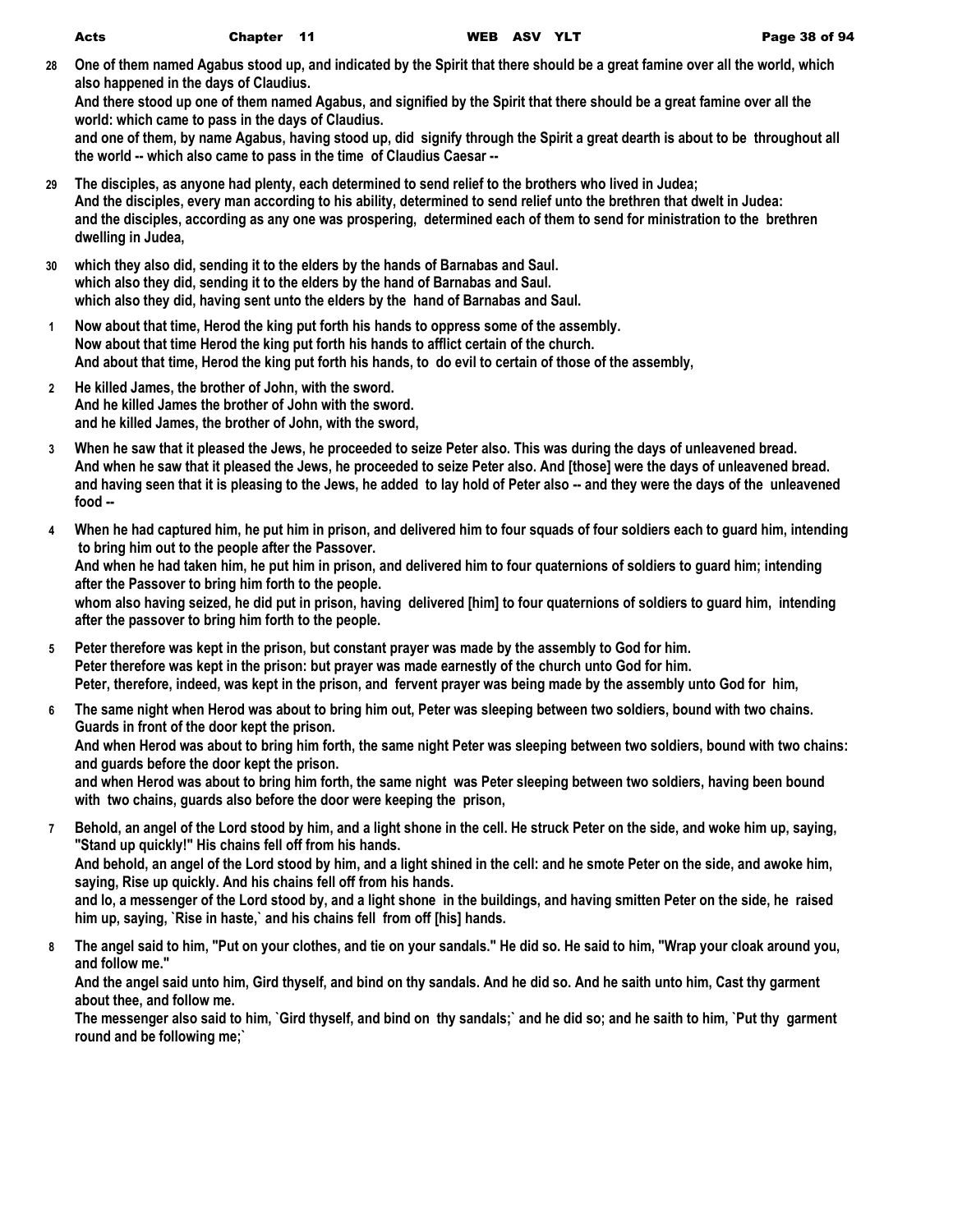**28 One of them named Agabus stood up, and indicated by the Spirit that there should be a great famine over all the world, which also happened in the days of Claudius.**

**And there stood up one of them named Agabus, and signified by the Spirit that there should be a great famine over all the world: which came to pass in the days of Claudius.**

**and one of them, by name Agabus, having stood up, did signify through the Spirit a great dearth is about to be throughout all the world -- which also came to pass in the time of Claudius Caesar --**

- **29 The disciples, as anyone had plenty, each determined to send relief to the brothers who lived in Judea; And the disciples, every man according to his ability, determined to send relief unto the brethren that dwelt in Judea: and the disciples, according as any one was prospering, determined each of them to send for ministration to the brethren dwelling in Judea,**
- **30 which they also did, sending it to the elders by the hands of Barnabas and Saul. which also they did, sending it to the elders by the hand of Barnabas and Saul. which also they did, having sent unto the elders by the hand of Barnabas and Saul.**
- **1 Now about that time, Herod the king put forth his hands to oppress some of the assembly. Now about that time Herod the king put forth his hands to afflict certain of the church. And about that time, Herod the king put forth his hands, to do evil to certain of those of the assembly,**
- **2 He killed James, the brother of John, with the sword. And he killed James the brother of John with the sword. and he killed James, the brother of John, with the sword,**
- **3 When he saw that it pleased the Jews, he proceeded to seize Peter also. This was during the days of unleavened bread. And when he saw that it pleased the Jews, he proceeded to seize Peter also. And [those] were the days of unleavened bread. and having seen that it is pleasing to the Jews, he added to lay hold of Peter also -- and they were the days of the unleavened food --**
- **4 When he had captured him, he put him in prison, and delivered him to four squads of four soldiers each to guard him, intending to bring him out to the people after the Passover. And when he had taken him, he put him in prison, and delivered him to four quaternions of soldiers to guard him; intending after the Passover to bring him forth to the people. whom also having seized, he did put in prison, having delivered [him] to four quaternions of soldiers to guard him, intending after the passover to bring him forth to the people.**
- **5 Peter therefore was kept in the prison, but constant prayer was made by the assembly to God for him. Peter therefore was kept in the prison: but prayer was made earnestly of the church unto God for him. Peter, therefore, indeed, was kept in the prison, and fervent prayer was being made by the assembly unto God for him,**
- **6 The same night when Herod was about to bring him out, Peter was sleeping between two soldiers, bound with two chains. Guards in front of the door kept the prison. And when Herod was about to bring him forth, the same night Peter was sleeping between two soldiers, bound with two chains: and guards before the door kept the prison. and when Herod was about to bring him forth, the same night was Peter sleeping between two soldiers, having been bound**

**with two chains, guards also before the door were keeping the prison,**

**7 Behold, an angel of the Lord stood by him, and a light shone in the cell. He struck Peter on the side, and woke him up, saying, "Stand up quickly!" His chains fell off from his hands.**

**And behold, an angel of the Lord stood by him, and a light shined in the cell: and he smote Peter on the side, and awoke him, saying, Rise up quickly. And his chains fell off from his hands.**

**and lo, a messenger of the Lord stood by, and a light shone in the buildings, and having smitten Peter on the side, he raised him up, saying, `Rise in haste,` and his chains fell from off [his] hands.**

**8 The angel said to him, "Put on your clothes, and tie on your sandals." He did so. He said to him, "Wrap your cloak around you, and follow me."**

**And the angel said unto him, Gird thyself, and bind on thy sandals. And he did so. And he saith unto him, Cast thy garment about thee, and follow me.**

**The messenger also said to him, `Gird thyself, and bind on thy sandals;` and he did so; and he saith to him, `Put thy garment round and be following me;`**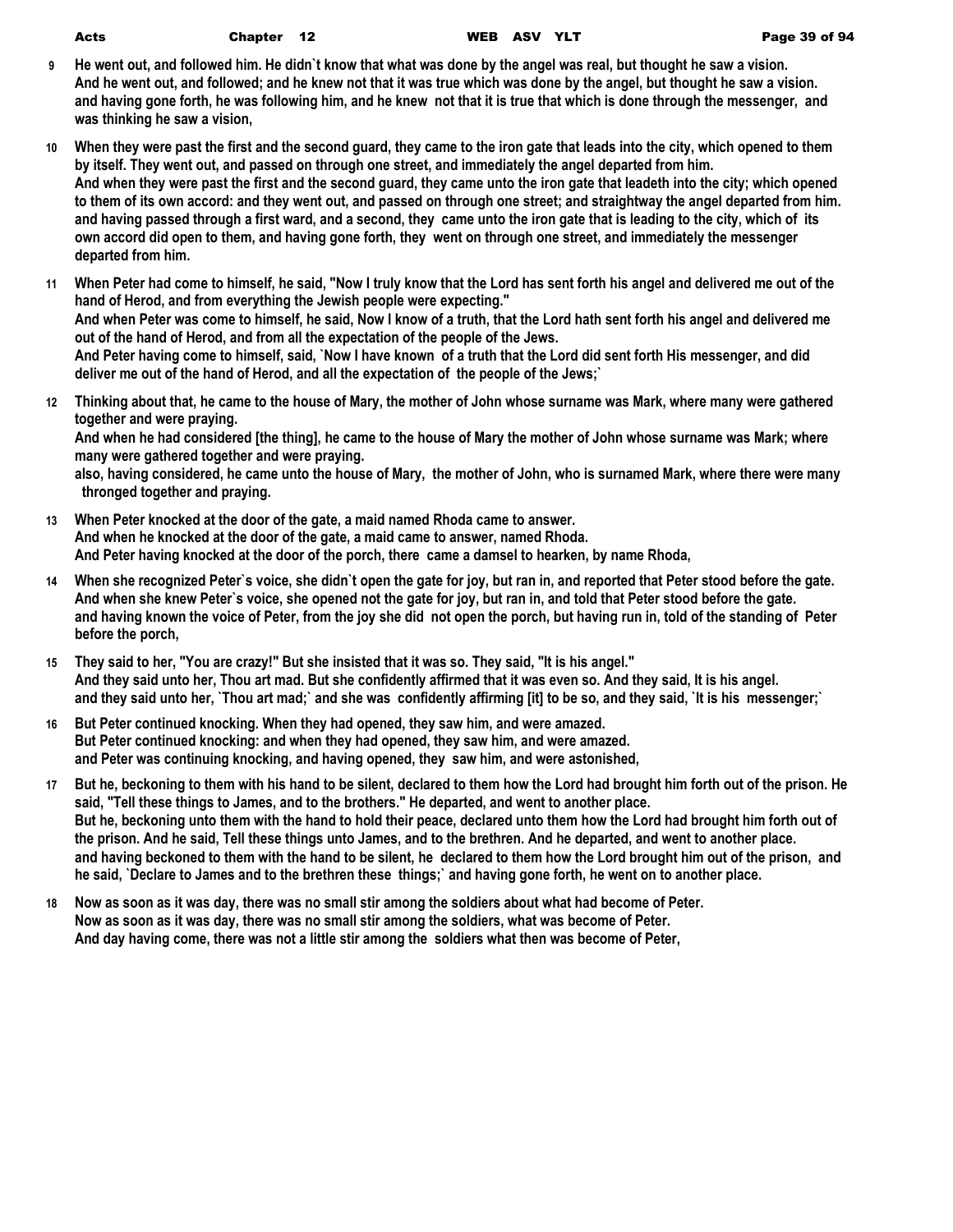- **9 He went out, and followed him. He didn`t know that what was done by the angel was real, but thought he saw a vision. And he went out, and followed; and he knew not that it was true which was done by the angel, but thought he saw a vision. and having gone forth, he was following him, and he knew not that it is true that which is done through the messenger, and was thinking he saw a vision,**
- **10 When they were past the first and the second guard, they came to the iron gate that leads into the city, which opened to them by itself. They went out, and passed on through one street, and immediately the angel departed from him. And when they were past the first and the second guard, they came unto the iron gate that leadeth into the city; which opened to them of its own accord: and they went out, and passed on through one street; and straightway the angel departed from him. and having passed through a first ward, and a second, they came unto the iron gate that is leading to the city, which of its own accord did open to them, and having gone forth, they went on through one street, and immediately the messenger departed from him.**
- **11 When Peter had come to himself, he said, "Now I truly know that the Lord has sent forth his angel and delivered me out of the hand of Herod, and from everything the Jewish people were expecting." And when Peter was come to himself, he said, Now I know of a truth, that the Lord hath sent forth his angel and delivered me out of the hand of Herod, and from all the expectation of the people of the Jews. And Peter having come to himself, said, `Now I have known of a truth that the Lord did sent forth His messenger, and did deliver me out of the hand of Herod, and all the expectation of the people of the Jews;`**
- **12 Thinking about that, he came to the house of Mary, the mother of John whose surname was Mark, where many were gathered together and were praying.**

**And when he had considered [the thing], he came to the house of Mary the mother of John whose surname was Mark; where many were gathered together and were praying.**

**also, having considered, he came unto the house of Mary, the mother of John, who is surnamed Mark, where there were many thronged together and praying.**

- **13 When Peter knocked at the door of the gate, a maid named Rhoda came to answer. And when he knocked at the door of the gate, a maid came to answer, named Rhoda. And Peter having knocked at the door of the porch, there came a damsel to hearken, by name Rhoda,**
- **14 When she recognized Peter`s voice, she didn`t open the gate for joy, but ran in, and reported that Peter stood before the gate. And when she knew Peter`s voice, she opened not the gate for joy, but ran in, and told that Peter stood before the gate. and having known the voice of Peter, from the joy she did not open the porch, but having run in, told of the standing of Peter before the porch,**
- **15 They said to her, "You are crazy!" But she insisted that it was so. They said, "It is his angel." And they said unto her, Thou art mad. But she confidently affirmed that it was even so. And they said, It is his angel. and they said unto her, `Thou art mad;` and she was confidently affirming [it] to be so, and they said, `It is his messenger;`**
- **16 But Peter continued knocking. When they had opened, they saw him, and were amazed. But Peter continued knocking: and when they had opened, they saw him, and were amazed. and Peter was continuing knocking, and having opened, they saw him, and were astonished,**
- **17 But he, beckoning to them with his hand to be silent, declared to them how the Lord had brought him forth out of the prison. He said, "Tell these things to James, and to the brothers." He departed, and went to another place. But he, beckoning unto them with the hand to hold their peace, declared unto them how the Lord had brought him forth out of the prison. And he said, Tell these things unto James, and to the brethren. And he departed, and went to another place. and having beckoned to them with the hand to be silent, he declared to them how the Lord brought him out of the prison, and he said, `Declare to James and to the brethren these things;` and having gone forth, he went on to another place.**
- **18 Now as soon as it was day, there was no small stir among the soldiers about what had become of Peter. Now as soon as it was day, there was no small stir among the soldiers, what was become of Peter. And day having come, there was not a little stir among the soldiers what then was become of Peter,**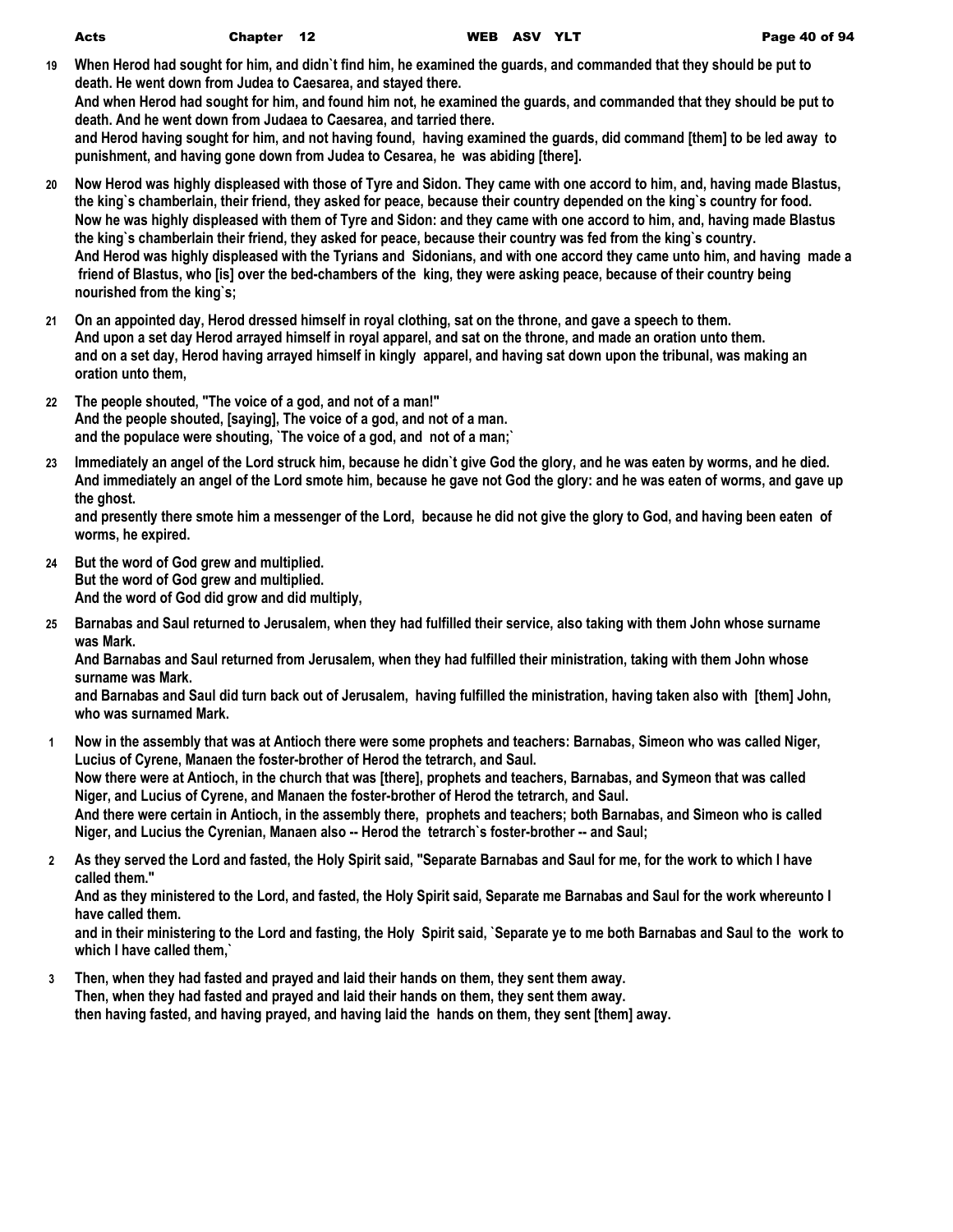| Acts | Chapter 12 |
|------|------------|
|------|------------|

**19 When Herod had sought for him, and didn`t find him, he examined the guards, and commanded that they should be put to death. He went down from Judea to Caesarea, and stayed there. And when Herod had sought for him, and found him not, he examined the guards, and commanded that they should be put to death. And he went down from Judaea to Caesarea, and tarried there.**

**and Herod having sought for him, and not having found, having examined the guards, did command [them] to be led away to punishment, and having gone down from Judea to Cesarea, he was abiding [there].**

- **20 Now Herod was highly displeased with those of Tyre and Sidon. They came with one accord to him, and, having made Blastus, the king`s chamberlain, their friend, they asked for peace, because their country depended on the king`s country for food. Now he was highly displeased with them of Tyre and Sidon: and they came with one accord to him, and, having made Blastus the king`s chamberlain their friend, they asked for peace, because their country was fed from the king`s country. And Herod was highly displeased with the Tyrians and Sidonians, and with one accord they came unto him, and having made a friend of Blastus, who [is] over the bed-chambers of the king, they were asking peace, because of their country being nourished from the king`s;**
- **21 On an appointed day, Herod dressed himself in royal clothing, sat on the throne, and gave a speech to them. And upon a set day Herod arrayed himself in royal apparel, and sat on the throne, and made an oration unto them. and on a set day, Herod having arrayed himself in kingly apparel, and having sat down upon the tribunal, was making an oration unto them,**
- **22 The people shouted, "The voice of a god, and not of a man!" And the people shouted, [saying], The voice of a god, and not of a man. and the populace were shouting, `The voice of a god, and not of a man;`**
- **23 Immediately an angel of the Lord struck him, because he didn`t give God the glory, and he was eaten by worms, and he died. And immediately an angel of the Lord smote him, because he gave not God the glory: and he was eaten of worms, and gave up the ghost.**

**and presently there smote him a messenger of the Lord, because he did not give the glory to God, and having been eaten of worms, he expired.**

- **24 But the word of God grew and multiplied. But the word of God grew and multiplied. And the word of God did grow and did multiply,**
- **25 Barnabas and Saul returned to Jerusalem, when they had fulfilled their service, also taking with them John whose surname was Mark.**

**And Barnabas and Saul returned from Jerusalem, when they had fulfilled their ministration, taking with them John whose surname was Mark.**

**and Barnabas and Saul did turn back out of Jerusalem, having fulfilled the ministration, having taken also with [them] John, who was surnamed Mark.**

- **1 Now in the assembly that was at Antioch there were some prophets and teachers: Barnabas, Simeon who was called Niger, Lucius of Cyrene, Manaen the foster-brother of Herod the tetrarch, and Saul. Now there were at Antioch, in the church that was [there], prophets and teachers, Barnabas, and Symeon that was called Niger, and Lucius of Cyrene, and Manaen the foster-brother of Herod the tetrarch, and Saul. And there were certain in Antioch, in the assembly there, prophets and teachers; both Barnabas, and Simeon who is called Niger, and Lucius the Cyrenian, Manaen also -- Herod the tetrarch`s foster-brother -- and Saul;**
- **2 As they served the Lord and fasted, the Holy Spirit said, "Separate Barnabas and Saul for me, for the work to which I have called them."**

**And as they ministered to the Lord, and fasted, the Holy Spirit said, Separate me Barnabas and Saul for the work whereunto I have called them.**

**and in their ministering to the Lord and fasting, the Holy Spirit said, `Separate ye to me both Barnabas and Saul to the work to which I have called them,`**

**3 Then, when they had fasted and prayed and laid their hands on them, they sent them away. Then, when they had fasted and prayed and laid their hands on them, they sent them away. then having fasted, and having prayed, and having laid the hands on them, they sent [them] away.**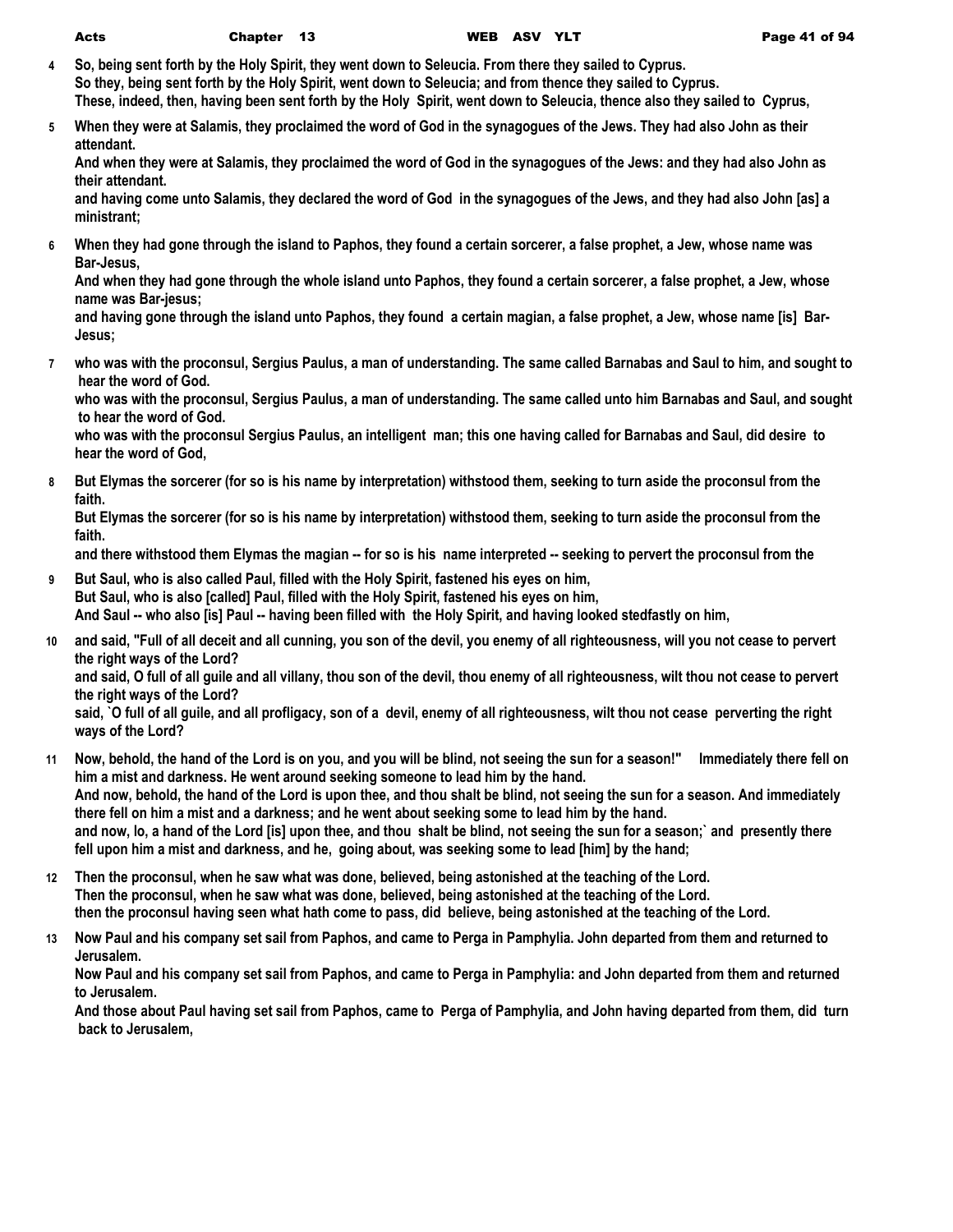- **4 So, being sent forth by the Holy Spirit, they went down to Seleucia. From there they sailed to Cyprus. So they, being sent forth by the Holy Spirit, went down to Seleucia; and from thence they sailed to Cyprus. These, indeed, then, having been sent forth by the Holy Spirit, went down to Seleucia, thence also they sailed to Cyprus,**
- **5 When they were at Salamis, they proclaimed the word of God in the synagogues of the Jews. They had also John as their attendant.**

**And when they were at Salamis, they proclaimed the word of God in the synagogues of the Jews: and they had also John as their attendant.**

**and having come unto Salamis, they declared the word of God in the synagogues of the Jews, and they had also John [as] a ministrant;**

**6 When they had gone through the island to Paphos, they found a certain sorcerer, a false prophet, a Jew, whose name was Bar-Jesus,**

**And when they had gone through the whole island unto Paphos, they found a certain sorcerer, a false prophet, a Jew, whose name was Bar-jesus;**

**and having gone through the island unto Paphos, they found a certain magian, a false prophet, a Jew, whose name [is] Bar-Jesus;**

**7 who was with the proconsul, Sergius Paulus, a man of understanding. The same called Barnabas and Saul to him, and sought to hear the word of God.**

**who was with the proconsul, Sergius Paulus, a man of understanding. The same called unto him Barnabas and Saul, and sought to hear the word of God.**

**who was with the proconsul Sergius Paulus, an intelligent man; this one having called for Barnabas and Saul, did desire to hear the word of God,**

**8 But Elymas the sorcerer (for so is his name by interpretation) withstood them, seeking to turn aside the proconsul from the faith.**

**But Elymas the sorcerer (for so is his name by interpretation) withstood them, seeking to turn aside the proconsul from the faith.**

**and there withstood them Elymas the magian -- for so is his name interpreted -- seeking to pervert the proconsul from the** 

- **9 But Saul, who is also called Paul, filled with the Holy Spirit, fastened his eyes on him, But Saul, who is also [called] Paul, filled with the Holy Spirit, fastened his eyes on him, And Saul -- who also [is] Paul -- having been filled with the Holy Spirit, and having looked stedfastly on him,**
- **10 and said, "Full of all deceit and all cunning, you son of the devil, you enemy of all righteousness, will you not cease to pervert the right ways of the Lord?**

**and said, O full of all guile and all villany, thou son of the devil, thou enemy of all righteousness, wilt thou not cease to pervert the right ways of the Lord?**

**said, `O full of all guile, and all profligacy, son of a devil, enemy of all righteousness, wilt thou not cease perverting the right ways of the Lord?**

- **11 Now, behold, the hand of the Lord is on you, and you will be blind, not seeing the sun for a season!" Immediately there fell on him a mist and darkness. He went around seeking someone to lead him by the hand. And now, behold, the hand of the Lord is upon thee, and thou shalt be blind, not seeing the sun for a season. And immediately there fell on him a mist and a darkness; and he went about seeking some to lead him by the hand. and now, lo, a hand of the Lord [is] upon thee, and thou shalt be blind, not seeing the sun for a season;` and presently there fell upon him a mist and darkness, and he, going about, was seeking some to lead [him] by the hand;**
- **12 Then the proconsul, when he saw what was done, believed, being astonished at the teaching of the Lord. Then the proconsul, when he saw what was done, believed, being astonished at the teaching of the Lord. then the proconsul having seen what hath come to pass, did believe, being astonished at the teaching of the Lord.**
- **13 Now Paul and his company set sail from Paphos, and came to Perga in Pamphylia. John departed from them and returned to Jerusalem.**

**Now Paul and his company set sail from Paphos, and came to Perga in Pamphylia: and John departed from them and returned to Jerusalem.**

**And those about Paul having set sail from Paphos, came to Perga of Pamphylia, and John having departed from them, did turn back to Jerusalem,**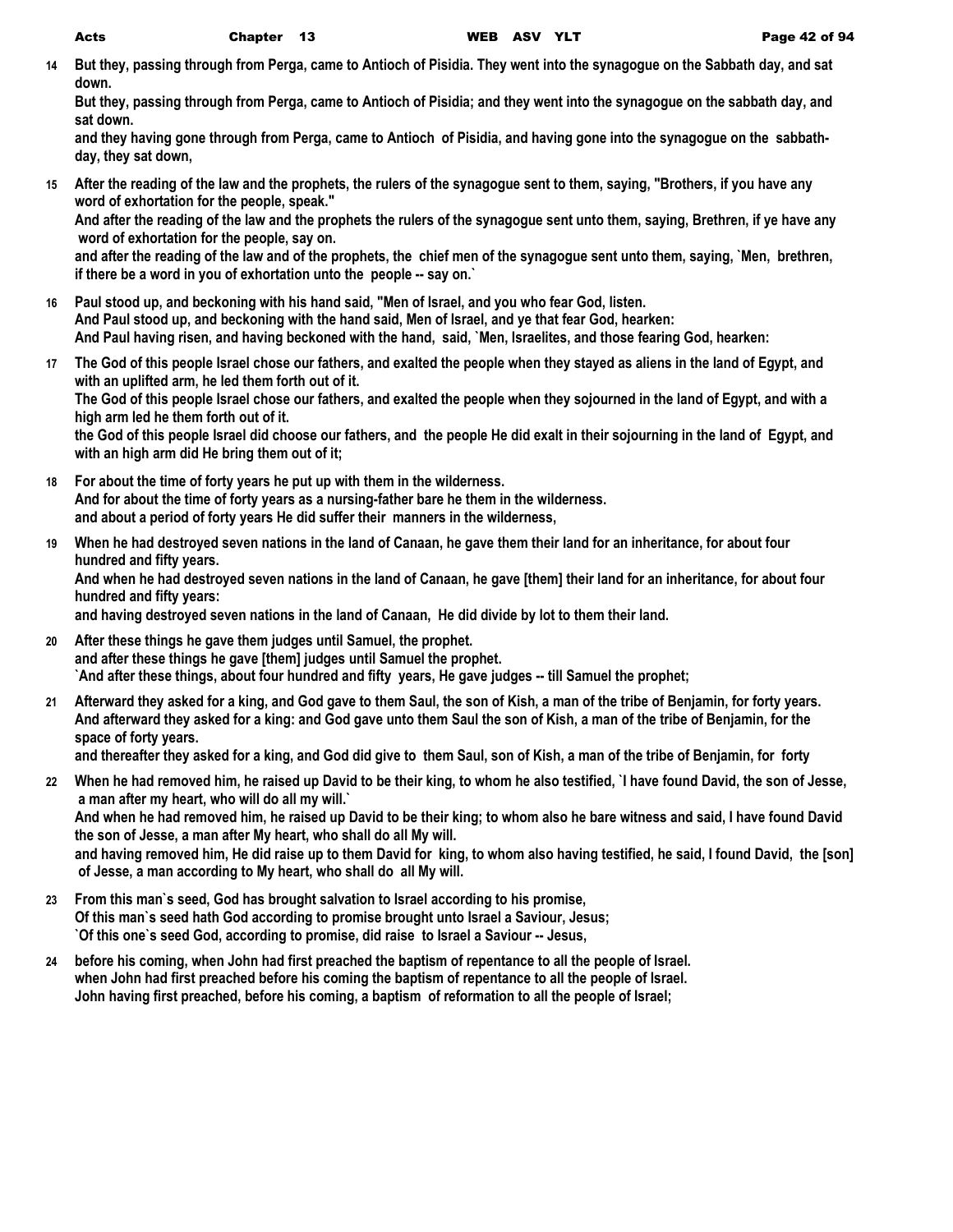**14 But they, passing through from Perga, came to Antioch of Pisidia. They went into the synagogue on the Sabbath day, and sat down.**

**But they, passing through from Perga, came to Antioch of Pisidia; and they went into the synagogue on the sabbath day, and sat down.**

**and they having gone through from Perga, came to Antioch of Pisidia, and having gone into the synagogue on the sabbathday, they sat down,**

**15 After the reading of the law and the prophets, the rulers of the synagogue sent to them, saying, "Brothers, if you have any word of exhortation for the people, speak."**

**And after the reading of the law and the prophets the rulers of the synagogue sent unto them, saying, Brethren, if ye have any word of exhortation for the people, say on.**

**and after the reading of the law and of the prophets, the chief men of the synagogue sent unto them, saying, `Men, brethren, if there be a word in you of exhortation unto the people -- say on.`**

- **16 Paul stood up, and beckoning with his hand said, "Men of Israel, and you who fear God, listen. And Paul stood up, and beckoning with the hand said, Men of Israel, and ye that fear God, hearken: And Paul having risen, and having beckoned with the hand, said, `Men, Israelites, and those fearing God, hearken:**
- **17 The God of this people Israel chose our fathers, and exalted the people when they stayed as aliens in the land of Egypt, and with an uplifted arm, he led them forth out of it. The God of this people Israel chose our fathers, and exalted the people when they sojourned in the land of Egypt, and with a high arm led he them forth out of it. the God of this people Israel did choose our fathers, and the people He did exalt in their sojourning in the land of Egypt, and**

**with an high arm did He bring them out of it;**

- **18 For about the time of forty years he put up with them in the wilderness. And for about the time of forty years as a nursing-father bare he them in the wilderness. and about a period of forty years He did suffer their manners in the wilderness,**
- **19 When he had destroyed seven nations in the land of Canaan, he gave them their land for an inheritance, for about four hundred and fifty years.**

**And when he had destroyed seven nations in the land of Canaan, he gave [them] their land for an inheritance, for about four hundred and fifty years:**

**and having destroyed seven nations in the land of Canaan, He did divide by lot to them their land.**

- **20 After these things he gave them judges until Samuel, the prophet. and after these things he gave [them] judges until Samuel the prophet. `And after these things, about four hundred and fifty years, He gave judges -- till Samuel the prophet;**
- **21 Afterward they asked for a king, and God gave to them Saul, the son of Kish, a man of the tribe of Benjamin, for forty years. And afterward they asked for a king: and God gave unto them Saul the son of Kish, a man of the tribe of Benjamin, for the space of forty years.**

**and thereafter they asked for a king, and God did give to them Saul, son of Kish, a man of the tribe of Benjamin, for forty** 

**22 When he had removed him, he raised up David to be their king, to whom he also testified, `I have found David, the son of Jesse, a man after my heart, who will do all my will.`**

**And when he had removed him, he raised up David to be their king; to whom also he bare witness and said, I have found David the son of Jesse, a man after My heart, who shall do all My will.**

**and having removed him, He did raise up to them David for king, to whom also having testified, he said, I found David, the [son] of Jesse, a man according to My heart, who shall do all My will.**

- **23 From this man`s seed, God has brought salvation to Israel according to his promise, Of this man`s seed hath God according to promise brought unto Israel a Saviour, Jesus; `Of this one`s seed God, according to promise, did raise to Israel a Saviour -- Jesus,**
- **24 before his coming, when John had first preached the baptism of repentance to all the people of Israel. when John had first preached before his coming the baptism of repentance to all the people of Israel. John having first preached, before his coming, a baptism of reformation to all the people of Israel;**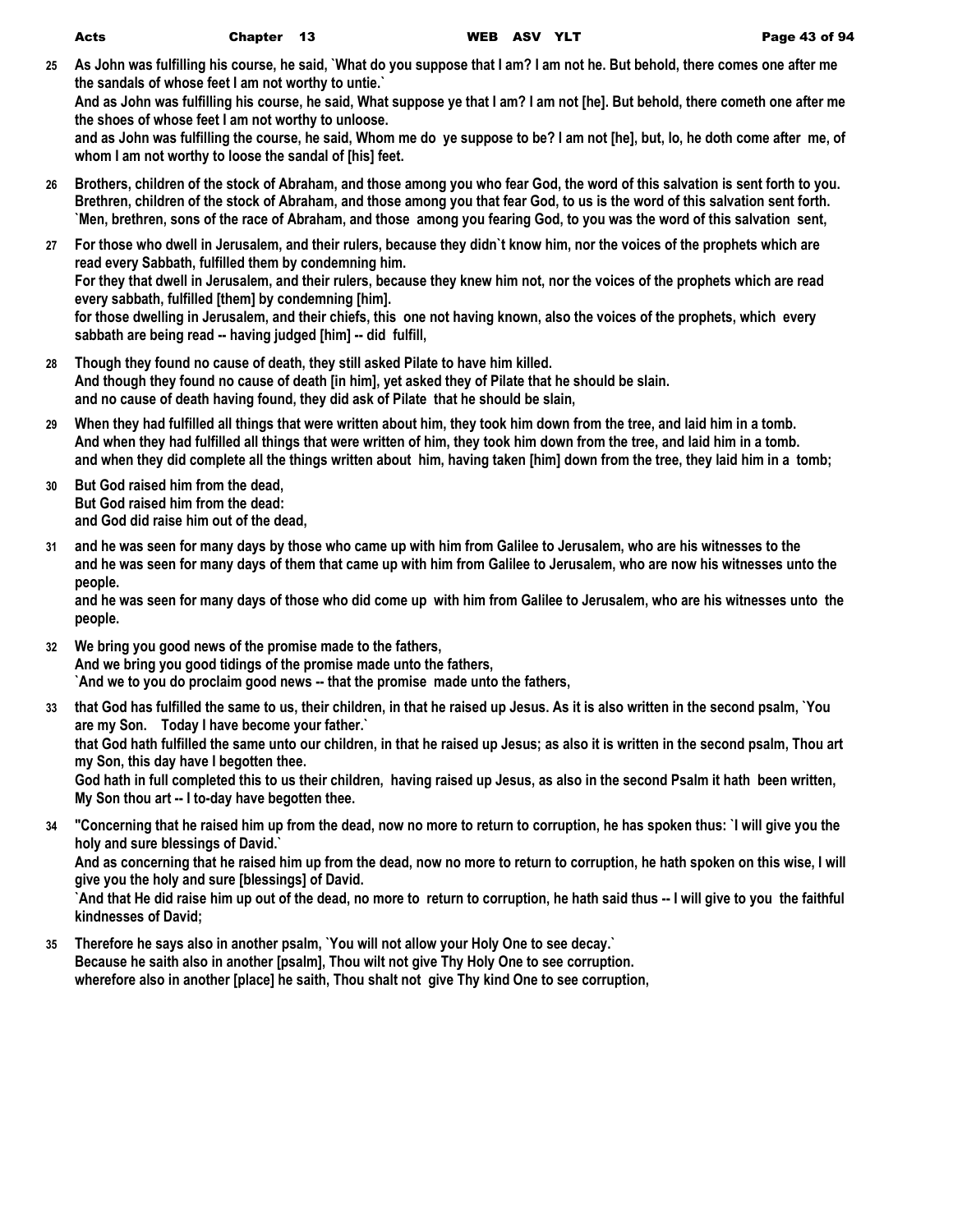**25 As John was fulfilling his course, he said, `What do you suppose that I am? I am not he. But behold, there comes one after me the sandals of whose feet I am not worthy to untie.`**

**And as John was fulfilling his course, he said, What suppose ye that I am? I am not [he]. But behold, there cometh one after me the shoes of whose feet I am not worthy to unloose.**

**and as John was fulfilling the course, he said, Whom me do ye suppose to be? I am not [he], but, lo, he doth come after me, of whom I am not worthy to loose the sandal of [his] feet.**

- **26 Brothers, children of the stock of Abraham, and those among you who fear God, the word of this salvation is sent forth to you. Brethren, children of the stock of Abraham, and those among you that fear God, to us is the word of this salvation sent forth. `Men, brethren, sons of the race of Abraham, and those among you fearing God, to you was the word of this salvation sent,**
- **27 For those who dwell in Jerusalem, and their rulers, because they didn`t know him, nor the voices of the prophets which are read every Sabbath, fulfilled them by condemning him. For they that dwell in Jerusalem, and their rulers, because they knew him not, nor the voices of the prophets which are read every sabbath, fulfilled [them] by condemning [him]. for those dwelling in Jerusalem, and their chiefs, this one not having known, also the voices of the prophets, which every sabbath are being read -- having judged [him] -- did fulfill,**
- **28 Though they found no cause of death, they still asked Pilate to have him killed. And though they found no cause of death [in him], yet asked they of Pilate that he should be slain. and no cause of death having found, they did ask of Pilate that he should be slain,**
- **29 When they had fulfilled all things that were written about him, they took him down from the tree, and laid him in a tomb. And when they had fulfilled all things that were written of him, they took him down from the tree, and laid him in a tomb. and when they did complete all the things written about him, having taken [him] down from the tree, they laid him in a tomb;**
- **30 But God raised him from the dead, But God raised him from the dead: and God did raise him out of the dead,**
- **31 and he was seen for many days by those who came up with him from Galilee to Jerusalem, who are his witnesses to the and he was seen for many days of them that came up with him from Galilee to Jerusalem, who are now his witnesses unto the people.**

**and he was seen for many days of those who did come up with him from Galilee to Jerusalem, who are his witnesses unto the people.**

- **32 We bring you good news of the promise made to the fathers, And we bring you good tidings of the promise made unto the fathers, `And we to you do proclaim good news -- that the promise made unto the fathers,**
- **33 that God has fulfilled the same to us, their children, in that he raised up Jesus. As it is also written in the second psalm, `You are my Son. Today I have become your father.` that God hath fulfilled the same unto our children, in that he raised up Jesus; as also it is written in the second psalm, Thou art**

**my Son, this day have I begotten thee.**

**God hath in full completed this to us their children, having raised up Jesus, as also in the second Psalm it hath been written, My Son thou art -- I to-day have begotten thee.**

**34 "Concerning that he raised him up from the dead, now no more to return to corruption, he has spoken thus: `I will give you the holy and sure blessings of David.`**

**And as concerning that he raised him up from the dead, now no more to return to corruption, he hath spoken on this wise, I will give you the holy and sure [blessings] of David.**

**`And that He did raise him up out of the dead, no more to return to corruption, he hath said thus -- I will give to you the faithful kindnesses of David;**

**35 Therefore he says also in another psalm, `You will not allow your Holy One to see decay.` Because he saith also in another [psalm], Thou wilt not give Thy Holy One to see corruption. wherefore also in another [place] he saith, Thou shalt not give Thy kind One to see corruption,**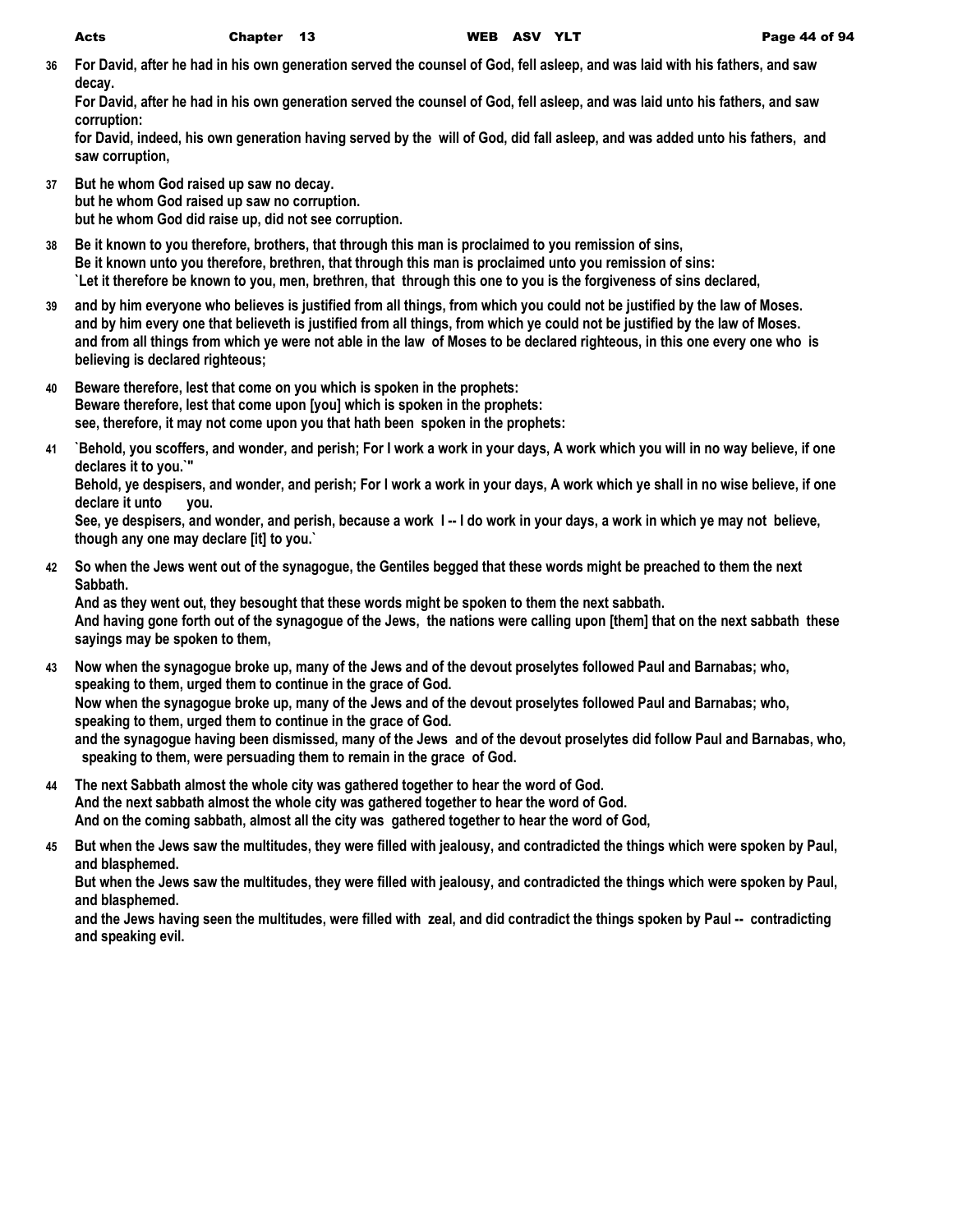**36 For David, after he had in his own generation served the counsel of God, fell asleep, and was laid with his fathers, and saw decay.**

**For David, after he had in his own generation served the counsel of God, fell asleep, and was laid unto his fathers, and saw corruption:**

**for David, indeed, his own generation having served by the will of God, did fall asleep, and was added unto his fathers, and saw corruption,**

- **37 But he whom God raised up saw no decay. but he whom God raised up saw no corruption. but he whom God did raise up, did not see corruption.**
- **38 Be it known to you therefore, brothers, that through this man is proclaimed to you remission of sins, Be it known unto you therefore, brethren, that through this man is proclaimed unto you remission of sins: `Let it therefore be known to you, men, brethren, that through this one to you is the forgiveness of sins declared,**
- **39 and by him everyone who believes is justified from all things, from which you could not be justified by the law of Moses. and by him every one that believeth is justified from all things, from which ye could not be justified by the law of Moses. and from all things from which ye were not able in the law of Moses to be declared righteous, in this one every one who is believing is declared righteous;**
- **40 Beware therefore, lest that come on you which is spoken in the prophets: Beware therefore, lest that come upon [you] which is spoken in the prophets: see, therefore, it may not come upon you that hath been spoken in the prophets:**
- **41 `Behold, you scoffers, and wonder, and perish; For I work a work in your days, A work which you will in no way believe, if one declares it to you.`"**

**Behold, ye despisers, and wonder, and perish; For I work a work in your days, A work which ye shall in no wise believe, if one declare it unto you.**

**See, ye despisers, and wonder, and perish, because a work I -- I do work in your days, a work in which ye may not believe, though any one may declare [it] to you.`**

**42 So when the Jews went out of the synagogue, the Gentiles begged that these words might be preached to them the next Sabbath.**

**And as they went out, they besought that these words might be spoken to them the next sabbath. And having gone forth out of the synagogue of the Jews, the nations were calling upon [them] that on the next sabbath these sayings may be spoken to them,**

- **43 Now when the synagogue broke up, many of the Jews and of the devout proselytes followed Paul and Barnabas; who, speaking to them, urged them to continue in the grace of God. Now when the synagogue broke up, many of the Jews and of the devout proselytes followed Paul and Barnabas; who, speaking to them, urged them to continue in the grace of God. and the synagogue having been dismissed, many of the Jews and of the devout proselytes did follow Paul and Barnabas, who, speaking to them, were persuading them to remain in the grace of God.**
- **44 The next Sabbath almost the whole city was gathered together to hear the word of God. And the next sabbath almost the whole city was gathered together to hear the word of God. And on the coming sabbath, almost all the city was gathered together to hear the word of God,**
- **45 But when the Jews saw the multitudes, they were filled with jealousy, and contradicted the things which were spoken by Paul, and blasphemed.**

**But when the Jews saw the multitudes, they were filled with jealousy, and contradicted the things which were spoken by Paul, and blasphemed.**

**and the Jews having seen the multitudes, were filled with zeal, and did contradict the things spoken by Paul -- contradicting and speaking evil.**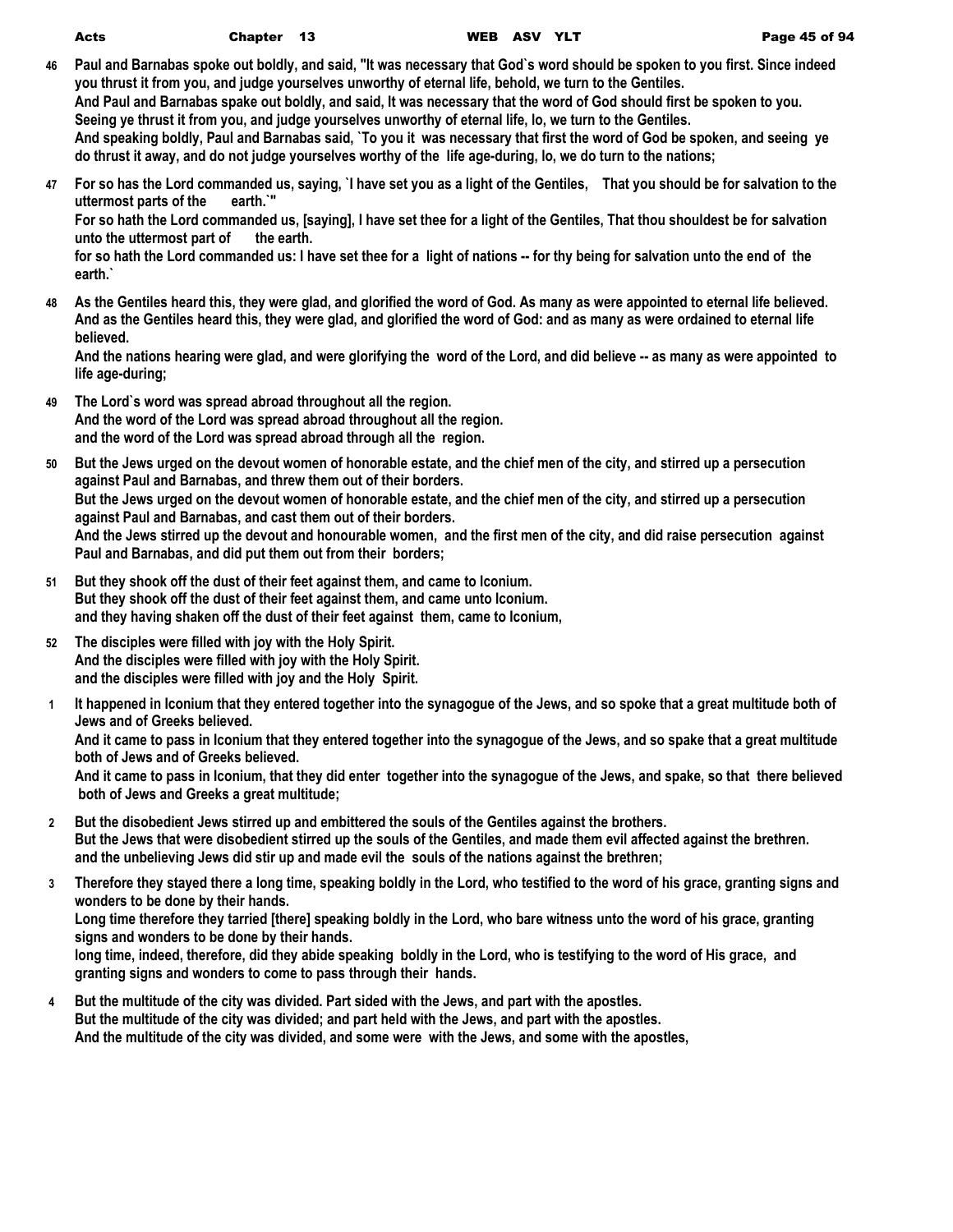**earth.`**

- **46 Paul and Barnabas spoke out boldly, and said, "It was necessary that God`s word should be spoken to you first. Since indeed you thrust it from you, and judge yourselves unworthy of eternal life, behold, we turn to the Gentiles. And Paul and Barnabas spake out boldly, and said, It was necessary that the word of God should first be spoken to you. Seeing ye thrust it from you, and judge yourselves unworthy of eternal life, lo, we turn to the Gentiles. And speaking boldly, Paul and Barnabas said, `To you it was necessary that first the word of God be spoken, and seeing ye do thrust it away, and do not judge yourselves worthy of the life age-during, lo, we do turn to the nations;**
- **47 For so has the Lord commanded us, saying, `I have set you as a light of the Gentiles, That you should be for salvation to the uttermost parts of the earth.`" For so hath the Lord commanded us, [saying], I have set thee for a light of the Gentiles, That thou shouldest be for salvation**  unto the uttermost part of the earth. **for so hath the Lord commanded us: I have set thee for a light of nations -- for thy being for salvation unto the end of the**
- **48 As the Gentiles heard this, they were glad, and glorified the word of God. As many as were appointed to eternal life believed. And as the Gentiles heard this, they were glad, and glorified the word of God: and as many as were ordained to eternal life believed.**

**And the nations hearing were glad, and were glorifying the word of the Lord, and did believe -- as many as were appointed to life age-during;**

- **49 The Lord`s word was spread abroad throughout all the region. And the word of the Lord was spread abroad throughout all the region. and the word of the Lord was spread abroad through all the region.**
- **50 But the Jews urged on the devout women of honorable estate, and the chief men of the city, and stirred up a persecution against Paul and Barnabas, and threw them out of their borders. But the Jews urged on the devout women of honorable estate, and the chief men of the city, and stirred up a persecution against Paul and Barnabas, and cast them out of their borders. And the Jews stirred up the devout and honourable women, and the first men of the city, and did raise persecution against Paul and Barnabas, and did put them out from their borders;**
- **51 But they shook off the dust of their feet against them, and came to Iconium. But they shook off the dust of their feet against them, and came unto Iconium. and they having shaken off the dust of their feet against them, came to Iconium,**
- **52 The disciples were filled with joy with the Holy Spirit. And the disciples were filled with joy with the Holy Spirit. and the disciples were filled with joy and the Holy Spirit.**
- **1 It happened in Iconium that they entered together into the synagogue of the Jews, and so spoke that a great multitude both of Jews and of Greeks believed.**

**And it came to pass in Iconium that they entered together into the synagogue of the Jews, and so spake that a great multitude both of Jews and of Greeks believed.**

**And it came to pass in Iconium, that they did enter together into the synagogue of the Jews, and spake, so that there believed both of Jews and Greeks a great multitude;**

- **2 But the disobedient Jews stirred up and embittered the souls of the Gentiles against the brothers. But the Jews that were disobedient stirred up the souls of the Gentiles, and made them evil affected against the brethren. and the unbelieving Jews did stir up and made evil the souls of the nations against the brethren;**
- **3 Therefore they stayed there a long time, speaking boldly in the Lord, who testified to the word of his grace, granting signs and wonders to be done by their hands.**

**Long time therefore they tarried [there] speaking boldly in the Lord, who bare witness unto the word of his grace, granting signs and wonders to be done by their hands.**

**long time, indeed, therefore, did they abide speaking boldly in the Lord, who is testifying to the word of His grace, and granting signs and wonders to come to pass through their hands.**

**4 But the multitude of the city was divided. Part sided with the Jews, and part with the apostles. But the multitude of the city was divided; and part held with the Jews, and part with the apostles. And the multitude of the city was divided, and some were with the Jews, and some with the apostles,**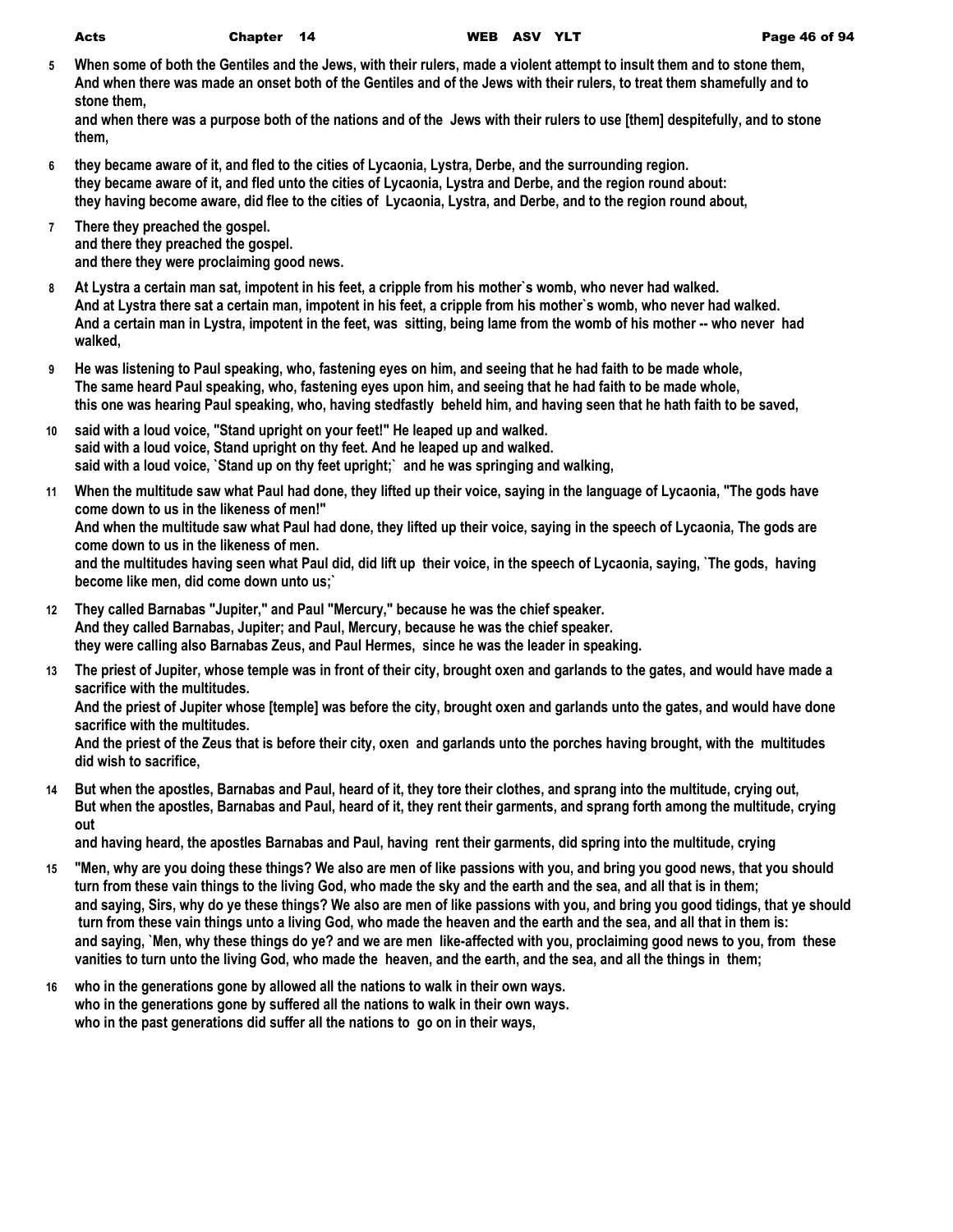**5 When some of both the Gentiles and the Jews, with their rulers, made a violent attempt to insult them and to stone them, And when there was made an onset both of the Gentiles and of the Jews with their rulers, to treat them shamefully and to stone them,**

**and when there was a purpose both of the nations and of the Jews with their rulers to use [them] despitefully, and to stone them,**

- **6 they became aware of it, and fled to the cities of Lycaonia, Lystra, Derbe, and the surrounding region. they became aware of it, and fled unto the cities of Lycaonia, Lystra and Derbe, and the region round about: they having become aware, did flee to the cities of Lycaonia, Lystra, and Derbe, and to the region round about,**
- **7 There they preached the gospel. and there they preached the gospel. and there they were proclaiming good news.**
- **8 At Lystra a certain man sat, impotent in his feet, a cripple from his mother`s womb, who never had walked. And at Lystra there sat a certain man, impotent in his feet, a cripple from his mother`s womb, who never had walked. And a certain man in Lystra, impotent in the feet, was sitting, being lame from the womb of his mother -- who never had walked,**
- **9 He was listening to Paul speaking, who, fastening eyes on him, and seeing that he had faith to be made whole, The same heard Paul speaking, who, fastening eyes upon him, and seeing that he had faith to be made whole, this one was hearing Paul speaking, who, having stedfastly beheld him, and having seen that he hath faith to be saved,**
- **10 said with a loud voice, "Stand upright on your feet!" He leaped up and walked. said with a loud voice, Stand upright on thy feet. And he leaped up and walked. said with a loud voice, `Stand up on thy feet upright;` and he was springing and walking,**
- **11 When the multitude saw what Paul had done, they lifted up their voice, saying in the language of Lycaonia, "The gods have come down to us in the likeness of men!" And when the multitude saw what Paul had done, they lifted up their voice, saying in the speech of Lycaonia, The gods are come down to us in the likeness of men. and the multitudes having seen what Paul did, did lift up their voice, in the speech of Lycaonia, saying, `The gods, having become like men, did come down unto us;`**
- **12 They called Barnabas "Jupiter," and Paul "Mercury," because he was the chief speaker. And they called Barnabas, Jupiter; and Paul, Mercury, because he was the chief speaker. they were calling also Barnabas Zeus, and Paul Hermes, since he was the leader in speaking.**
- **13 The priest of Jupiter, whose temple was in front of their city, brought oxen and garlands to the gates, and would have made a sacrifice with the multitudes.**

**And the priest of Jupiter whose [temple] was before the city, brought oxen and garlands unto the gates, and would have done sacrifice with the multitudes.**

**And the priest of the Zeus that is before their city, oxen and garlands unto the porches having brought, with the multitudes did wish to sacrifice,**

**14 But when the apostles, Barnabas and Paul, heard of it, they tore their clothes, and sprang into the multitude, crying out, But when the apostles, Barnabas and Paul, heard of it, they rent their garments, and sprang forth among the multitude, crying out**

**and having heard, the apostles Barnabas and Paul, having rent their garments, did spring into the multitude, crying**

- **15 "Men, why are you doing these things? We also are men of like passions with you, and bring you good news, that you should turn from these vain things to the living God, who made the sky and the earth and the sea, and all that is in them; and saying, Sirs, why do ye these things? We also are men of like passions with you, and bring you good tidings, that ye should turn from these vain things unto a living God, who made the heaven and the earth and the sea, and all that in them is: and saying, `Men, why these things do ye? and we are men like-affected with you, proclaiming good news to you, from these vanities to turn unto the living God, who made the heaven, and the earth, and the sea, and all the things in them;**
- **16 who in the generations gone by allowed all the nations to walk in their own ways. who in the generations gone by suffered all the nations to walk in their own ways. who in the past generations did suffer all the nations to go on in their ways,**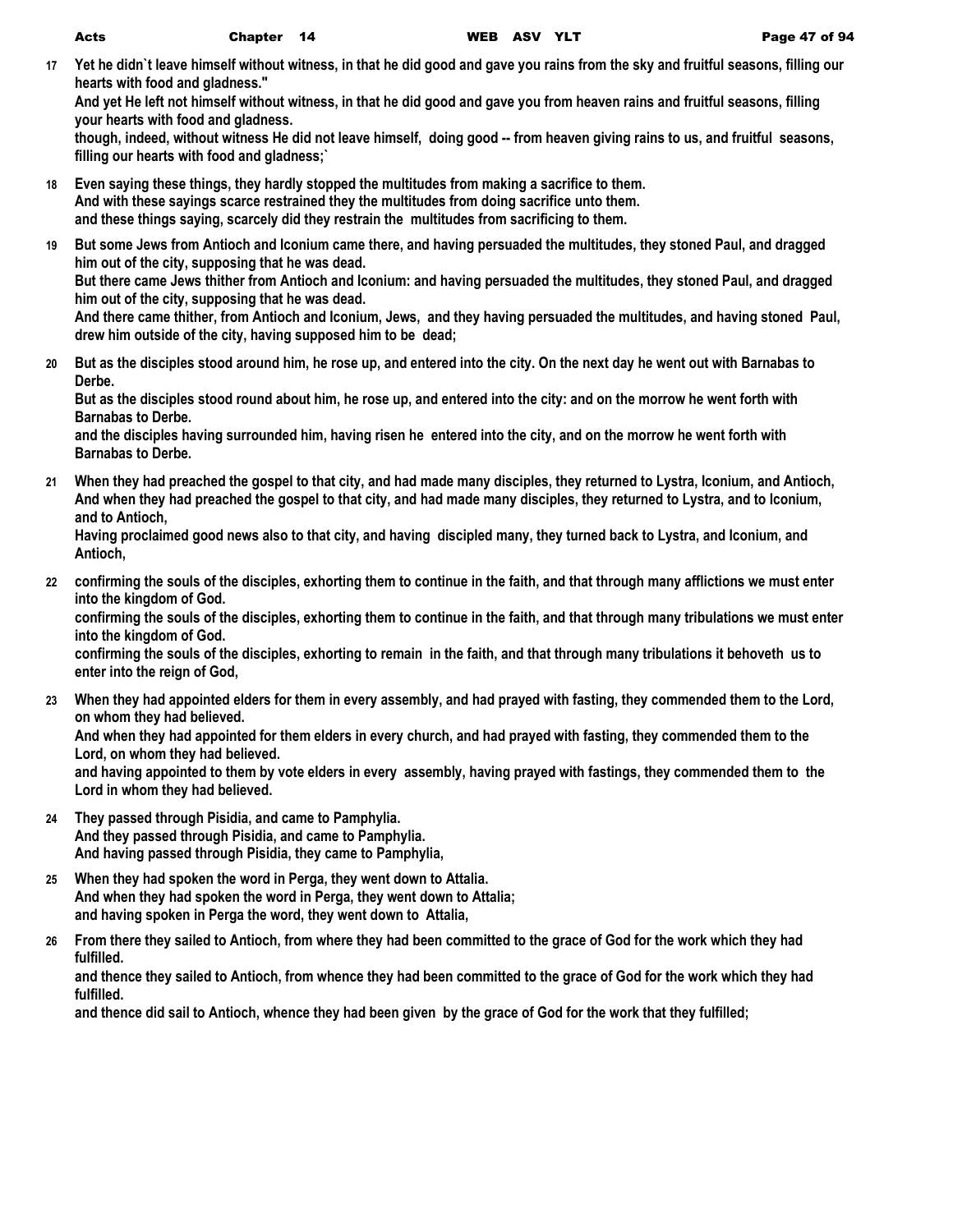**17 Yet he didn`t leave himself without witness, in that he did good and gave you rains from the sky and fruitful seasons, filling our hearts with food and gladness."**

**And yet He left not himself without witness, in that he did good and gave you from heaven rains and fruitful seasons, filling your hearts with food and gladness.**

**though, indeed, without witness He did not leave himself, doing good -- from heaven giving rains to us, and fruitful seasons, filling our hearts with food and gladness;`**

- **18 Even saying these things, they hardly stopped the multitudes from making a sacrifice to them. And with these sayings scarce restrained they the multitudes from doing sacrifice unto them. and these things saying, scarcely did they restrain the multitudes from sacrificing to them.**
- **19 But some Jews from Antioch and Iconium came there, and having persuaded the multitudes, they stoned Paul, and dragged him out of the city, supposing that he was dead. But there came Jews thither from Antioch and Iconium: and having persuaded the multitudes, they stoned Paul, and dragged him out of the city, supposing that he was dead. And there came thither, from Antioch and Iconium, Jews, and they having persuaded the multitudes, and having stoned Paul, drew him outside of the city, having supposed him to be dead;**
- **20 But as the disciples stood around him, he rose up, and entered into the city. On the next day he went out with Barnabas to Derbe.**

**But as the disciples stood round about him, he rose up, and entered into the city: and on the morrow he went forth with Barnabas to Derbe.**

**and the disciples having surrounded him, having risen he entered into the city, and on the morrow he went forth with Barnabas to Derbe.**

**21 When they had preached the gospel to that city, and had made many disciples, they returned to Lystra, Iconium, and Antioch, And when they had preached the gospel to that city, and had made many disciples, they returned to Lystra, and to Iconium, and to Antioch,**

**Having proclaimed good news also to that city, and having discipled many, they turned back to Lystra, and Iconium, and Antioch,**

**22 confirming the souls of the disciples, exhorting them to continue in the faith, and that through many afflictions we must enter into the kingdom of God.**

**confirming the souls of the disciples, exhorting them to continue in the faith, and that through many tribulations we must enter into the kingdom of God.**

**confirming the souls of the disciples, exhorting to remain in the faith, and that through many tribulations it behoveth us to enter into the reign of God,**

- **23 When they had appointed elders for them in every assembly, and had prayed with fasting, they commended them to the Lord, on whom they had believed. And when they had appointed for them elders in every church, and had prayed with fasting, they commended them to the Lord, on whom they had believed. and having appointed to them by vote elders in every assembly, having prayed with fastings, they commended them to the Lord in whom they had believed.**
- **24 They passed through Pisidia, and came to Pamphylia. And they passed through Pisidia, and came to Pamphylia. And having passed through Pisidia, they came to Pamphylia,**
- **25 When they had spoken the word in Perga, they went down to Attalia. And when they had spoken the word in Perga, they went down to Attalia; and having spoken in Perga the word, they went down to Attalia,**
- **26 From there they sailed to Antioch, from where they had been committed to the grace of God for the work which they had fulfilled.**

**and thence they sailed to Antioch, from whence they had been committed to the grace of God for the work which they had fulfilled.**

**and thence did sail to Antioch, whence they had been given by the grace of God for the work that they fulfilled;**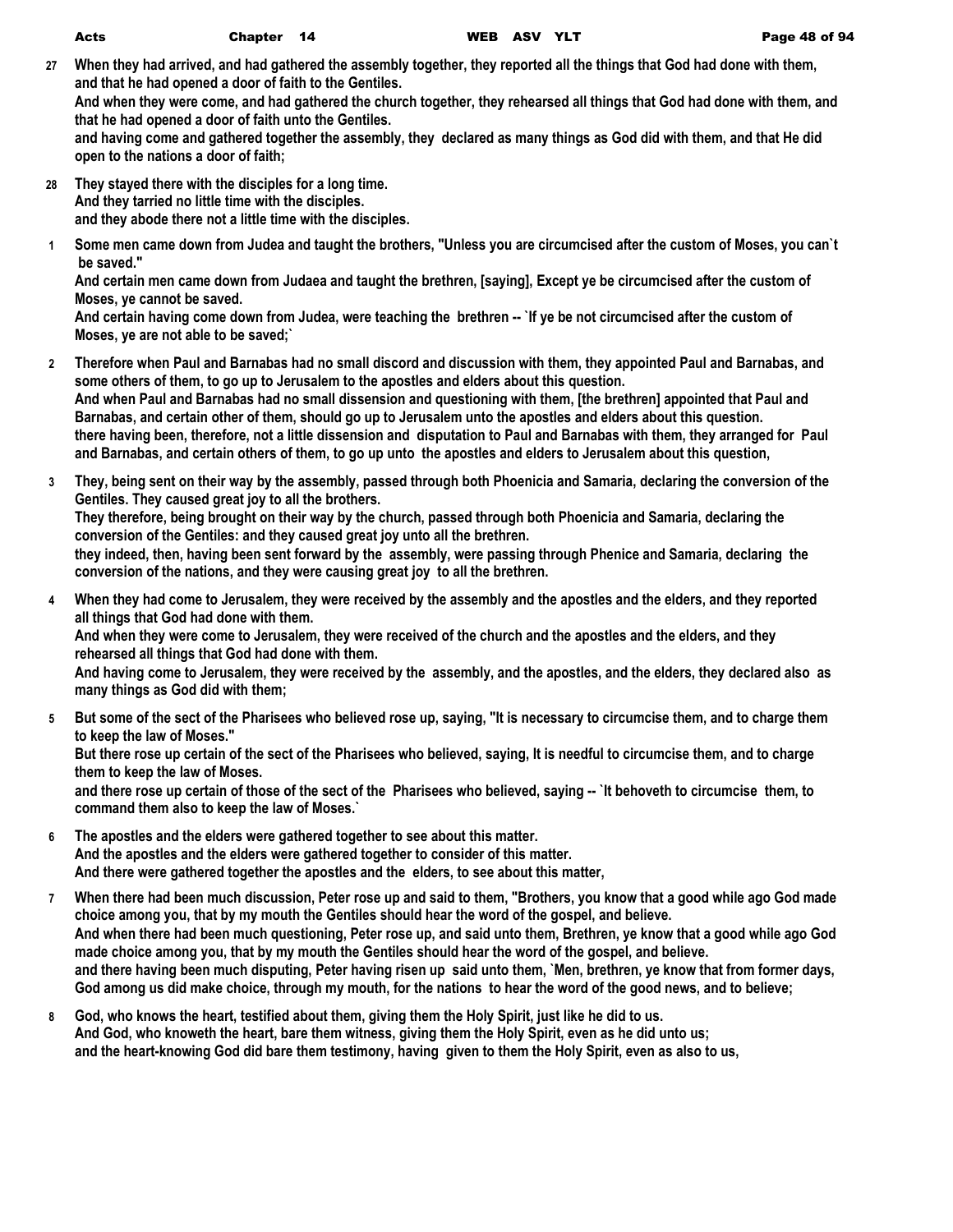**27 When they had arrived, and had gathered the assembly together, they reported all the things that God had done with them, and that he had opened a door of faith to the Gentiles. And when they were come, and had gathered the church together, they rehearsed all things that God had done with them, and that he had opened a door of faith unto the Gentiles.**

**and having come and gathered together the assembly, they declared as many things as God did with them, and that He did open to the nations a door of faith;**

- **28 They stayed there with the disciples for a long time. And they tarried no little time with the disciples. and they abode there not a little time with the disciples.**
	- **1 Some men came down from Judea and taught the brothers, "Unless you are circumcised after the custom of Moses, you can`t be saved."**

**And certain men came down from Judaea and taught the brethren, [saying], Except ye be circumcised after the custom of Moses, ye cannot be saved.**

**And certain having come down from Judea, were teaching the brethren -- `If ye be not circumcised after the custom of Moses, ye are not able to be saved;`**

- **2 Therefore when Paul and Barnabas had no small discord and discussion with them, they appointed Paul and Barnabas, and some others of them, to go up to Jerusalem to the apostles and elders about this question. And when Paul and Barnabas had no small dissension and questioning with them, [the brethren] appointed that Paul and Barnabas, and certain other of them, should go up to Jerusalem unto the apostles and elders about this question. there having been, therefore, not a little dissension and disputation to Paul and Barnabas with them, they arranged for Paul and Barnabas, and certain others of them, to go up unto the apostles and elders to Jerusalem about this question,**
- **3 They, being sent on their way by the assembly, passed through both Phoenicia and Samaria, declaring the conversion of the Gentiles. They caused great joy to all the brothers.**

**They therefore, being brought on their way by the church, passed through both Phoenicia and Samaria, declaring the conversion of the Gentiles: and they caused great joy unto all the brethren.**

**they indeed, then, having been sent forward by the assembly, were passing through Phenice and Samaria, declaring the conversion of the nations, and they were causing great joy to all the brethren.**

**4 When they had come to Jerusalem, they were received by the assembly and the apostles and the elders, and they reported all things that God had done with them.**

**And when they were come to Jerusalem, they were received of the church and the apostles and the elders, and they rehearsed all things that God had done with them.**

**And having come to Jerusalem, they were received by the assembly, and the apostles, and the elders, they declared also as many things as God did with them;**

**5 But some of the sect of the Pharisees who believed rose up, saying, "It is necessary to circumcise them, and to charge them to keep the law of Moses."**

**But there rose up certain of the sect of the Pharisees who believed, saying, It is needful to circumcise them, and to charge them to keep the law of Moses.**

**and there rose up certain of those of the sect of the Pharisees who believed, saying -- `It behoveth to circumcise them, to command them also to keep the law of Moses.`**

- **6 The apostles and the elders were gathered together to see about this matter. And the apostles and the elders were gathered together to consider of this matter. And there were gathered together the apostles and the elders, to see about this matter,**
- **7 When there had been much discussion, Peter rose up and said to them, "Brothers, you know that a good while ago God made choice among you, that by my mouth the Gentiles should hear the word of the gospel, and believe. And when there had been much questioning, Peter rose up, and said unto them, Brethren, ye know that a good while ago God made choice among you, that by my mouth the Gentiles should hear the word of the gospel, and believe. and there having been much disputing, Peter having risen up said unto them, `Men, brethren, ye know that from former days, God among us did make choice, through my mouth, for the nations to hear the word of the good news, and to believe;**
- **8 God, who knows the heart, testified about them, giving them the Holy Spirit, just like he did to us. And God, who knoweth the heart, bare them witness, giving them the Holy Spirit, even as he did unto us; and the heart-knowing God did bare them testimony, having given to them the Holy Spirit, even as also to us,**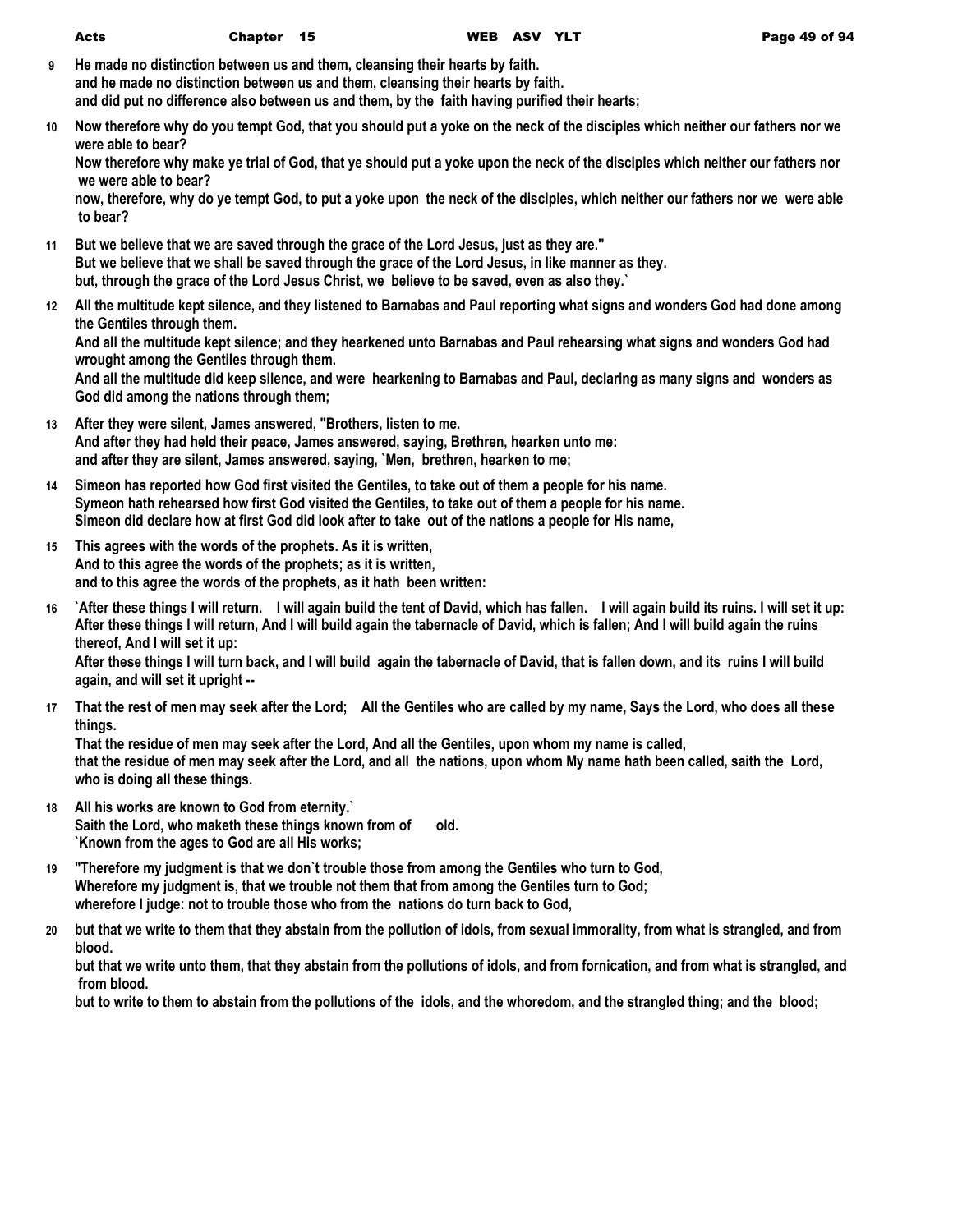|    | <b>Acts</b>                                                                                                                                                  | Chapter 15 |                                                                                                                                                                                                                                                                                                                    | WEB ASV YLT | Page 49 of 94                                                                                                                                                                                                                                                                                                                                                                                                             |
|----|--------------------------------------------------------------------------------------------------------------------------------------------------------------|------------|--------------------------------------------------------------------------------------------------------------------------------------------------------------------------------------------------------------------------------------------------------------------------------------------------------------------|-------------|---------------------------------------------------------------------------------------------------------------------------------------------------------------------------------------------------------------------------------------------------------------------------------------------------------------------------------------------------------------------------------------------------------------------------|
| 9  |                                                                                                                                                              |            | He made no distinction between us and them, cleansing their hearts by faith.<br>and he made no distinction between us and them, cleansing their hearts by faith.<br>and did put no difference also between us and them, by the faith having purified their hearts;                                                 |             |                                                                                                                                                                                                                                                                                                                                                                                                                           |
| 10 |                                                                                                                                                              |            |                                                                                                                                                                                                                                                                                                                    |             | Now therefore why do you tempt God, that you should put a yoke on the neck of the disciples which neither our fathers nor we                                                                                                                                                                                                                                                                                              |
|    | were able to bear?<br>we were able to bear?                                                                                                                  |            |                                                                                                                                                                                                                                                                                                                    |             | Now therefore why make ye trial of God, that ye should put a yoke upon the neck of the disciples which neither our fathers nor<br>now, therefore, why do ye tempt God, to put a yoke upon the neck of the disciples, which neither our fathers nor we were able                                                                                                                                                           |
|    | to bear?                                                                                                                                                     |            |                                                                                                                                                                                                                                                                                                                    |             |                                                                                                                                                                                                                                                                                                                                                                                                                           |
| 11 |                                                                                                                                                              |            | But we believe that we are saved through the grace of the Lord Jesus, just as they are."<br>But we believe that we shall be saved through the grace of the Lord Jesus, in like manner as they.<br>but, through the grace of the Lord Jesus Christ, we believe to be saved, even as also they.                      |             |                                                                                                                                                                                                                                                                                                                                                                                                                           |
|    | the Gentiles through them.                                                                                                                                   |            |                                                                                                                                                                                                                                                                                                                    |             | 12 All the multitude kept silence, and they listened to Barnabas and Paul reporting what signs and wonders God had done among<br>And all the multitude kept silence; and they hearkened unto Barnabas and Paul rehearsing what signs and wonders God had                                                                                                                                                                  |
|    | wrought among the Gentiles through them.<br>God did among the nations through them;                                                                          |            |                                                                                                                                                                                                                                                                                                                    |             | And all the multitude did keep silence, and were hearkening to Barnabas and Paul, declaring as many signs and wonders as                                                                                                                                                                                                                                                                                                  |
|    |                                                                                                                                                              |            | 13 After they were silent, James answered, "Brothers, listen to me.<br>And after they had held their peace, James answered, saying, Brethren, hearken unto me:<br>and after they are silent, James answered, saying, `Men, brethren, hearken to me;                                                                |             |                                                                                                                                                                                                                                                                                                                                                                                                                           |
| 14 |                                                                                                                                                              |            | Simeon has reported how God first visited the Gentiles, to take out of them a people for his name.<br>Symeon hath rehearsed how first God visited the Gentiles, to take out of them a people for his name.<br>Simeon did declare how at first God did look after to take out of the nations a people for His name, |             |                                                                                                                                                                                                                                                                                                                                                                                                                           |
| 15 | This agrees with the words of the prophets. As it is written,<br>And to this agree the words of the prophets; as it is written,                              |            | and to this agree the words of the prophets, as it hath been written:                                                                                                                                                                                                                                              |             |                                                                                                                                                                                                                                                                                                                                                                                                                           |
| 16 | thereof, And I will set it up:<br>again, and will set it upright --                                                                                          |            |                                                                                                                                                                                                                                                                                                                    |             | `After these things I will return. I will again build the tent of David, which has fallen. I will again build its ruins. I will set it up:<br>After these things I will return, And I will build again the tabernacle of David, which is fallen; And I will build again the ruins<br>After these things I will turn back, and I will build again the tabernacle of David, that is fallen down, and its ruins I will build |
| 17 |                                                                                                                                                              |            |                                                                                                                                                                                                                                                                                                                    |             | That the rest of men may seek after the Lord; All the Gentiles who are called by my name, Says the Lord, who does all these                                                                                                                                                                                                                                                                                               |
|    | things.<br>who is doing all these things.                                                                                                                    |            | That the residue of men may seek after the Lord, And all the Gentiles, upon whom my name is called,                                                                                                                                                                                                                |             | that the residue of men may seek after the Lord, and all the nations, upon whom My name hath been called, saith the Lord,                                                                                                                                                                                                                                                                                                 |
|    | 18 All his works are known to God from eternity.'<br>Saith the Lord, who maketh these things known from of<br>`Known from the ages to God are all His works; |            | old.                                                                                                                                                                                                                                                                                                               |             |                                                                                                                                                                                                                                                                                                                                                                                                                           |
| 19 |                                                                                                                                                              |            | "Therefore my judgment is that we don't trouble those from among the Gentiles who turn to God,<br>Wherefore my judgment is, that we trouble not them that from among the Gentiles turn to God;<br>wherefore I judge: not to trouble those who from the nations do turn back to God,                                |             |                                                                                                                                                                                                                                                                                                                                                                                                                           |
| 20 |                                                                                                                                                              |            |                                                                                                                                                                                                                                                                                                                    |             | but that we write to them that they abstain from the pollution of idols, from sexual immorality, from what is strangled, and from                                                                                                                                                                                                                                                                                         |
|    | blood.<br>from blood.                                                                                                                                        |            |                                                                                                                                                                                                                                                                                                                    |             | but that we write unto them, that they abstain from the pollutions of idols, and from fornication, and from what is strangled, and                                                                                                                                                                                                                                                                                        |
|    |                                                                                                                                                              |            |                                                                                                                                                                                                                                                                                                                    |             | but to write to them to abstain from the pollutions of the idols, and the whoredom, and the strangled thing; and the blood;                                                                                                                                                                                                                                                                                               |
|    |                                                                                                                                                              |            |                                                                                                                                                                                                                                                                                                                    |             |                                                                                                                                                                                                                                                                                                                                                                                                                           |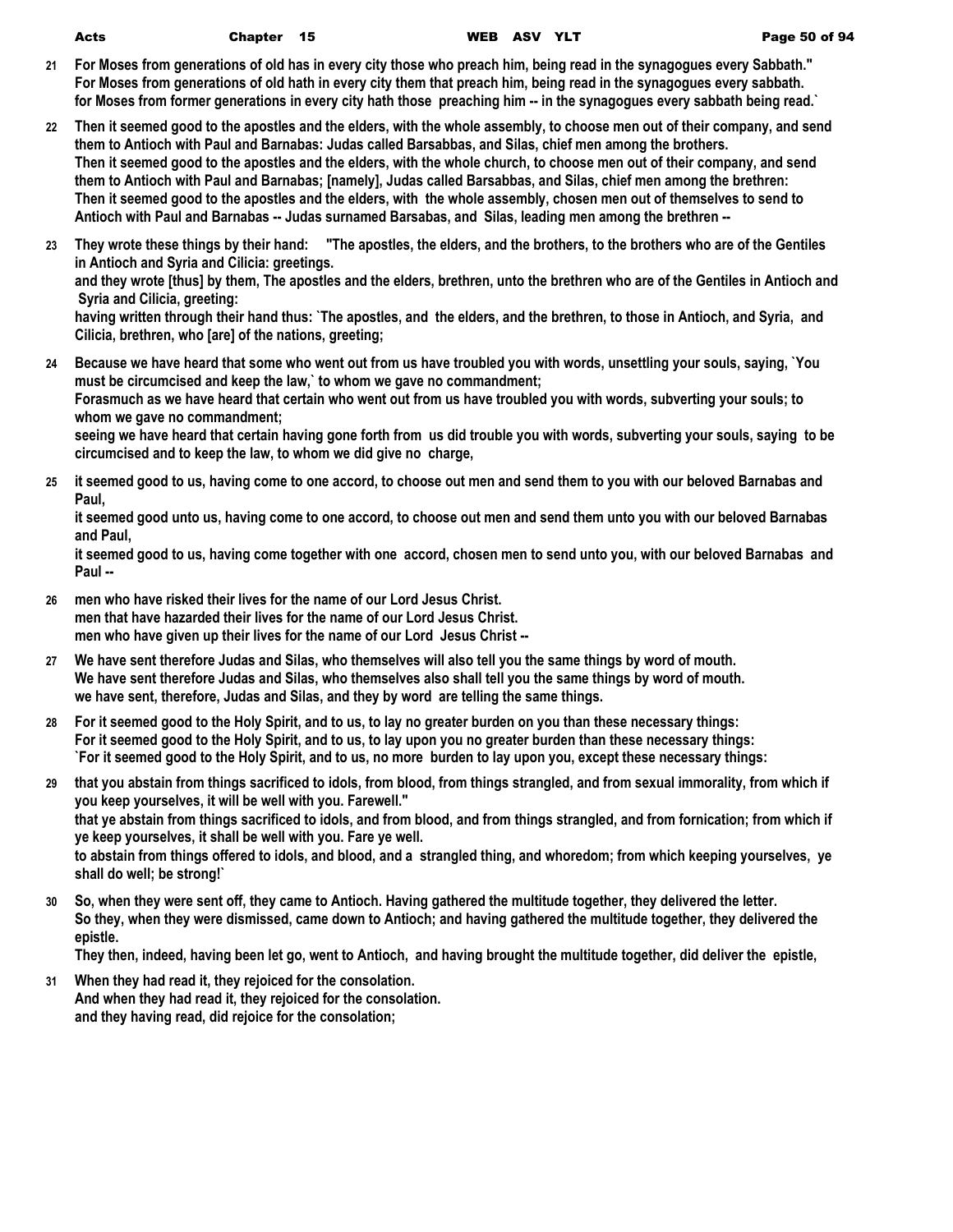| ×,<br>-<br>. . | I<br>٦<br>$-$ |
|----------------|---------------|

- **21 For Moses from generations of old has in every city those who preach him, being read in the synagogues every Sabbath." For Moses from generations of old hath in every city them that preach him, being read in the synagogues every sabbath. for Moses from former generations in every city hath those preaching him -- in the synagogues every sabbath being read.`**
- **22 Then it seemed good to the apostles and the elders, with the whole assembly, to choose men out of their company, and send them to Antioch with Paul and Barnabas: Judas called Barsabbas, and Silas, chief men among the brothers. Then it seemed good to the apostles and the elders, with the whole church, to choose men out of their company, and send them to Antioch with Paul and Barnabas; [namely], Judas called Barsabbas, and Silas, chief men among the brethren: Then it seemed good to the apostles and the elders, with the whole assembly, chosen men out of themselves to send to Antioch with Paul and Barnabas -- Judas surnamed Barsabas, and Silas, leading men among the brethren --**
- **23 They wrote these things by their hand: "The apostles, the elders, and the brothers, to the brothers who are of the Gentiles in Antioch and Syria and Cilicia: greetings.**

**and they wrote [thus] by them, The apostles and the elders, brethren, unto the brethren who are of the Gentiles in Antioch and Syria and Cilicia, greeting:**

**having written through their hand thus: `The apostles, and the elders, and the brethren, to those in Antioch, and Syria, and Cilicia, brethren, who [are] of the nations, greeting;**

- **24 Because we have heard that some who went out from us have troubled you with words, unsettling your souls, saying, `You must be circumcised and keep the law,` to whom we gave no commandment; Forasmuch as we have heard that certain who went out from us have troubled you with words, subverting your souls; to whom we gave no commandment; seeing we have heard that certain having gone forth from us did trouble you with words, subverting your souls, saying to be circumcised and to keep the law, to whom we did give no charge,**
- **25 it seemed good to us, having come to one accord, to choose out men and send them to you with our beloved Barnabas and Paul,**

**it seemed good unto us, having come to one accord, to choose out men and send them unto you with our beloved Barnabas and Paul,**

**it seemed good to us, having come together with one accord, chosen men to send unto you, with our beloved Barnabas and Paul --**

- **26 men who have risked their lives for the name of our Lord Jesus Christ. men that have hazarded their lives for the name of our Lord Jesus Christ. men who have given up their lives for the name of our Lord Jesus Christ --**
- **27 We have sent therefore Judas and Silas, who themselves will also tell you the same things by word of mouth. We have sent therefore Judas and Silas, who themselves also shall tell you the same things by word of mouth. we have sent, therefore, Judas and Silas, and they by word are telling the same things.**
- **28 For it seemed good to the Holy Spirit, and to us, to lay no greater burden on you than these necessary things: For it seemed good to the Holy Spirit, and to us, to lay upon you no greater burden than these necessary things: `For it seemed good to the Holy Spirit, and to us, no more burden to lay upon you, except these necessary things:**
- **29 that you abstain from things sacrificed to idols, from blood, from things strangled, and from sexual immorality, from which if you keep yourselves, it will be well with you. Farewell." that ye abstain from things sacrificed to idols, and from blood, and from things strangled, and from fornication; from which if ye keep yourselves, it shall be well with you. Fare ye well. to abstain from things offered to idols, and blood, and a strangled thing, and whoredom; from which keeping yourselves, ye shall do well; be strong!`**
- **30 So, when they were sent off, they came to Antioch. Having gathered the multitude together, they delivered the letter. So they, when they were dismissed, came down to Antioch; and having gathered the multitude together, they delivered the epistle.**

**They then, indeed, having been let go, went to Antioch, and having brought the multitude together, did deliver the epistle,**

**31 When they had read it, they rejoiced for the consolation. And when they had read it, they rejoiced for the consolation. and they having read, did rejoice for the consolation;**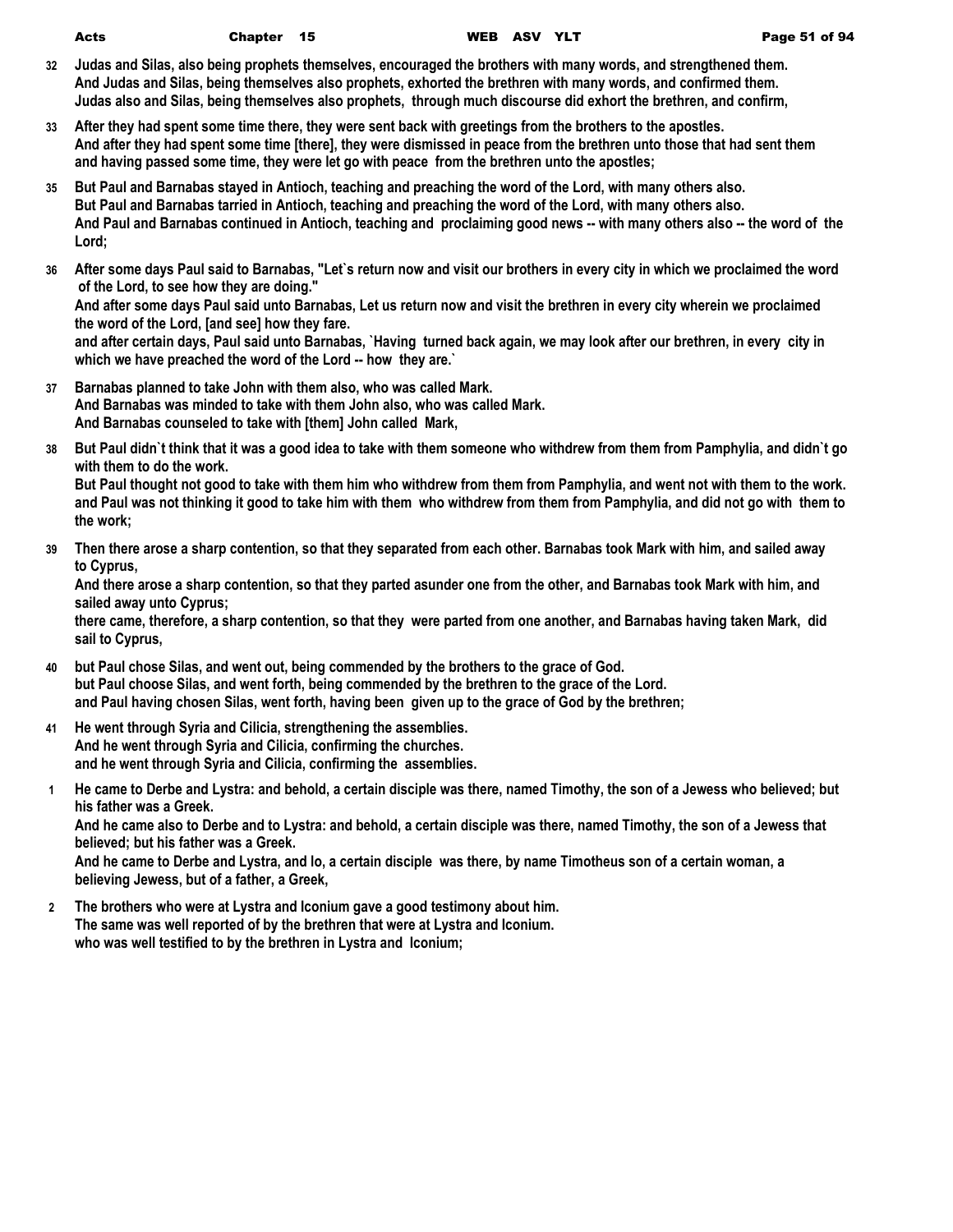- **32 Judas and Silas, also being prophets themselves, encouraged the brothers with many words, and strengthened them. And Judas and Silas, being themselves also prophets, exhorted the brethren with many words, and confirmed them. Judas also and Silas, being themselves also prophets, through much discourse did exhort the brethren, and confirm,**
- **33 After they had spent some time there, they were sent back with greetings from the brothers to the apostles. And after they had spent some time [there], they were dismissed in peace from the brethren unto those that had sent them and having passed some time, they were let go with peace from the brethren unto the apostles;**
- **35 But Paul and Barnabas stayed in Antioch, teaching and preaching the word of the Lord, with many others also. But Paul and Barnabas tarried in Antioch, teaching and preaching the word of the Lord, with many others also. And Paul and Barnabas continued in Antioch, teaching and proclaiming good news -- with many others also -- the word of the Lord;**
- **36 After some days Paul said to Barnabas, "Let`s return now and visit our brothers in every city in which we proclaimed the word of the Lord, to see how they are doing."**

**And after some days Paul said unto Barnabas, Let us return now and visit the brethren in every city wherein we proclaimed the word of the Lord, [and see] how they fare.**

**and after certain days, Paul said unto Barnabas, `Having turned back again, we may look after our brethren, in every city in which we have preached the word of the Lord -- how they are.`**

- **37 Barnabas planned to take John with them also, who was called Mark. And Barnabas was minded to take with them John also, who was called Mark. And Barnabas counseled to take with [them] John called Mark,**
- **38 But Paul didn`t think that it was a good idea to take with them someone who withdrew from them from Pamphylia, and didn`t go with them to do the work.**

**But Paul thought not good to take with them him who withdrew from them from Pamphylia, and went not with them to the work. and Paul was not thinking it good to take him with them who withdrew from them from Pamphylia, and did not go with them to the work;**

**39 Then there arose a sharp contention, so that they separated from each other. Barnabas took Mark with him, and sailed away to Cyprus,**

**And there arose a sharp contention, so that they parted asunder one from the other, and Barnabas took Mark with him, and sailed away unto Cyprus;**

**there came, therefore, a sharp contention, so that they were parted from one another, and Barnabas having taken Mark, did sail to Cyprus,**

- **40 but Paul chose Silas, and went out, being commended by the brothers to the grace of God. but Paul choose Silas, and went forth, being commended by the brethren to the grace of the Lord. and Paul having chosen Silas, went forth, having been given up to the grace of God by the brethren;**
- **41 He went through Syria and Cilicia, strengthening the assemblies. And he went through Syria and Cilicia, confirming the churches. and he went through Syria and Cilicia, confirming the assemblies.**
- **1 He came to Derbe and Lystra: and behold, a certain disciple was there, named Timothy, the son of a Jewess who believed; but his father was a Greek.**

**And he came also to Derbe and to Lystra: and behold, a certain disciple was there, named Timothy, the son of a Jewess that believed; but his father was a Greek.**

**And he came to Derbe and Lystra, and lo, a certain disciple was there, by name Timotheus son of a certain woman, a believing Jewess, but of a father, a Greek,**

**2 The brothers who were at Lystra and Iconium gave a good testimony about him. The same was well reported of by the brethren that were at Lystra and Iconium. who was well testified to by the brethren in Lystra and Iconium;**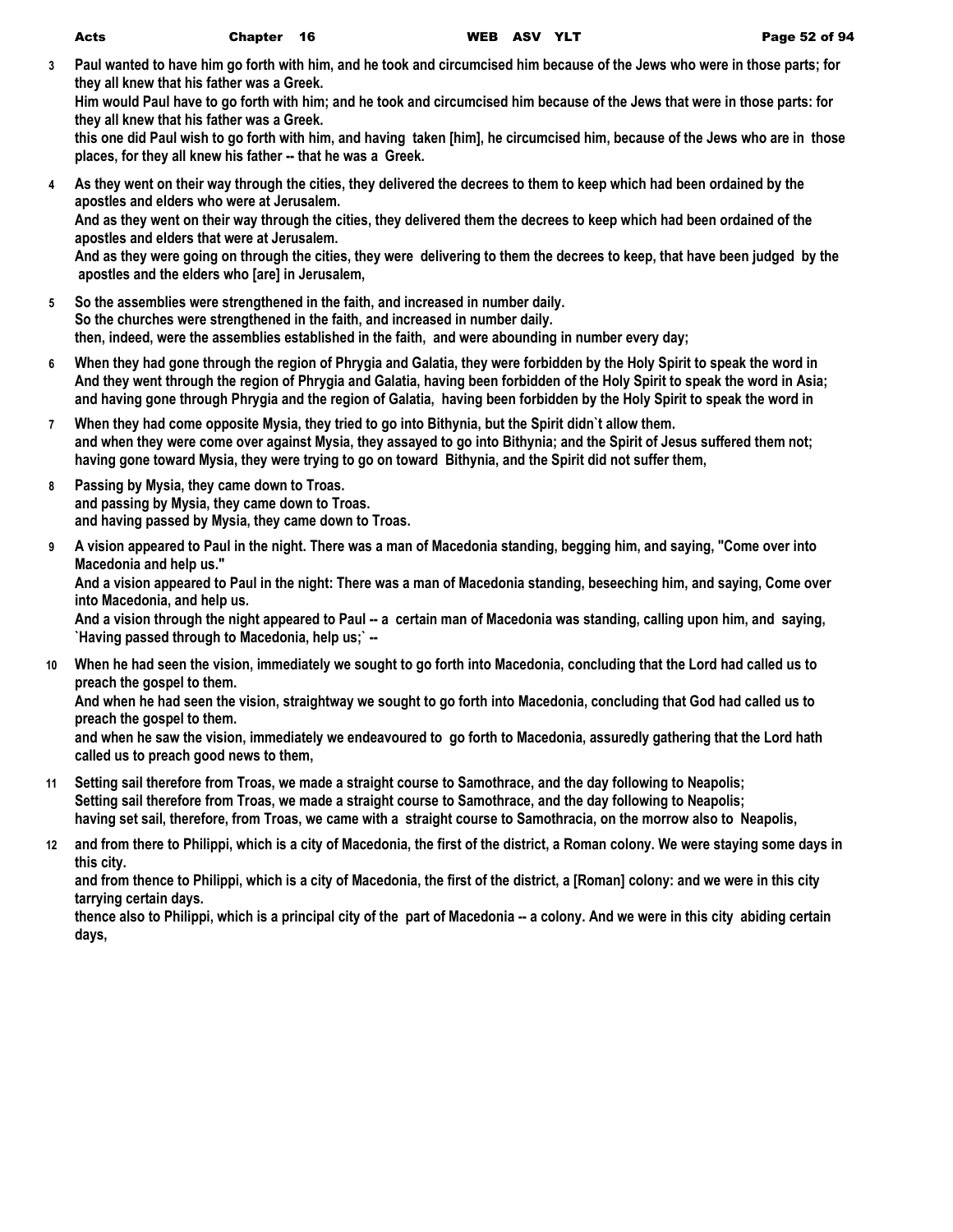**3 Paul wanted to have him go forth with him, and he took and circumcised him because of the Jews who were in those parts; for they all knew that his father was a Greek.**

**Him would Paul have to go forth with him; and he took and circumcised him because of the Jews that were in those parts: for they all knew that his father was a Greek.**

**this one did Paul wish to go forth with him, and having taken [him], he circumcised him, because of the Jews who are in those places, for they all knew his father -- that he was a Greek.**

- **4 As they went on their way through the cities, they delivered the decrees to them to keep which had been ordained by the apostles and elders who were at Jerusalem. And as they went on their way through the cities, they delivered them the decrees to keep which had been ordained of the apostles and elders that were at Jerusalem. And as they were going on through the cities, they were delivering to them the decrees to keep, that have been judged by the apostles and the elders who [are] in Jerusalem,**
- **5 So the assemblies were strengthened in the faith, and increased in number daily. So the churches were strengthened in the faith, and increased in number daily. then, indeed, were the assemblies established in the faith, and were abounding in number every day;**
- **6 When they had gone through the region of Phrygia and Galatia, they were forbidden by the Holy Spirit to speak the word in And they went through the region of Phrygia and Galatia, having been forbidden of the Holy Spirit to speak the word in Asia; and having gone through Phrygia and the region of Galatia, having been forbidden by the Holy Spirit to speak the word in**
- **7 When they had come opposite Mysia, they tried to go into Bithynia, but the Spirit didn`t allow them. and when they were come over against Mysia, they assayed to go into Bithynia; and the Spirit of Jesus suffered them not; having gone toward Mysia, they were trying to go on toward Bithynia, and the Spirit did not suffer them,**
- **8 Passing by Mysia, they came down to Troas. and passing by Mysia, they came down to Troas. and having passed by Mysia, they came down to Troas.**
- **9 A vision appeared to Paul in the night. There was a man of Macedonia standing, begging him, and saying, "Come over into Macedonia and help us."**

**And a vision appeared to Paul in the night: There was a man of Macedonia standing, beseeching him, and saying, Come over into Macedonia, and help us.**

**And a vision through the night appeared to Paul -- a certain man of Macedonia was standing, calling upon him, and saying, `Having passed through to Macedonia, help us;` --**

**10 When he had seen the vision, immediately we sought to go forth into Macedonia, concluding that the Lord had called us to preach the gospel to them.**

**And when he had seen the vision, straightway we sought to go forth into Macedonia, concluding that God had called us to preach the gospel to them.**

**and when he saw the vision, immediately we endeavoured to go forth to Macedonia, assuredly gathering that the Lord hath called us to preach good news to them,**

- **11 Setting sail therefore from Troas, we made a straight course to Samothrace, and the day following to Neapolis; Setting sail therefore from Troas, we made a straight course to Samothrace, and the day following to Neapolis; having set sail, therefore, from Troas, we came with a straight course to Samothracia, on the morrow also to Neapolis,**
- **12 and from there to Philippi, which is a city of Macedonia, the first of the district, a Roman colony. We were staying some days in this city.**

**and from thence to Philippi, which is a city of Macedonia, the first of the district, a [Roman] colony: and we were in this city tarrying certain days.**

**thence also to Philippi, which is a principal city of the part of Macedonia -- a colony. And we were in this city abiding certain days,**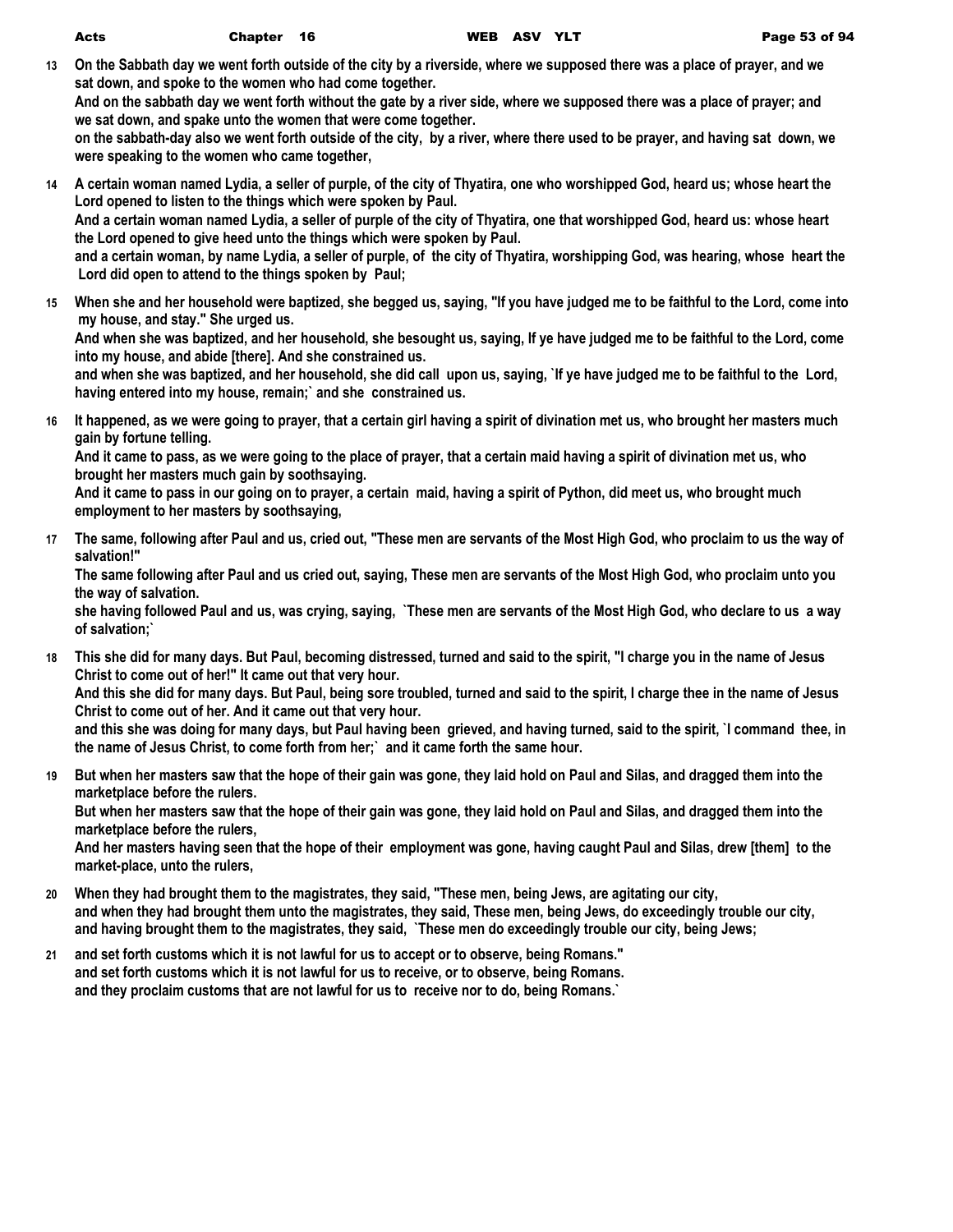**13 On the Sabbath day we went forth outside of the city by a riverside, where we supposed there was a place of prayer, and we sat down, and spoke to the women who had come together.**

**And on the sabbath day we went forth without the gate by a river side, where we supposed there was a place of prayer; and we sat down, and spake unto the women that were come together.**

**on the sabbath-day also we went forth outside of the city, by a river, where there used to be prayer, and having sat down, we were speaking to the women who came together,**

- **14 A certain woman named Lydia, a seller of purple, of the city of Thyatira, one who worshipped God, heard us; whose heart the Lord opened to listen to the things which were spoken by Paul. And a certain woman named Lydia, a seller of purple of the city of Thyatira, one that worshipped God, heard us: whose heart the Lord opened to give heed unto the things which were spoken by Paul. and a certain woman, by name Lydia, a seller of purple, of the city of Thyatira, worshipping God, was hearing, whose heart the Lord did open to attend to the things spoken by Paul;**
- **15 When she and her household were baptized, she begged us, saying, "If you have judged me to be faithful to the Lord, come into my house, and stay." She urged us.**

**And when she was baptized, and her household, she besought us, saying, If ye have judged me to be faithful to the Lord, come into my house, and abide [there]. And she constrained us.**

**and when she was baptized, and her household, she did call upon us, saying, `If ye have judged me to be faithful to the Lord, having entered into my house, remain;` and she constrained us.**

**16 It happened, as we were going to prayer, that a certain girl having a spirit of divination met us, who brought her masters much gain by fortune telling.**

**And it came to pass, as we were going to the place of prayer, that a certain maid having a spirit of divination met us, who brought her masters much gain by soothsaying.**

**And it came to pass in our going on to prayer, a certain maid, having a spirit of Python, did meet us, who brought much employment to her masters by soothsaying,**

**17 The same, following after Paul and us, cried out, "These men are servants of the Most High God, who proclaim to us the way of salvation!"**

**The same following after Paul and us cried out, saying, These men are servants of the Most High God, who proclaim unto you the way of salvation.**

**she having followed Paul and us, was crying, saying, `These men are servants of the Most High God, who declare to us a way of salvation;`**

- **18 This she did for many days. But Paul, becoming distressed, turned and said to the spirit, "I charge you in the name of Jesus Christ to come out of her!" It came out that very hour. And this she did for many days. But Paul, being sore troubled, turned and said to the spirit, I charge thee in the name of Jesus Christ to come out of her. And it came out that very hour. and this she was doing for many days, but Paul having been grieved, and having turned, said to the spirit, `I command thee, in the name of Jesus Christ, to come forth from her;` and it came forth the same hour.**
- **19 But when her masters saw that the hope of their gain was gone, they laid hold on Paul and Silas, and dragged them into the marketplace before the rulers. But when her masters saw that the hope of their gain was gone, they laid hold on Paul and Silas, and dragged them into the marketplace before the rulers, And her masters having seen that the hope of their employment was gone, having caught Paul and Silas, drew [them] to the market-place, unto the rulers,**
- **20 When they had brought them to the magistrates, they said, "These men, being Jews, are agitating our city, and when they had brought them unto the magistrates, they said, These men, being Jews, do exceedingly trouble our city, and having brought them to the magistrates, they said, `These men do exceedingly trouble our city, being Jews;**
- **21 and set forth customs which it is not lawful for us to accept or to observe, being Romans." and set forth customs which it is not lawful for us to receive, or to observe, being Romans. and they proclaim customs that are not lawful for us to receive nor to do, being Romans.`**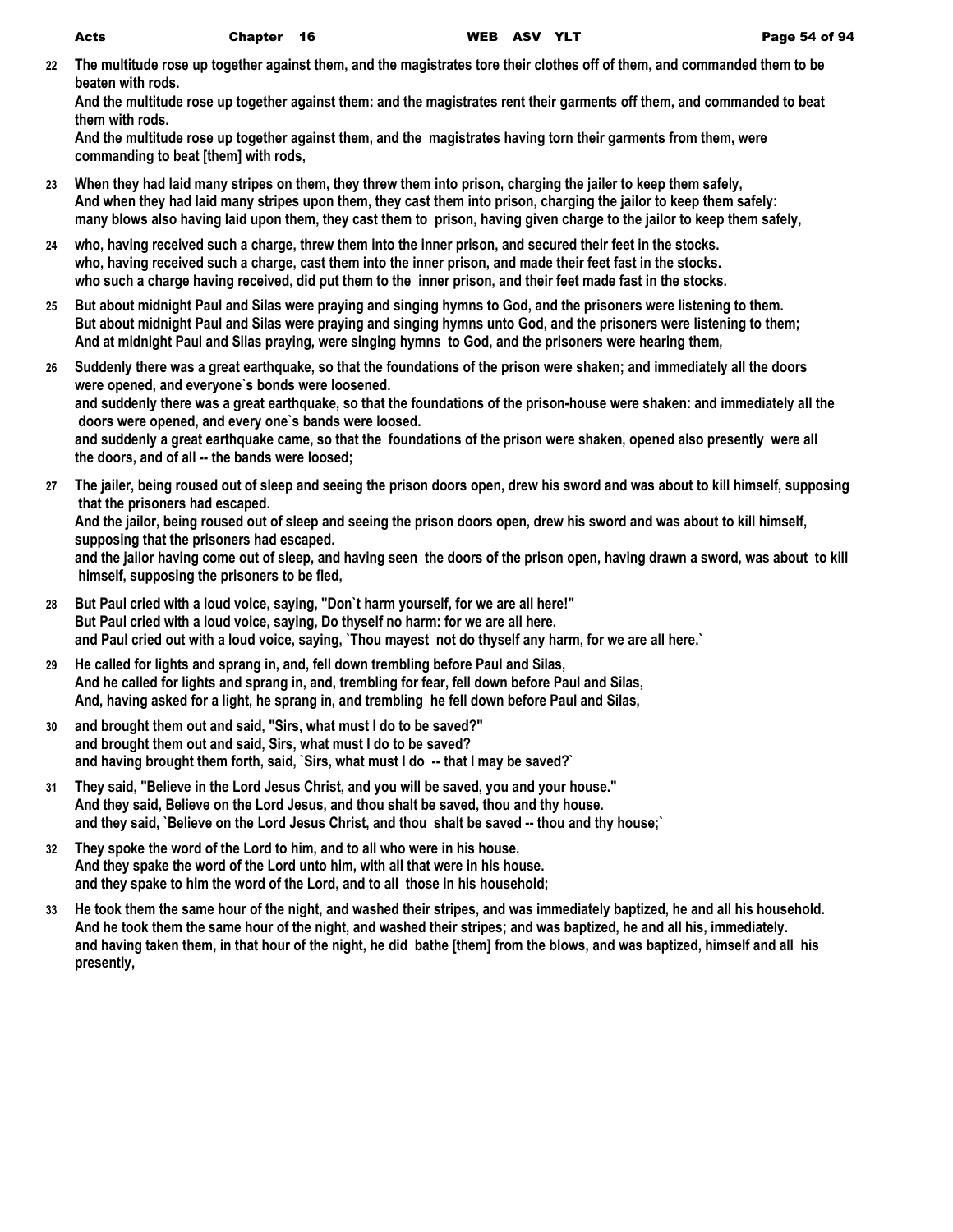**22 The multitude rose up together against them, and the magistrates tore their clothes off of them, and commanded them to be beaten with rods.**

**And the multitude rose up together against them: and the magistrates rent their garments off them, and commanded to beat them with rods.**

**And the multitude rose up together against them, and the magistrates having torn their garments from them, were commanding to beat [them] with rods,**

- **23 When they had laid many stripes on them, they threw them into prison, charging the jailer to keep them safely, And when they had laid many stripes upon them, they cast them into prison, charging the jailor to keep them safely: many blows also having laid upon them, they cast them to prison, having given charge to the jailor to keep them safely,**
- **24 who, having received such a charge, threw them into the inner prison, and secured their feet in the stocks. who, having received such a charge, cast them into the inner prison, and made their feet fast in the stocks. who such a charge having received, did put them to the inner prison, and their feet made fast in the stocks.**
- **25 But about midnight Paul and Silas were praying and singing hymns to God, and the prisoners were listening to them. But about midnight Paul and Silas were praying and singing hymns unto God, and the prisoners were listening to them; And at midnight Paul and Silas praying, were singing hymns to God, and the prisoners were hearing them,**
- **26 Suddenly there was a great earthquake, so that the foundations of the prison were shaken; and immediately all the doors were opened, and everyone`s bonds were loosened. and suddenly there was a great earthquake, so that the foundations of the prison-house were shaken: and immediately all the doors were opened, and every one`s bands were loosed. and suddenly a great earthquake came, so that the foundations of the prison were shaken, opened also presently were all the doors, and of all -- the bands were loosed;**
- **27 The jailer, being roused out of sleep and seeing the prison doors open, drew his sword and was about to kill himself, supposing that the prisoners had escaped. And the jailor, being roused out of sleep and seeing the prison doors open, drew his sword and was about to kill himself, supposing that the prisoners had escaped. and the jailor having come out of sleep, and having seen the doors of the prison open, having drawn a sword, was about to kill himself, supposing the prisoners to be fled,**
- **28 But Paul cried with a loud voice, saying, "Don`t harm yourself, for we are all here!" But Paul cried with a loud voice, saying, Do thyself no harm: for we are all here. and Paul cried out with a loud voice, saying, `Thou mayest not do thyself any harm, for we are all here.`**
- **29 He called for lights and sprang in, and, fell down trembling before Paul and Silas, And he called for lights and sprang in, and, trembling for fear, fell down before Paul and Silas, And, having asked for a light, he sprang in, and trembling he fell down before Paul and Silas,**
- **30 and brought them out and said, "Sirs, what must I do to be saved?" and brought them out and said, Sirs, what must I do to be saved? and having brought them forth, said, `Sirs, what must I do -- that I may be saved?`**
- **31 They said, "Believe in the Lord Jesus Christ, and you will be saved, you and your house." And they said, Believe on the Lord Jesus, and thou shalt be saved, thou and thy house. and they said, `Believe on the Lord Jesus Christ, and thou shalt be saved -- thou and thy house;`**
- **32 They spoke the word of the Lord to him, and to all who were in his house. And they spake the word of the Lord unto him, with all that were in his house. and they spake to him the word of the Lord, and to all those in his household;**
- **33 He took them the same hour of the night, and washed their stripes, and was immediately baptized, he and all his household. And he took them the same hour of the night, and washed their stripes; and was baptized, he and all his, immediately. and having taken them, in that hour of the night, he did bathe [them] from the blows, and was baptized, himself and all his presently,**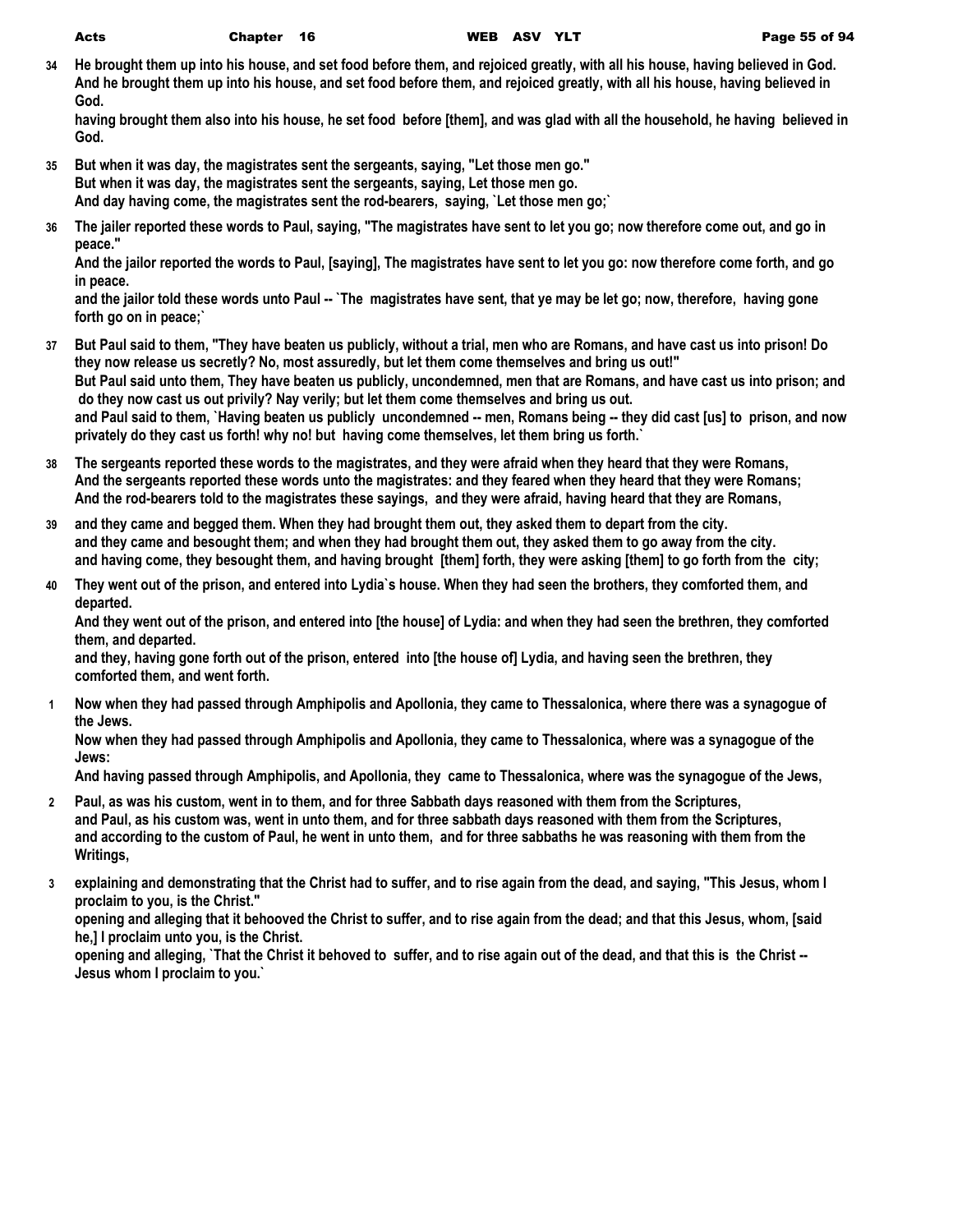**34 He brought them up into his house, and set food before them, and rejoiced greatly, with all his house, having believed in God. And he brought them up into his house, and set food before them, and rejoiced greatly, with all his house, having believed in God.**

**having brought them also into his house, he set food before [them], and was glad with all the household, he having believed in God.**

- **35 But when it was day, the magistrates sent the sergeants, saying, "Let those men go." But when it was day, the magistrates sent the sergeants, saying, Let those men go. And day having come, the magistrates sent the rod-bearers, saying, `Let those men go;`**
- **36 The jailer reported these words to Paul, saying, "The magistrates have sent to let you go; now therefore come out, and go in peace."**

**And the jailor reported the words to Paul, [saying], The magistrates have sent to let you go: now therefore come forth, and go in peace.**

**and the jailor told these words unto Paul -- `The magistrates have sent, that ye may be let go; now, therefore, having gone forth go on in peace;`**

- **37 But Paul said to them, "They have beaten us publicly, without a trial, men who are Romans, and have cast us into prison! Do they now release us secretly? No, most assuredly, but let them come themselves and bring us out!" But Paul said unto them, They have beaten us publicly, uncondemned, men that are Romans, and have cast us into prison; and do they now cast us out privily? Nay verily; but let them come themselves and bring us out. and Paul said to them, `Having beaten us publicly uncondemned -- men, Romans being -- they did cast [us] to prison, and now privately do they cast us forth! why no! but having come themselves, let them bring us forth.`**
- **38 The sergeants reported these words to the magistrates, and they were afraid when they heard that they were Romans, And the sergeants reported these words unto the magistrates: and they feared when they heard that they were Romans; And the rod-bearers told to the magistrates these sayings, and they were afraid, having heard that they are Romans,**
- **39 and they came and begged them. When they had brought them out, they asked them to depart from the city. and they came and besought them; and when they had brought them out, they asked them to go away from the city. and having come, they besought them, and having brought [them] forth, they were asking [them] to go forth from the city;**
- **40 They went out of the prison, and entered into Lydia`s house. When they had seen the brothers, they comforted them, and departed.**

**And they went out of the prison, and entered into [the house] of Lydia: and when they had seen the brethren, they comforted them, and departed.**

**and they, having gone forth out of the prison, entered into [the house of] Lydia, and having seen the brethren, they comforted them, and went forth.**

**1 Now when they had passed through Amphipolis and Apollonia, they came to Thessalonica, where there was a synagogue of the Jews.**

**Now when they had passed through Amphipolis and Apollonia, they came to Thessalonica, where was a synagogue of the Jews:**

**And having passed through Amphipolis, and Apollonia, they came to Thessalonica, where was the synagogue of the Jews,**

- **2 Paul, as was his custom, went in to them, and for three Sabbath days reasoned with them from the Scriptures, and Paul, as his custom was, went in unto them, and for three sabbath days reasoned with them from the Scriptures, and according to the custom of Paul, he went in unto them, and for three sabbaths he was reasoning with them from the Writings,**
- **3 explaining and demonstrating that the Christ had to suffer, and to rise again from the dead, and saying, "This Jesus, whom I proclaim to you, is the Christ."**

**opening and alleging that it behooved the Christ to suffer, and to rise again from the dead; and that this Jesus, whom, [said he,] I proclaim unto you, is the Christ.**

**opening and alleging, `That the Christ it behoved to suffer, and to rise again out of the dead, and that this is the Christ -- Jesus whom I proclaim to you.`**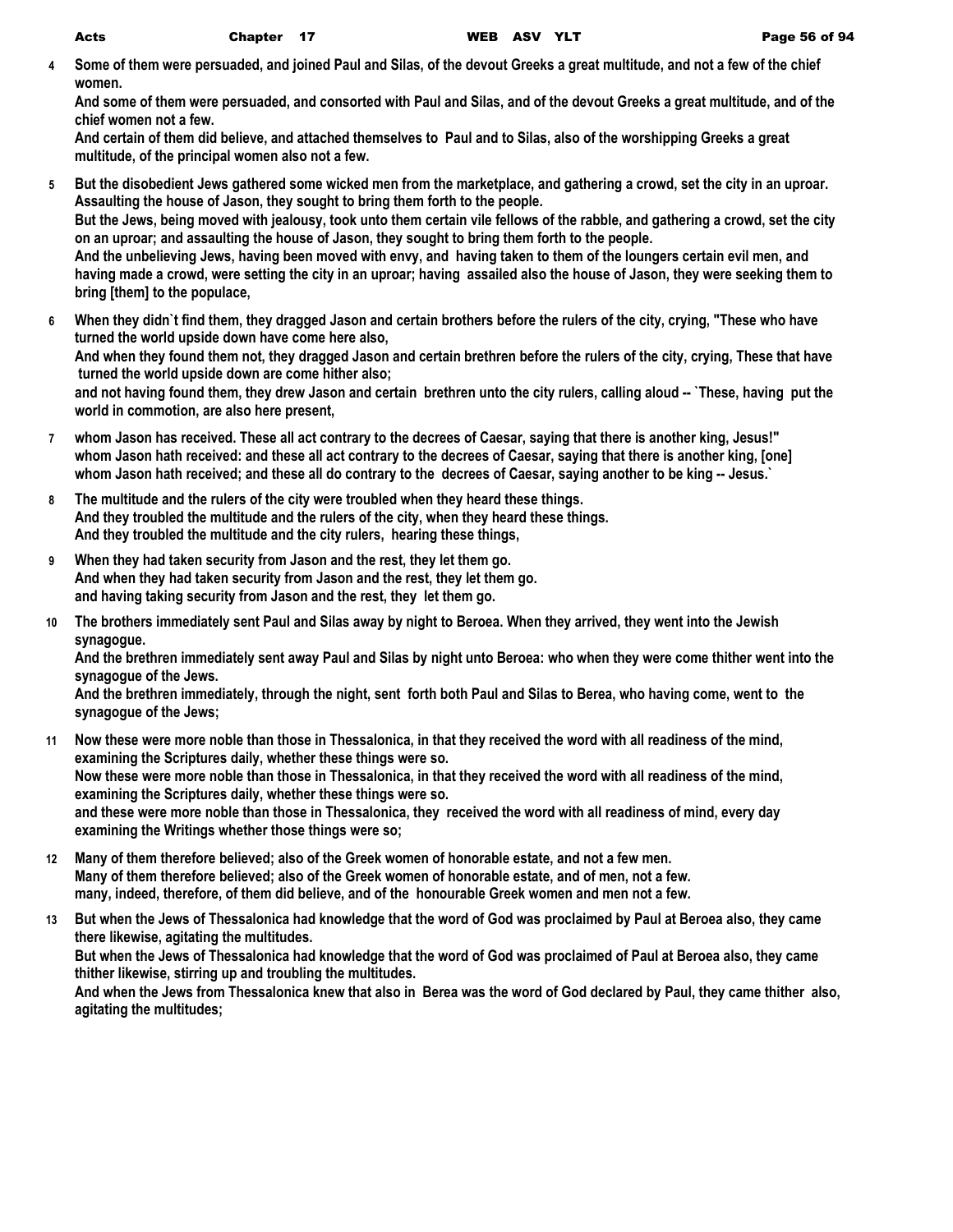**4 Some of them were persuaded, and joined Paul and Silas, of the devout Greeks a great multitude, and not a few of the chief women.**

**And some of them were persuaded, and consorted with Paul and Silas, and of the devout Greeks a great multitude, and of the chief women not a few.**

**And certain of them did believe, and attached themselves to Paul and to Silas, also of the worshipping Greeks a great multitude, of the principal women also not a few.**

- **5 But the disobedient Jews gathered some wicked men from the marketplace, and gathering a crowd, set the city in an uproar. Assaulting the house of Jason, they sought to bring them forth to the people. But the Jews, being moved with jealousy, took unto them certain vile fellows of the rabble, and gathering a crowd, set the city on an uproar; and assaulting the house of Jason, they sought to bring them forth to the people. And the unbelieving Jews, having been moved with envy, and having taken to them of the loungers certain evil men, and having made a crowd, were setting the city in an uproar; having assailed also the house of Jason, they were seeking them to bring [them] to the populace,**
- **6 When they didn`t find them, they dragged Jason and certain brothers before the rulers of the city, crying, "These who have turned the world upside down have come here also, And when they found them not, they dragged Jason and certain brethren before the rulers of the city, crying, These that have turned the world upside down are come hither also; and not having found them, they drew Jason and certain brethren unto the city rulers, calling aloud -- `These, having put the world in commotion, are also here present,**
- **7 whom Jason has received. These all act contrary to the decrees of Caesar, saying that there is another king, Jesus!" whom Jason hath received: and these all act contrary to the decrees of Caesar, saying that there is another king, [one] whom Jason hath received; and these all do contrary to the decrees of Caesar, saying another to be king -- Jesus.`**
- **8 The multitude and the rulers of the city were troubled when they heard these things. And they troubled the multitude and the rulers of the city, when they heard these things. And they troubled the multitude and the city rulers, hearing these things,**
- **9 When they had taken security from Jason and the rest, they let them go. And when they had taken security from Jason and the rest, they let them go. and having taking security from Jason and the rest, they let them go.**
- **10 The brothers immediately sent Paul and Silas away by night to Beroea. When they arrived, they went into the Jewish synagogue.**

**And the brethren immediately sent away Paul and Silas by night unto Beroea: who when they were come thither went into the synagogue of the Jews.**

**And the brethren immediately, through the night, sent forth both Paul and Silas to Berea, who having come, went to the synagogue of the Jews;**

- **11 Now these were more noble than those in Thessalonica, in that they received the word with all readiness of the mind, examining the Scriptures daily, whether these things were so. Now these were more noble than those in Thessalonica, in that they received the word with all readiness of the mind, examining the Scriptures daily, whether these things were so. and these were more noble than those in Thessalonica, they received the word with all readiness of mind, every day examining the Writings whether those things were so;**
- **12 Many of them therefore believed; also of the Greek women of honorable estate, and not a few men. Many of them therefore believed; also of the Greek women of honorable estate, and of men, not a few. many, indeed, therefore, of them did believe, and of the honourable Greek women and men not a few.**
- **13 But when the Jews of Thessalonica had knowledge that the word of God was proclaimed by Paul at Beroea also, they came there likewise, agitating the multitudes. But when the Jews of Thessalonica had knowledge that the word of God was proclaimed of Paul at Beroea also, they came thither likewise, stirring up and troubling the multitudes. And when the Jews from Thessalonica knew that also in Berea was the word of God declared by Paul, they came thither also, agitating the multitudes;**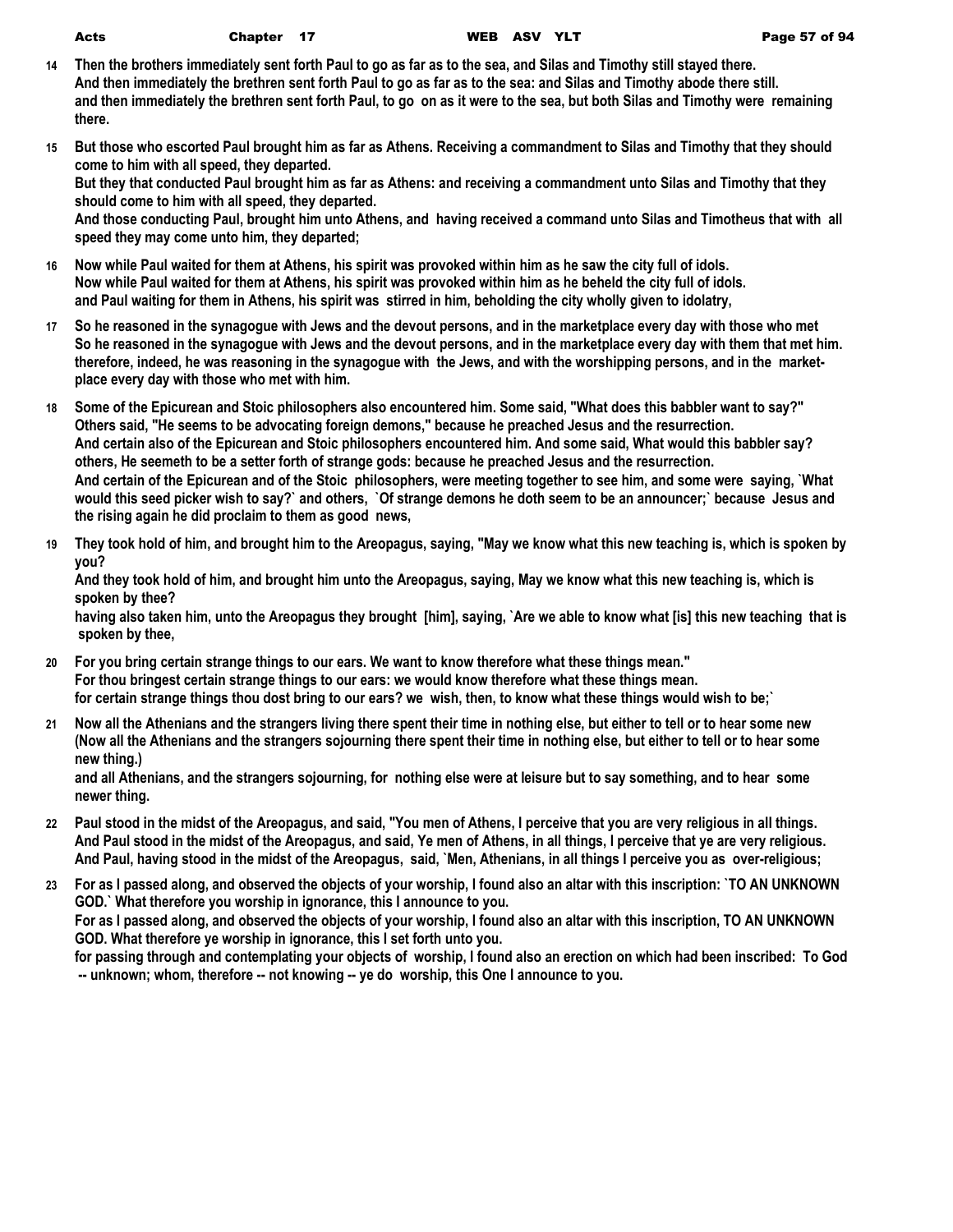- **14 Then the brothers immediately sent forth Paul to go as far as to the sea, and Silas and Timothy still stayed there. And then immediately the brethren sent forth Paul to go as far as to the sea: and Silas and Timothy abode there still. and then immediately the brethren sent forth Paul, to go on as it were to the sea, but both Silas and Timothy were remaining there.**
- **15 But those who escorted Paul brought him as far as Athens. Receiving a commandment to Silas and Timothy that they should come to him with all speed, they departed. But they that conducted Paul brought him as far as Athens: and receiving a commandment unto Silas and Timothy that they should come to him with all speed, they departed.**

**And those conducting Paul, brought him unto Athens, and having received a command unto Silas and Timotheus that with all speed they may come unto him, they departed;**

- **16 Now while Paul waited for them at Athens, his spirit was provoked within him as he saw the city full of idols. Now while Paul waited for them at Athens, his spirit was provoked within him as he beheld the city full of idols. and Paul waiting for them in Athens, his spirit was stirred in him, beholding the city wholly given to idolatry,**
- **17 So he reasoned in the synagogue with Jews and the devout persons, and in the marketplace every day with those who met So he reasoned in the synagogue with Jews and the devout persons, and in the marketplace every day with them that met him. therefore, indeed, he was reasoning in the synagogue with the Jews, and with the worshipping persons, and in the marketplace every day with those who met with him.**
- **18 Some of the Epicurean and Stoic philosophers also encountered him. Some said, "What does this babbler want to say?" Others said, "He seems to be advocating foreign demons," because he preached Jesus and the resurrection. And certain also of the Epicurean and Stoic philosophers encountered him. And some said, What would this babbler say? others, He seemeth to be a setter forth of strange gods: because he preached Jesus and the resurrection. And certain of the Epicurean and of the Stoic philosophers, were meeting together to see him, and some were saying, `What would this seed picker wish to say?` and others, `Of strange demons he doth seem to be an announcer;` because Jesus and the rising again he did proclaim to them as good news,**
- **19 They took hold of him, and brought him to the Areopagus, saying, "May we know what this new teaching is, which is spoken by you?**

**And they took hold of him, and brought him unto the Areopagus, saying, May we know what this new teaching is, which is spoken by thee?**

**having also taken him, unto the Areopagus they brought [him], saying, `Are we able to know what [is] this new teaching that is spoken by thee,**

- **20 For you bring certain strange things to our ears. We want to know therefore what these things mean." For thou bringest certain strange things to our ears: we would know therefore what these things mean. for certain strange things thou dost bring to our ears? we wish, then, to know what these things would wish to be;`**
- **21 Now all the Athenians and the strangers living there spent their time in nothing else, but either to tell or to hear some new (Now all the Athenians and the strangers sojourning there spent their time in nothing else, but either to tell or to hear some new thing.)**

**and all Athenians, and the strangers sojourning, for nothing else were at leisure but to say something, and to hear some newer thing.**

- **22 Paul stood in the midst of the Areopagus, and said, "You men of Athens, I perceive that you are very religious in all things. And Paul stood in the midst of the Areopagus, and said, Ye men of Athens, in all things, I perceive that ye are very religious. And Paul, having stood in the midst of the Areopagus, said, `Men, Athenians, in all things I perceive you as over-religious;**
- **23 For as I passed along, and observed the objects of your worship, I found also an altar with this inscription: `TO AN UNKNOWN GOD.` What therefore you worship in ignorance, this I announce to you. For as I passed along, and observed the objects of your worship, I found also an altar with this inscription, TO AN UNKNOWN GOD. What therefore ye worship in ignorance, this I set forth unto you. for passing through and contemplating your objects of worship, I found also an erection on which had been inscribed: To God**

 **-- unknown; whom, therefore -- not knowing -- ye do worship, this One I announce to you.**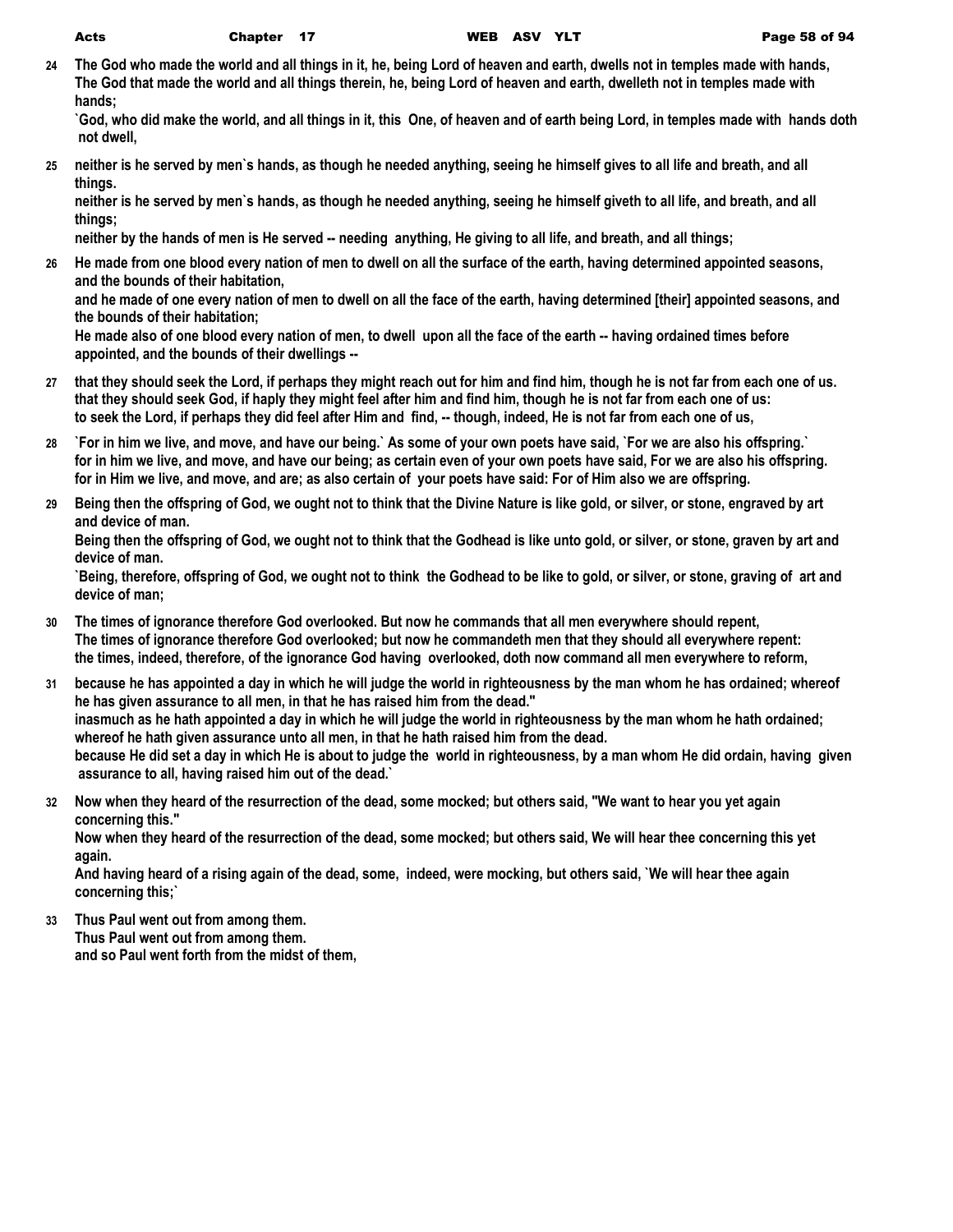**24 The God who made the world and all things in it, he, being Lord of heaven and earth, dwells not in temples made with hands, The God that made the world and all things therein, he, being Lord of heaven and earth, dwelleth not in temples made with hands;**

**`God, who did make the world, and all things in it, this One, of heaven and of earth being Lord, in temples made with hands doth not dwell,**

**25 neither is he served by men`s hands, as though he needed anything, seeing he himself gives to all life and breath, and all things.**

**neither is he served by men`s hands, as though he needed anything, seeing he himself giveth to all life, and breath, and all things;**

**neither by the hands of men is He served -- needing anything, He giving to all life, and breath, and all things;**

**26 He made from one blood every nation of men to dwell on all the surface of the earth, having determined appointed seasons, and the bounds of their habitation,**

**and he made of one every nation of men to dwell on all the face of the earth, having determined [their] appointed seasons, and the bounds of their habitation;**

**He made also of one blood every nation of men, to dwell upon all the face of the earth -- having ordained times before appointed, and the bounds of their dwellings --**

- **27 that they should seek the Lord, if perhaps they might reach out for him and find him, though he is not far from each one of us. that they should seek God, if haply they might feel after him and find him, though he is not far from each one of us: to seek the Lord, if perhaps they did feel after Him and find, -- though, indeed, He is not far from each one of us,**
- **28 `For in him we live, and move, and have our being.` As some of your own poets have said, `For we are also his offspring.` for in him we live, and move, and have our being; as certain even of your own poets have said, For we are also his offspring. for in Him we live, and move, and are; as also certain of your poets have said: For of Him also we are offspring.**
- **29 Being then the offspring of God, we ought not to think that the Divine Nature is like gold, or silver, or stone, engraved by art and device of man.**

**Being then the offspring of God, we ought not to think that the Godhead is like unto gold, or silver, or stone, graven by art and device of man.**

**`Being, therefore, offspring of God, we ought not to think the Godhead to be like to gold, or silver, or stone, graving of art and device of man;**

- **30 The times of ignorance therefore God overlooked. But now he commands that all men everywhere should repent, The times of ignorance therefore God overlooked; but now he commandeth men that they should all everywhere repent: the times, indeed, therefore, of the ignorance God having overlooked, doth now command all men everywhere to reform,**
- **31 because he has appointed a day in which he will judge the world in righteousness by the man whom he has ordained; whereof he has given assurance to all men, in that he has raised him from the dead." inasmuch as he hath appointed a day in which he will judge the world in righteousness by the man whom he hath ordained; whereof he hath given assurance unto all men, in that he hath raised him from the dead. because He did set a day in which He is about to judge the world in righteousness, by a man whom He did ordain, having given assurance to all, having raised him out of the dead.`**
- **32 Now when they heard of the resurrection of the dead, some mocked; but others said, "We want to hear you yet again concerning this."**

**Now when they heard of the resurrection of the dead, some mocked; but others said, We will hear thee concerning this yet again.**

**And having heard of a rising again of the dead, some, indeed, were mocking, but others said, `We will hear thee again concerning this;`**

**33 Thus Paul went out from among them. Thus Paul went out from among them. and so Paul went forth from the midst of them,**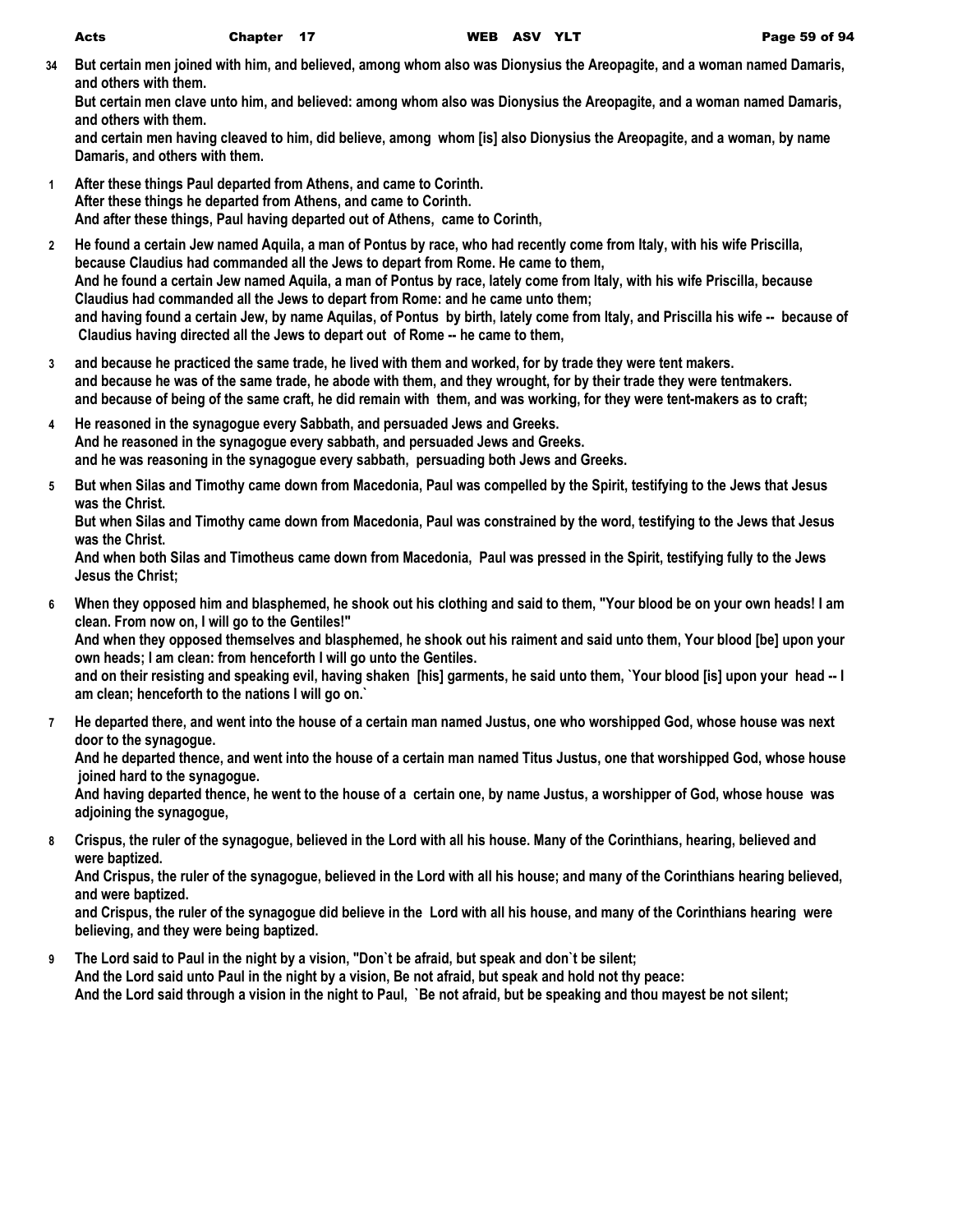**34 But certain men joined with him, and believed, among whom also was Dionysius the Areopagite, and a woman named Damaris, and others with them.**

**But certain men clave unto him, and believed: among whom also was Dionysius the Areopagite, and a woman named Damaris, and others with them.**

**and certain men having cleaved to him, did believe, among whom [is] also Dionysius the Areopagite, and a woman, by name Damaris, and others with them.**

- **1 After these things Paul departed from Athens, and came to Corinth. After these things he departed from Athens, and came to Corinth. And after these things, Paul having departed out of Athens, came to Corinth,**
- **2 He found a certain Jew named Aquila, a man of Pontus by race, who had recently come from Italy, with his wife Priscilla, because Claudius had commanded all the Jews to depart from Rome. He came to them, And he found a certain Jew named Aquila, a man of Pontus by race, lately come from Italy, with his wife Priscilla, because Claudius had commanded all the Jews to depart from Rome: and he came unto them; and having found a certain Jew, by name Aquilas, of Pontus by birth, lately come from Italy, and Priscilla his wife -- because of Claudius having directed all the Jews to depart out of Rome -- he came to them,**
- **3 and because he practiced the same trade, he lived with them and worked, for by trade they were tent makers. and because he was of the same trade, he abode with them, and they wrought, for by their trade they were tentmakers. and because of being of the same craft, he did remain with them, and was working, for they were tent-makers as to craft;**
- **4 He reasoned in the synagogue every Sabbath, and persuaded Jews and Greeks. And he reasoned in the synagogue every sabbath, and persuaded Jews and Greeks. and he was reasoning in the synagogue every sabbath, persuading both Jews and Greeks.**
- **5 But when Silas and Timothy came down from Macedonia, Paul was compelled by the Spirit, testifying to the Jews that Jesus was the Christ.**

**But when Silas and Timothy came down from Macedonia, Paul was constrained by the word, testifying to the Jews that Jesus was the Christ.**

**And when both Silas and Timotheus came down from Macedonia, Paul was pressed in the Spirit, testifying fully to the Jews Jesus the Christ;**

**6 When they opposed him and blasphemed, he shook out his clothing and said to them, "Your blood be on your own heads! I am clean. From now on, I will go to the Gentiles!"**

**And when they opposed themselves and blasphemed, he shook out his raiment and said unto them, Your blood [be] upon your own heads; I am clean: from henceforth I will go unto the Gentiles.**

**and on their resisting and speaking evil, having shaken [his] garments, he said unto them, `Your blood [is] upon your head -- I am clean; henceforth to the nations I will go on.`**

**7 He departed there, and went into the house of a certain man named Justus, one who worshipped God, whose house was next door to the synagogue.**

**And he departed thence, and went into the house of a certain man named Titus Justus, one that worshipped God, whose house joined hard to the synagogue.**

**And having departed thence, he went to the house of a certain one, by name Justus, a worshipper of God, whose house was adjoining the synagogue,**

**8 Crispus, the ruler of the synagogue, believed in the Lord with all his house. Many of the Corinthians, hearing, believed and were baptized.**

**And Crispus, the ruler of the synagogue, believed in the Lord with all his house; and many of the Corinthians hearing believed, and were baptized.**

**and Crispus, the ruler of the synagogue did believe in the Lord with all his house, and many of the Corinthians hearing were believing, and they were being baptized.**

**9 The Lord said to Paul in the night by a vision, "Don`t be afraid, but speak and don`t be silent; And the Lord said unto Paul in the night by a vision, Be not afraid, but speak and hold not thy peace: And the Lord said through a vision in the night to Paul, `Be not afraid, but be speaking and thou mayest be not silent;**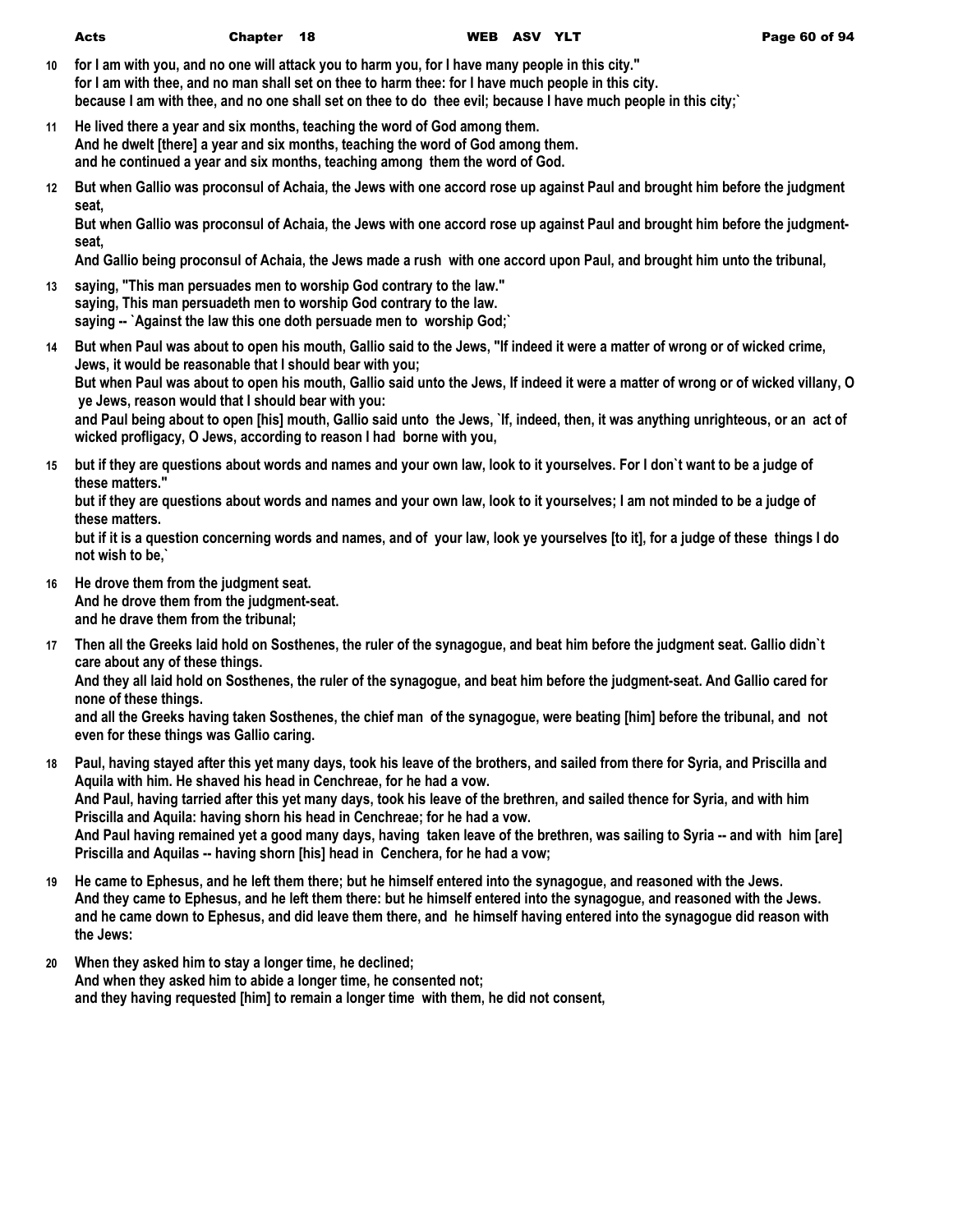| Acts | Chapter 18 | WEB ASV YLT | Page 60 of 94 |
|------|------------|-------------|---------------|

- **10 for I am with you, and no one will attack you to harm you, for I have many people in this city." for I am with thee, and no man shall set on thee to harm thee: for I have much people in this city. because I am with thee, and no one shall set on thee to do thee evil; because I have much people in this city;`**
- **11 He lived there a year and six months, teaching the word of God among them. And he dwelt [there] a year and six months, teaching the word of God among them. and he continued a year and six months, teaching among them the word of God.**
- **12 But when Gallio was proconsul of Achaia, the Jews with one accord rose up against Paul and brought him before the judgment seat,**

**But when Gallio was proconsul of Achaia, the Jews with one accord rose up against Paul and brought him before the judgmentseat,**

**And Gallio being proconsul of Achaia, the Jews made a rush with one accord upon Paul, and brought him unto the tribunal,**

- **13 saying, "This man persuades men to worship God contrary to the law." saying, This man persuadeth men to worship God contrary to the law. saying -- `Against the law this one doth persuade men to worship God;`**
- **14 But when Paul was about to open his mouth, Gallio said to the Jews, "If indeed it were a matter of wrong or of wicked crime, Jews, it would be reasonable that I should bear with you; But when Paul was about to open his mouth, Gallio said unto the Jews, If indeed it were a matter of wrong or of wicked villany, O ye Jews, reason would that I should bear with you: and Paul being about to open [his] mouth, Gallio said unto the Jews, `If, indeed, then, it was anything unrighteous, or an act of wicked profligacy, O Jews, according to reason I had borne with you,**
- **15 but if they are questions about words and names and your own law, look to it yourselves. For I don`t want to be a judge of these matters."**

**but if they are questions about words and names and your own law, look to it yourselves; I am not minded to be a judge of these matters.**

**but if it is a question concerning words and names, and of your law, look ye yourselves [to it], for a judge of these things I do not wish to be,`**

- **16 He drove them from the judgment seat. And he drove them from the judgment-seat. and he drave them from the tribunal;**
- **17 Then all the Greeks laid hold on Sosthenes, the ruler of the synagogue, and beat him before the judgment seat. Gallio didn`t care about any of these things.**

**And they all laid hold on Sosthenes, the ruler of the synagogue, and beat him before the judgment-seat. And Gallio cared for none of these things.**

**and all the Greeks having taken Sosthenes, the chief man of the synagogue, were beating [him] before the tribunal, and not even for these things was Gallio caring.**

- **18 Paul, having stayed after this yet many days, took his leave of the brothers, and sailed from there for Syria, and Priscilla and Aquila with him. He shaved his head in Cenchreae, for he had a vow. And Paul, having tarried after this yet many days, took his leave of the brethren, and sailed thence for Syria, and with him Priscilla and Aquila: having shorn his head in Cenchreae; for he had a vow. And Paul having remained yet a good many days, having taken leave of the brethren, was sailing to Syria -- and with him [are] Priscilla and Aquilas -- having shorn [his] head in Cenchera, for he had a vow;**
- **19 He came to Ephesus, and he left them there; but he himself entered into the synagogue, and reasoned with the Jews. And they came to Ephesus, and he left them there: but he himself entered into the synagogue, and reasoned with the Jews. and he came down to Ephesus, and did leave them there, and he himself having entered into the synagogue did reason with the Jews:**
- **20 When they asked him to stay a longer time, he declined; And when they asked him to abide a longer time, he consented not; and they having requested [him] to remain a longer time with them, he did not consent,**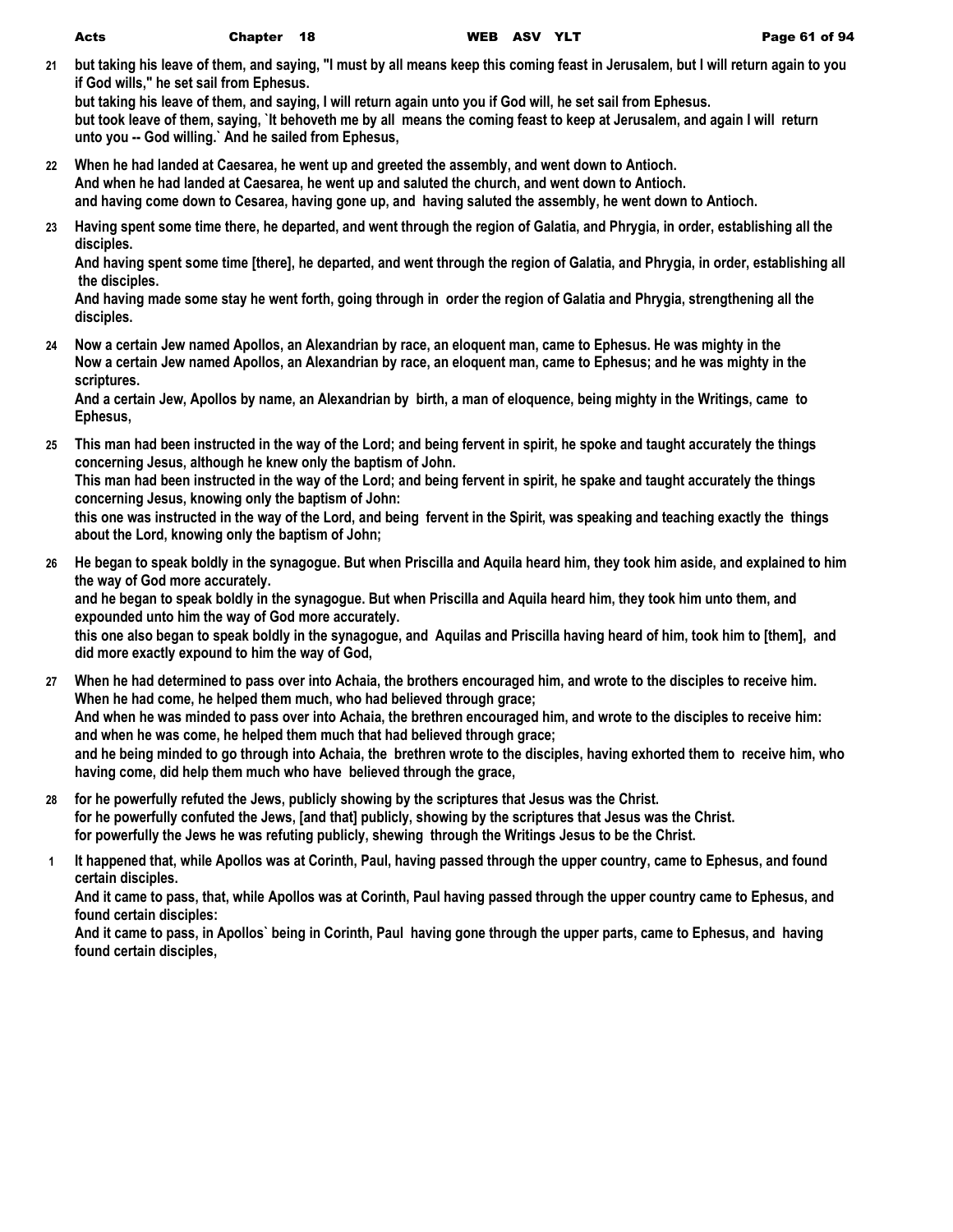**21 but taking his leave of them, and saying, "I must by all means keep this coming feast in Jerusalem, but I will return again to you if God wills," he set sail from Ephesus.**

**but taking his leave of them, and saying, I will return again unto you if God will, he set sail from Ephesus. but took leave of them, saying, `It behoveth me by all means the coming feast to keep at Jerusalem, and again I will return unto you -- God willing.` And he sailed from Ephesus,**

- **22 When he had landed at Caesarea, he went up and greeted the assembly, and went down to Antioch. And when he had landed at Caesarea, he went up and saluted the church, and went down to Antioch. and having come down to Cesarea, having gone up, and having saluted the assembly, he went down to Antioch.**
- **23 Having spent some time there, he departed, and went through the region of Galatia, and Phrygia, in order, establishing all the disciples.**

**And having spent some time [there], he departed, and went through the region of Galatia, and Phrygia, in order, establishing all the disciples.**

**And having made some stay he went forth, going through in order the region of Galatia and Phrygia, strengthening all the disciples.**

**24 Now a certain Jew named Apollos, an Alexandrian by race, an eloquent man, came to Ephesus. He was mighty in the Now a certain Jew named Apollos, an Alexandrian by race, an eloquent man, came to Ephesus; and he was mighty in the scriptures.**

**And a certain Jew, Apollos by name, an Alexandrian by birth, a man of eloquence, being mighty in the Writings, came to Ephesus,**

**25 This man had been instructed in the way of the Lord; and being fervent in spirit, he spoke and taught accurately the things concerning Jesus, although he knew only the baptism of John.**

**This man had been instructed in the way of the Lord; and being fervent in spirit, he spake and taught accurately the things concerning Jesus, knowing only the baptism of John:**

**this one was instructed in the way of the Lord, and being fervent in the Spirit, was speaking and teaching exactly the things about the Lord, knowing only the baptism of John;**

- **26 He began to speak boldly in the synagogue. But when Priscilla and Aquila heard him, they took him aside, and explained to him the way of God more accurately. and he began to speak boldly in the synagogue. But when Priscilla and Aquila heard him, they took him unto them, and expounded unto him the way of God more accurately. this one also began to speak boldly in the synagogue, and Aquilas and Priscilla having heard of him, took him to [them], and did more exactly expound to him the way of God, 27 When he had determined to pass over into Achaia, the brothers encouraged him, and wrote to the disciples to receive him.**
- **When he had come, he helped them much, who had believed through grace; And when he was minded to pass over into Achaia, the brethren encouraged him, and wrote to the disciples to receive him: and when he was come, he helped them much that had believed through grace; and he being minded to go through into Achaia, the brethren wrote to the disciples, having exhorted them to receive him, who having come, did help them much who have believed through the grace,**
- **28 for he powerfully refuted the Jews, publicly showing by the scriptures that Jesus was the Christ. for he powerfully confuted the Jews, [and that] publicly, showing by the scriptures that Jesus was the Christ. for powerfully the Jews he was refuting publicly, shewing through the Writings Jesus to be the Christ.**
- **1 It happened that, while Apollos was at Corinth, Paul, having passed through the upper country, came to Ephesus, and found certain disciples.**

**And it came to pass, that, while Apollos was at Corinth, Paul having passed through the upper country came to Ephesus, and found certain disciples:**

**And it came to pass, in Apollos` being in Corinth, Paul having gone through the upper parts, came to Ephesus, and having found certain disciples,**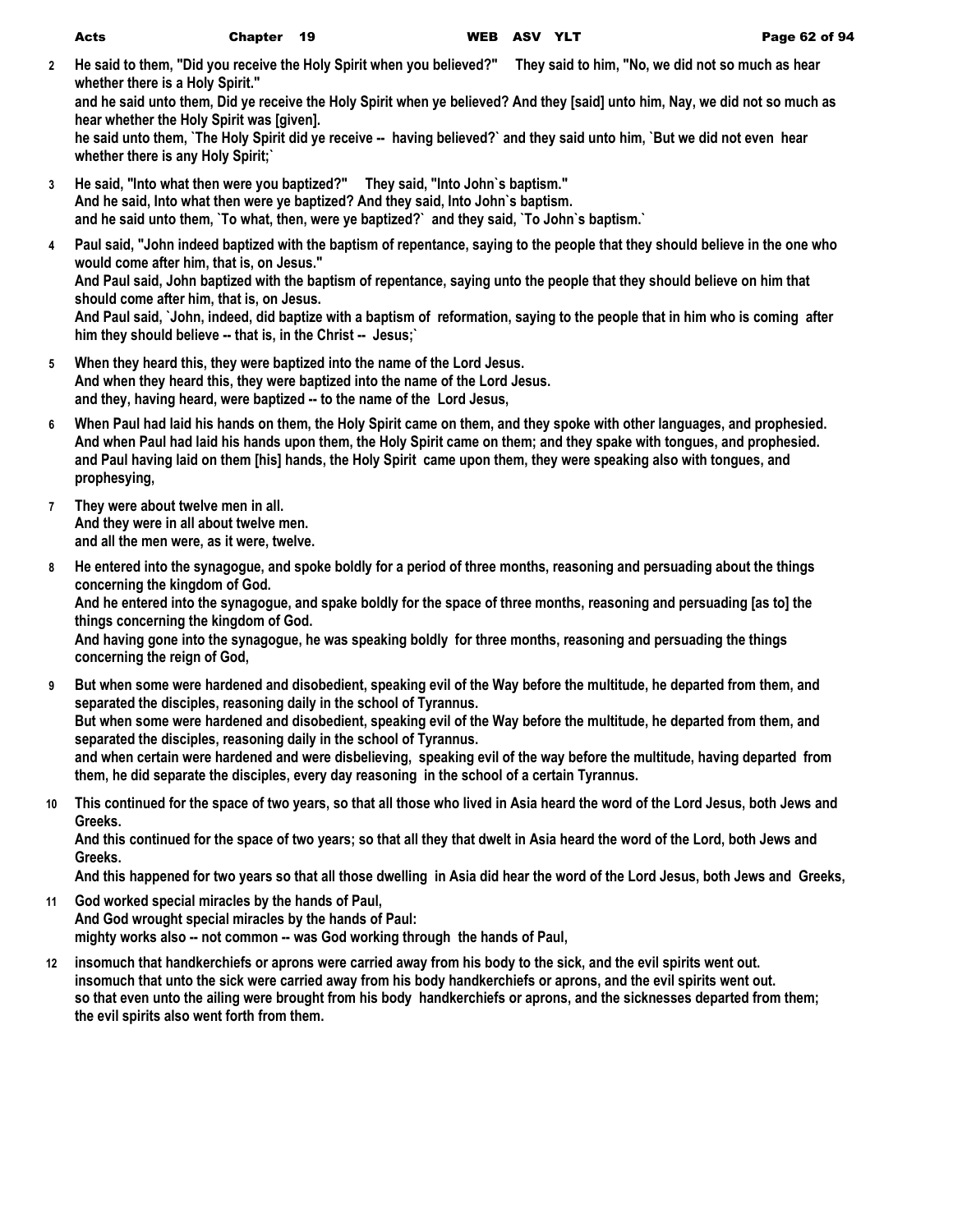**2 He said to them, "Did you receive the Holy Spirit when you believed?" They said to him, "No, we did not so much as hear whether there is a Holy Spirit."**

**and he said unto them, Did ye receive the Holy Spirit when ye believed? And they [said] unto him, Nay, we did not so much as hear whether the Holy Spirit was [given].**

**he said unto them, `The Holy Spirit did ye receive -- having believed?` and they said unto him, `But we did not even hear whether there is any Holy Spirit;`**

- **3 He said, "Into what then were you baptized?" They said, "Into John`s baptism." And he said, Into what then were ye baptized? And they said, Into John`s baptism. and he said unto them, `To what, then, were ye baptized?` and they said, `To John`s baptism.`**
- **4 Paul said, "John indeed baptized with the baptism of repentance, saying to the people that they should believe in the one who would come after him, that is, on Jesus." And Paul said, John baptized with the baptism of repentance, saying unto the people that they should believe on him that should come after him, that is, on Jesus. And Paul said, `John, indeed, did baptize with a baptism of reformation, saying to the people that in him who is coming after him they should believe -- that is, in the Christ -- Jesus;`**
- **5 When they heard this, they were baptized into the name of the Lord Jesus. And when they heard this, they were baptized into the name of the Lord Jesus. and they, having heard, were baptized -- to the name of the Lord Jesus,**
- **6 When Paul had laid his hands on them, the Holy Spirit came on them, and they spoke with other languages, and prophesied. And when Paul had laid his hands upon them, the Holy Spirit came on them; and they spake with tongues, and prophesied. and Paul having laid on them [his] hands, the Holy Spirit came upon them, they were speaking also with tongues, and prophesying,**
- **7 They were about twelve men in all. And they were in all about twelve men. and all the men were, as it were, twelve.**
- **8 He entered into the synagogue, and spoke boldly for a period of three months, reasoning and persuading about the things concerning the kingdom of God. And he entered into the synagogue, and spake boldly for the space of three months, reasoning and persuading [as to] the things concerning the kingdom of God. And having gone into the synagogue, he was speaking boldly for three months, reasoning and persuading the things concerning the reign of God, 9 But when some were hardened and disobedient, speaking evil of the Way before the multitude, he departed from them, and**
- **separated the disciples, reasoning daily in the school of Tyrannus. But when some were hardened and disobedient, speaking evil of the Way before the multitude, he departed from them, and separated the disciples, reasoning daily in the school of Tyrannus. and when certain were hardened and were disbelieving, speaking evil of the way before the multitude, having departed from them, he did separate the disciples, every day reasoning in the school of a certain Tyrannus.**
- **10 This continued for the space of two years, so that all those who lived in Asia heard the word of the Lord Jesus, both Jews and Greeks.**

**And this continued for the space of two years; so that all they that dwelt in Asia heard the word of the Lord, both Jews and Greeks.**

**And this happened for two years so that all those dwelling in Asia did hear the word of the Lord Jesus, both Jews and Greeks,**

- **11 God worked special miracles by the hands of Paul, And God wrought special miracles by the hands of Paul: mighty works also -- not common -- was God working through the hands of Paul,**
- **12 insomuch that handkerchiefs or aprons were carried away from his body to the sick, and the evil spirits went out. insomuch that unto the sick were carried away from his body handkerchiefs or aprons, and the evil spirits went out. so that even unto the ailing were brought from his body handkerchiefs or aprons, and the sicknesses departed from them; the evil spirits also went forth from them.**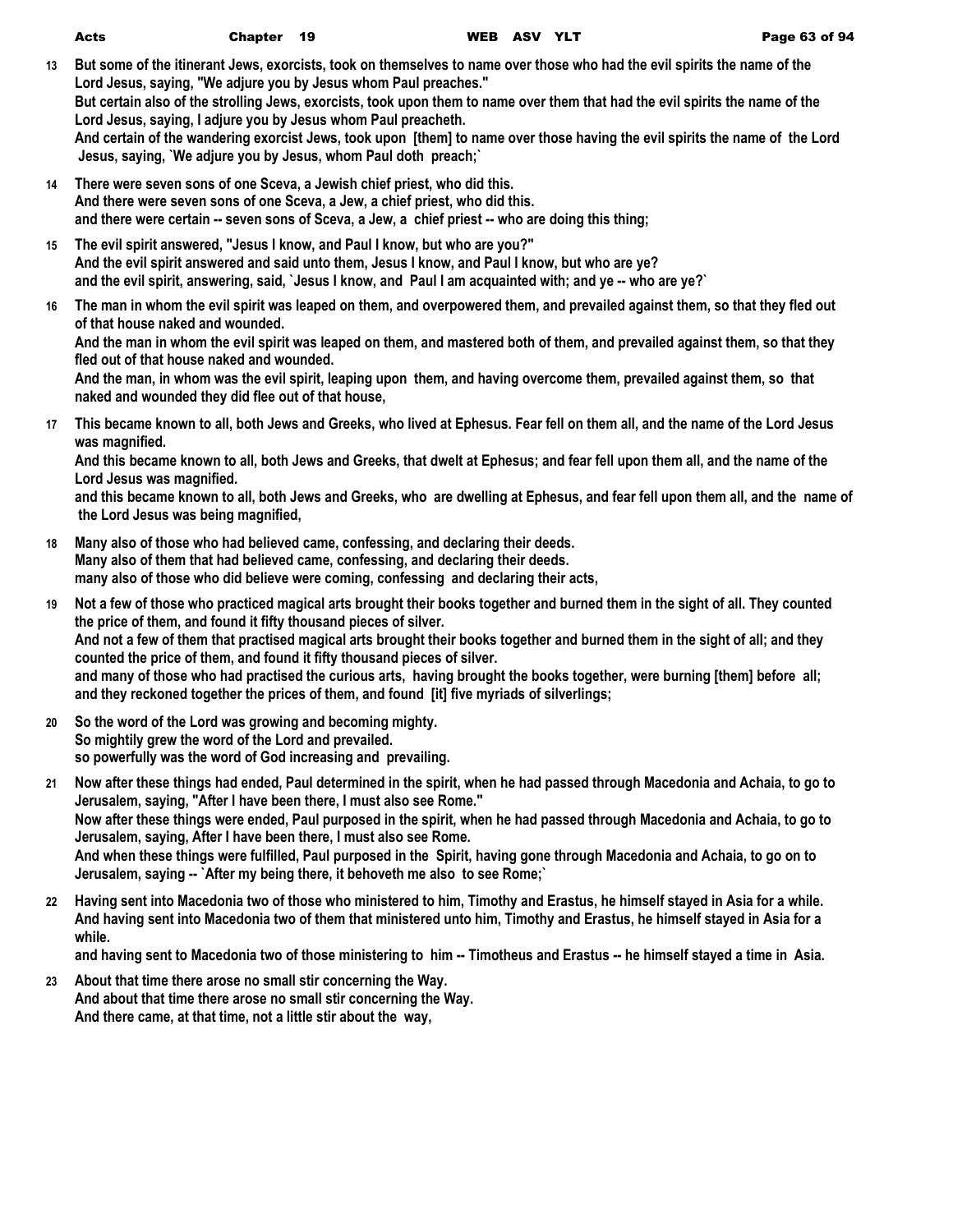| <b>Acts</b> | Chapter 19 | WEB ASV YLT | Page 63 of 94 |
|-------------|------------|-------------|---------------|
|             |            |             |               |

- **13 But some of the itinerant Jews, exorcists, took on themselves to name over those who had the evil spirits the name of the Lord Jesus, saying, "We adjure you by Jesus whom Paul preaches." But certain also of the strolling Jews, exorcists, took upon them to name over them that had the evil spirits the name of the Lord Jesus, saying, I adjure you by Jesus whom Paul preacheth. And certain of the wandering exorcist Jews, took upon [them] to name over those having the evil spirits the name of the Lord Jesus, saying, `We adjure you by Jesus, whom Paul doth preach;`**
- **14 There were seven sons of one Sceva, a Jewish chief priest, who did this. And there were seven sons of one Sceva, a Jew, a chief priest, who did this. and there were certain -- seven sons of Sceva, a Jew, a chief priest -- who are doing this thing;**
- **15 The evil spirit answered, "Jesus I know, and Paul I know, but who are you?" And the evil spirit answered and said unto them, Jesus I know, and Paul I know, but who are ye? and the evil spirit, answering, said, `Jesus I know, and Paul I am acquainted with; and ye -- who are ye?`**
- **16 The man in whom the evil spirit was leaped on them, and overpowered them, and prevailed against them, so that they fled out of that house naked and wounded.**

**And the man in whom the evil spirit was leaped on them, and mastered both of them, and prevailed against them, so that they fled out of that house naked and wounded.**

**And the man, in whom was the evil spirit, leaping upon them, and having overcome them, prevailed against them, so that naked and wounded they did flee out of that house,**

**17 This became known to all, both Jews and Greeks, who lived at Ephesus. Fear fell on them all, and the name of the Lord Jesus was magnified.**

**And this became known to all, both Jews and Greeks, that dwelt at Ephesus; and fear fell upon them all, and the name of the Lord Jesus was magnified.**

**and this became known to all, both Jews and Greeks, who are dwelling at Ephesus, and fear fell upon them all, and the name of the Lord Jesus was being magnified,**

- **18 Many also of those who had believed came, confessing, and declaring their deeds. Many also of them that had believed came, confessing, and declaring their deeds. many also of those who did believe were coming, confessing and declaring their acts,**
- **19 Not a few of those who practiced magical arts brought their books together and burned them in the sight of all. They counted the price of them, and found it fifty thousand pieces of silver. And not a few of them that practised magical arts brought their books together and burned them in the sight of all; and they counted the price of them, and found it fifty thousand pieces of silver. and many of those who had practised the curious arts, having brought the books together, were burning [them] before all; and they reckoned together the prices of them, and found [it] five myriads of silverlings;**
- **20 So the word of the Lord was growing and becoming mighty. So mightily grew the word of the Lord and prevailed. so powerfully was the word of God increasing and prevailing.**
- **21 Now after these things had ended, Paul determined in the spirit, when he had passed through Macedonia and Achaia, to go to Jerusalem, saying, "After I have been there, I must also see Rome." Now after these things were ended, Paul purposed in the spirit, when he had passed through Macedonia and Achaia, to go to Jerusalem, saying, After I have been there, I must also see Rome. And when these things were fulfilled, Paul purposed in the Spirit, having gone through Macedonia and Achaia, to go on to Jerusalem, saying -- `After my being there, it behoveth me also to see Rome;`**
- **22 Having sent into Macedonia two of those who ministered to him, Timothy and Erastus, he himself stayed in Asia for a while. And having sent into Macedonia two of them that ministered unto him, Timothy and Erastus, he himself stayed in Asia for a while.**

**and having sent to Macedonia two of those ministering to him -- Timotheus and Erastus -- he himself stayed a time in Asia.**

**23 About that time there arose no small stir concerning the Way. And about that time there arose no small stir concerning the Way. And there came, at that time, not a little stir about the way,**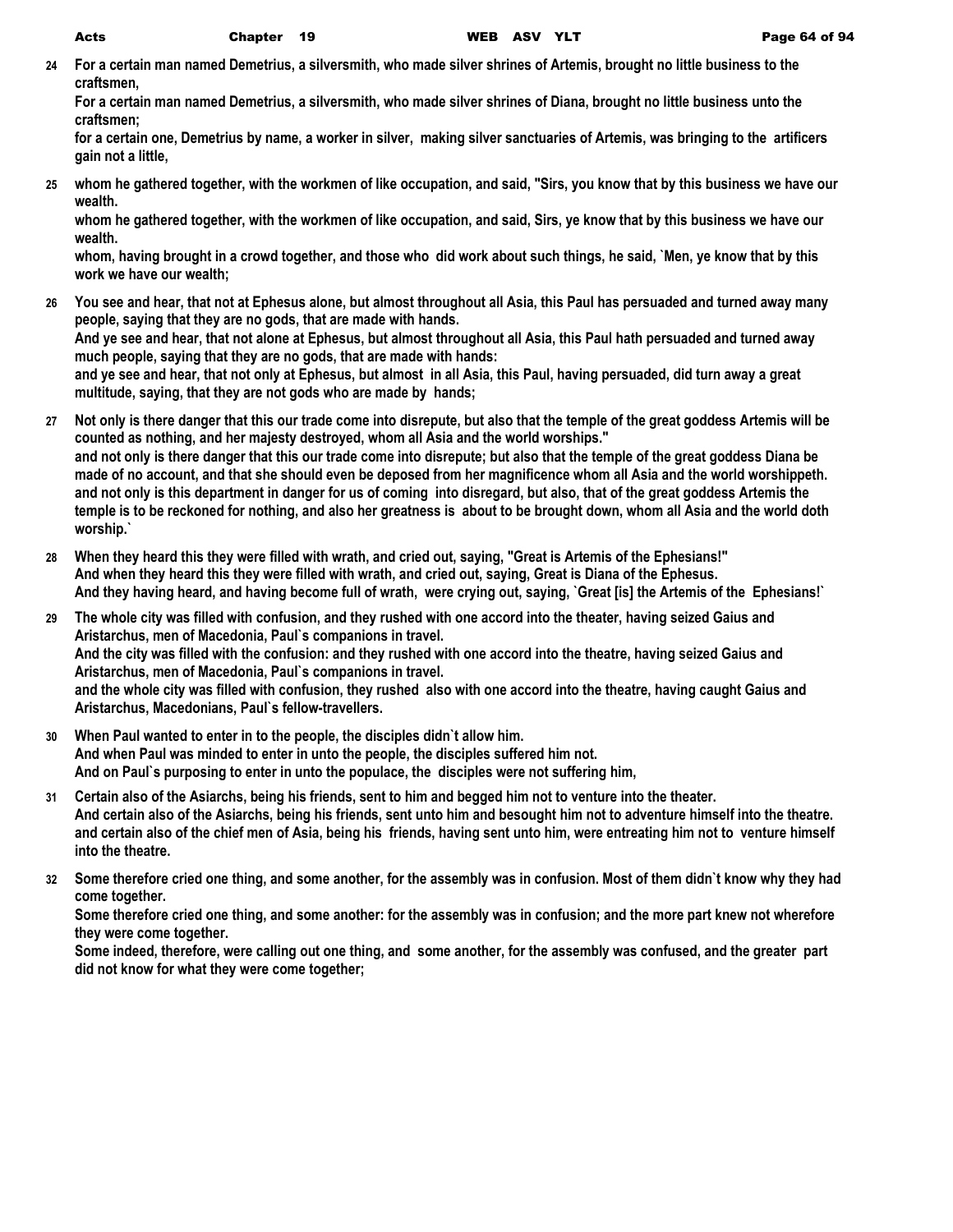**24 For a certain man named Demetrius, a silversmith, who made silver shrines of Artemis, brought no little business to the craftsmen,**

**For a certain man named Demetrius, a silversmith, who made silver shrines of Diana, brought no little business unto the craftsmen;**

**for a certain one, Demetrius by name, a worker in silver, making silver sanctuaries of Artemis, was bringing to the artificers gain not a little,**

**25 whom he gathered together, with the workmen of like occupation, and said, "Sirs, you know that by this business we have our wealth.**

**whom he gathered together, with the workmen of like occupation, and said, Sirs, ye know that by this business we have our wealth.**

**whom, having brought in a crowd together, and those who did work about such things, he said, `Men, ye know that by this work we have our wealth;**

**26 You see and hear, that not at Ephesus alone, but almost throughout all Asia, this Paul has persuaded and turned away many people, saying that they are no gods, that are made with hands. And ye see and hear, that not alone at Ephesus, but almost throughout all Asia, this Paul hath persuaded and turned away** 

**much people, saying that they are no gods, that are made with hands: and ye see and hear, that not only at Ephesus, but almost in all Asia, this Paul, having persuaded, did turn away a great multitude, saying, that they are not gods who are made by hands;**

- **27 Not only is there danger that this our trade come into disrepute, but also that the temple of the great goddess Artemis will be counted as nothing, and her majesty destroyed, whom all Asia and the world worships." and not only is there danger that this our trade come into disrepute; but also that the temple of the great goddess Diana be made of no account, and that she should even be deposed from her magnificence whom all Asia and the world worshippeth. and not only is this department in danger for us of coming into disregard, but also, that of the great goddess Artemis the temple is to be reckoned for nothing, and also her greatness is about to be brought down, whom all Asia and the world doth worship.`**
- **28 When they heard this they were filled with wrath, and cried out, saying, "Great is Artemis of the Ephesians!" And when they heard this they were filled with wrath, and cried out, saying, Great is Diana of the Ephesus. And they having heard, and having become full of wrath, were crying out, saying, `Great [is] the Artemis of the Ephesians!`**
- **29 The whole city was filled with confusion, and they rushed with one accord into the theater, having seized Gaius and Aristarchus, men of Macedonia, Paul`s companions in travel. And the city was filled with the confusion: and they rushed with one accord into the theatre, having seized Gaius and Aristarchus, men of Macedonia, Paul`s companions in travel. and the whole city was filled with confusion, they rushed also with one accord into the theatre, having caught Gaius and Aristarchus, Macedonians, Paul`s fellow-travellers.**
- **30 When Paul wanted to enter in to the people, the disciples didn`t allow him. And when Paul was minded to enter in unto the people, the disciples suffered him not. And on Paul`s purposing to enter in unto the populace, the disciples were not suffering him,**
- **31 Certain also of the Asiarchs, being his friends, sent to him and begged him not to venture into the theater. And certain also of the Asiarchs, being his friends, sent unto him and besought him not to adventure himself into the theatre. and certain also of the chief men of Asia, being his friends, having sent unto him, were entreating him not to venture himself into the theatre.**
- **32 Some therefore cried one thing, and some another, for the assembly was in confusion. Most of them didn`t know why they had come together.**

**Some therefore cried one thing, and some another: for the assembly was in confusion; and the more part knew not wherefore they were come together.**

**Some indeed, therefore, were calling out one thing, and some another, for the assembly was confused, and the greater part did not know for what they were come together;**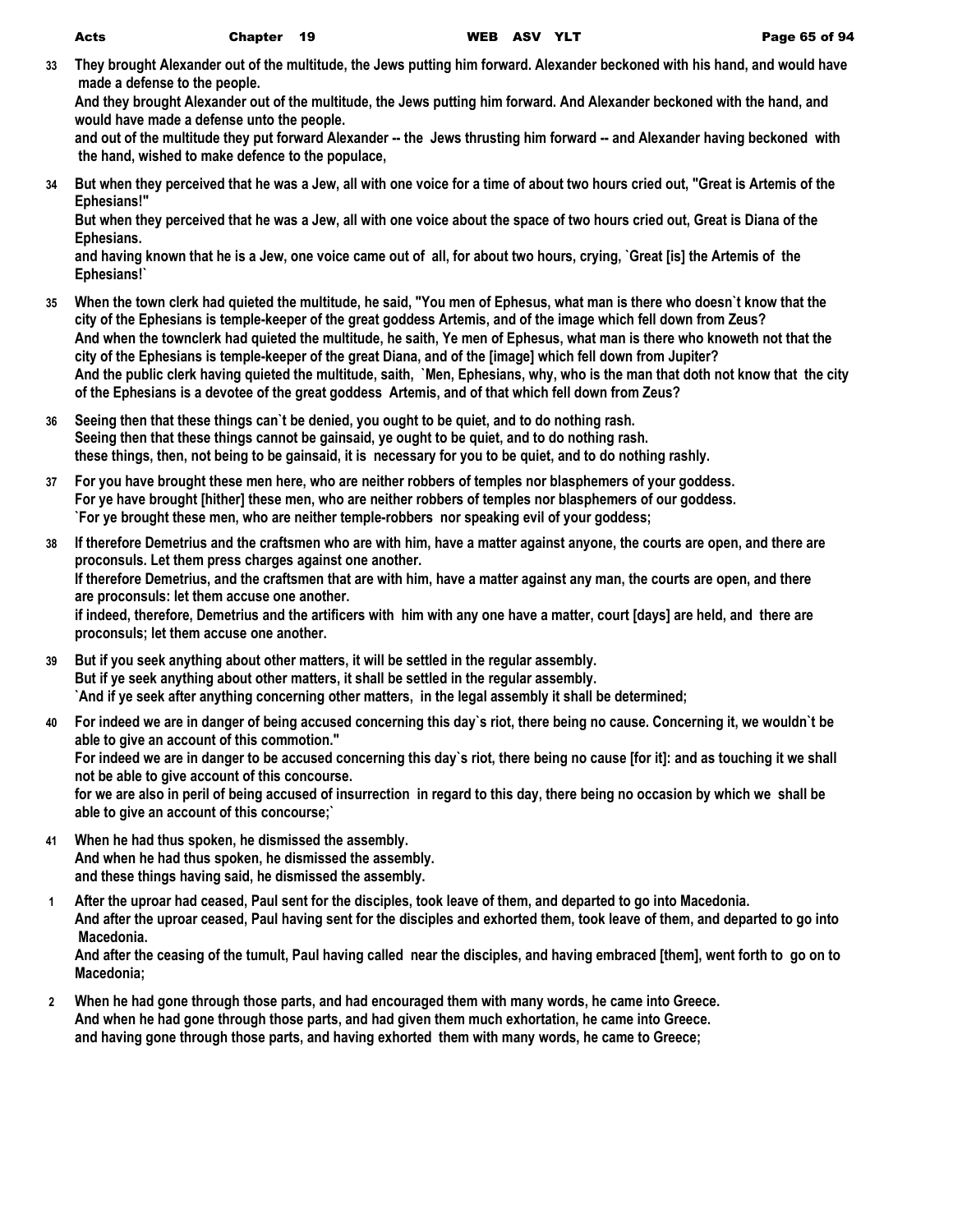**33 They brought Alexander out of the multitude, the Jews putting him forward. Alexander beckoned with his hand, and would have made a defense to the people.**

**And they brought Alexander out of the multitude, the Jews putting him forward. And Alexander beckoned with the hand, and would have made a defense unto the people.**

and out of the multitude they put forward Alexander -- the Jews thrusting him forward -- and Alexander having beckoned with  **the hand, wished to make defence to the populace,**

**34 But when they perceived that he was a Jew, all with one voice for a time of about two hours cried out, "Great is Artemis of the Ephesians!"**

**But when they perceived that he was a Jew, all with one voice about the space of two hours cried out, Great is Diana of the Ephesians.**

**and having known that he is a Jew, one voice came out of all, for about two hours, crying, `Great [is] the Artemis of the Ephesians!`**

- **35 When the town clerk had quieted the multitude, he said, "You men of Ephesus, what man is there who doesn`t know that the city of the Ephesians is temple-keeper of the great goddess Artemis, and of the image which fell down from Zeus? And when the townclerk had quieted the multitude, he saith, Ye men of Ephesus, what man is there who knoweth not that the city of the Ephesians is temple-keeper of the great Diana, and of the [image] which fell down from Jupiter? And the public clerk having quieted the multitude, saith, `Men, Ephesians, why, who is the man that doth not know that the city of the Ephesians is a devotee of the great goddess Artemis, and of that which fell down from Zeus?**
- **36 Seeing then that these things can`t be denied, you ought to be quiet, and to do nothing rash. Seeing then that these things cannot be gainsaid, ye ought to be quiet, and to do nothing rash. these things, then, not being to be gainsaid, it is necessary for you to be quiet, and to do nothing rashly.**
- **37 For you have brought these men here, who are neither robbers of temples nor blasphemers of your goddess. For ye have brought [hither] these men, who are neither robbers of temples nor blasphemers of our goddess. `For ye brought these men, who are neither temple-robbers nor speaking evil of your goddess;**
- **38 If therefore Demetrius and the craftsmen who are with him, have a matter against anyone, the courts are open, and there are proconsuls. Let them press charges against one another. If therefore Demetrius, and the craftsmen that are with him, have a matter against any man, the courts are open, and there are proconsuls: let them accuse one another. if indeed, therefore, Demetrius and the artificers with him with any one have a matter, court [days] are held, and there are proconsuls; let them accuse one another.**
- **39 But if you seek anything about other matters, it will be settled in the regular assembly. But if ye seek anything about other matters, it shall be settled in the regular assembly. `And if ye seek after anything concerning other matters, in the legal assembly it shall be determined;**
- **40 For indeed we are in danger of being accused concerning this day`s riot, there being no cause. Concerning it, we wouldn`t be able to give an account of this commotion." For indeed we are in danger to be accused concerning this day`s riot, there being no cause [for it]: and as touching it we shall not be able to give account of this concourse. for we are also in peril of being accused of insurrection in regard to this day, there being no occasion by which we shall be**

**able to give an account of this concourse;`**

- **41 When he had thus spoken, he dismissed the assembly. And when he had thus spoken, he dismissed the assembly. and these things having said, he dismissed the assembly.**
- **1 After the uproar had ceased, Paul sent for the disciples, took leave of them, and departed to go into Macedonia. And after the uproar ceased, Paul having sent for the disciples and exhorted them, took leave of them, and departed to go into Macedonia. And after the ceasing of the tumult, Paul having called near the disciples, and having embraced [them], went forth to go on to**

**Macedonia;**

**2 When he had gone through those parts, and had encouraged them with many words, he came into Greece. And when he had gone through those parts, and had given them much exhortation, he came into Greece. and having gone through those parts, and having exhorted them with many words, he came to Greece;**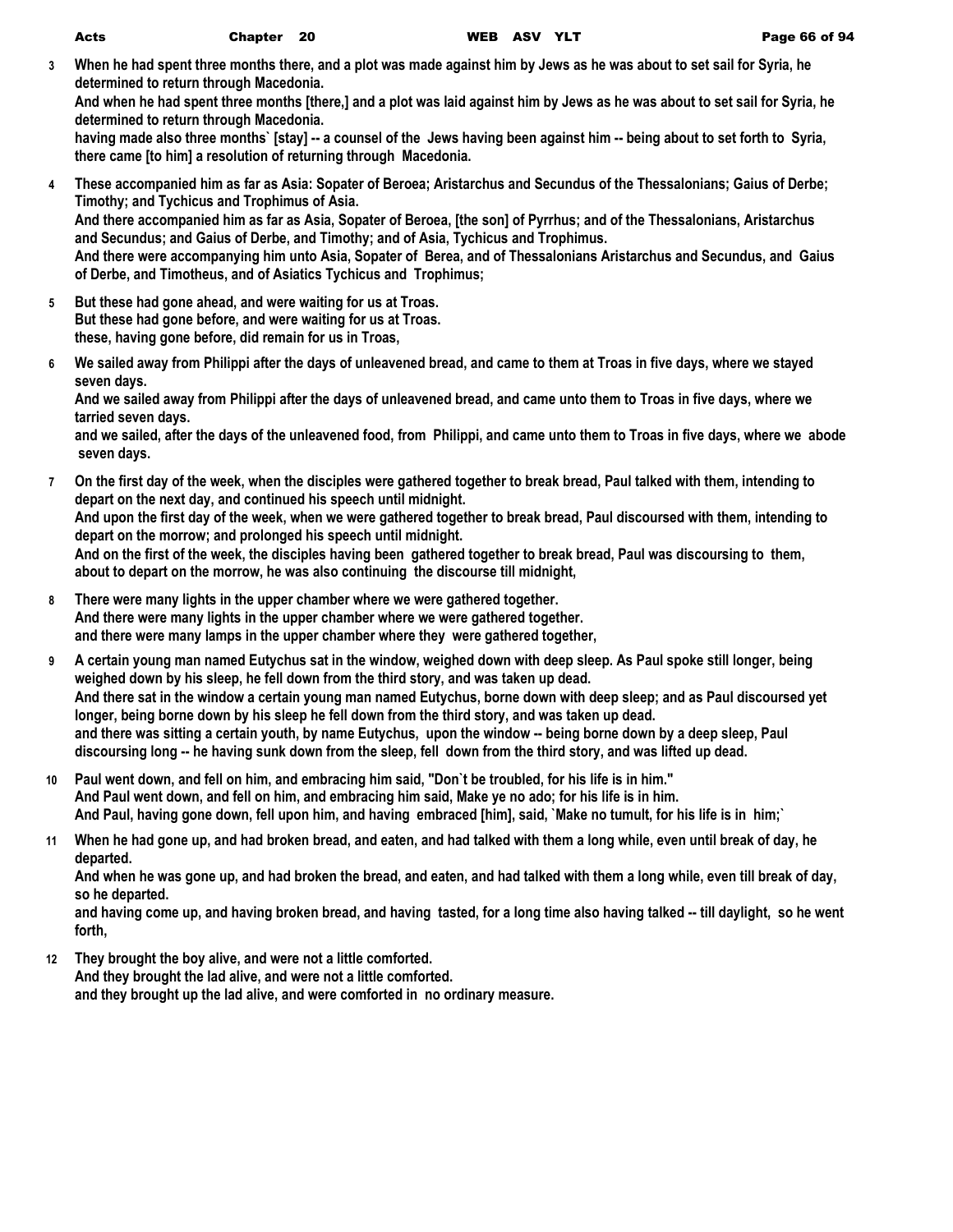**3 When he had spent three months there, and a plot was made against him by Jews as he was about to set sail for Syria, he determined to return through Macedonia.**

**And when he had spent three months [there,] and a plot was laid against him by Jews as he was about to set sail for Syria, he determined to return through Macedonia.**

**having made also three months` [stay] -- a counsel of the Jews having been against him -- being about to set forth to Syria, there came [to him] a resolution of returning through Macedonia.**

- **4 These accompanied him as far as Asia: Sopater of Beroea; Aristarchus and Secundus of the Thessalonians; Gaius of Derbe; Timothy; and Tychicus and Trophimus of Asia. And there accompanied him as far as Asia, Sopater of Beroea, [the son] of Pyrrhus; and of the Thessalonians, Aristarchus and Secundus; and Gaius of Derbe, and Timothy; and of Asia, Tychicus and Trophimus. And there were accompanying him unto Asia, Sopater of Berea, and of Thessalonians Aristarchus and Secundus, and Gaius of Derbe, and Timotheus, and of Asiatics Tychicus and Trophimus;**
- **5 But these had gone ahead, and were waiting for us at Troas. But these had gone before, and were waiting for us at Troas. these, having gone before, did remain for us in Troas,**
- **6 We sailed away from Philippi after the days of unleavened bread, and came to them at Troas in five days, where we stayed seven days.**

**And we sailed away from Philippi after the days of unleavened bread, and came unto them to Troas in five days, where we tarried seven days.**

**and we sailed, after the days of the unleavened food, from Philippi, and came unto them to Troas in five days, where we abode seven days.**

- **7 On the first day of the week, when the disciples were gathered together to break bread, Paul talked with them, intending to depart on the next day, and continued his speech until midnight. And upon the first day of the week, when we were gathered together to break bread, Paul discoursed with them, intending to depart on the morrow; and prolonged his speech until midnight. And on the first of the week, the disciples having been gathered together to break bread, Paul was discoursing to them, about to depart on the morrow, he was also continuing the discourse till midnight,**
- **8 There were many lights in the upper chamber where we were gathered together. And there were many lights in the upper chamber where we were gathered together. and there were many lamps in the upper chamber where they were gathered together,**
- **9 A certain young man named Eutychus sat in the window, weighed down with deep sleep. As Paul spoke still longer, being weighed down by his sleep, he fell down from the third story, and was taken up dead. And there sat in the window a certain young man named Eutychus, borne down with deep sleep; and as Paul discoursed yet longer, being borne down by his sleep he fell down from the third story, and was taken up dead. and there was sitting a certain youth, by name Eutychus, upon the window -- being borne down by a deep sleep, Paul discoursing long -- he having sunk down from the sleep, fell down from the third story, and was lifted up dead.**
- **10 Paul went down, and fell on him, and embracing him said, "Don`t be troubled, for his life is in him." And Paul went down, and fell on him, and embracing him said, Make ye no ado; for his life is in him. And Paul, having gone down, fell upon him, and having embraced [him], said, `Make no tumult, for his life is in him;`**
- **11 When he had gone up, and had broken bread, and eaten, and had talked with them a long while, even until break of day, he departed.**

**And when he was gone up, and had broken the bread, and eaten, and had talked with them a long while, even till break of day, so he departed.**

**and having come up, and having broken bread, and having tasted, for a long time also having talked -- till daylight, so he went forth,**

**12 They brought the boy alive, and were not a little comforted. And they brought the lad alive, and were not a little comforted. and they brought up the lad alive, and were comforted in no ordinary measure.**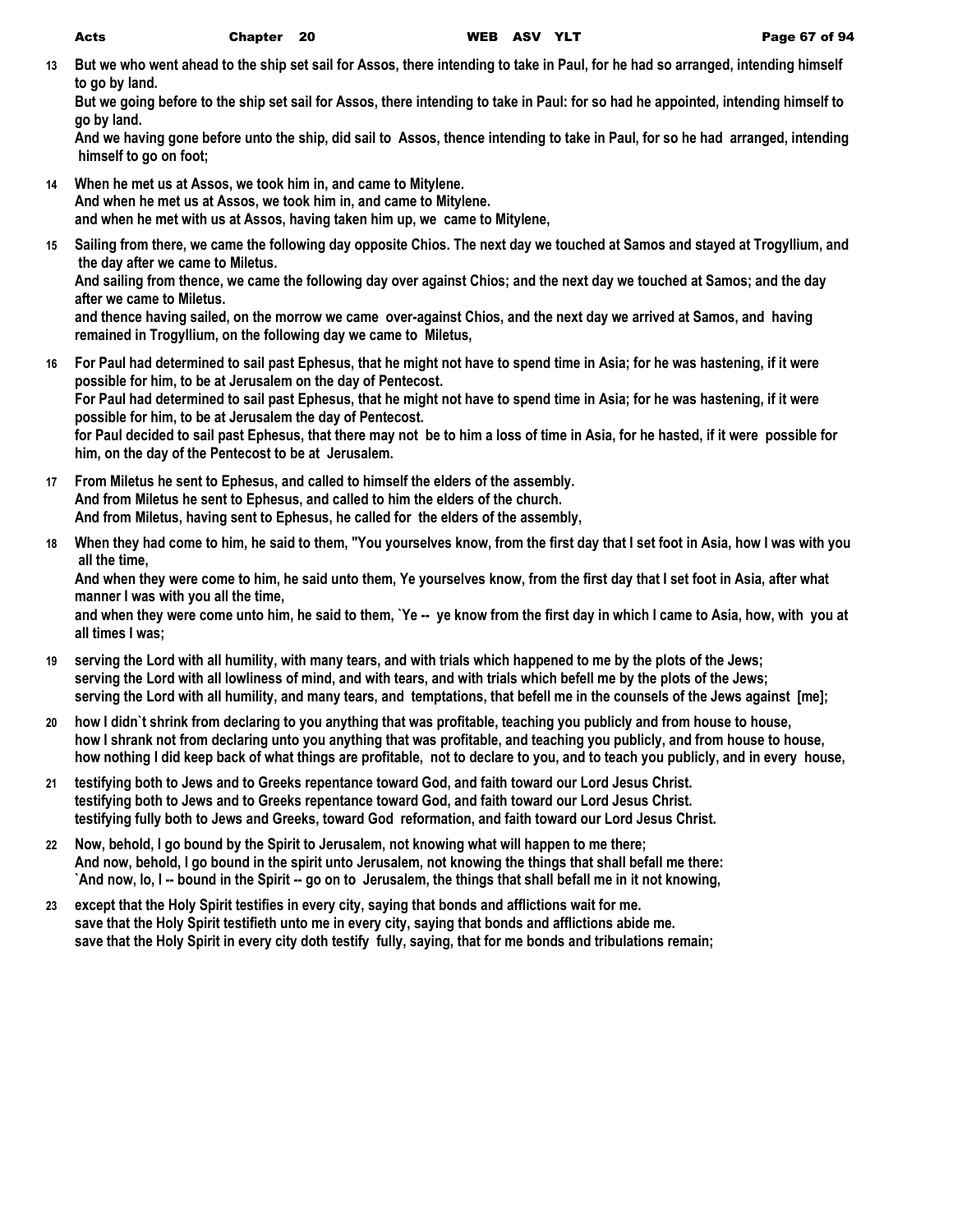**13 But we who went ahead to the ship set sail for Assos, there intending to take in Paul, for he had so arranged, intending himself to go by land.**

**But we going before to the ship set sail for Assos, there intending to take in Paul: for so had he appointed, intending himself to go by land.**

**And we having gone before unto the ship, did sail to Assos, thence intending to take in Paul, for so he had arranged, intending himself to go on foot;**

- **14 When he met us at Assos, we took him in, and came to Mitylene. And when he met us at Assos, we took him in, and came to Mitylene. and when he met with us at Assos, having taken him up, we came to Mitylene,**
- **15 Sailing from there, we came the following day opposite Chios. The next day we touched at Samos and stayed at Trogyllium, and the day after we came to Miletus.**

**And sailing from thence, we came the following day over against Chios; and the next day we touched at Samos; and the day after we came to Miletus.**

**and thence having sailed, on the morrow we came over-against Chios, and the next day we arrived at Samos, and having remained in Trogyllium, on the following day we came to Miletus,**

- **16 For Paul had determined to sail past Ephesus, that he might not have to spend time in Asia; for he was hastening, if it were possible for him, to be at Jerusalem on the day of Pentecost. For Paul had determined to sail past Ephesus, that he might not have to spend time in Asia; for he was hastening, if it were possible for him, to be at Jerusalem the day of Pentecost. for Paul decided to sail past Ephesus, that there may not be to him a loss of time in Asia, for he hasted, if it were possible for him, on the day of the Pentecost to be at Jerusalem.**
- **17 From Miletus he sent to Ephesus, and called to himself the elders of the assembly. And from Miletus he sent to Ephesus, and called to him the elders of the church. And from Miletus, having sent to Ephesus, he called for the elders of the assembly,**
- **18 When they had come to him, he said to them, "You yourselves know, from the first day that I set foot in Asia, how I was with you all the time,**

**And when they were come to him, he said unto them, Ye yourselves know, from the first day that I set foot in Asia, after what manner I was with you all the time,**

**and when they were come unto him, he said to them, `Ye -- ye know from the first day in which I came to Asia, how, with you at all times I was;**

- **19 serving the Lord with all humility, with many tears, and with trials which happened to me by the plots of the Jews; serving the Lord with all lowliness of mind, and with tears, and with trials which befell me by the plots of the Jews; serving the Lord with all humility, and many tears, and temptations, that befell me in the counsels of the Jews against [me];**
- **20 how I didn`t shrink from declaring to you anything that was profitable, teaching you publicly and from house to house, how I shrank not from declaring unto you anything that was profitable, and teaching you publicly, and from house to house, how nothing I did keep back of what things are profitable, not to declare to you, and to teach you publicly, and in every house,**
- **21 testifying both to Jews and to Greeks repentance toward God, and faith toward our Lord Jesus Christ. testifying both to Jews and to Greeks repentance toward God, and faith toward our Lord Jesus Christ. testifying fully both to Jews and Greeks, toward God reformation, and faith toward our Lord Jesus Christ.**
- **22 Now, behold, I go bound by the Spirit to Jerusalem, not knowing what will happen to me there; And now, behold, I go bound in the spirit unto Jerusalem, not knowing the things that shall befall me there: `And now, lo, I -- bound in the Spirit -- go on to Jerusalem, the things that shall befall me in it not knowing,**
- **23 except that the Holy Spirit testifies in every city, saying that bonds and afflictions wait for me. save that the Holy Spirit testifieth unto me in every city, saying that bonds and afflictions abide me. save that the Holy Spirit in every city doth testify fully, saying, that for me bonds and tribulations remain;**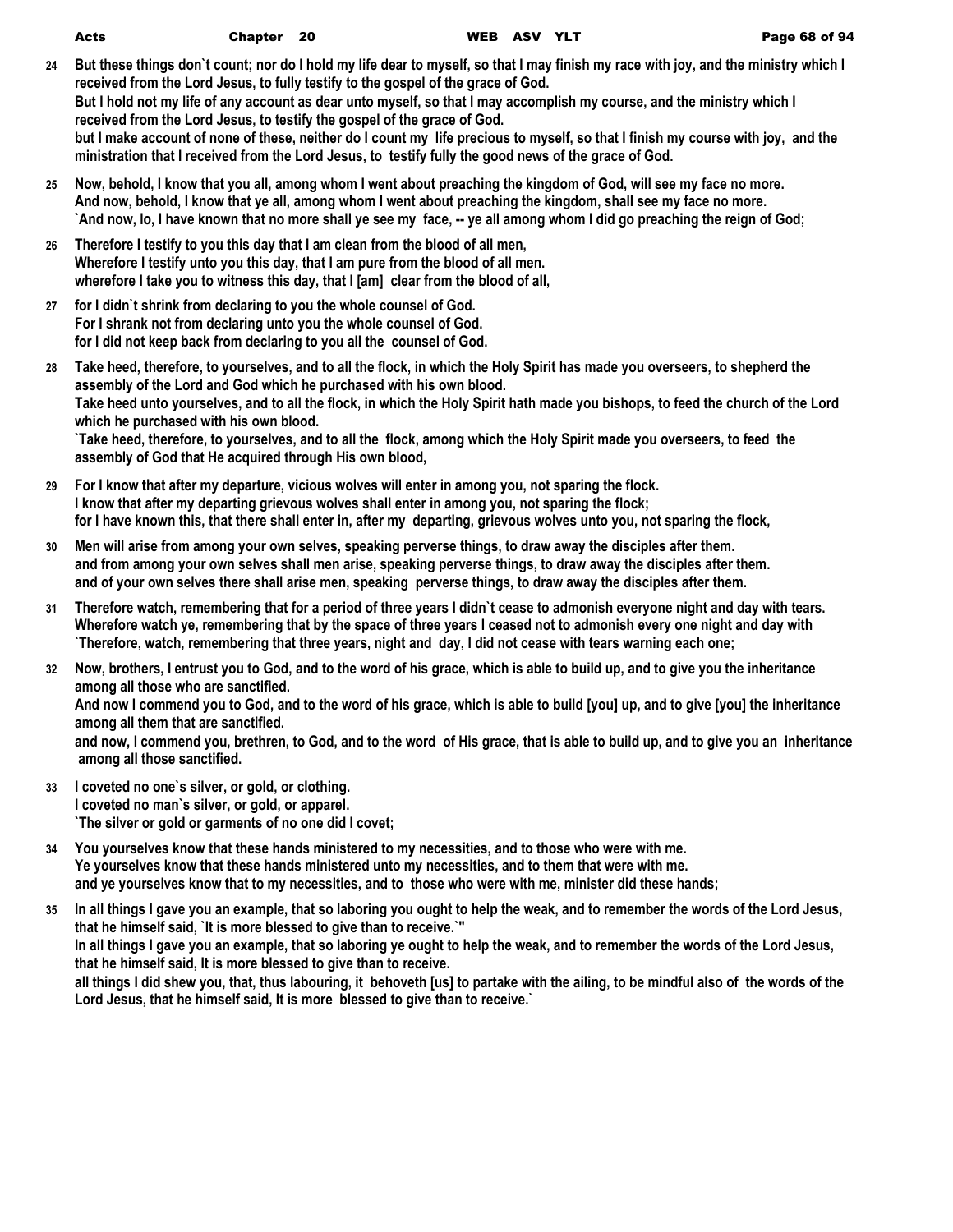| Acts | Chapter 20 | WEB ASV YLT | Page 68 of 94 |
|------|------------|-------------|---------------|

- **24 But these things don`t count; nor do I hold my life dear to myself, so that I may finish my race with joy, and the ministry which I received from the Lord Jesus, to fully testify to the gospel of the grace of God. But I hold not my life of any account as dear unto myself, so that I may accomplish my course, and the ministry which I received from the Lord Jesus, to testify the gospel of the grace of God. but I make account of none of these, neither do I count my life precious to myself, so that I finish my course with joy, and the ministration that I received from the Lord Jesus, to testify fully the good news of the grace of God.**
- **25 Now, behold, I know that you all, among whom I went about preaching the kingdom of God, will see my face no more. And now, behold, I know that ye all, among whom I went about preaching the kingdom, shall see my face no more. `And now, lo, I have known that no more shall ye see my face, -- ye all among whom I did go preaching the reign of God;**
- **26 Therefore I testify to you this day that I am clean from the blood of all men, Wherefore I testify unto you this day, that I am pure from the blood of all men. wherefore I take you to witness this day, that I [am] clear from the blood of all,**
- **27 for I didn`t shrink from declaring to you the whole counsel of God. For I shrank not from declaring unto you the whole counsel of God. for I did not keep back from declaring to you all the counsel of God.**
- **28 Take heed, therefore, to yourselves, and to all the flock, in which the Holy Spirit has made you overseers, to shepherd the assembly of the Lord and God which he purchased with his own blood. Take heed unto yourselves, and to all the flock, in which the Holy Spirit hath made you bishops, to feed the church of the Lord which he purchased with his own blood. `Take heed, therefore, to yourselves, and to all the flock, among which the Holy Spirit made you overseers, to feed the assembly of God that He acquired through His own blood,**
- **29 For I know that after my departure, vicious wolves will enter in among you, not sparing the flock. I know that after my departing grievous wolves shall enter in among you, not sparing the flock; for I have known this, that there shall enter in, after my departing, grievous wolves unto you, not sparing the flock,**
- **30 Men will arise from among your own selves, speaking perverse things, to draw away the disciples after them. and from among your own selves shall men arise, speaking perverse things, to draw away the disciples after them. and of your own selves there shall arise men, speaking perverse things, to draw away the disciples after them.**
- **31 Therefore watch, remembering that for a period of three years I didn`t cease to admonish everyone night and day with tears. Wherefore watch ye, remembering that by the space of three years I ceased not to admonish every one night and day with `Therefore, watch, remembering that three years, night and day, I did not cease with tears warning each one;**
- **32 Now, brothers, I entrust you to God, and to the word of his grace, which is able to build up, and to give you the inheritance among all those who are sanctified.**

**And now I commend you to God, and to the word of his grace, which is able to build [you] up, and to give [you] the inheritance among all them that are sanctified.**

**and now, I commend you, brethren, to God, and to the word of His grace, that is able to build up, and to give you an inheritance among all those sanctified.**

- **33 I coveted no one`s silver, or gold, or clothing. I coveted no man`s silver, or gold, or apparel. `The silver or gold or garments of no one did I covet;**
- **34 You yourselves know that these hands ministered to my necessities, and to those who were with me. Ye yourselves know that these hands ministered unto my necessities, and to them that were with me. and ye yourselves know that to my necessities, and to those who were with me, minister did these hands;**
- **35 In all things I gave you an example, that so laboring you ought to help the weak, and to remember the words of the Lord Jesus, that he himself said, `It is more blessed to give than to receive.`" In all things I gave you an example, that so laboring ye ought to help the weak, and to remember the words of the Lord Jesus, that he himself said, It is more blessed to give than to receive. all things I did shew you, that, thus labouring, it behoveth [us] to partake with the ailing, to be mindful also of the words of the Lord Jesus, that he himself said, It is more blessed to give than to receive.`**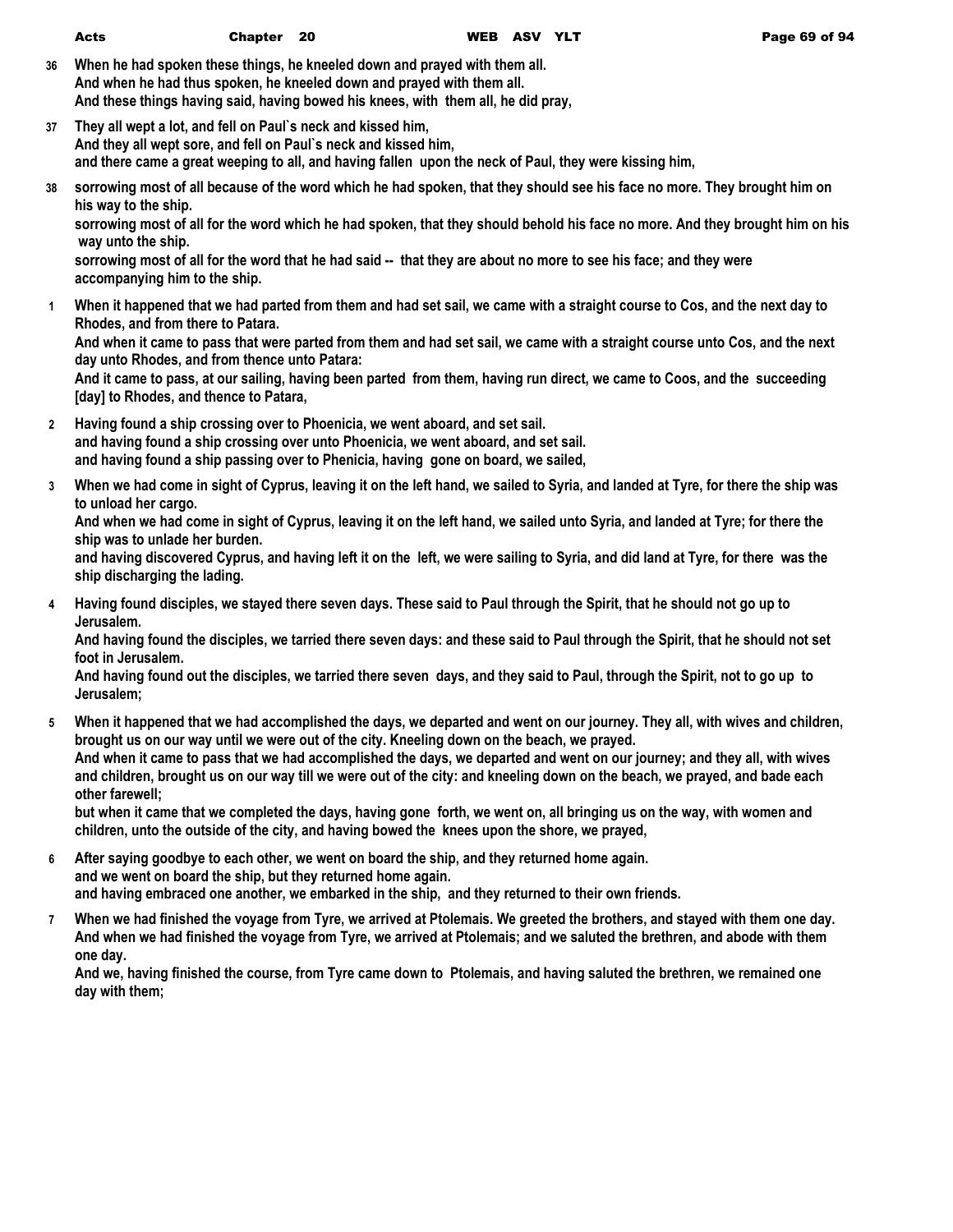**36 When he had spoken these things, he kneeled down and prayed with them all. And when he had thus spoken, he kneeled down and prayed with them all. And these things having said, having bowed his knees, with them all, he did pray,**

- **37 They all wept a lot, and fell on Paul`s neck and kissed him, And they all wept sore, and fell on Paul`s neck and kissed him, and there came a great weeping to all, and having fallen upon the neck of Paul, they were kissing him,**
- **38 sorrowing most of all because of the word which he had spoken, that they should see his face no more. They brought him on his way to the ship.**

**sorrowing most of all for the word which he had spoken, that they should behold his face no more. And they brought him on his way unto the ship.**

**sorrowing most of all for the word that he had said -- that they are about no more to see his face; and they were accompanying him to the ship.**

**1 When it happened that we had parted from them and had set sail, we came with a straight course to Cos, and the next day to Rhodes, and from there to Patara.**

**And when it came to pass that were parted from them and had set sail, we came with a straight course unto Cos, and the next day unto Rhodes, and from thence unto Patara:**

**And it came to pass, at our sailing, having been parted from them, having run direct, we came to Coos, and the succeeding [day] to Rhodes, and thence to Patara,**

- **2 Having found a ship crossing over to Phoenicia, we went aboard, and set sail. and having found a ship crossing over unto Phoenicia, we went aboard, and set sail. and having found a ship passing over to Phenicia, having gone on board, we sailed,**
- **3 When we had come in sight of Cyprus, leaving it on the left hand, we sailed to Syria, and landed at Tyre, for there the ship was to unload her cargo.**

**And when we had come in sight of Cyprus, leaving it on the left hand, we sailed unto Syria, and landed at Tyre; for there the ship was to unlade her burden.**

**and having discovered Cyprus, and having left it on the left, we were sailing to Syria, and did land at Tyre, for there was the ship discharging the lading.**

**4 Having found disciples, we stayed there seven days. These said to Paul through the Spirit, that he should not go up to Jerusalem.**

**And having found the disciples, we tarried there seven days: and these said to Paul through the Spirit, that he should not set foot in Jerusalem.**

**And having found out the disciples, we tarried there seven days, and they said to Paul, through the Spirit, not to go up to Jerusalem;**

**5 When it happened that we had accomplished the days, we departed and went on our journey. They all, with wives and children, brought us on our way until we were out of the city. Kneeling down on the beach, we prayed. And when it came to pass that we had accomplished the days, we departed and went on our journey; and they all, with wives and children, brought us on our way till we were out of the city: and kneeling down on the beach, we prayed, and bade each other farewell;**

**but when it came that we completed the days, having gone forth, we went on, all bringing us on the way, with women and children, unto the outside of the city, and having bowed the knees upon the shore, we prayed,**

- **6 After saying goodbye to each other, we went on board the ship, and they returned home again. and we went on board the ship, but they returned home again. and having embraced one another, we embarked in the ship, and they returned to their own friends.**
- **7 When we had finished the voyage from Tyre, we arrived at Ptolemais. We greeted the brothers, and stayed with them one day. And when we had finished the voyage from Tyre, we arrived at Ptolemais; and we saluted the brethren, and abode with them one day.**

**And we, having finished the course, from Tyre came down to Ptolemais, and having saluted the brethren, we remained one day with them;**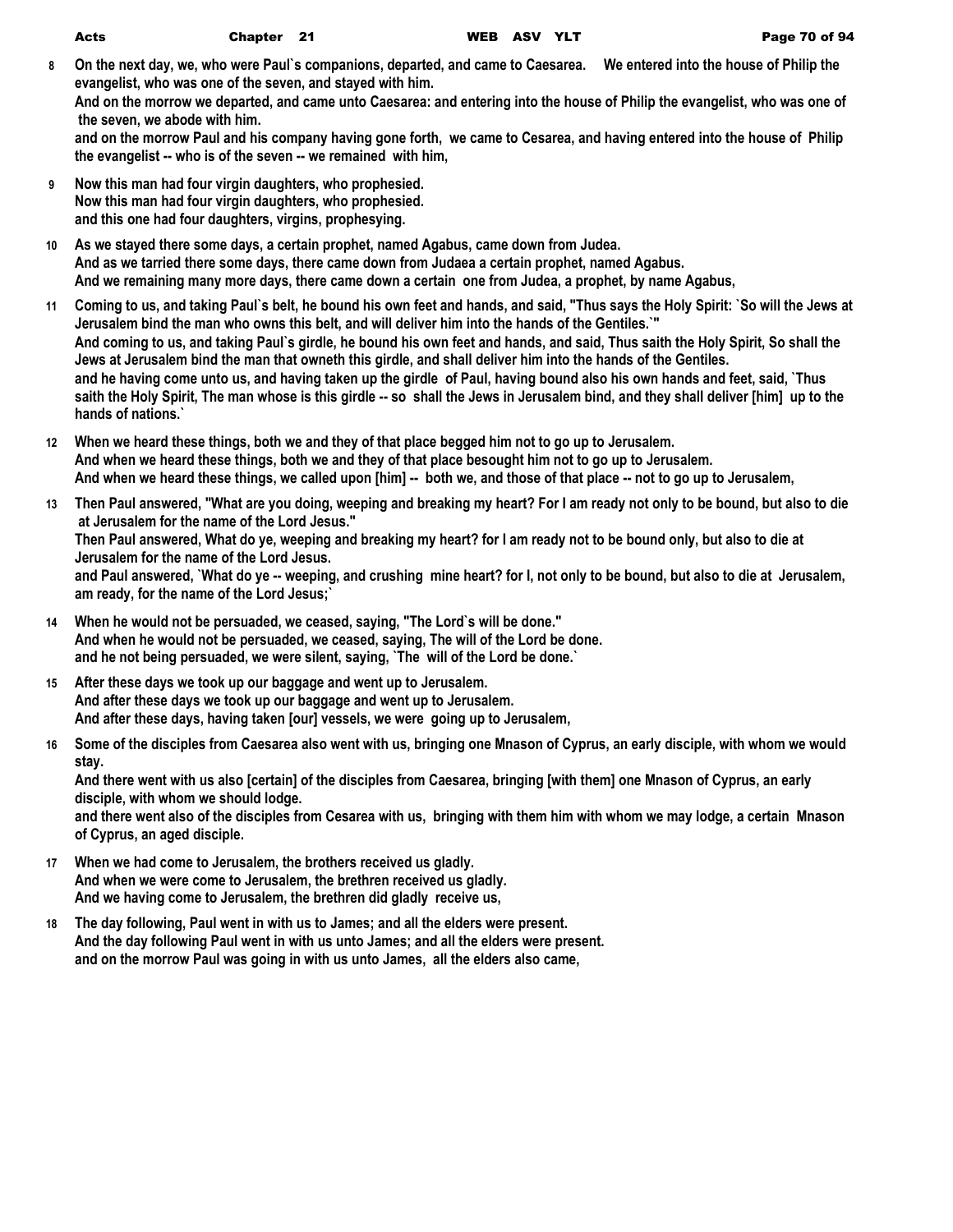- **8 On the next day, we, who were Paul`s companions, departed, and came to Caesarea. We entered into the house of Philip the evangelist, who was one of the seven, and stayed with him. And on the morrow we departed, and came unto Caesarea: and entering into the house of Philip the evangelist, who was one of the seven, we abode with him. and on the morrow Paul and his company having gone forth, we came to Cesarea, and having entered into the house of Philip the evangelist -- who is of the seven -- we remained with him,**
- **9 Now this man had four virgin daughters, who prophesied. Now this man had four virgin daughters, who prophesied. and this one had four daughters, virgins, prophesying.**
- **10 As we stayed there some days, a certain prophet, named Agabus, came down from Judea. And as we tarried there some days, there came down from Judaea a certain prophet, named Agabus. And we remaining many more days, there came down a certain one from Judea, a prophet, by name Agabus,**
- **11 Coming to us, and taking Paul`s belt, he bound his own feet and hands, and said, "Thus says the Holy Spirit: `So will the Jews at Jerusalem bind the man who owns this belt, and will deliver him into the hands of the Gentiles.`" And coming to us, and taking Paul`s girdle, he bound his own feet and hands, and said, Thus saith the Holy Spirit, So shall the Jews at Jerusalem bind the man that owneth this girdle, and shall deliver him into the hands of the Gentiles. and he having come unto us, and having taken up the girdle of Paul, having bound also his own hands and feet, said, `Thus saith the Holy Spirit, The man whose is this girdle -- so shall the Jews in Jerusalem bind, and they shall deliver [him] up to the hands of nations.`**
- **12 When we heard these things, both we and they of that place begged him not to go up to Jerusalem. And when we heard these things, both we and they of that place besought him not to go up to Jerusalem. And when we heard these things, we called upon [him] -- both we, and those of that place -- not to go up to Jerusalem,**
- **13 Then Paul answered, "What are you doing, weeping and breaking my heart? For I am ready not only to be bound, but also to die at Jerusalem for the name of the Lord Jesus." Then Paul answered, What do ye, weeping and breaking my heart? for I am ready not to be bound only, but also to die at Jerusalem for the name of the Lord Jesus. and Paul answered, `What do ye -- weeping, and crushing mine heart? for I, not only to be bound, but also to die at Jerusalem, am ready, for the name of the Lord Jesus;`**
- **14 When he would not be persuaded, we ceased, saying, "The Lord`s will be done." And when he would not be persuaded, we ceased, saying, The will of the Lord be done. and he not being persuaded, we were silent, saying, `The will of the Lord be done.`**
- **15 After these days we took up our baggage and went up to Jerusalem. And after these days we took up our baggage and went up to Jerusalem. And after these days, having taken [our] vessels, we were going up to Jerusalem,**
- **16 Some of the disciples from Caesarea also went with us, bringing one Mnason of Cyprus, an early disciple, with whom we would stay.**

**And there went with us also [certain] of the disciples from Caesarea, bringing [with them] one Mnason of Cyprus, an early disciple, with whom we should lodge.**

**and there went also of the disciples from Cesarea with us, bringing with them him with whom we may lodge, a certain Mnason of Cyprus, an aged disciple.**

- **17 When we had come to Jerusalem, the brothers received us gladly. And when we were come to Jerusalem, the brethren received us gladly. And we having come to Jerusalem, the brethren did gladly receive us,**
- **18 The day following, Paul went in with us to James; and all the elders were present. And the day following Paul went in with us unto James; and all the elders were present. and on the morrow Paul was going in with us unto James, all the elders also came,**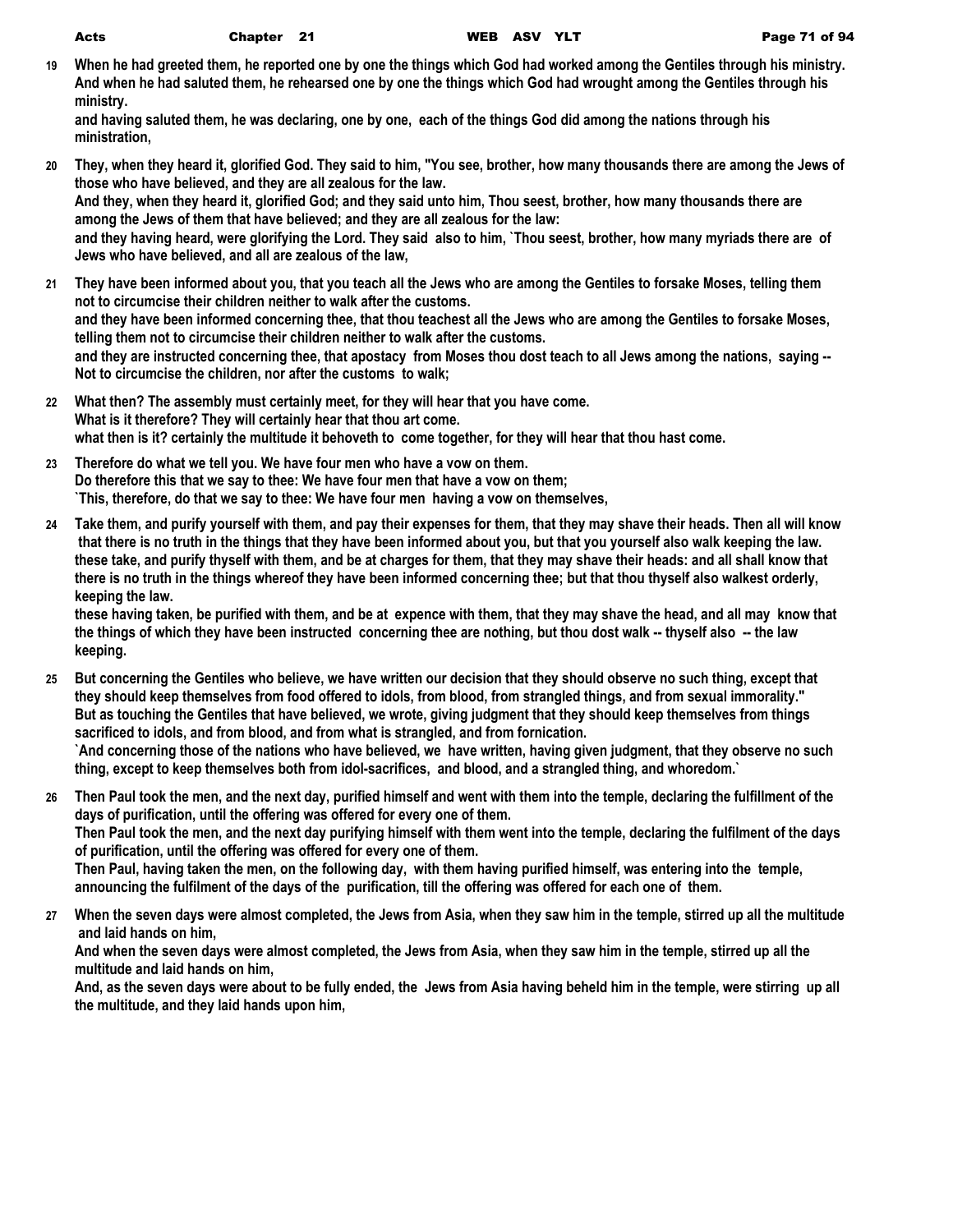**19 When he had greeted them, he reported one by one the things which God had worked among the Gentiles through his ministry. And when he had saluted them, he rehearsed one by one the things which God had wrought among the Gentiles through his ministry.**

**and having saluted them, he was declaring, one by one, each of the things God did among the nations through his ministration,**

- **20 They, when they heard it, glorified God. They said to him, "You see, brother, how many thousands there are among the Jews of those who have believed, and they are all zealous for the law. And they, when they heard it, glorified God; and they said unto him, Thou seest, brother, how many thousands there are among the Jews of them that have believed; and they are all zealous for the law: and they having heard, were glorifying the Lord. They said also to him, `Thou seest, brother, how many myriads there are of Jews who have believed, and all are zealous of the law,**
- **21 They have been informed about you, that you teach all the Jews who are among the Gentiles to forsake Moses, telling them not to circumcise their children neither to walk after the customs. and they have been informed concerning thee, that thou teachest all the Jews who are among the Gentiles to forsake Moses, telling them not to circumcise their children neither to walk after the customs. and they are instructed concerning thee, that apostacy from Moses thou dost teach to all Jews among the nations, saying -- Not to circumcise the children, nor after the customs to walk;**
- **22 What then? The assembly must certainly meet, for they will hear that you have come. What is it therefore? They will certainly hear that thou art come. what then is it? certainly the multitude it behoveth to come together, for they will hear that thou hast come.**
- **23 Therefore do what we tell you. We have four men who have a vow on them. Do therefore this that we say to thee: We have four men that have a vow on them; `This, therefore, do that we say to thee: We have four men having a vow on themselves,**
- **24 Take them, and purify yourself with them, and pay their expenses for them, that they may shave their heads. Then all will know that there is no truth in the things that they have been informed about you, but that you yourself also walk keeping the law. these take, and purify thyself with them, and be at charges for them, that they may shave their heads: and all shall know that there is no truth in the things whereof they have been informed concerning thee; but that thou thyself also walkest orderly, keeping the law.**

**these having taken, be purified with them, and be at expence with them, that they may shave the head, and all may know that the things of which they have been instructed concerning thee are nothing, but thou dost walk -- thyself also -- the law keeping.**

- **25 But concerning the Gentiles who believe, we have written our decision that they should observe no such thing, except that they should keep themselves from food offered to idols, from blood, from strangled things, and from sexual immorality." But as touching the Gentiles that have believed, we wrote, giving judgment that they should keep themselves from things sacrificed to idols, and from blood, and from what is strangled, and from fornication. `And concerning those of the nations who have believed, we have written, having given judgment, that they observe no such thing, except to keep themselves both from idol-sacrifices, and blood, and a strangled thing, and whoredom.`**
- **26 Then Paul took the men, and the next day, purified himself and went with them into the temple, declaring the fulfillment of the days of purification, until the offering was offered for every one of them. Then Paul took the men, and the next day purifying himself with them went into the temple, declaring the fulfilment of the days of purification, until the offering was offered for every one of them. Then Paul, having taken the men, on the following day, with them having purified himself, was entering into the temple, announcing the fulfilment of the days of the purification, till the offering was offered for each one of them.**
- **27 When the seven days were almost completed, the Jews from Asia, when they saw him in the temple, stirred up all the multitude and laid hands on him,**

**And when the seven days were almost completed, the Jews from Asia, when they saw him in the temple, stirred up all the multitude and laid hands on him,**

**And, as the seven days were about to be fully ended, the Jews from Asia having beheld him in the temple, were stirring up all the multitude, and they laid hands upon him,**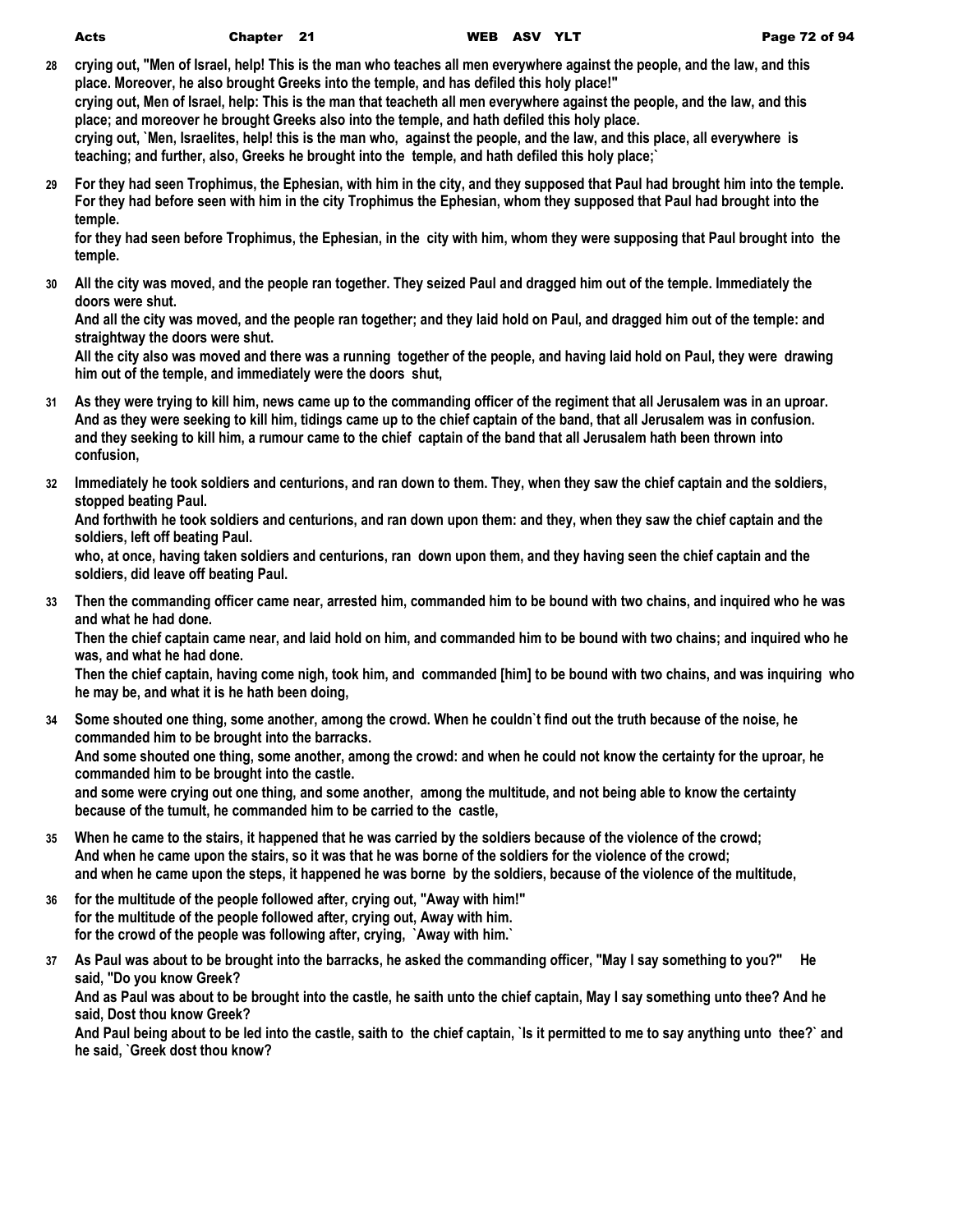- **28 crying out, "Men of Israel, help! This is the man who teaches all men everywhere against the people, and the law, and this place. Moreover, he also brought Greeks into the temple, and has defiled this holy place!" crying out, Men of Israel, help: This is the man that teacheth all men everywhere against the people, and the law, and this place; and moreover he brought Greeks also into the temple, and hath defiled this holy place. crying out, `Men, Israelites, help! this is the man who, against the people, and the law, and this place, all everywhere is teaching; and further, also, Greeks he brought into the temple, and hath defiled this holy place;`**
- **29 For they had seen Trophimus, the Ephesian, with him in the city, and they supposed that Paul had brought him into the temple. For they had before seen with him in the city Trophimus the Ephesian, whom they supposed that Paul had brought into the temple.**

**for they had seen before Trophimus, the Ephesian, in the city with him, whom they were supposing that Paul brought into the temple.**

**30 All the city was moved, and the people ran together. They seized Paul and dragged him out of the temple. Immediately the doors were shut.**

**And all the city was moved, and the people ran together; and they laid hold on Paul, and dragged him out of the temple: and straightway the doors were shut.**

**All the city also was moved and there was a running together of the people, and having laid hold on Paul, they were drawing him out of the temple, and immediately were the doors shut,**

- **31 As they were trying to kill him, news came up to the commanding officer of the regiment that all Jerusalem was in an uproar. And as they were seeking to kill him, tidings came up to the chief captain of the band, that all Jerusalem was in confusion. and they seeking to kill him, a rumour came to the chief captain of the band that all Jerusalem hath been thrown into confusion,**
- **32 Immediately he took soldiers and centurions, and ran down to them. They, when they saw the chief captain and the soldiers, stopped beating Paul.**

**And forthwith he took soldiers and centurions, and ran down upon them: and they, when they saw the chief captain and the soldiers, left off beating Paul.**

**who, at once, having taken soldiers and centurions, ran down upon them, and they having seen the chief captain and the soldiers, did leave off beating Paul.**

**33 Then the commanding officer came near, arrested him, commanded him to be bound with two chains, and inquired who he was and what he had done.**

**Then the chief captain came near, and laid hold on him, and commanded him to be bound with two chains; and inquired who he was, and what he had done.**

**Then the chief captain, having come nigh, took him, and commanded [him] to be bound with two chains, and was inquiring who he may be, and what it is he hath been doing,**

**34 Some shouted one thing, some another, among the crowd. When he couldn`t find out the truth because of the noise, he commanded him to be brought into the barracks.**

**And some shouted one thing, some another, among the crowd: and when he could not know the certainty for the uproar, he commanded him to be brought into the castle.**

**and some were crying out one thing, and some another, among the multitude, and not being able to know the certainty because of the tumult, he commanded him to be carried to the castle,**

- **35 When he came to the stairs, it happened that he was carried by the soldiers because of the violence of the crowd; And when he came upon the stairs, so it was that he was borne of the soldiers for the violence of the crowd; and when he came upon the steps, it happened he was borne by the soldiers, because of the violence of the multitude,**
- **36 for the multitude of the people followed after, crying out, "Away with him!" for the multitude of the people followed after, crying out, Away with him. for the crowd of the people was following after, crying, `Away with him.`**
- **37 As Paul was about to be brought into the barracks, he asked the commanding officer, "May I say something to you?" He said, "Do you know Greek?**

**And as Paul was about to be brought into the castle, he saith unto the chief captain, May I say something unto thee? And he said, Dost thou know Greek?**

**And Paul being about to be led into the castle, saith to the chief captain, `Is it permitted to me to say anything unto thee?` and he said, `Greek dost thou know?**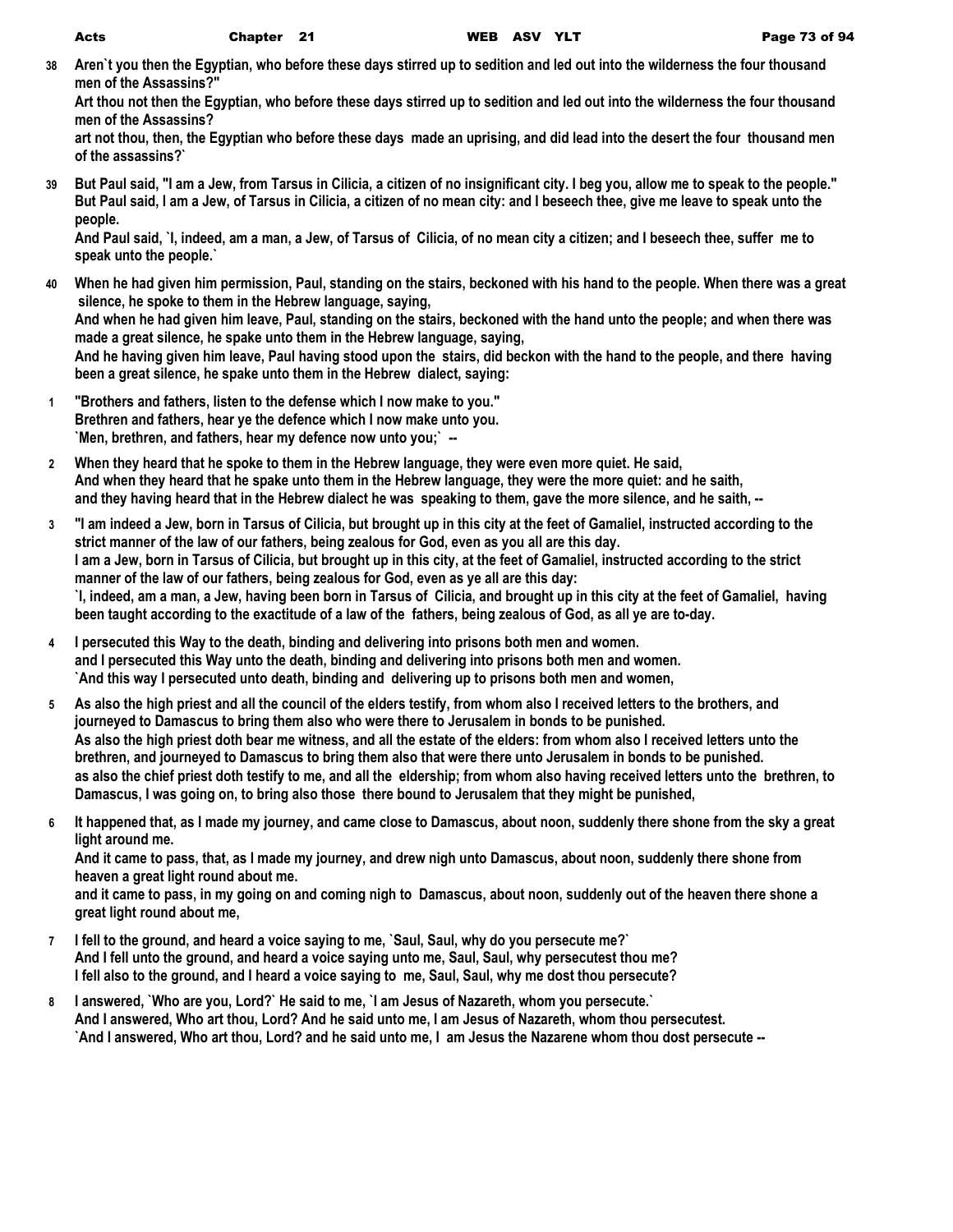**38 Aren`t you then the Egyptian, who before these days stirred up to sedition and led out into the wilderness the four thousand men of the Assassins?"**

**Art thou not then the Egyptian, who before these days stirred up to sedition and led out into the wilderness the four thousand men of the Assassins?**

**art not thou, then, the Egyptian who before these days made an uprising, and did lead into the desert the four thousand men of the assassins?`**

**39 But Paul said, "I am a Jew, from Tarsus in Cilicia, a citizen of no insignificant city. I beg you, allow me to speak to the people." But Paul said, I am a Jew, of Tarsus in Cilicia, a citizen of no mean city: and I beseech thee, give me leave to speak unto the people.**

**And Paul said, `I, indeed, am a man, a Jew, of Tarsus of Cilicia, of no mean city a citizen; and I beseech thee, suffer me to speak unto the people.`**

- **40 When he had given him permission, Paul, standing on the stairs, beckoned with his hand to the people. When there was a great silence, he spoke to them in the Hebrew language, saying, And when he had given him leave, Paul, standing on the stairs, beckoned with the hand unto the people; and when there was made a great silence, he spake unto them in the Hebrew language, saying, And he having given him leave, Paul having stood upon the stairs, did beckon with the hand to the people, and there having been a great silence, he spake unto them in the Hebrew dialect, saying:**
- **1 "Brothers and fathers, listen to the defense which I now make to you." Brethren and fathers, hear ye the defence which I now make unto you. `Men, brethren, and fathers, hear my defence now unto you;` --**
- **2 When they heard that he spoke to them in the Hebrew language, they were even more quiet. He said, And when they heard that he spake unto them in the Hebrew language, they were the more quiet: and he saith, and they having heard that in the Hebrew dialect he was speaking to them, gave the more silence, and he saith, --**
- **3 "I am indeed a Jew, born in Tarsus of Cilicia, but brought up in this city at the feet of Gamaliel, instructed according to the strict manner of the law of our fathers, being zealous for God, even as you all are this day. I am a Jew, born in Tarsus of Cilicia, but brought up in this city, at the feet of Gamaliel, instructed according to the strict manner of the law of our fathers, being zealous for God, even as ye all are this day: `I, indeed, am a man, a Jew, having been born in Tarsus of Cilicia, and brought up in this city at the feet of Gamaliel, having been taught according to the exactitude of a law of the fathers, being zealous of God, as all ye are to-day.**
- **4 I persecuted this Way to the death, binding and delivering into prisons both men and women. and I persecuted this Way unto the death, binding and delivering into prisons both men and women. `And this way I persecuted unto death, binding and delivering up to prisons both men and women,**
- **5 As also the high priest and all the council of the elders testify, from whom also I received letters to the brothers, and journeyed to Damascus to bring them also who were there to Jerusalem in bonds to be punished. As also the high priest doth bear me witness, and all the estate of the elders: from whom also I received letters unto the brethren, and journeyed to Damascus to bring them also that were there unto Jerusalem in bonds to be punished. as also the chief priest doth testify to me, and all the eldership; from whom also having received letters unto the brethren, to Damascus, I was going on, to bring also those there bound to Jerusalem that they might be punished,**
- **6 It happened that, as I made my journey, and came close to Damascus, about noon, suddenly there shone from the sky a great light around me.**

**And it came to pass, that, as I made my journey, and drew nigh unto Damascus, about noon, suddenly there shone from heaven a great light round about me.**

**and it came to pass, in my going on and coming nigh to Damascus, about noon, suddenly out of the heaven there shone a great light round about me,**

- **7 I fell to the ground, and heard a voice saying to me, `Saul, Saul, why do you persecute me?` And I fell unto the ground, and heard a voice saying unto me, Saul, Saul, why persecutest thou me? I fell also to the ground, and I heard a voice saying to me, Saul, Saul, why me dost thou persecute?**
- **8 I answered, `Who are you, Lord?` He said to me, `I am Jesus of Nazareth, whom you persecute.` And I answered, Who art thou, Lord? And he said unto me, I am Jesus of Nazareth, whom thou persecutest. `And I answered, Who art thou, Lord? and he said unto me, I am Jesus the Nazarene whom thou dost persecute --**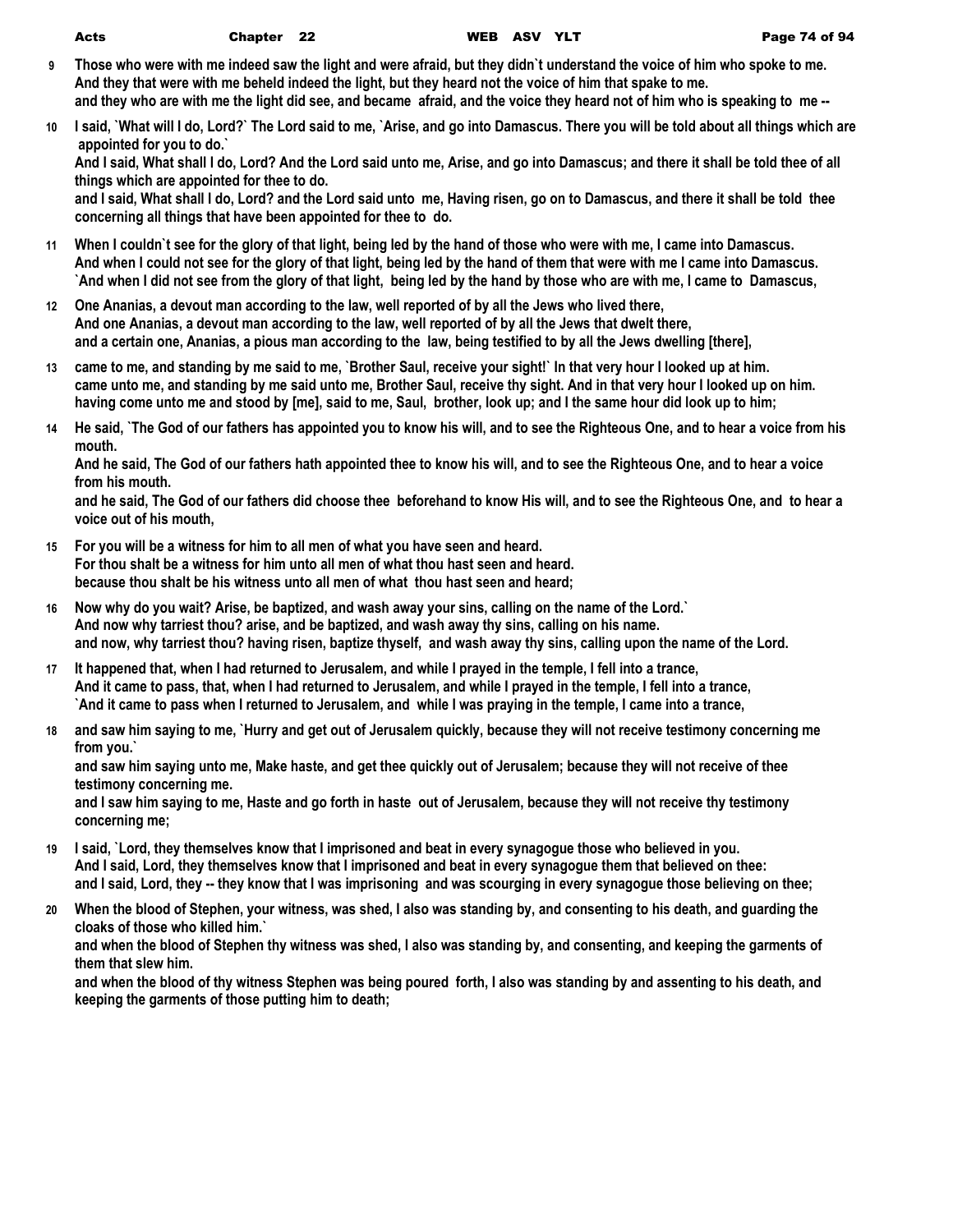- **9 Those who were with me indeed saw the light and were afraid, but they didn`t understand the voice of him who spoke to me. And they that were with me beheld indeed the light, but they heard not the voice of him that spake to me. and they who are with me the light did see, and became afraid, and the voice they heard not of him who is speaking to me --**
- **10 I said, `What will I do, Lord?` The Lord said to me, `Arise, and go into Damascus. There you will be told about all things which are appointed for you to do.`**

**And I said, What shall I do, Lord? And the Lord said unto me, Arise, and go into Damascus; and there it shall be told thee of all things which are appointed for thee to do.**

**and I said, What shall I do, Lord? and the Lord said unto me, Having risen, go on to Damascus, and there it shall be told thee concerning all things that have been appointed for thee to do.**

- **11 When I couldn`t see for the glory of that light, being led by the hand of those who were with me, I came into Damascus. And when I could not see for the glory of that light, being led by the hand of them that were with me I came into Damascus. `And when I did not see from the glory of that light, being led by the hand by those who are with me, I came to Damascus,**
- **12 One Ananias, a devout man according to the law, well reported of by all the Jews who lived there, And one Ananias, a devout man according to the law, well reported of by all the Jews that dwelt there, and a certain one, Ananias, a pious man according to the law, being testified to by all the Jews dwelling [there],**
- **13 came to me, and standing by me said to me, `Brother Saul, receive your sight!` In that very hour I looked up at him. came unto me, and standing by me said unto me, Brother Saul, receive thy sight. And in that very hour I looked up on him. having come unto me and stood by [me], said to me, Saul, brother, look up; and I the same hour did look up to him;**
- **14 He said, `The God of our fathers has appointed you to know his will, and to see the Righteous One, and to hear a voice from his mouth.**

**And he said, The God of our fathers hath appointed thee to know his will, and to see the Righteous One, and to hear a voice from his mouth.**

**and he said, The God of our fathers did choose thee beforehand to know His will, and to see the Righteous One, and to hear a voice out of his mouth,**

- **15 For you will be a witness for him to all men of what you have seen and heard. For thou shalt be a witness for him unto all men of what thou hast seen and heard. because thou shalt be his witness unto all men of what thou hast seen and heard;**
- **16 Now why do you wait? Arise, be baptized, and wash away your sins, calling on the name of the Lord.` And now why tarriest thou? arise, and be baptized, and wash away thy sins, calling on his name. and now, why tarriest thou? having risen, baptize thyself, and wash away thy sins, calling upon the name of the Lord.**
- **17 It happened that, when I had returned to Jerusalem, and while I prayed in the temple, I fell into a trance, And it came to pass, that, when I had returned to Jerusalem, and while I prayed in the temple, I fell into a trance, `And it came to pass when I returned to Jerusalem, and while I was praying in the temple, I came into a trance,**
- **18 and saw him saying to me, `Hurry and get out of Jerusalem quickly, because they will not receive testimony concerning me from you.`**

**and saw him saying unto me, Make haste, and get thee quickly out of Jerusalem; because they will not receive of thee testimony concerning me.**

**and I saw him saying to me, Haste and go forth in haste out of Jerusalem, because they will not receive thy testimony concerning me;**

- **19 I said, `Lord, they themselves know that I imprisoned and beat in every synagogue those who believed in you. And I said, Lord, they themselves know that I imprisoned and beat in every synagogue them that believed on thee: and I said, Lord, they -- they know that I was imprisoning and was scourging in every synagogue those believing on thee;**
- **20 When the blood of Stephen, your witness, was shed, I also was standing by, and consenting to his death, and guarding the cloaks of those who killed him.`**

**and when the blood of Stephen thy witness was shed, I also was standing by, and consenting, and keeping the garments of them that slew him.**

**and when the blood of thy witness Stephen was being poured forth, I also was standing by and assenting to his death, and keeping the garments of those putting him to death;**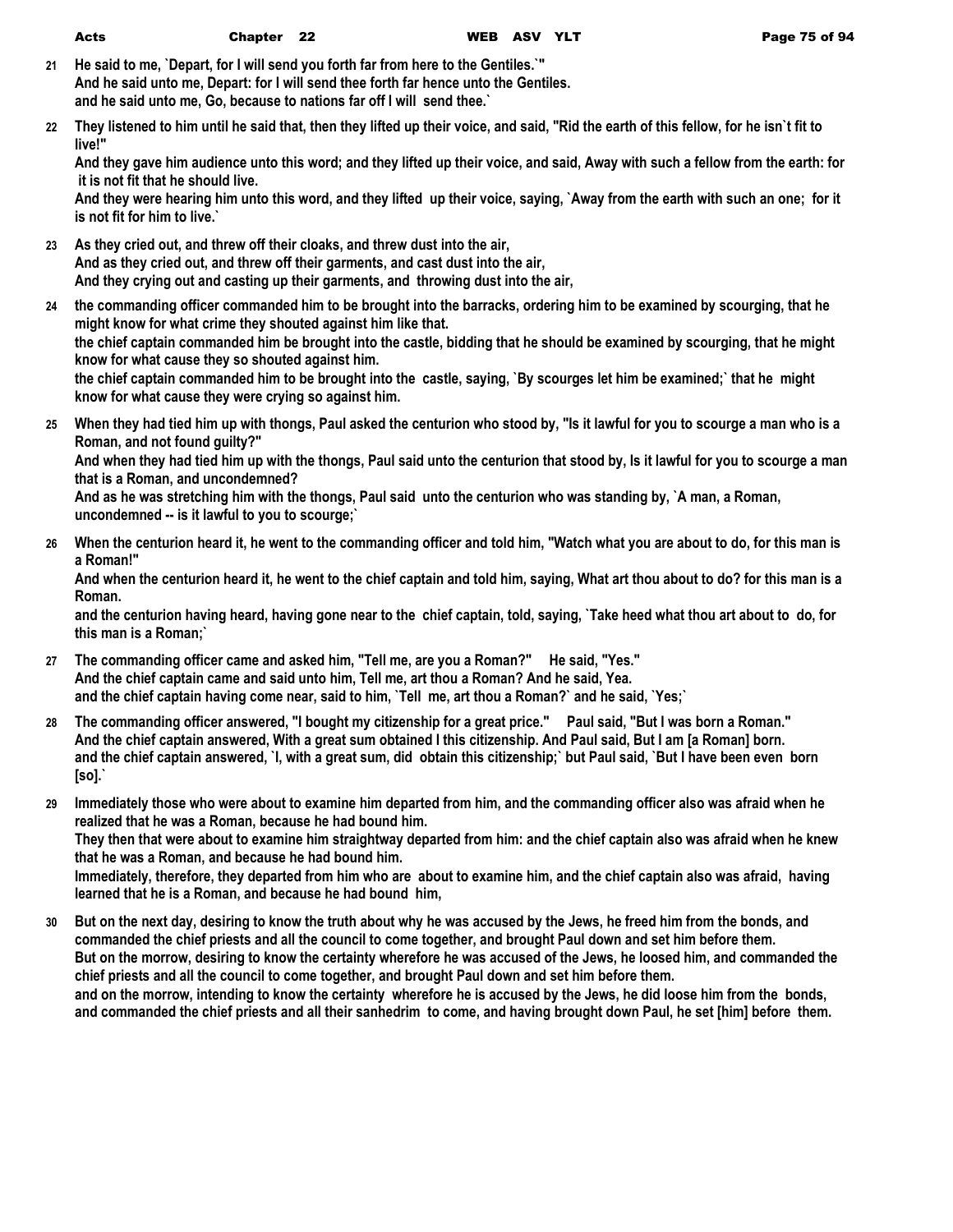- **21 He said to me, `Depart, for I will send you forth far from here to the Gentiles.`" And he said unto me, Depart: for I will send thee forth far hence unto the Gentiles. and he said unto me, Go, because to nations far off I will send thee.`**
- **22 They listened to him until he said that, then they lifted up their voice, and said, "Rid the earth of this fellow, for he isn`t fit to live!"**

**And they gave him audience unto this word; and they lifted up their voice, and said, Away with such a fellow from the earth: for it is not fit that he should live.**

**And they were hearing him unto this word, and they lifted up their voice, saying, `Away from the earth with such an one; for it is not fit for him to live.`**

- **23 As they cried out, and threw off their cloaks, and threw dust into the air, And as they cried out, and threw off their garments, and cast dust into the air, And they crying out and casting up their garments, and throwing dust into the air,**
- **24 the commanding officer commanded him to be brought into the barracks, ordering him to be examined by scourging, that he might know for what crime they shouted against him like that. the chief captain commanded him be brought into the castle, bidding that he should be examined by scourging, that he might know for what cause they so shouted against him. the chief captain commanded him to be brought into the castle, saying, `By scourges let him be examined;` that he might know for what cause they were crying so against him.**
- **25 When they had tied him up with thongs, Paul asked the centurion who stood by, "Is it lawful for you to scourge a man who is a Roman, and not found guilty?"**

**And when they had tied him up with the thongs, Paul said unto the centurion that stood by, Is it lawful for you to scourge a man that is a Roman, and uncondemned?**

**And as he was stretching him with the thongs, Paul said unto the centurion who was standing by, `A man, a Roman, uncondemned -- is it lawful to you to scourge;`**

**26 When the centurion heard it, he went to the commanding officer and told him, "Watch what you are about to do, for this man is a Roman!"**

**And when the centurion heard it, he went to the chief captain and told him, saying, What art thou about to do? for this man is a Roman.**

**and the centurion having heard, having gone near to the chief captain, told, saying, `Take heed what thou art about to do, for this man is a Roman;`**

- **27 The commanding officer came and asked him, "Tell me, are you a Roman?" He said, "Yes." And the chief captain came and said unto him, Tell me, art thou a Roman? And he said, Yea. and the chief captain having come near, said to him, `Tell me, art thou a Roman?` and he said, `Yes;`**
- **28 The commanding officer answered, "I bought my citizenship for a great price." Paul said, "But I was born a Roman." And the chief captain answered, With a great sum obtained I this citizenship. And Paul said, But I am [a Roman] born. and the chief captain answered, `I, with a great sum, did obtain this citizenship;` but Paul said, `But I have been even born [so].`**
- **29 Immediately those who were about to examine him departed from him, and the commanding officer also was afraid when he realized that he was a Roman, because he had bound him.**

**They then that were about to examine him straightway departed from him: and the chief captain also was afraid when he knew that he was a Roman, and because he had bound him.**

**Immediately, therefore, they departed from him who are about to examine him, and the chief captain also was afraid, having learned that he is a Roman, and because he had bound him,**

**30 But on the next day, desiring to know the truth about why he was accused by the Jews, he freed him from the bonds, and commanded the chief priests and all the council to come together, and brought Paul down and set him before them. But on the morrow, desiring to know the certainty wherefore he was accused of the Jews, he loosed him, and commanded the chief priests and all the council to come together, and brought Paul down and set him before them. and on the morrow, intending to know the certainty wherefore he is accused by the Jews, he did loose him from the bonds, and commanded the chief priests and all their sanhedrim to come, and having brought down Paul, he set [him] before them.**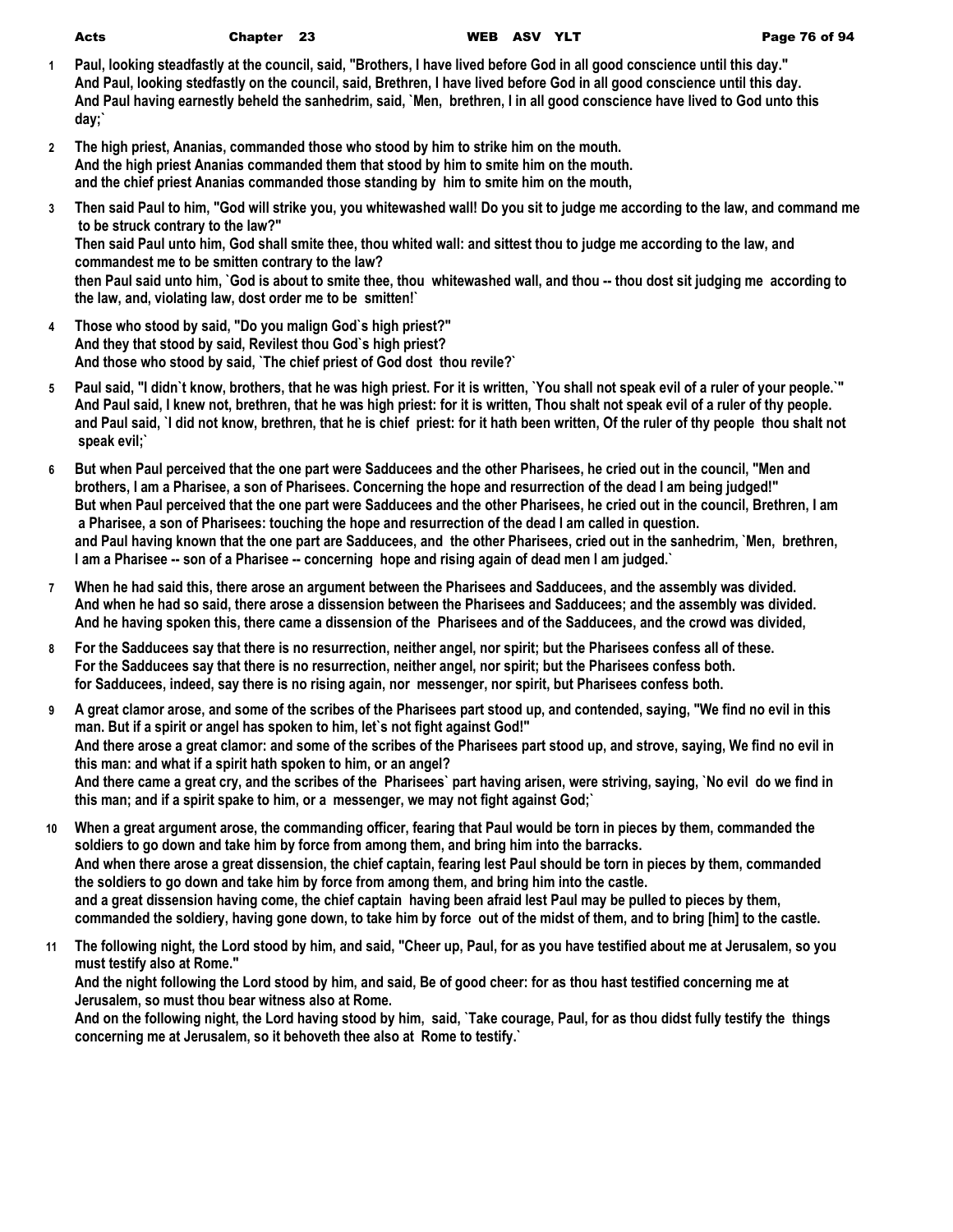| ×,<br>I<br>$\sim$<br>$-$ | ٦<br>۰. |
|--------------------------|---------|
|                          |         |

- **1 Paul, looking steadfastly at the council, said, "Brothers, I have lived before God in all good conscience until this day." And Paul, looking stedfastly on the council, said, Brethren, I have lived before God in all good conscience until this day. And Paul having earnestly beheld the sanhedrim, said, `Men, brethren, I in all good conscience have lived to God unto this day;`**
- **2 The high priest, Ananias, commanded those who stood by him to strike him on the mouth. And the high priest Ananias commanded them that stood by him to smite him on the mouth. and the chief priest Ananias commanded those standing by him to smite him on the mouth,**
- **3 Then said Paul to him, "God will strike you, you whitewashed wall! Do you sit to judge me according to the law, and command me to be struck contrary to the law?" Then said Paul unto him, God shall smite thee, thou whited wall: and sittest thou to judge me according to the law, and commandest me to be smitten contrary to the law? then Paul said unto him, `God is about to smite thee, thou whitewashed wall, and thou -- thou dost sit judging me according to the law, and, violating law, dost order me to be smitten!`**
- **4 Those who stood by said, "Do you malign God`s high priest?" And they that stood by said, Revilest thou God`s high priest? And those who stood by said, `The chief priest of God dost thou revile?`**
- **5 Paul said, "I didn`t know, brothers, that he was high priest. For it is written, `You shall not speak evil of a ruler of your people.`" And Paul said, I knew not, brethren, that he was high priest: for it is written, Thou shalt not speak evil of a ruler of thy people. and Paul said, `I did not know, brethren, that he is chief priest: for it hath been written, Of the ruler of thy people thou shalt not speak evil;`**
- **6 But when Paul perceived that the one part were Sadducees and the other Pharisees, he cried out in the council, "Men and brothers, I am a Pharisee, a son of Pharisees. Concerning the hope and resurrection of the dead I am being judged!" But when Paul perceived that the one part were Sadducees and the other Pharisees, he cried out in the council, Brethren, I am a Pharisee, a son of Pharisees: touching the hope and resurrection of the dead I am called in question. and Paul having known that the one part are Sadducees, and the other Pharisees, cried out in the sanhedrim, `Men, brethren, I am a Pharisee -- son of a Pharisee -- concerning hope and rising again of dead men I am judged.`**
- **7 When he had said this, there arose an argument between the Pharisees and Sadducees, and the assembly was divided. And when he had so said, there arose a dissension between the Pharisees and Sadducees; and the assembly was divided. And he having spoken this, there came a dissension of the Pharisees and of the Sadducees, and the crowd was divided,**
- **8 For the Sadducees say that there is no resurrection, neither angel, nor spirit; but the Pharisees confess all of these. For the Sadducees say that there is no resurrection, neither angel, nor spirit; but the Pharisees confess both. for Sadducees, indeed, say there is no rising again, nor messenger, nor spirit, but Pharisees confess both.**
- **9 A great clamor arose, and some of the scribes of the Pharisees part stood up, and contended, saying, "We find no evil in this man. But if a spirit or angel has spoken to him, let`s not fight against God!" And there arose a great clamor: and some of the scribes of the Pharisees part stood up, and strove, saying, We find no evil in this man: and what if a spirit hath spoken to him, or an angel? And there came a great cry, and the scribes of the Pharisees` part having arisen, were striving, saying, `No evil do we find in this man; and if a spirit spake to him, or a messenger, we may not fight against God;`**
- **10 When a great argument arose, the commanding officer, fearing that Paul would be torn in pieces by them, commanded the soldiers to go down and take him by force from among them, and bring him into the barracks. And when there arose a great dissension, the chief captain, fearing lest Paul should be torn in pieces by them, commanded the soldiers to go down and take him by force from among them, and bring him into the castle. and a great dissension having come, the chief captain having been afraid lest Paul may be pulled to pieces by them, commanded the soldiery, having gone down, to take him by force out of the midst of them, and to bring [him] to the castle.**
- **11 The following night, the Lord stood by him, and said, "Cheer up, Paul, for as you have testified about me at Jerusalem, so you must testify also at Rome."**

**And the night following the Lord stood by him, and said, Be of good cheer: for as thou hast testified concerning me at Jerusalem, so must thou bear witness also at Rome.**

**And on the following night, the Lord having stood by him, said, `Take courage, Paul, for as thou didst fully testify the things concerning me at Jerusalem, so it behoveth thee also at Rome to testify.`**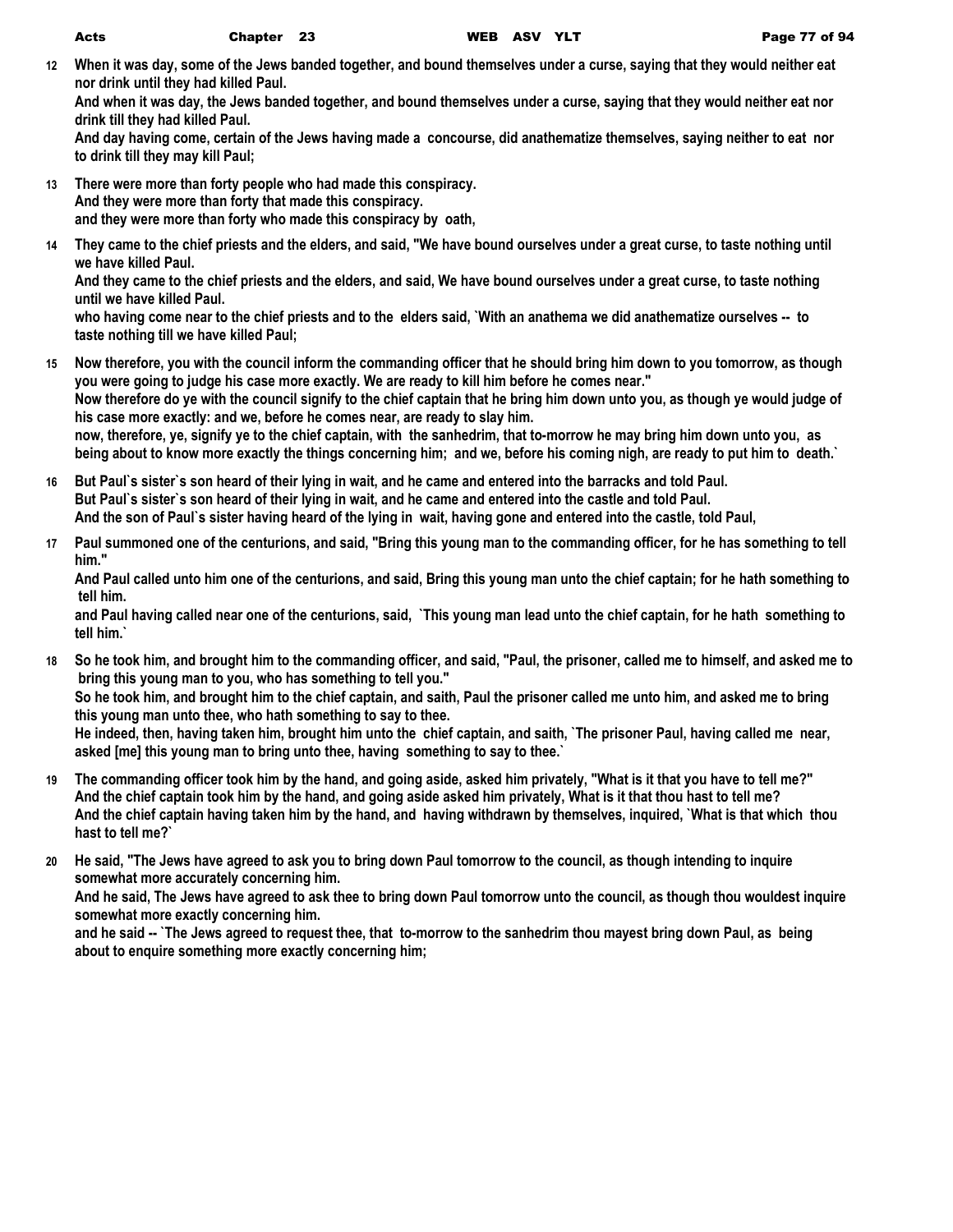**12 When it was day, some of the Jews banded together, and bound themselves under a curse, saying that they would neither eat nor drink until they had killed Paul.**

**And when it was day, the Jews banded together, and bound themselves under a curse, saying that they would neither eat nor drink till they had killed Paul.**

**And day having come, certain of the Jews having made a concourse, did anathematize themselves, saying neither to eat nor to drink till they may kill Paul;**

- **13 There were more than forty people who had made this conspiracy. And they were more than forty that made this conspiracy. and they were more than forty who made this conspiracy by oath,**
- **14 They came to the chief priests and the elders, and said, "We have bound ourselves under a great curse, to taste nothing until we have killed Paul.**

**And they came to the chief priests and the elders, and said, We have bound ourselves under a great curse, to taste nothing until we have killed Paul.**

**who having come near to the chief priests and to the elders said, `With an anathema we did anathematize ourselves -- to taste nothing till we have killed Paul;**

- **15 Now therefore, you with the council inform the commanding officer that he should bring him down to you tomorrow, as though you were going to judge his case more exactly. We are ready to kill him before he comes near." Now therefore do ye with the council signify to the chief captain that he bring him down unto you, as though ye would judge of his case more exactly: and we, before he comes near, are ready to slay him. now, therefore, ye, signify ye to the chief captain, with the sanhedrim, that to-morrow he may bring him down unto you, as being about to know more exactly the things concerning him; and we, before his coming nigh, are ready to put him to death.`**
- **16 But Paul`s sister`s son heard of their lying in wait, and he came and entered into the barracks and told Paul. But Paul`s sister`s son heard of their lying in wait, and he came and entered into the castle and told Paul. And the son of Paul`s sister having heard of the lying in wait, having gone and entered into the castle, told Paul,**
- **17 Paul summoned one of the centurions, and said, "Bring this young man to the commanding officer, for he has something to tell him."**

**And Paul called unto him one of the centurions, and said, Bring this young man unto the chief captain; for he hath something to tell him.**

**and Paul having called near one of the centurions, said, `This young man lead unto the chief captain, for he hath something to tell him.`**

**18 So he took him, and brought him to the commanding officer, and said, "Paul, the prisoner, called me to himself, and asked me to bring this young man to you, who has something to tell you." So he took him, and brought him to the chief captain, and saith, Paul the prisoner called me unto him, and asked me to bring** 

**this young man unto thee, who hath something to say to thee. He indeed, then, having taken him, brought him unto the chief captain, and saith, `The prisoner Paul, having called me near, asked [me] this young man to bring unto thee, having something to say to thee.`**

- **19 The commanding officer took him by the hand, and going aside, asked him privately, "What is it that you have to tell me?" And the chief captain took him by the hand, and going aside asked him privately, What is it that thou hast to tell me? And the chief captain having taken him by the hand, and having withdrawn by themselves, inquired, `What is that which thou hast to tell me?`**
- **20 He said, "The Jews have agreed to ask you to bring down Paul tomorrow to the council, as though intending to inquire somewhat more accurately concerning him.**

**And he said, The Jews have agreed to ask thee to bring down Paul tomorrow unto the council, as though thou wouldest inquire somewhat more exactly concerning him.**

**and he said -- `The Jews agreed to request thee, that to-morrow to the sanhedrim thou mayest bring down Paul, as being about to enquire something more exactly concerning him;**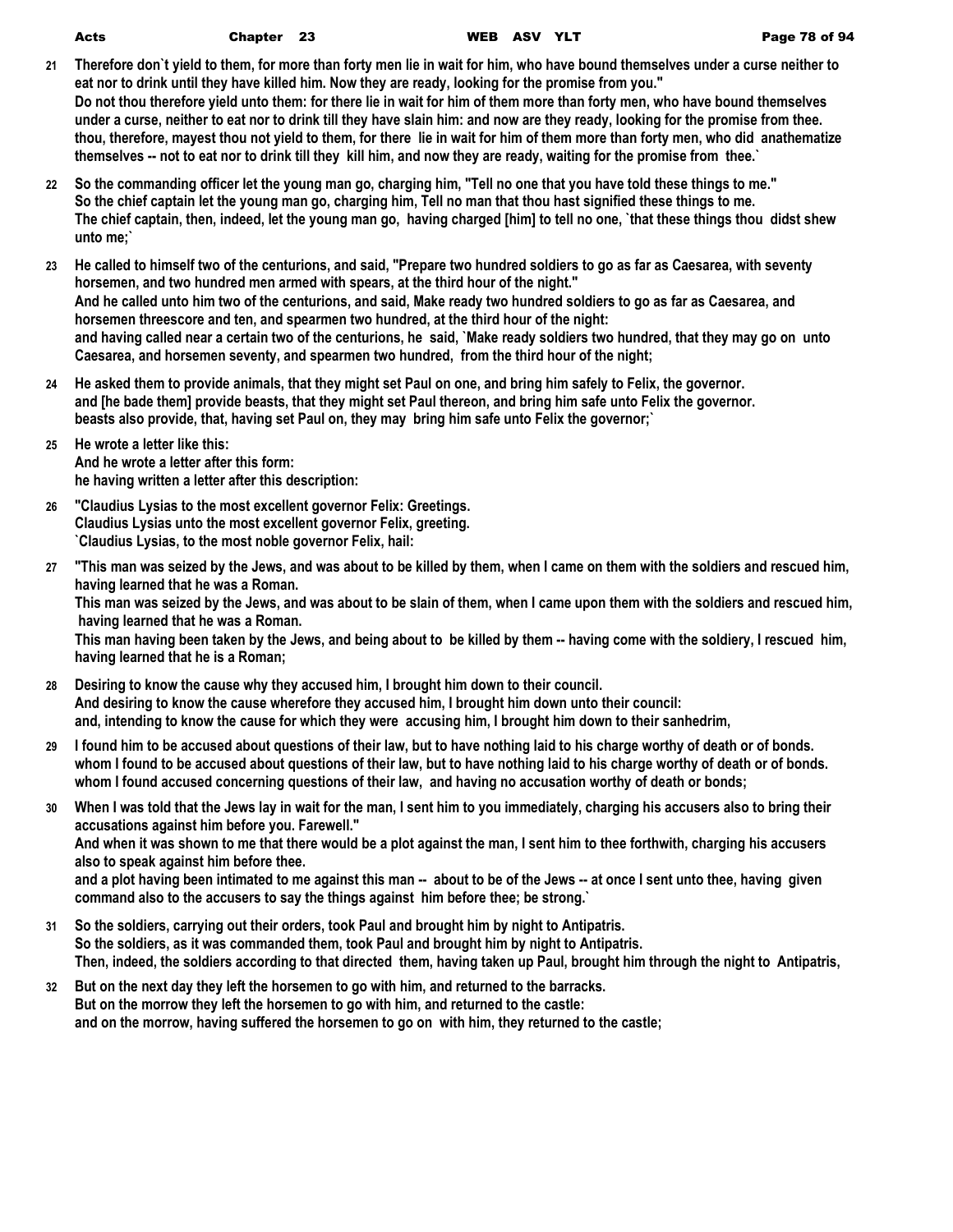| Acts | Chap |
|------|------|
|      |      |

- **21 Therefore don`t yield to them, for more than forty men lie in wait for him, who have bound themselves under a curse neither to eat nor to drink until they have killed him. Now they are ready, looking for the promise from you." Do not thou therefore yield unto them: for there lie in wait for him of them more than forty men, who have bound themselves under a curse, neither to eat nor to drink till they have slain him: and now are they ready, looking for the promise from thee. thou, therefore, mayest thou not yield to them, for there lie in wait for him of them more than forty men, who did anathematize themselves -- not to eat nor to drink till they kill him, and now they are ready, waiting for the promise from thee.`**
- **22 So the commanding officer let the young man go, charging him, "Tell no one that you have told these things to me." So the chief captain let the young man go, charging him, Tell no man that thou hast signified these things to me. The chief captain, then, indeed, let the young man go, having charged [him] to tell no one, `that these things thou didst shew unto me;`**
- **23 He called to himself two of the centurions, and said, "Prepare two hundred soldiers to go as far as Caesarea, with seventy horsemen, and two hundred men armed with spears, at the third hour of the night." And he called unto him two of the centurions, and said, Make ready two hundred soldiers to go as far as Caesarea, and horsemen threescore and ten, and spearmen two hundred, at the third hour of the night: and having called near a certain two of the centurions, he said, `Make ready soldiers two hundred, that they may go on unto Caesarea, and horsemen seventy, and spearmen two hundred, from the third hour of the night;**
- **24 He asked them to provide animals, that they might set Paul on one, and bring him safely to Felix, the governor. and [he bade them] provide beasts, that they might set Paul thereon, and bring him safe unto Felix the governor. beasts also provide, that, having set Paul on, they may bring him safe unto Felix the governor;`**
- **25 He wrote a letter like this: And he wrote a letter after this form: he having written a letter after this description:**
- **26 "Claudius Lysias to the most excellent governor Felix: Greetings. Claudius Lysias unto the most excellent governor Felix, greeting. `Claudius Lysias, to the most noble governor Felix, hail:**

**27 "This man was seized by the Jews, and was about to be killed by them, when I came on them with the soldiers and rescued him, having learned that he was a Roman.**

**This man was seized by the Jews, and was about to be slain of them, when I came upon them with the soldiers and rescued him, having learned that he was a Roman.**

**This man having been taken by the Jews, and being about to be killed by them -- having come with the soldiery, I rescued him, having learned that he is a Roman;**

- **28 Desiring to know the cause why they accused him, I brought him down to their council. And desiring to know the cause wherefore they accused him, I brought him down unto their council: and, intending to know the cause for which they were accusing him, I brought him down to their sanhedrim,**
- **29 I found him to be accused about questions of their law, but to have nothing laid to his charge worthy of death or of bonds. whom I found to be accused about questions of their law, but to have nothing laid to his charge worthy of death or of bonds. whom I found accused concerning questions of their law, and having no accusation worthy of death or bonds;**
- **30 When I was told that the Jews lay in wait for the man, I sent him to you immediately, charging his accusers also to bring their accusations against him before you. Farewell." And when it was shown to me that there would be a plot against the man, I sent him to thee forthwith, charging his accusers also to speak against him before thee. and a plot having been intimated to me against this man -- about to be of the Jews -- at once I sent unto thee, having given** 
	- **command also to the accusers to say the things against him before thee; be strong.`**
- **31 So the soldiers, carrying out their orders, took Paul and brought him by night to Antipatris. So the soldiers, as it was commanded them, took Paul and brought him by night to Antipatris. Then, indeed, the soldiers according to that directed them, having taken up Paul, brought him through the night to Antipatris,**
- **32 But on the next day they left the horsemen to go with him, and returned to the barracks. But on the morrow they left the horsemen to go with him, and returned to the castle: and on the morrow, having suffered the horsemen to go on with him, they returned to the castle;**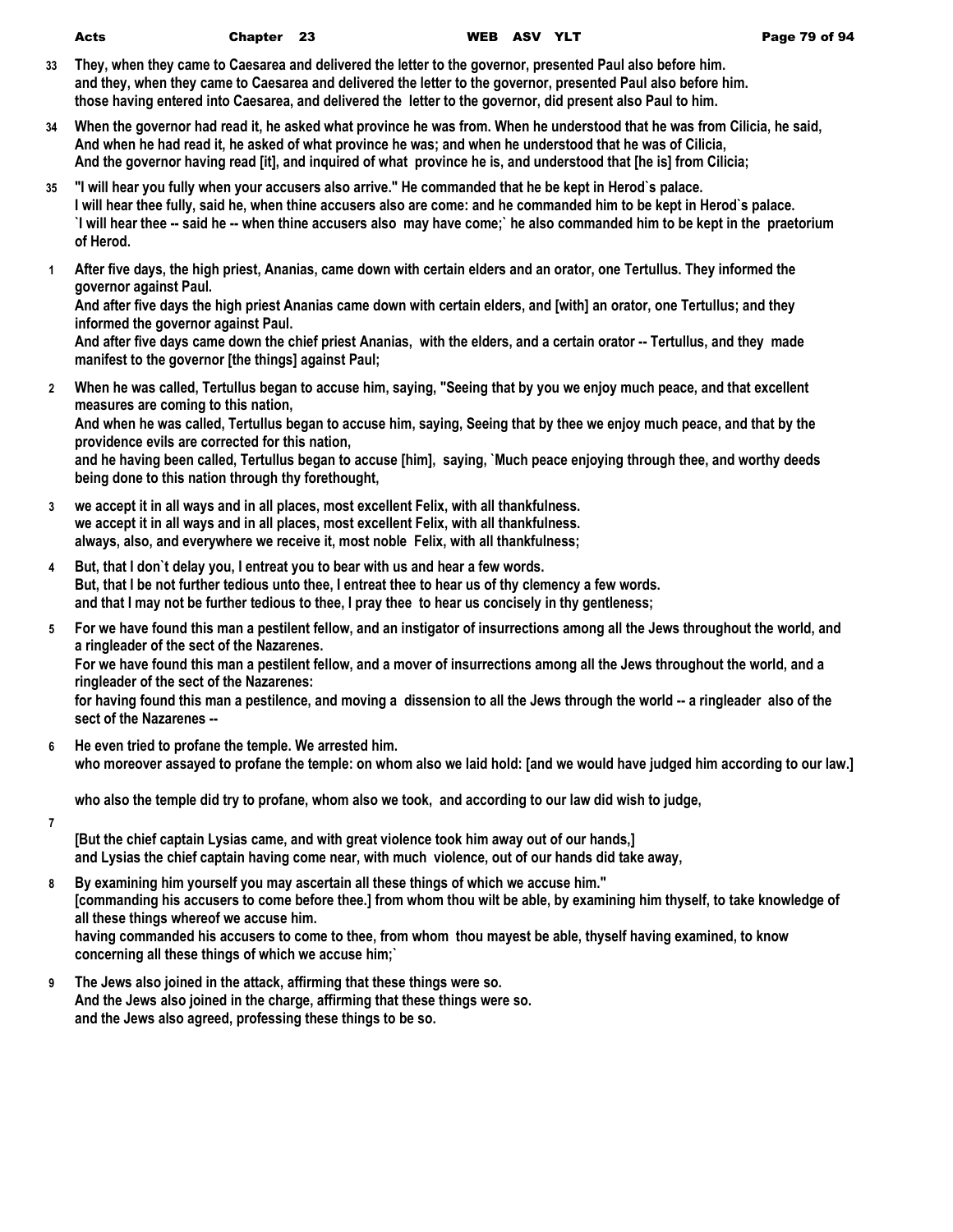| Page 79 of 94 |
|---------------|
|               |

- **33 They, when they came to Caesarea and delivered the letter to the governor, presented Paul also before him. and they, when they came to Caesarea and delivered the letter to the governor, presented Paul also before him. those having entered into Caesarea, and delivered the letter to the governor, did present also Paul to him.**
- **34 When the governor had read it, he asked what province he was from. When he understood that he was from Cilicia, he said, And when he had read it, he asked of what province he was; and when he understood that he was of Cilicia, And the governor having read [it], and inquired of what province he is, and understood that [he is] from Cilicia;**
- **35 "I will hear you fully when your accusers also arrive." He commanded that he be kept in Herod`s palace. I will hear thee fully, said he, when thine accusers also are come: and he commanded him to be kept in Herod`s palace. `I will hear thee -- said he -- when thine accusers also may have come;` he also commanded him to be kept in the praetorium of Herod.**
- **1 After five days, the high priest, Ananias, came down with certain elders and an orator, one Tertullus. They informed the governor against Paul.**

**And after five days the high priest Ananias came down with certain elders, and [with] an orator, one Tertullus; and they informed the governor against Paul.**

**And after five days came down the chief priest Ananias, with the elders, and a certain orator -- Tertullus, and they made manifest to the governor [the things] against Paul;**

- **2 When he was called, Tertullus began to accuse him, saying, "Seeing that by you we enjoy much peace, and that excellent measures are coming to this nation, And when he was called, Tertullus began to accuse him, saying, Seeing that by thee we enjoy much peace, and that by the providence evils are corrected for this nation, and he having been called, Tertullus began to accuse [him], saying, `Much peace enjoying through thee, and worthy deeds being done to this nation through thy forethought,**
- **3 we accept it in all ways and in all places, most excellent Felix, with all thankfulness. we accept it in all ways and in all places, most excellent Felix, with all thankfulness. always, also, and everywhere we receive it, most noble Felix, with all thankfulness;**
- **4 But, that I don`t delay you, I entreat you to bear with us and hear a few words. But, that I be not further tedious unto thee, I entreat thee to hear us of thy clemency a few words. and that I may not be further tedious to thee, I pray thee to hear us concisely in thy gentleness;**
- **5 For we have found this man a pestilent fellow, and an instigator of insurrections among all the Jews throughout the world, and a ringleader of the sect of the Nazarenes.**

**For we have found this man a pestilent fellow, and a mover of insurrections among all the Jews throughout the world, and a ringleader of the sect of the Nazarenes:**

**for having found this man a pestilence, and moving a dissension to all the Jews through the world -- a ringleader also of the sect of the Nazarenes --**

**6 He even tried to profane the temple. We arrested him. who moreover assayed to profane the temple: on whom also we laid hold: [and we would have judged him according to our law.]**

**who also the temple did try to profane, whom also we took, and according to our law did wish to judge,**

**7**

**[But the chief captain Lysias came, and with great violence took him away out of our hands,] and Lysias the chief captain having come near, with much violence, out of our hands did take away,**

- **8 By examining him yourself you may ascertain all these things of which we accuse him." [commanding his accusers to come before thee.] from whom thou wilt be able, by examining him thyself, to take knowledge of all these things whereof we accuse him. having commanded his accusers to come to thee, from whom thou mayest be able, thyself having examined, to know concerning all these things of which we accuse him;`**
- **9 The Jews also joined in the attack, affirming that these things were so. And the Jews also joined in the charge, affirming that these things were so. and the Jews also agreed, professing these things to be so.**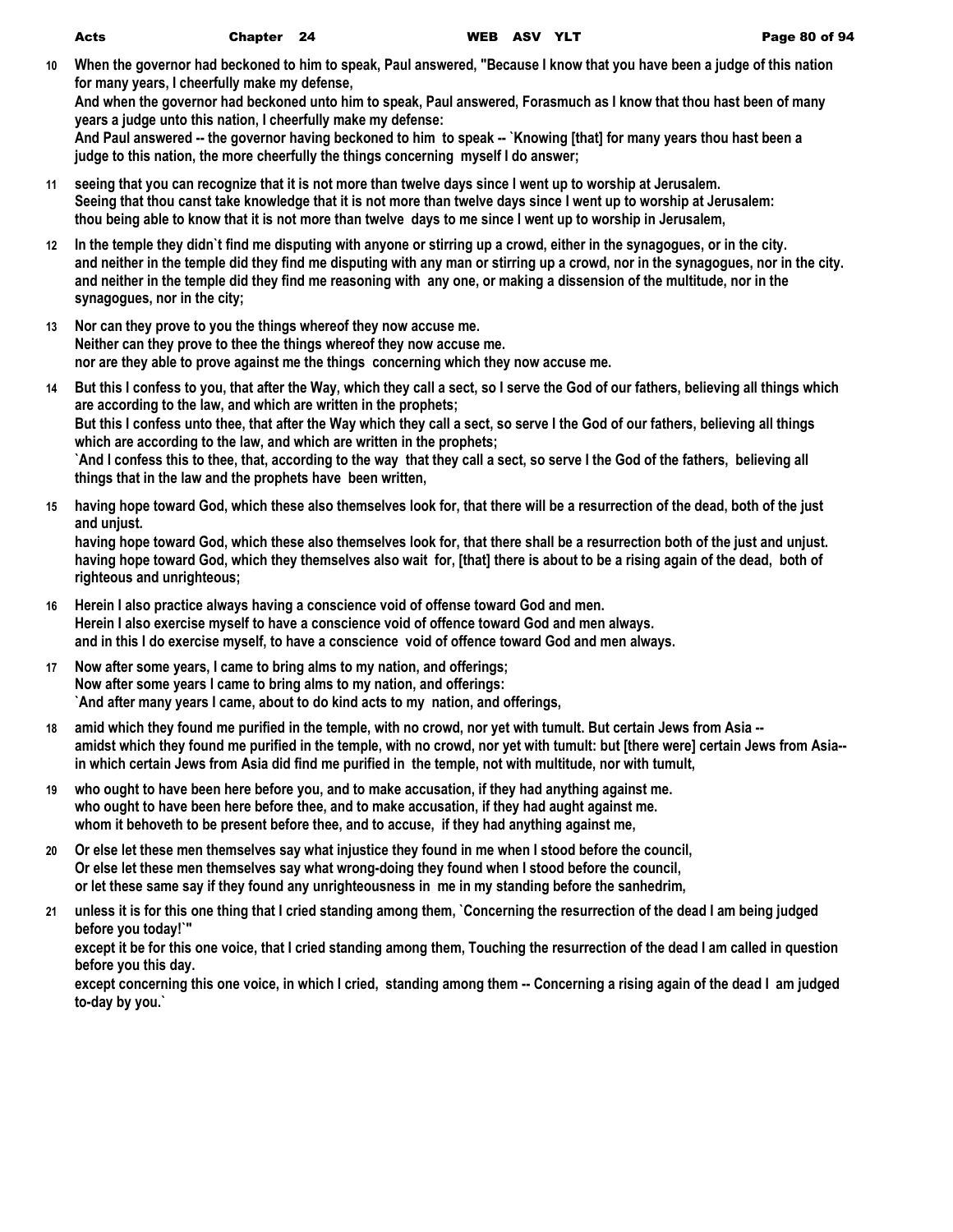**10 When the governor had beckoned to him to speak, Paul answered, "Because I know that you have been a judge of this nation for many years, I cheerfully make my defense,**

**And when the governor had beckoned unto him to speak, Paul answered, Forasmuch as I know that thou hast been of many years a judge unto this nation, I cheerfully make my defense:**

**And Paul answered -- the governor having beckoned to him to speak -- `Knowing [that] for many years thou hast been a judge to this nation, the more cheerfully the things concerning myself I do answer;**

- **11 seeing that you can recognize that it is not more than twelve days since I went up to worship at Jerusalem. Seeing that thou canst take knowledge that it is not more than twelve days since I went up to worship at Jerusalem: thou being able to know that it is not more than twelve days to me since I went up to worship in Jerusalem,**
- **12 In the temple they didn`t find me disputing with anyone or stirring up a crowd, either in the synagogues, or in the city. and neither in the temple did they find me disputing with any man or stirring up a crowd, nor in the synagogues, nor in the city. and neither in the temple did they find me reasoning with any one, or making a dissension of the multitude, nor in the synagogues, nor in the city;**
- **13 Nor can they prove to you the things whereof they now accuse me. Neither can they prove to thee the things whereof they now accuse me. nor are they able to prove against me the things concerning which they now accuse me.**
- **14 But this I confess to you, that after the Way, which they call a sect, so I serve the God of our fathers, believing all things which are according to the law, and which are written in the prophets; But this I confess unto thee, that after the Way which they call a sect, so serve I the God of our fathers, believing all things which are according to the law, and which are written in the prophets; `And I confess this to thee, that, according to the way that they call a sect, so serve I the God of the fathers, believing all things that in the law and the prophets have been written,**
- **15 having hope toward God, which these also themselves look for, that there will be a resurrection of the dead, both of the just and unjust.**

**having hope toward God, which these also themselves look for, that there shall be a resurrection both of the just and unjust. having hope toward God, which they themselves also wait for, [that] there is about to be a rising again of the dead, both of righteous and unrighteous;**

- **16 Herein I also practice always having a conscience void of offense toward God and men. Herein I also exercise myself to have a conscience void of offence toward God and men always. and in this I do exercise myself, to have a conscience void of offence toward God and men always.**
- **17 Now after some years, I came to bring alms to my nation, and offerings; Now after some years I came to bring alms to my nation, and offerings: `And after many years I came, about to do kind acts to my nation, and offerings,**
- **18 amid which they found me purified in the temple, with no crowd, nor yet with tumult. But certain Jews from Asia - amidst which they found me purified in the temple, with no crowd, nor yet with tumult: but [there were] certain Jews from Asia- in which certain Jews from Asia did find me purified in the temple, not with multitude, nor with tumult,**
- **19 who ought to have been here before you, and to make accusation, if they had anything against me. who ought to have been here before thee, and to make accusation, if they had aught against me. whom it behoveth to be present before thee, and to accuse, if they had anything against me,**
- **20 Or else let these men themselves say what injustice they found in me when I stood before the council, Or else let these men themselves say what wrong-doing they found when I stood before the council, or let these same say if they found any unrighteousness in me in my standing before the sanhedrim,**
- **21 unless it is for this one thing that I cried standing among them, `Concerning the resurrection of the dead I am being judged before you today!`"**

**except it be for this one voice, that I cried standing among them, Touching the resurrection of the dead I am called in question before you this day.**

**except concerning this one voice, in which I cried, standing among them -- Concerning a rising again of the dead I am judged to-day by you.`**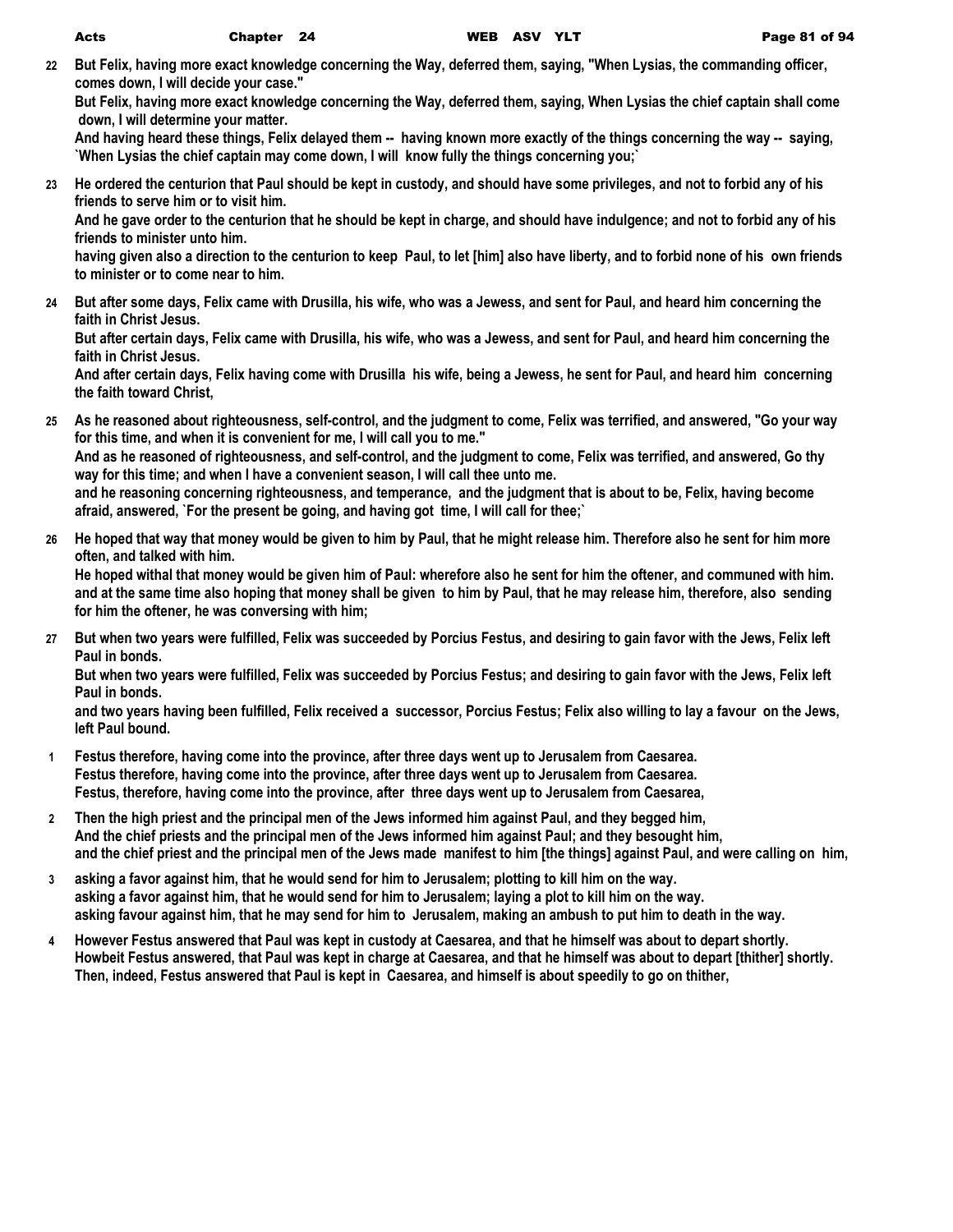**22 But Felix, having more exact knowledge concerning the Way, deferred them, saying, "When Lysias, the commanding officer, comes down, I will decide your case."**

**But Felix, having more exact knowledge concerning the Way, deferred them, saying, When Lysias the chief captain shall come down, I will determine your matter.**

**And having heard these things, Felix delayed them -- having known more exactly of the things concerning the way -- saying, `When Lysias the chief captain may come down, I will know fully the things concerning you;`**

**23 He ordered the centurion that Paul should be kept in custody, and should have some privileges, and not to forbid any of his friends to serve him or to visit him.**

**And he gave order to the centurion that he should be kept in charge, and should have indulgence; and not to forbid any of his friends to minister unto him.**

**having given also a direction to the centurion to keep Paul, to let [him] also have liberty, and to forbid none of his own friends to minister or to come near to him.**

**24 But after some days, Felix came with Drusilla, his wife, who was a Jewess, and sent for Paul, and heard him concerning the faith in Christ Jesus.**

**But after certain days, Felix came with Drusilla, his wife, who was a Jewess, and sent for Paul, and heard him concerning the faith in Christ Jesus.**

**And after certain days, Felix having come with Drusilla his wife, being a Jewess, he sent for Paul, and heard him concerning the faith toward Christ,**

- **25 As he reasoned about righteousness, self-control, and the judgment to come, Felix was terrified, and answered, "Go your way for this time, and when it is convenient for me, I will call you to me." And as he reasoned of righteousness, and self-control, and the judgment to come, Felix was terrified, and answered, Go thy way for this time; and when I have a convenient season, I will call thee unto me. and he reasoning concerning righteousness, and temperance, and the judgment that is about to be, Felix, having become afraid, answered, `For the present be going, and having got time, I will call for thee;`**
- **26 He hoped that way that money would be given to him by Paul, that he might release him. Therefore also he sent for him more often, and talked with him.**

**He hoped withal that money would be given him of Paul: wherefore also he sent for him the oftener, and communed with him. and at the same time also hoping that money shall be given to him by Paul, that he may release him, therefore, also sending for him the oftener, he was conversing with him;**

**27 But when two years were fulfilled, Felix was succeeded by Porcius Festus, and desiring to gain favor with the Jews, Felix left Paul in bonds.**

**But when two years were fulfilled, Felix was succeeded by Porcius Festus; and desiring to gain favor with the Jews, Felix left Paul in bonds.**

**and two years having been fulfilled, Felix received a successor, Porcius Festus; Felix also willing to lay a favour on the Jews, left Paul bound.**

- **1 Festus therefore, having come into the province, after three days went up to Jerusalem from Caesarea. Festus therefore, having come into the province, after three days went up to Jerusalem from Caesarea. Festus, therefore, having come into the province, after three days went up to Jerusalem from Caesarea,**
- **2 Then the high priest and the principal men of the Jews informed him against Paul, and they begged him, And the chief priests and the principal men of the Jews informed him against Paul; and they besought him, and the chief priest and the principal men of the Jews made manifest to him [the things] against Paul, and were calling on him,**
- **3 asking a favor against him, that he would send for him to Jerusalem; plotting to kill him on the way. asking a favor against him, that he would send for him to Jerusalem; laying a plot to kill him on the way. asking favour against him, that he may send for him to Jerusalem, making an ambush to put him to death in the way.**
- **4 However Festus answered that Paul was kept in custody at Caesarea, and that he himself was about to depart shortly. Howbeit Festus answered, that Paul was kept in charge at Caesarea, and that he himself was about to depart [thither] shortly. Then, indeed, Festus answered that Paul is kept in Caesarea, and himself is about speedily to go on thither,**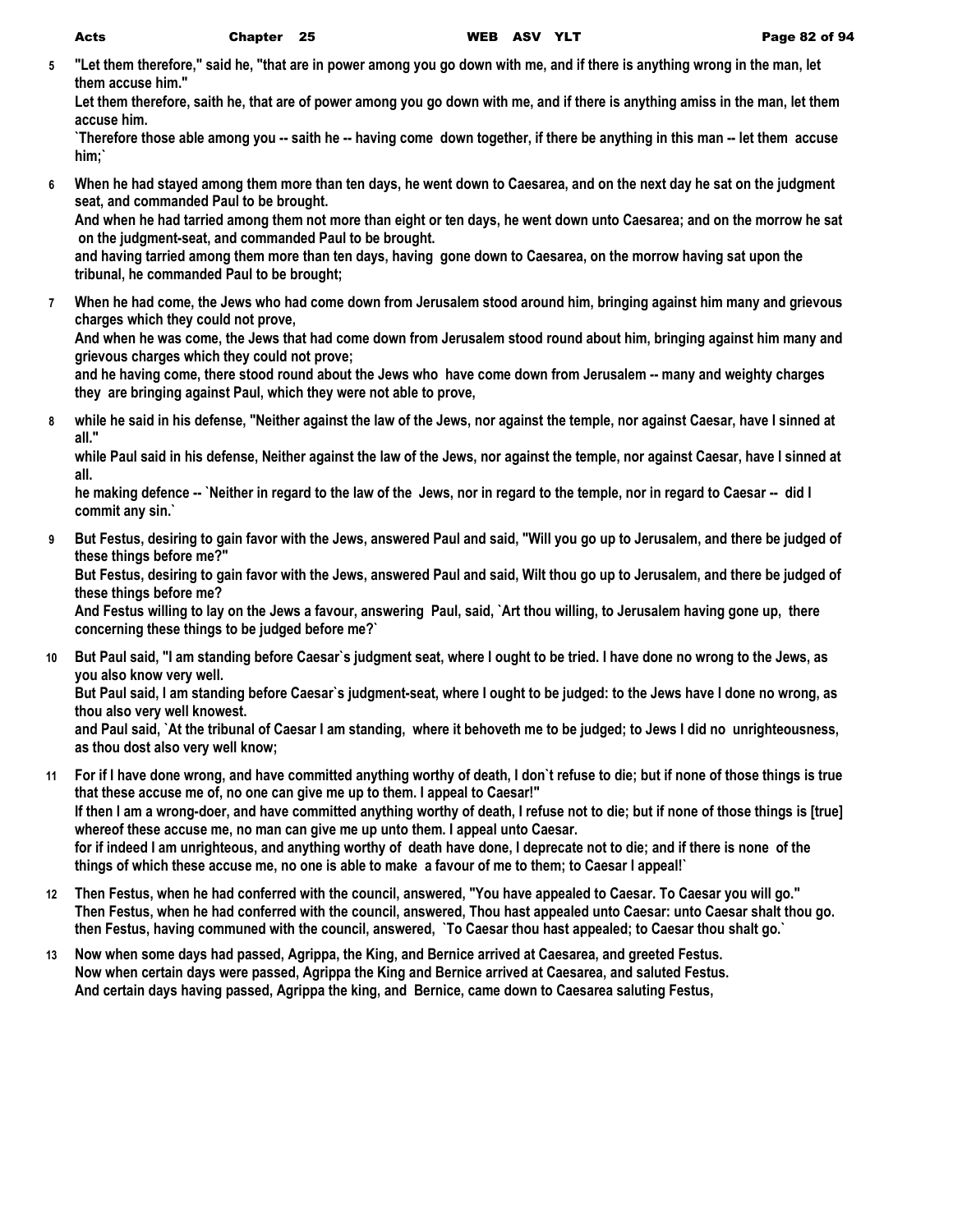**5 "Let them therefore," said he, "that are in power among you go down with me, and if there is anything wrong in the man, let them accuse him."**

**Let them therefore, saith he, that are of power among you go down with me, and if there is anything amiss in the man, let them accuse him.**

**`Therefore those able among you -- saith he -- having come down together, if there be anything in this man -- let them accuse him;`**

**6 When he had stayed among them more than ten days, he went down to Caesarea, and on the next day he sat on the judgment seat, and commanded Paul to be brought.**

**And when he had tarried among them not more than eight or ten days, he went down unto Caesarea; and on the morrow he sat on the judgment-seat, and commanded Paul to be brought.**

**and having tarried among them more than ten days, having gone down to Caesarea, on the morrow having sat upon the tribunal, he commanded Paul to be brought;**

**7 When he had come, the Jews who had come down from Jerusalem stood around him, bringing against him many and grievous charges which they could not prove,**

**And when he was come, the Jews that had come down from Jerusalem stood round about him, bringing against him many and grievous charges which they could not prove;**

**and he having come, there stood round about the Jews who have come down from Jerusalem -- many and weighty charges they are bringing against Paul, which they were not able to prove,**

**8 while he said in his defense, "Neither against the law of the Jews, nor against the temple, nor against Caesar, have I sinned at all."**

**while Paul said in his defense, Neither against the law of the Jews, nor against the temple, nor against Caesar, have I sinned at all.**

**he making defence -- `Neither in regard to the law of the Jews, nor in regard to the temple, nor in regard to Caesar -- did I commit any sin.`**

**9 But Festus, desiring to gain favor with the Jews, answered Paul and said, "Will you go up to Jerusalem, and there be judged of these things before me?"**

**But Festus, desiring to gain favor with the Jews, answered Paul and said, Wilt thou go up to Jerusalem, and there be judged of these things before me?**

**And Festus willing to lay on the Jews a favour, answering Paul, said, `Art thou willing, to Jerusalem having gone up, there concerning these things to be judged before me?`**

**10 But Paul said, "I am standing before Caesar`s judgment seat, where I ought to be tried. I have done no wrong to the Jews, as you also know very well.**

**But Paul said, I am standing before Caesar`s judgment-seat, where I ought to be judged: to the Jews have I done no wrong, as thou also very well knowest.**

**and Paul said, `At the tribunal of Caesar I am standing, where it behoveth me to be judged; to Jews I did no unrighteousness, as thou dost also very well know;**

- **11 For if I have done wrong, and have committed anything worthy of death, I don`t refuse to die; but if none of those things is true that these accuse me of, no one can give me up to them. I appeal to Caesar!" If then I am a wrong-doer, and have committed anything worthy of death, I refuse not to die; but if none of those things is [true] whereof these accuse me, no man can give me up unto them. I appeal unto Caesar. for if indeed I am unrighteous, and anything worthy of death have done, I deprecate not to die; and if there is none of the things of which these accuse me, no one is able to make a favour of me to them; to Caesar I appeal!`**
- **12 Then Festus, when he had conferred with the council, answered, "You have appealed to Caesar. To Caesar you will go." Then Festus, when he had conferred with the council, answered, Thou hast appealed unto Caesar: unto Caesar shalt thou go. then Festus, having communed with the council, answered, `To Caesar thou hast appealed; to Caesar thou shalt go.`**
- **13 Now when some days had passed, Agrippa, the King, and Bernice arrived at Caesarea, and greeted Festus. Now when certain days were passed, Agrippa the King and Bernice arrived at Caesarea, and saluted Festus. And certain days having passed, Agrippa the king, and Bernice, came down to Caesarea saluting Festus,**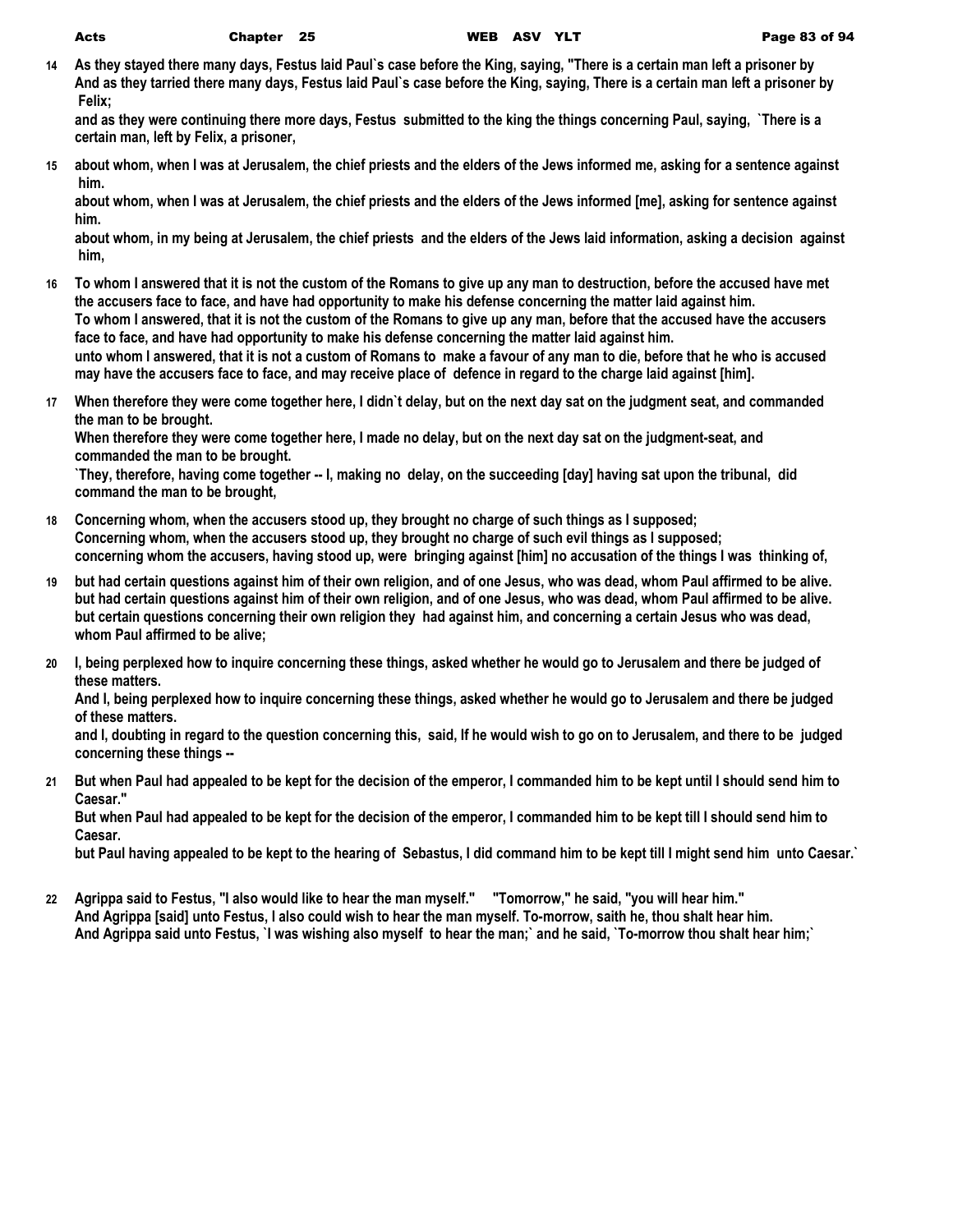**14 As they stayed there many days, Festus laid Paul`s case before the King, saying, "There is a certain man left a prisoner by And as they tarried there many days, Festus laid Paul`s case before the King, saying, There is a certain man left a prisoner by Felix;**

**and as they were continuing there more days, Festus submitted to the king the things concerning Paul, saying, `There is a certain man, left by Felix, a prisoner,**

**15 about whom, when I was at Jerusalem, the chief priests and the elders of the Jews informed me, asking for a sentence against him.**

**about whom, when I was at Jerusalem, the chief priests and the elders of the Jews informed [me], asking for sentence against him.**

**about whom, in my being at Jerusalem, the chief priests and the elders of the Jews laid information, asking a decision against him,**

- **16 To whom I answered that it is not the custom of the Romans to give up any man to destruction, before the accused have met the accusers face to face, and have had opportunity to make his defense concerning the matter laid against him. To whom I answered, that it is not the custom of the Romans to give up any man, before that the accused have the accusers face to face, and have had opportunity to make his defense concerning the matter laid against him. unto whom I answered, that it is not a custom of Romans to make a favour of any man to die, before that he who is accused may have the accusers face to face, and may receive place of defence in regard to the charge laid against [him].**
- **17 When therefore they were come together here, I didn`t delay, but on the next day sat on the judgment seat, and commanded the man to be brought.**

**When therefore they were come together here, I made no delay, but on the next day sat on the judgment-seat, and commanded the man to be brought.**

**`They, therefore, having come together -- I, making no delay, on the succeeding [day] having sat upon the tribunal, did command the man to be brought,**

- **18 Concerning whom, when the accusers stood up, they brought no charge of such things as I supposed; Concerning whom, when the accusers stood up, they brought no charge of such evil things as I supposed; concerning whom the accusers, having stood up, were bringing against [him] no accusation of the things I was thinking of,**
- **19 but had certain questions against him of their own religion, and of one Jesus, who was dead, whom Paul affirmed to be alive. but had certain questions against him of their own religion, and of one Jesus, who was dead, whom Paul affirmed to be alive. but certain questions concerning their own religion they had against him, and concerning a certain Jesus who was dead, whom Paul affirmed to be alive;**
- **20 I, being perplexed how to inquire concerning these things, asked whether he would go to Jerusalem and there be judged of these matters.**

**And I, being perplexed how to inquire concerning these things, asked whether he would go to Jerusalem and there be judged of these matters.**

**and I, doubting in regard to the question concerning this, said, If he would wish to go on to Jerusalem, and there to be judged concerning these things --**

**21 But when Paul had appealed to be kept for the decision of the emperor, I commanded him to be kept until I should send him to Caesar."**

**But when Paul had appealed to be kept for the decision of the emperor, I commanded him to be kept till I should send him to Caesar.**

**but Paul having appealed to be kept to the hearing of Sebastus, I did command him to be kept till I might send him unto Caesar.`**

**22 Agrippa said to Festus, "I also would like to hear the man myself." "Tomorrow," he said, "you will hear him." And Agrippa [said] unto Festus, I also could wish to hear the man myself. To-morrow, saith he, thou shalt hear him. And Agrippa said unto Festus, `I was wishing also myself to hear the man;` and he said, `To-morrow thou shalt hear him;`**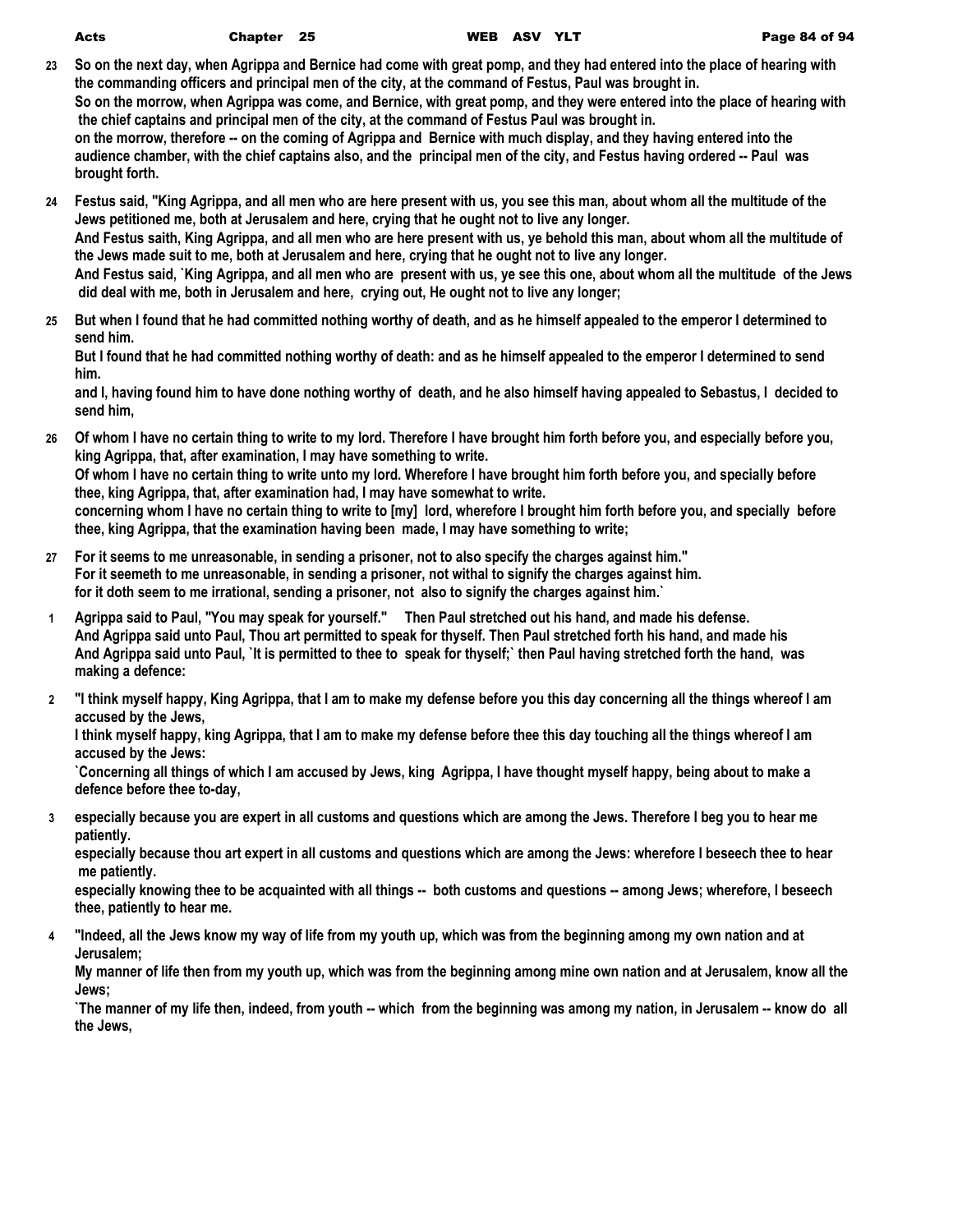| Acts | <b>Chapte</b> |
|------|---------------|
|------|---------------|

- **23 So on the next day, when Agrippa and Bernice had come with great pomp, and they had entered into the place of hearing with the commanding officers and principal men of the city, at the command of Festus, Paul was brought in. So on the morrow, when Agrippa was come, and Bernice, with great pomp, and they were entered into the place of hearing with the chief captains and principal men of the city, at the command of Festus Paul was brought in. on the morrow, therefore -- on the coming of Agrippa and Bernice with much display, and they having entered into the audience chamber, with the chief captains also, and the principal men of the city, and Festus having ordered -- Paul was brought forth.**
- **24 Festus said, "King Agrippa, and all men who are here present with us, you see this man, about whom all the multitude of the Jews petitioned me, both at Jerusalem and here, crying that he ought not to live any longer. And Festus saith, King Agrippa, and all men who are here present with us, ye behold this man, about whom all the multitude of the Jews made suit to me, both at Jerusalem and here, crying that he ought not to live any longer. And Festus said, `King Agrippa, and all men who are present with us, ye see this one, about whom all the multitude of the Jews did deal with me, both in Jerusalem and here, crying out, He ought not to live any longer;**
- **25 But when I found that he had committed nothing worthy of death, and as he himself appealed to the emperor I determined to send him.**

**But I found that he had committed nothing worthy of death: and as he himself appealed to the emperor I determined to send him.**

**and I, having found him to have done nothing worthy of death, and he also himself having appealed to Sebastus, I decided to send him,**

- **26 Of whom I have no certain thing to write to my lord. Therefore I have brought him forth before you, and especially before you, king Agrippa, that, after examination, I may have something to write. Of whom I have no certain thing to write unto my lord. Wherefore I have brought him forth before you, and specially before thee, king Agrippa, that, after examination had, I may have somewhat to write. concerning whom I have no certain thing to write to [my] lord, wherefore I brought him forth before you, and specially before thee, king Agrippa, that the examination having been made, I may have something to write;**
- **27 For it seems to me unreasonable, in sending a prisoner, not to also specify the charges against him." For it seemeth to me unreasonable, in sending a prisoner, not withal to signify the charges against him. for it doth seem to me irrational, sending a prisoner, not also to signify the charges against him.`**
- **1 Agrippa said to Paul, "You may speak for yourself." Then Paul stretched out his hand, and made his defense. And Agrippa said unto Paul, Thou art permitted to speak for thyself. Then Paul stretched forth his hand, and made his And Agrippa said unto Paul, `It is permitted to thee to speak for thyself;` then Paul having stretched forth the hand, was making a defence:**
- **2 "I think myself happy, King Agrippa, that I am to make my defense before you this day concerning all the things whereof I am accused by the Jews,**

**I think myself happy, king Agrippa, that I am to make my defense before thee this day touching all the things whereof I am accused by the Jews:**

**`Concerning all things of which I am accused by Jews, king Agrippa, I have thought myself happy, being about to make a defence before thee to-day,**

**3 especially because you are expert in all customs and questions which are among the Jews. Therefore I beg you to hear me patiently.**

**especially because thou art expert in all customs and questions which are among the Jews: wherefore I beseech thee to hear me patiently.**

**especially knowing thee to be acquainted with all things -- both customs and questions -- among Jews; wherefore, I beseech thee, patiently to hear me.**

**4 "Indeed, all the Jews know my way of life from my youth up, which was from the beginning among my own nation and at Jerusalem;**

**My manner of life then from my youth up, which was from the beginning among mine own nation and at Jerusalem, know all the Jews;**

**`The manner of my life then, indeed, from youth -- which from the beginning was among my nation, in Jerusalem -- know do all the Jews,**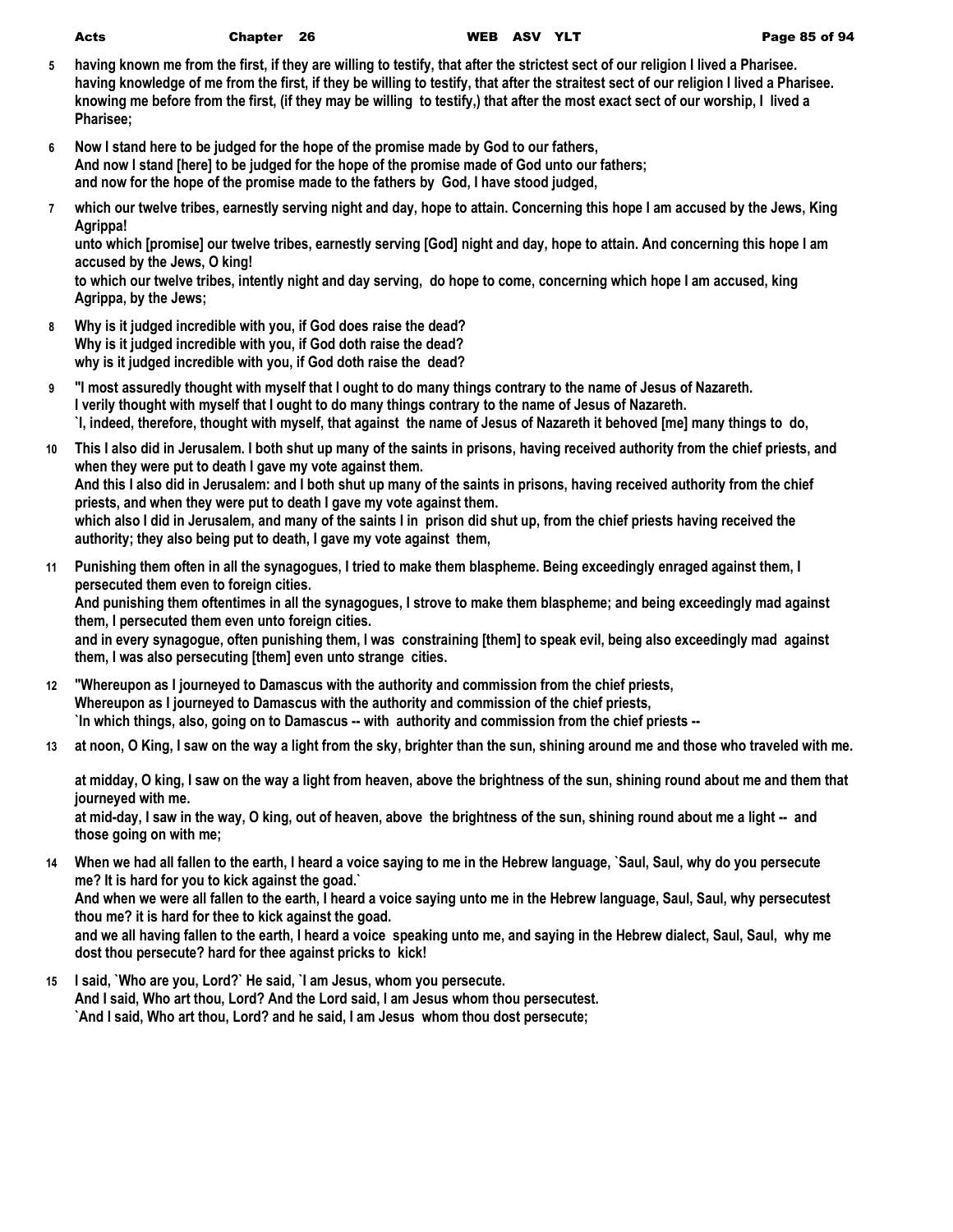- **5 having known me from the first, if they are willing to testify, that after the strictest sect of our religion I lived a Pharisee. having knowledge of me from the first, if they be willing to testify, that after the straitest sect of our religion I lived a Pharisee. knowing me before from the first, (if they may be willing to testify,) that after the most exact sect of our worship, I lived a Pharisee;**
- **6 Now I stand here to be judged for the hope of the promise made by God to our fathers, And now I stand [here] to be judged for the hope of the promise made of God unto our fathers; and now for the hope of the promise made to the fathers by God, I have stood judged,**
- **7 which our twelve tribes, earnestly serving night and day, hope to attain. Concerning this hope I am accused by the Jews, King Agrippa!**

**unto which [promise] our twelve tribes, earnestly serving [God] night and day, hope to attain. And concerning this hope I am accused by the Jews, O king!**

**to which our twelve tribes, intently night and day serving, do hope to come, concerning which hope I am accused, king Agrippa, by the Jews;**

- **8 Why is it judged incredible with you, if God does raise the dead? Why is it judged incredible with you, if God doth raise the dead? why is it judged incredible with you, if God doth raise the dead?**
- **9 "I most assuredly thought with myself that I ought to do many things contrary to the name of Jesus of Nazareth. I verily thought with myself that I ought to do many things contrary to the name of Jesus of Nazareth. `I, indeed, therefore, thought with myself, that against the name of Jesus of Nazareth it behoved [me] many things to do,**
- **10 This I also did in Jerusalem. I both shut up many of the saints in prisons, having received authority from the chief priests, and when they were put to death I gave my vote against them. And this I also did in Jerusalem: and I both shut up many of the saints in prisons, having received authority from the chief priests, and when they were put to death I gave my vote against them. which also I did in Jerusalem, and many of the saints I in prison did shut up, from the chief priests having received the authority; they also being put to death, I gave my vote against them,**
- **11 Punishing them often in all the synagogues, I tried to make them blaspheme. Being exceedingly enraged against them, I persecuted them even to foreign cities. And punishing them oftentimes in all the synagogues, I strove to make them blaspheme; and being exceedingly mad against them, I persecuted them even unto foreign cities. and in every synagogue, often punishing them, I was constraining [them] to speak evil, being also exceedingly mad against them, I was also persecuting [them] even unto strange cities.**
- **12 "Whereupon as I journeyed to Damascus with the authority and commission from the chief priests, Whereupon as I journeyed to Damascus with the authority and commission of the chief priests, `In which things, also, going on to Damascus -- with authority and commission from the chief priests --**
- **13 at noon, O King, I saw on the way a light from the sky, brighter than the sun, shining around me and those who traveled with me.**

**at midday, O king, I saw on the way a light from heaven, above the brightness of the sun, shining round about me and them that journeyed with me.**

**at mid-day, I saw in the way, O king, out of heaven, above the brightness of the sun, shining round about me a light -- and those going on with me;**

**14 When we had all fallen to the earth, I heard a voice saying to me in the Hebrew language, `Saul, Saul, why do you persecute me? It is hard for you to kick against the goad.`**

**And when we were all fallen to the earth, I heard a voice saying unto me in the Hebrew language, Saul, Saul, why persecutest thou me? it is hard for thee to kick against the goad.**

**and we all having fallen to the earth, I heard a voice speaking unto me, and saying in the Hebrew dialect, Saul, Saul, why me dost thou persecute? hard for thee against pricks to kick!**

**15 I said, `Who are you, Lord?` He said, `I am Jesus, whom you persecute. And I said, Who art thou, Lord? And the Lord said, I am Jesus whom thou persecutest. `And I said, Who art thou, Lord? and he said, I am Jesus whom thou dost persecute;**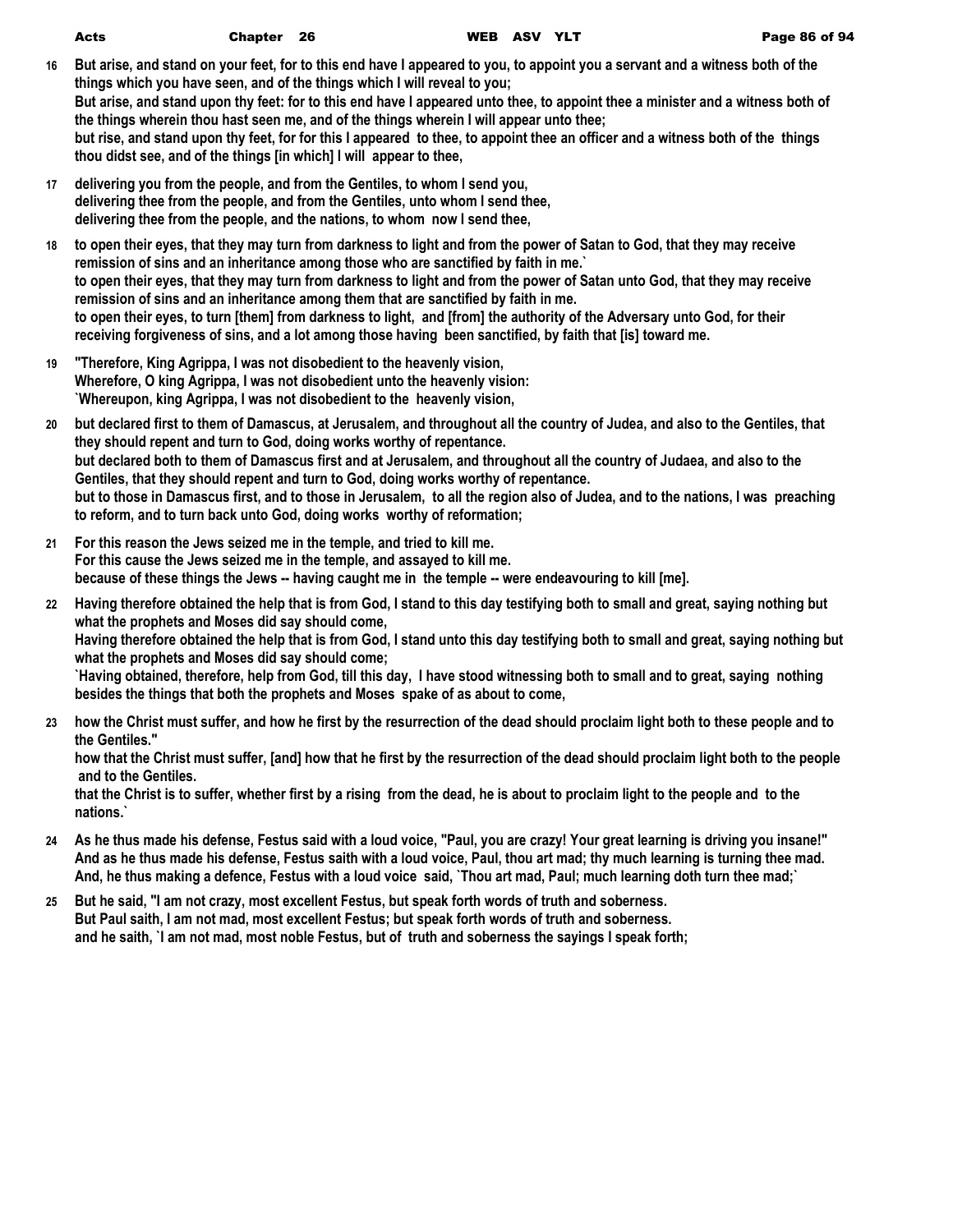| Acts | Chapter 26 | WEB ASV YLT |  | Page 86 of 94 |
|------|------------|-------------|--|---------------|
|      |            |             |  |               |

- **16 But arise, and stand on your feet, for to this end have I appeared to you, to appoint you a servant and a witness both of the things which you have seen, and of the things which I will reveal to you; But arise, and stand upon thy feet: for to this end have I appeared unto thee, to appoint thee a minister and a witness both of the things wherein thou hast seen me, and of the things wherein I will appear unto thee; but rise, and stand upon thy feet, for for this I appeared to thee, to appoint thee an officer and a witness both of the things thou didst see, and of the things [in which] I will appear to thee,**
- **17 delivering you from the people, and from the Gentiles, to whom I send you, delivering thee from the people, and from the Gentiles, unto whom I send thee, delivering thee from the people, and the nations, to whom now I send thee,**
- **18 to open their eyes, that they may turn from darkness to light and from the power of Satan to God, that they may receive remission of sins and an inheritance among those who are sanctified by faith in me.` to open their eyes, that they may turn from darkness to light and from the power of Satan unto God, that they may receive remission of sins and an inheritance among them that are sanctified by faith in me. to open their eyes, to turn [them] from darkness to light, and [from] the authority of the Adversary unto God, for their receiving forgiveness of sins, and a lot among those having been sanctified, by faith that [is] toward me.**
- **19 "Therefore, King Agrippa, I was not disobedient to the heavenly vision, Wherefore, O king Agrippa, I was not disobedient unto the heavenly vision: `Whereupon, king Agrippa, I was not disobedient to the heavenly vision,**
- **20 but declared first to them of Damascus, at Jerusalem, and throughout all the country of Judea, and also to the Gentiles, that they should repent and turn to God, doing works worthy of repentance. but declared both to them of Damascus first and at Jerusalem, and throughout all the country of Judaea, and also to the Gentiles, that they should repent and turn to God, doing works worthy of repentance. but to those in Damascus first, and to those in Jerusalem, to all the region also of Judea, and to the nations, I was preaching to reform, and to turn back unto God, doing works worthy of reformation;**
- **21 For this reason the Jews seized me in the temple, and tried to kill me. For this cause the Jews seized me in the temple, and assayed to kill me. because of these things the Jews -- having caught me in the temple -- were endeavouring to kill [me].**
- **22 Having therefore obtained the help that is from God, I stand to this day testifying both to small and great, saying nothing but what the prophets and Moses did say should come, Having therefore obtained the help that is from God, I stand unto this day testifying both to small and great, saying nothing but what the prophets and Moses did say should come; `Having obtained, therefore, help from God, till this day, I have stood witnessing both to small and to great, saying nothing besides the things that both the prophets and Moses spake of as about to come,**
- **23 how the Christ must suffer, and how he first by the resurrection of the dead should proclaim light both to these people and to the Gentiles."**

**how that the Christ must suffer, [and] how that he first by the resurrection of the dead should proclaim light both to the people and to the Gentiles.**

**that the Christ is to suffer, whether first by a rising from the dead, he is about to proclaim light to the people and to the nations.`**

- **24 As he thus made his defense, Festus said with a loud voice, "Paul, you are crazy! Your great learning is driving you insane!" And as he thus made his defense, Festus saith with a loud voice, Paul, thou art mad; thy much learning is turning thee mad. And, he thus making a defence, Festus with a loud voice said, `Thou art mad, Paul; much learning doth turn thee mad;`**
- **25 But he said, "I am not crazy, most excellent Festus, but speak forth words of truth and soberness. But Paul saith, I am not mad, most excellent Festus; but speak forth words of truth and soberness. and he saith, `I am not mad, most noble Festus, but of truth and soberness the sayings I speak forth;**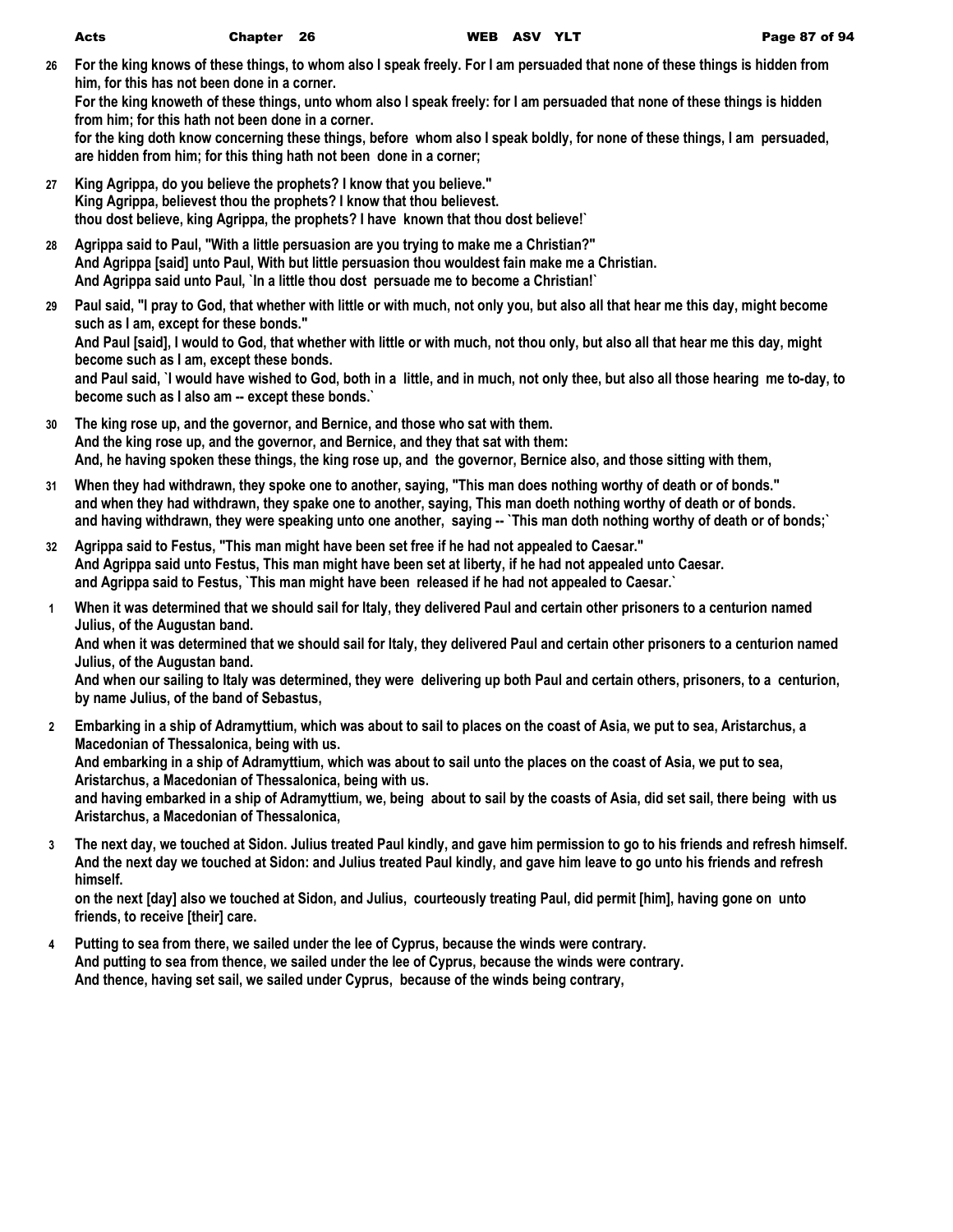**26 For the king knows of these things, to whom also I speak freely. For I am persuaded that none of these things is hidden from him, for this has not been done in a corner.**

**For the king knoweth of these things, unto whom also I speak freely: for I am persuaded that none of these things is hidden from him; for this hath not been done in a corner.**

**for the king doth know concerning these things, before whom also I speak boldly, for none of these things, I am persuaded, are hidden from him; for this thing hath not been done in a corner;**

- **27 King Agrippa, do you believe the prophets? I know that you believe." King Agrippa, believest thou the prophets? I know that thou believest. thou dost believe, king Agrippa, the prophets? I have known that thou dost believe!`**
- **28 Agrippa said to Paul, "With a little persuasion are you trying to make me a Christian?" And Agrippa [said] unto Paul, With but little persuasion thou wouldest fain make me a Christian. And Agrippa said unto Paul, `In a little thou dost persuade me to become a Christian!`**
- **29 Paul said, "I pray to God, that whether with little or with much, not only you, but also all that hear me this day, might become such as I am, except for these bonds." And Paul [said], I would to God, that whether with little or with much, not thou only, but also all that hear me this day, might become such as I am, except these bonds. and Paul said, `I would have wished to God, both in a little, and in much, not only thee, but also all those hearing me to-day, to become such as I also am -- except these bonds.`**
- **30 The king rose up, and the governor, and Bernice, and those who sat with them. And the king rose up, and the governor, and Bernice, and they that sat with them: And, he having spoken these things, the king rose up, and the governor, Bernice also, and those sitting with them,**
- **31 When they had withdrawn, they spoke one to another, saying, "This man does nothing worthy of death or of bonds." and when they had withdrawn, they spake one to another, saying, This man doeth nothing worthy of death or of bonds. and having withdrawn, they were speaking unto one another, saying -- `This man doth nothing worthy of death or of bonds;`**
- **32 Agrippa said to Festus, "This man might have been set free if he had not appealed to Caesar." And Agrippa said unto Festus, This man might have been set at liberty, if he had not appealed unto Caesar. and Agrippa said to Festus, `This man might have been released if he had not appealed to Caesar.`**
- **1 When it was determined that we should sail for Italy, they delivered Paul and certain other prisoners to a centurion named Julius, of the Augustan band.**

**And when it was determined that we should sail for Italy, they delivered Paul and certain other prisoners to a centurion named Julius, of the Augustan band.**

**And when our sailing to Italy was determined, they were delivering up both Paul and certain others, prisoners, to a centurion, by name Julius, of the band of Sebastus,**

- **2 Embarking in a ship of Adramyttium, which was about to sail to places on the coast of Asia, we put to sea, Aristarchus, a Macedonian of Thessalonica, being with us. And embarking in a ship of Adramyttium, which was about to sail unto the places on the coast of Asia, we put to sea, Aristarchus, a Macedonian of Thessalonica, being with us. and having embarked in a ship of Adramyttium, we, being about to sail by the coasts of Asia, did set sail, there being with us Aristarchus, a Macedonian of Thessalonica,**
- **3 The next day, we touched at Sidon. Julius treated Paul kindly, and gave him permission to go to his friends and refresh himself. And the next day we touched at Sidon: and Julius treated Paul kindly, and gave him leave to go unto his friends and refresh himself.**

**on the next [day] also we touched at Sidon, and Julius, courteously treating Paul, did permit [him], having gone on unto friends, to receive [their] care.**

**4 Putting to sea from there, we sailed under the lee of Cyprus, because the winds were contrary. And putting to sea from thence, we sailed under the lee of Cyprus, because the winds were contrary. And thence, having set sail, we sailed under Cyprus, because of the winds being contrary,**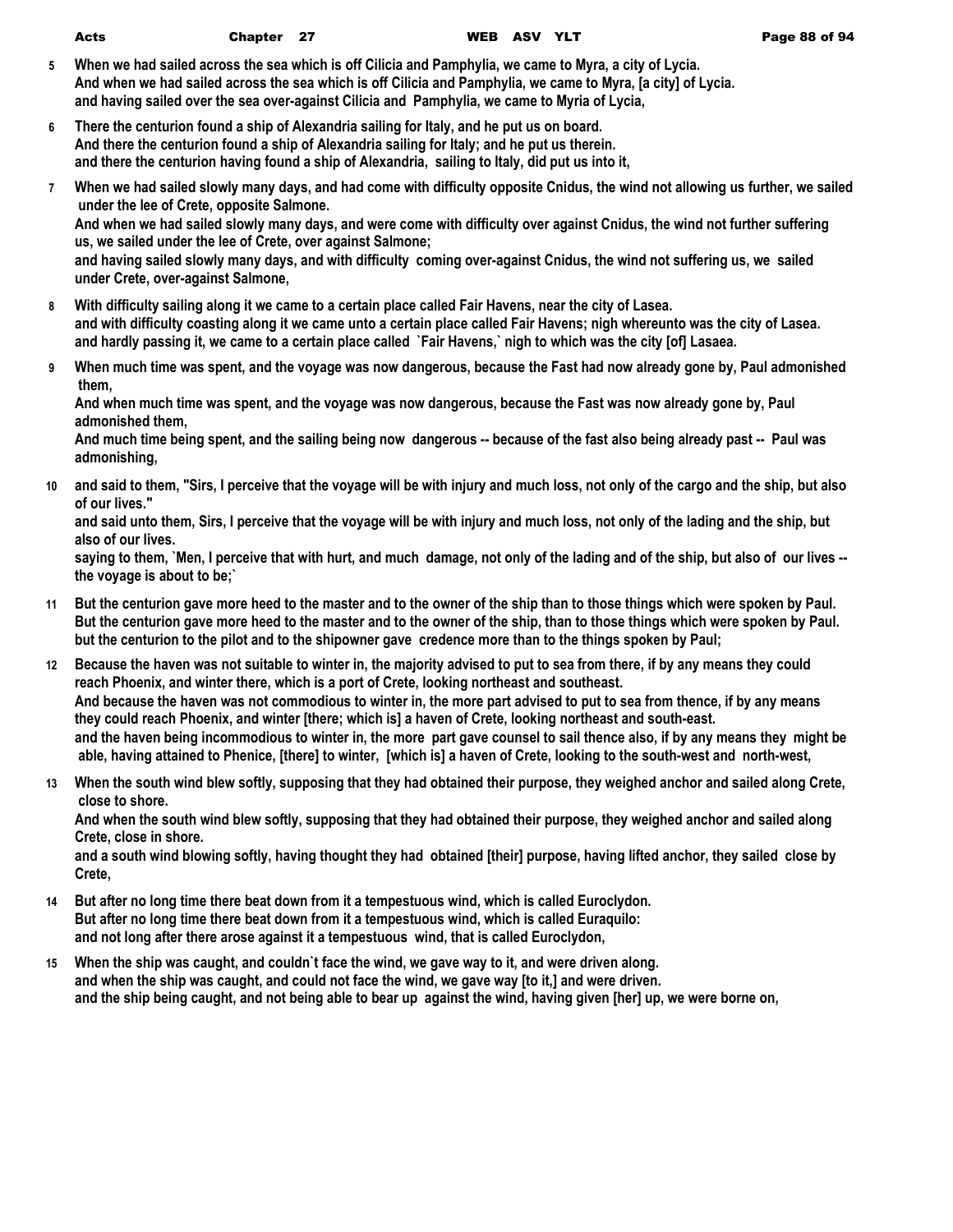| Acts | Chapter 27 | WEB ASV YLT | Page 88 of 94 |
|------|------------|-------------|---------------|
|      |            |             |               |

- **5 When we had sailed across the sea which is off Cilicia and Pamphylia, we came to Myra, a city of Lycia. And when we had sailed across the sea which is off Cilicia and Pamphylia, we came to Myra, [a city] of Lycia. and having sailed over the sea over-against Cilicia and Pamphylia, we came to Myria of Lycia,**
- **6 There the centurion found a ship of Alexandria sailing for Italy, and he put us on board. And there the centurion found a ship of Alexandria sailing for Italy; and he put us therein. and there the centurion having found a ship of Alexandria, sailing to Italy, did put us into it,**
- **7 When we had sailed slowly many days, and had come with difficulty opposite Cnidus, the wind not allowing us further, we sailed under the lee of Crete, opposite Salmone.**

**And when we had sailed slowly many days, and were come with difficulty over against Cnidus, the wind not further suffering us, we sailed under the lee of Crete, over against Salmone;**

**and having sailed slowly many days, and with difficulty coming over-against Cnidus, the wind not suffering us, we sailed under Crete, over-against Salmone,**

- **8 With difficulty sailing along it we came to a certain place called Fair Havens, near the city of Lasea. and with difficulty coasting along it we came unto a certain place called Fair Havens; nigh whereunto was the city of Lasea. and hardly passing it, we came to a certain place called `Fair Havens,` nigh to which was the city [of] Lasaea.**
- **9 When much time was spent, and the voyage was now dangerous, because the Fast had now already gone by, Paul admonished them,**

**And when much time was spent, and the voyage was now dangerous, because the Fast was now already gone by, Paul admonished them,**

**And much time being spent, and the sailing being now dangerous -- because of the fast also being already past -- Paul was admonishing,**

**10 and said to them, "Sirs, I perceive that the voyage will be with injury and much loss, not only of the cargo and the ship, but also of our lives."**

**and said unto them, Sirs, I perceive that the voyage will be with injury and much loss, not only of the lading and the ship, but also of our lives.**

**saying to them, `Men, I perceive that with hurt, and much damage, not only of the lading and of the ship, but also of our lives - the voyage is about to be;`**

- **11 But the centurion gave more heed to the master and to the owner of the ship than to those things which were spoken by Paul. But the centurion gave more heed to the master and to the owner of the ship, than to those things which were spoken by Paul. but the centurion to the pilot and to the shipowner gave credence more than to the things spoken by Paul;**
- **12 Because the haven was not suitable to winter in, the majority advised to put to sea from there, if by any means they could reach Phoenix, and winter there, which is a port of Crete, looking northeast and southeast. And because the haven was not commodious to winter in, the more part advised to put to sea from thence, if by any means they could reach Phoenix, and winter [there; which is] a haven of Crete, looking northeast and south-east. and the haven being incommodious to winter in, the more part gave counsel to sail thence also, if by any means they might be able, having attained to Phenice, [there] to winter, [which is] a haven of Crete, looking to the south-west and north-west,**
- **13 When the south wind blew softly, supposing that they had obtained their purpose, they weighed anchor and sailed along Crete, close to shore.**

**And when the south wind blew softly, supposing that they had obtained their purpose, they weighed anchor and sailed along Crete, close in shore.**

**and a south wind blowing softly, having thought they had obtained [their] purpose, having lifted anchor, they sailed close by Crete,**

- **14 But after no long time there beat down from it a tempestuous wind, which is called Euroclydon. But after no long time there beat down from it a tempestuous wind, which is called Euraquilo: and not long after there arose against it a tempestuous wind, that is called Euroclydon,**
- **15 When the ship was caught, and couldn`t face the wind, we gave way to it, and were driven along. and when the ship was caught, and could not face the wind, we gave way [to it,] and were driven. and the ship being caught, and not being able to bear up against the wind, having given [her] up, we were borne on,**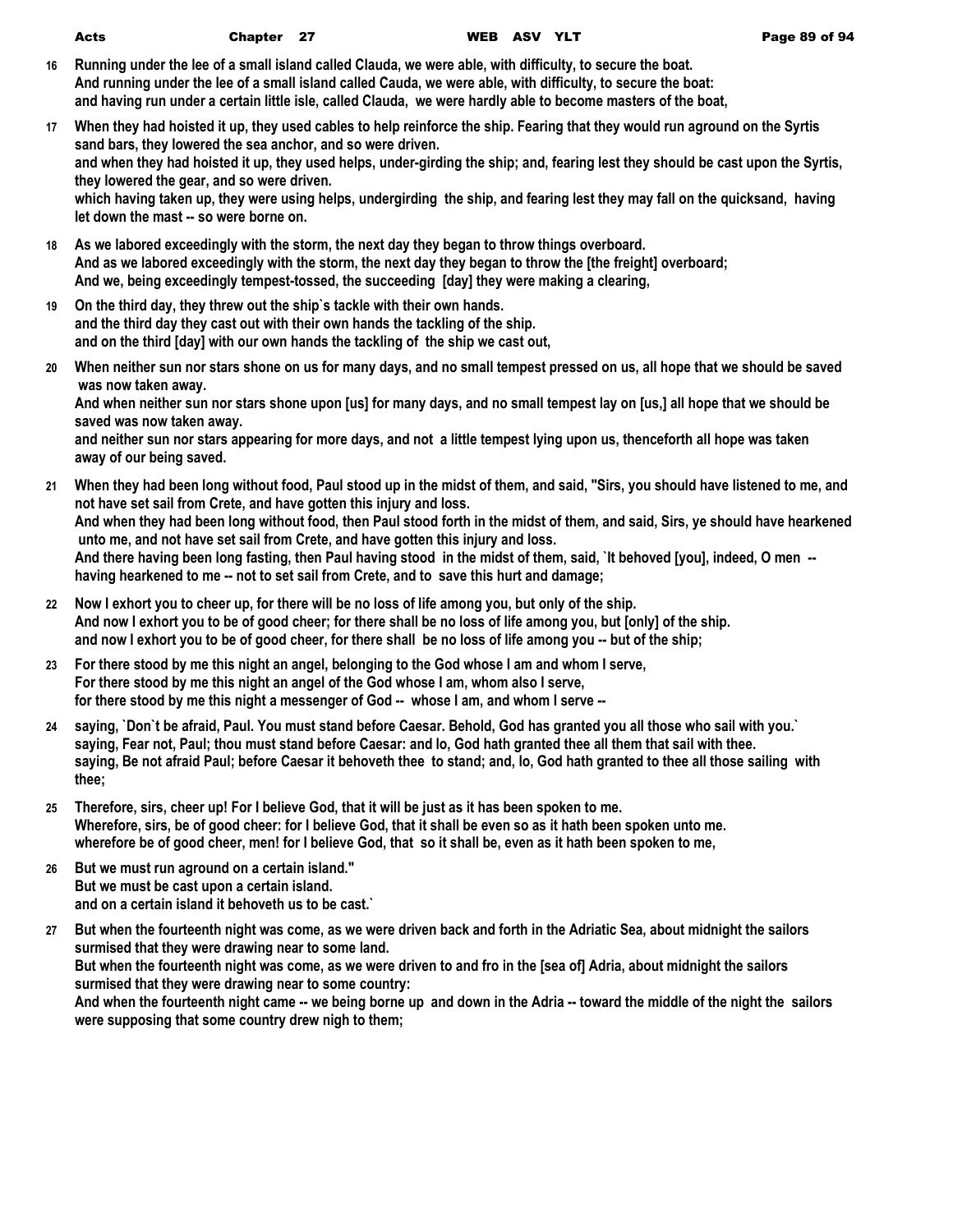- **16 Running under the lee of a small island called Clauda, we were able, with difficulty, to secure the boat. And running under the lee of a small island called Cauda, we were able, with difficulty, to secure the boat: and having run under a certain little isle, called Clauda, we were hardly able to become masters of the boat,**
- **17 When they had hoisted it up, they used cables to help reinforce the ship. Fearing that they would run aground on the Syrtis sand bars, they lowered the sea anchor, and so were driven. and when they had hoisted it up, they used helps, under-girding the ship; and, fearing lest they should be cast upon the Syrtis, they lowered the gear, and so were driven. which having taken up, they were using helps, undergirding the ship, and fearing lest they may fall on the quicksand, having let down the mast -- so were borne on.**
- **18 As we labored exceedingly with the storm, the next day they began to throw things overboard. And as we labored exceedingly with the storm, the next day they began to throw the [the freight] overboard; And we, being exceedingly tempest-tossed, the succeeding [day] they were making a clearing,**
- **19 On the third day, they threw out the ship`s tackle with their own hands. and the third day they cast out with their own hands the tackling of the ship. and on the third [day] with our own hands the tackling of the ship we cast out,**
- **20 When neither sun nor stars shone on us for many days, and no small tempest pressed on us, all hope that we should be saved was now taken away. And when neither sun nor stars shone upon [us] for many days, and no small tempest lay on [us,] all hope that we should be**

**saved was now taken away. and neither sun nor stars appearing for more days, and not a little tempest lying upon us, thenceforth all hope was taken away of our being saved.**

- **21 When they had been long without food, Paul stood up in the midst of them, and said, "Sirs, you should have listened to me, and not have set sail from Crete, and have gotten this injury and loss. And when they had been long without food, then Paul stood forth in the midst of them, and said, Sirs, ye should have hearkened unto me, and not have set sail from Crete, and have gotten this injury and loss. And there having been long fasting, then Paul having stood in the midst of them, said, `It behoved [you], indeed, O men - having hearkened to me -- not to set sail from Crete, and to save this hurt and damage;**
- **22 Now I exhort you to cheer up, for there will be no loss of life among you, but only of the ship. And now I exhort you to be of good cheer; for there shall be no loss of life among you, but [only] of the ship. and now I exhort you to be of good cheer, for there shall be no loss of life among you -- but of the ship;**
- **23 For there stood by me this night an angel, belonging to the God whose I am and whom I serve, For there stood by me this night an angel of the God whose I am, whom also I serve, for there stood by me this night a messenger of God -- whose I am, and whom I serve --**
- **24 saying, `Don`t be afraid, Paul. You must stand before Caesar. Behold, God has granted you all those who sail with you.` saying, Fear not, Paul; thou must stand before Caesar: and lo, God hath granted thee all them that sail with thee. saying, Be not afraid Paul; before Caesar it behoveth thee to stand; and, lo, God hath granted to thee all those sailing with thee;**
- **25 Therefore, sirs, cheer up! For I believe God, that it will be just as it has been spoken to me. Wherefore, sirs, be of good cheer: for I believe God, that it shall be even so as it hath been spoken unto me. wherefore be of good cheer, men! for I believe God, that so it shall be, even as it hath been spoken to me,**
- **26 But we must run aground on a certain island." But we must be cast upon a certain island. and on a certain island it behoveth us to be cast.`**
- **27 But when the fourteenth night was come, as we were driven back and forth in the Adriatic Sea, about midnight the sailors surmised that they were drawing near to some land. But when the fourteenth night was come, as we were driven to and fro in the [sea of] Adria, about midnight the sailors surmised that they were drawing near to some country: And when the fourteenth night came -- we being borne up and down in the Adria -- toward the middle of the night the sailors**

**were supposing that some country drew nigh to them;**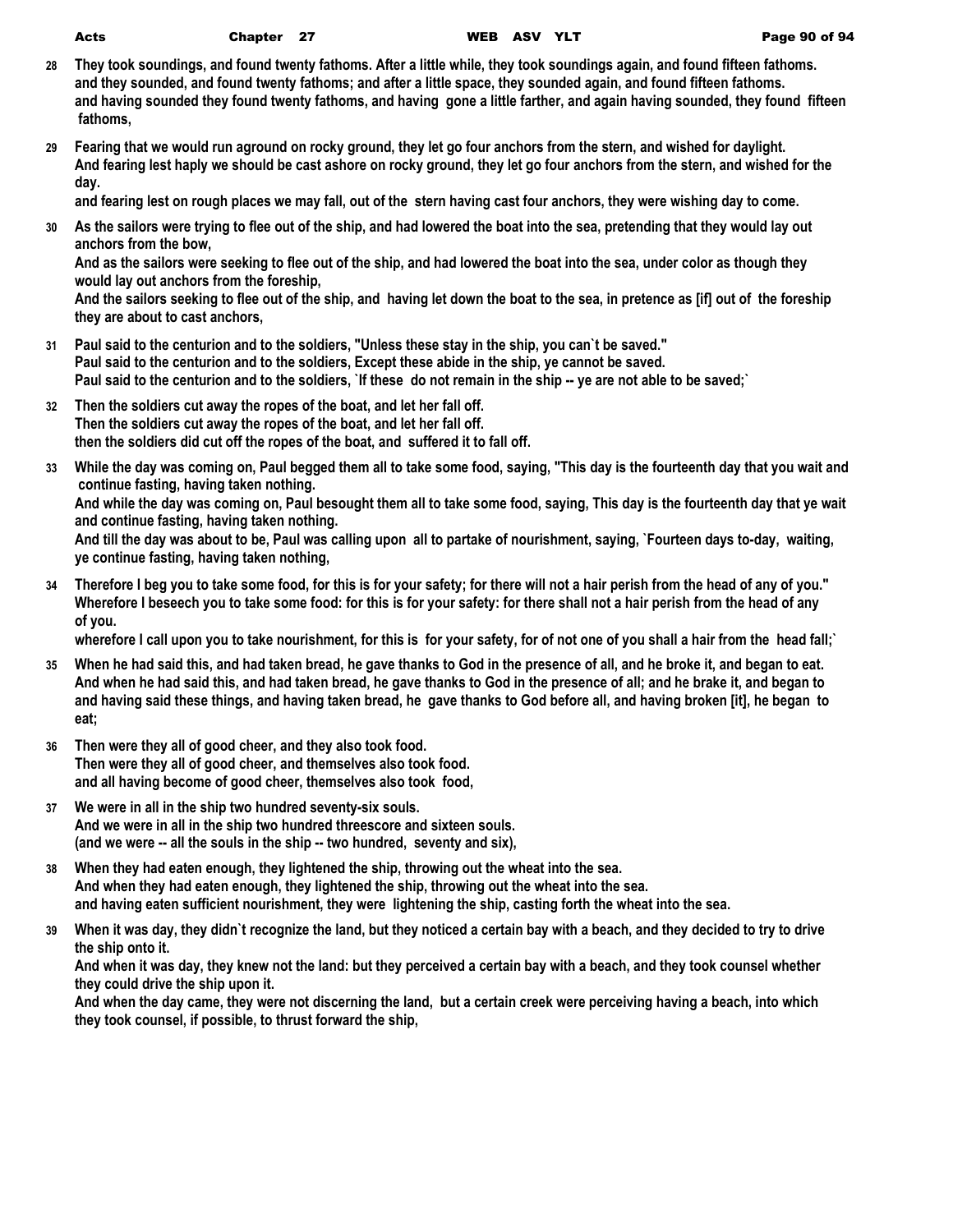| ×, | I<br>. | ٦<br>۰. |
|----|--------|---------|

- **28 They took soundings, and found twenty fathoms. After a little while, they took soundings again, and found fifteen fathoms. and they sounded, and found twenty fathoms; and after a little space, they sounded again, and found fifteen fathoms. and having sounded they found twenty fathoms, and having gone a little farther, and again having sounded, they found fifteen fathoms,**
- **29 Fearing that we would run aground on rocky ground, they let go four anchors from the stern, and wished for daylight. And fearing lest haply we should be cast ashore on rocky ground, they let go four anchors from the stern, and wished for the day.**

**and fearing lest on rough places we may fall, out of the stern having cast four anchors, they were wishing day to come.**

**30 As the sailors were trying to flee out of the ship, and had lowered the boat into the sea, pretending that they would lay out anchors from the bow,**

**And as the sailors were seeking to flee out of the ship, and had lowered the boat into the sea, under color as though they would lay out anchors from the foreship,**

**And the sailors seeking to flee out of the ship, and having let down the boat to the sea, in pretence as [if] out of the foreship they are about to cast anchors,**

- **31 Paul said to the centurion and to the soldiers, "Unless these stay in the ship, you can`t be saved." Paul said to the centurion and to the soldiers, Except these abide in the ship, ye cannot be saved. Paul said to the centurion and to the soldiers, `If these do not remain in the ship -- ye are not able to be saved;`**
- **32 Then the soldiers cut away the ropes of the boat, and let her fall off. Then the soldiers cut away the ropes of the boat, and let her fall off. then the soldiers did cut off the ropes of the boat, and suffered it to fall off.**
- **33 While the day was coming on, Paul begged them all to take some food, saying, "This day is the fourteenth day that you wait and continue fasting, having taken nothing.**

**And while the day was coming on, Paul besought them all to take some food, saying, This day is the fourteenth day that ye wait and continue fasting, having taken nothing.**

**And till the day was about to be, Paul was calling upon all to partake of nourishment, saying, `Fourteen days to-day, waiting, ye continue fasting, having taken nothing,**

**34 Therefore I beg you to take some food, for this is for your safety; for there will not a hair perish from the head of any of you." Wherefore I beseech you to take some food: for this is for your safety: for there shall not a hair perish from the head of any of you.**

**wherefore I call upon you to take nourishment, for this is for your safety, for of not one of you shall a hair from the head fall;`**

- **35 When he had said this, and had taken bread, he gave thanks to God in the presence of all, and he broke it, and began to eat. And when he had said this, and had taken bread, he gave thanks to God in the presence of all; and he brake it, and began to and having said these things, and having taken bread, he gave thanks to God before all, and having broken [it], he began to eat;**
- **36 Then were they all of good cheer, and they also took food. Then were they all of good cheer, and themselves also took food. and all having become of good cheer, themselves also took food,**
- **37 We were in all in the ship two hundred seventy-six souls. And we were in all in the ship two hundred threescore and sixteen souls. (and we were -- all the souls in the ship -- two hundred, seventy and six),**
- **38 When they had eaten enough, they lightened the ship, throwing out the wheat into the sea. And when they had eaten enough, they lightened the ship, throwing out the wheat into the sea. and having eaten sufficient nourishment, they were lightening the ship, casting forth the wheat into the sea.**
- **39 When it was day, they didn`t recognize the land, but they noticed a certain bay with a beach, and they decided to try to drive the ship onto it.**

**And when it was day, they knew not the land: but they perceived a certain bay with a beach, and they took counsel whether they could drive the ship upon it.**

**And when the day came, they were not discerning the land, but a certain creek were perceiving having a beach, into which they took counsel, if possible, to thrust forward the ship,**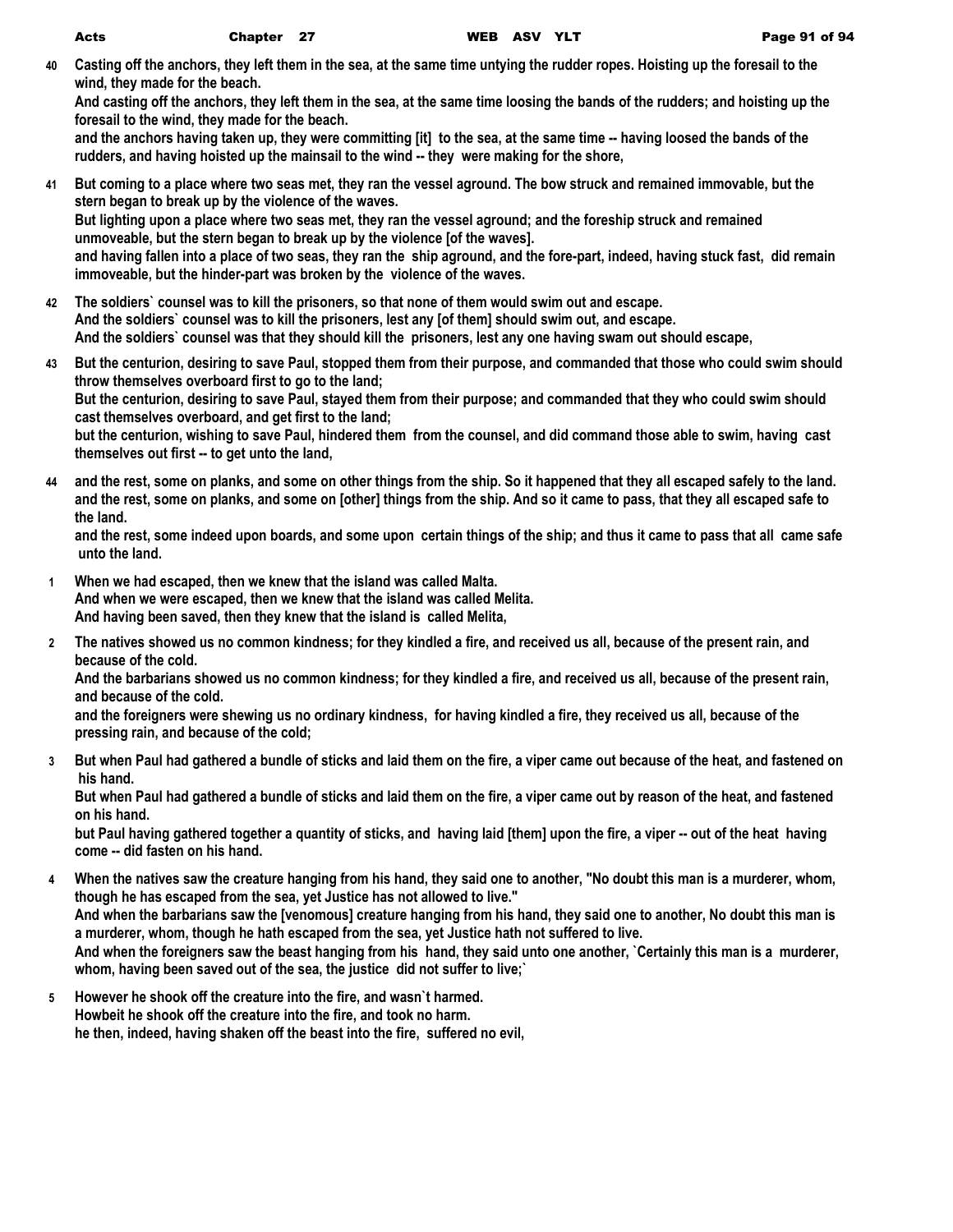**40 Casting off the anchors, they left them in the sea, at the same time untying the rudder ropes. Hoisting up the foresail to the wind, they made for the beach.**

**And casting off the anchors, they left them in the sea, at the same time loosing the bands of the rudders; and hoisting up the foresail to the wind, they made for the beach.**

**and the anchors having taken up, they were committing [it] to the sea, at the same time -- having loosed the bands of the rudders, and having hoisted up the mainsail to the wind -- they were making for the shore,**

- **41 But coming to a place where two seas met, they ran the vessel aground. The bow struck and remained immovable, but the stern began to break up by the violence of the waves. But lighting upon a place where two seas met, they ran the vessel aground; and the foreship struck and remained unmoveable, but the stern began to break up by the violence [of the waves]. and having fallen into a place of two seas, they ran the ship aground, and the fore-part, indeed, having stuck fast, did remain immoveable, but the hinder-part was broken by the violence of the waves.**
- **42 The soldiers` counsel was to kill the prisoners, so that none of them would swim out and escape. And the soldiers` counsel was to kill the prisoners, lest any [of them] should swim out, and escape. And the soldiers` counsel was that they should kill the prisoners, lest any one having swam out should escape,**
- **43 But the centurion, desiring to save Paul, stopped them from their purpose, and commanded that those who could swim should throw themselves overboard first to go to the land; But the centurion, desiring to save Paul, stayed them from their purpose; and commanded that they who could swim should cast themselves overboard, and get first to the land; but the centurion, wishing to save Paul, hindered them from the counsel, and did command those able to swim, having cast themselves out first -- to get unto the land,**
- **44 and the rest, some on planks, and some on other things from the ship. So it happened that they all escaped safely to the land. and the rest, some on planks, and some on [other] things from the ship. And so it came to pass, that they all escaped safe to the land.**

**and the rest, some indeed upon boards, and some upon certain things of the ship; and thus it came to pass that all came safe unto the land.**

- **1 When we had escaped, then we knew that the island was called Malta. And when we were escaped, then we knew that the island was called Melita. And having been saved, then they knew that the island is called Melita,**
- **2 The natives showed us no common kindness; for they kindled a fire, and received us all, because of the present rain, and because of the cold.**

**And the barbarians showed us no common kindness; for they kindled a fire, and received us all, because of the present rain, and because of the cold.**

**and the foreigners were shewing us no ordinary kindness, for having kindled a fire, they received us all, because of the pressing rain, and because of the cold;**

**3 But when Paul had gathered a bundle of sticks and laid them on the fire, a viper came out because of the heat, and fastened on his hand.**

**But when Paul had gathered a bundle of sticks and laid them on the fire, a viper came out by reason of the heat, and fastened on his hand.**

**but Paul having gathered together a quantity of sticks, and having laid [them] upon the fire, a viper -- out of the heat having come -- did fasten on his hand.**

- **4 When the natives saw the creature hanging from his hand, they said one to another, "No doubt this man is a murderer, whom, though he has escaped from the sea, yet Justice has not allowed to live." And when the barbarians saw the [venomous] creature hanging from his hand, they said one to another, No doubt this man is a murderer, whom, though he hath escaped from the sea, yet Justice hath not suffered to live. And when the foreigners saw the beast hanging from his hand, they said unto one another, `Certainly this man is a murderer, whom, having been saved out of the sea, the justice did not suffer to live;`**
- **5 However he shook off the creature into the fire, and wasn`t harmed. Howbeit he shook off the creature into the fire, and took no harm. he then, indeed, having shaken off the beast into the fire, suffered no evil,**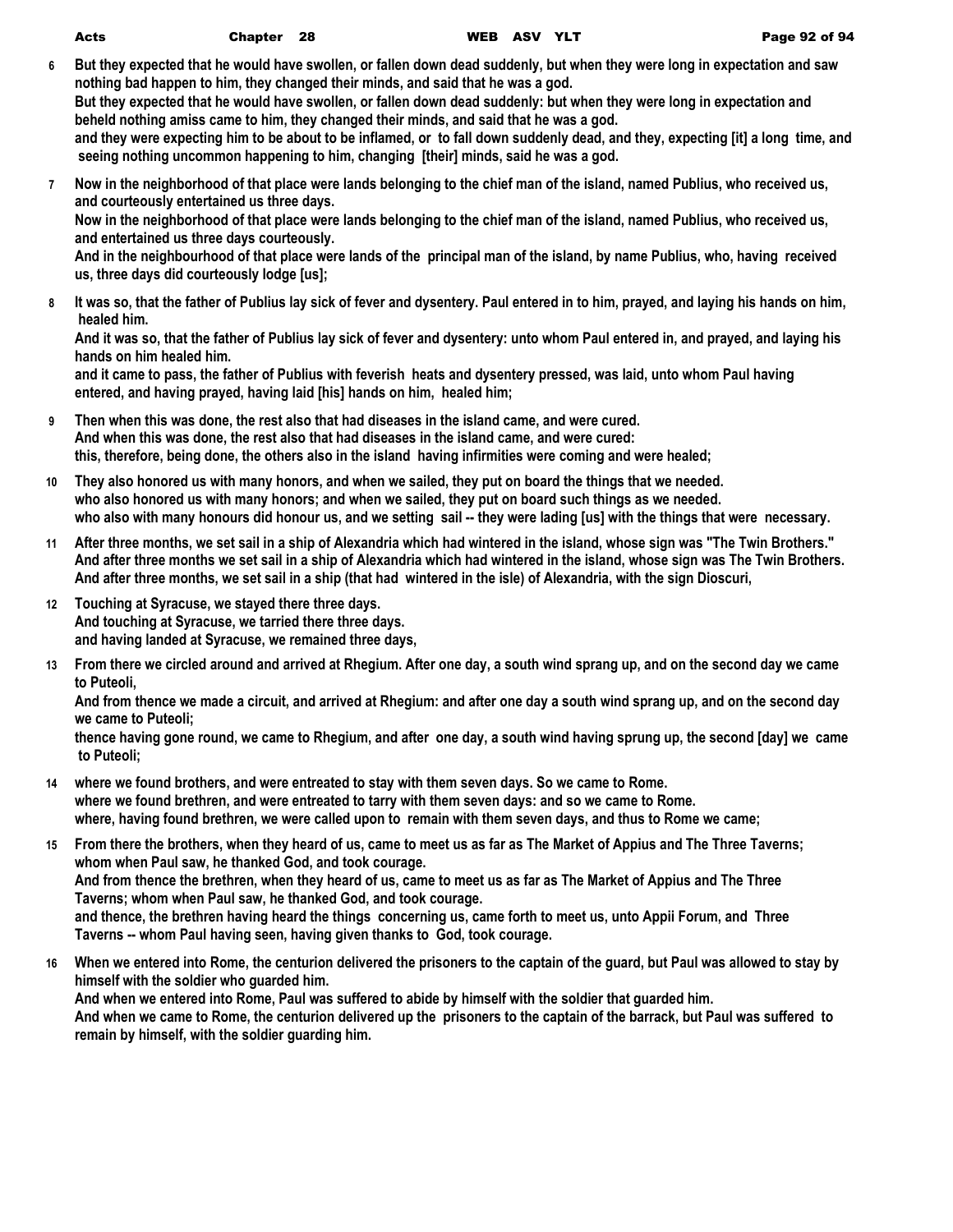- **6 But they expected that he would have swollen, or fallen down dead suddenly, but when they were long in expectation and saw nothing bad happen to him, they changed their minds, and said that he was a god. But they expected that he would have swollen, or fallen down dead suddenly: but when they were long in expectation and beheld nothing amiss came to him, they changed their minds, and said that he was a god. and they were expecting him to be about to be inflamed, or to fall down suddenly dead, and they, expecting [it] a long time, and seeing nothing uncommon happening to him, changing [their] minds, said he was a god.**
- **7 Now in the neighborhood of that place were lands belonging to the chief man of the island, named Publius, who received us, and courteously entertained us three days. Now in the neighborhood of that place were lands belonging to the chief man of the island, named Publius, who received us, and entertained us three days courteously. And in the neighbourhood of that place were lands of the principal man of the island, by name Publius, who, having received us, three days did courteously lodge [us];**
- **8 It was so, that the father of Publius lay sick of fever and dysentery. Paul entered in to him, prayed, and laying his hands on him, healed him.**

**And it was so, that the father of Publius lay sick of fever and dysentery: unto whom Paul entered in, and prayed, and laying his hands on him healed him.**

**and it came to pass, the father of Publius with feverish heats and dysentery pressed, was laid, unto whom Paul having entered, and having prayed, having laid [his] hands on him, healed him;**

- **9 Then when this was done, the rest also that had diseases in the island came, and were cured. And when this was done, the rest also that had diseases in the island came, and were cured: this, therefore, being done, the others also in the island having infirmities were coming and were healed;**
- **10 They also honored us with many honors, and when we sailed, they put on board the things that we needed. who also honored us with many honors; and when we sailed, they put on board such things as we needed. who also with many honours did honour us, and we setting sail -- they were lading [us] with the things that were necessary.**
- **11 After three months, we set sail in a ship of Alexandria which had wintered in the island, whose sign was "The Twin Brothers." And after three months we set sail in a ship of Alexandria which had wintered in the island, whose sign was The Twin Brothers. And after three months, we set sail in a ship (that had wintered in the isle) of Alexandria, with the sign Dioscuri,**
- **12 Touching at Syracuse, we stayed there three days. And touching at Syracuse, we tarried there three days. and having landed at Syracuse, we remained three days,**
- **13 From there we circled around and arrived at Rhegium. After one day, a south wind sprang up, and on the second day we came to Puteoli,**

**And from thence we made a circuit, and arrived at Rhegium: and after one day a south wind sprang up, and on the second day we came to Puteoli;**

**thence having gone round, we came to Rhegium, and after one day, a south wind having sprung up, the second [day] we came to Puteoli;**

- **14 where we found brothers, and were entreated to stay with them seven days. So we came to Rome. where we found brethren, and were entreated to tarry with them seven days: and so we came to Rome. where, having found brethren, we were called upon to remain with them seven days, and thus to Rome we came;**
- **15 From there the brothers, when they heard of us, came to meet us as far as The Market of Appius and The Three Taverns; whom when Paul saw, he thanked God, and took courage. And from thence the brethren, when they heard of us, came to meet us as far as The Market of Appius and The Three Taverns; whom when Paul saw, he thanked God, and took courage. and thence, the brethren having heard the things concerning us, came forth to meet us, unto Appii Forum, and Three Taverns -- whom Paul having seen, having given thanks to God, took courage.**
- **16 When we entered into Rome, the centurion delivered the prisoners to the captain of the guard, but Paul was allowed to stay by himself with the soldier who guarded him. And when we entered into Rome, Paul was suffered to abide by himself with the soldier that guarded him. And when we came to Rome, the centurion delivered up the prisoners to the captain of the barrack, but Paul was suffered to remain by himself, with the soldier guarding him.**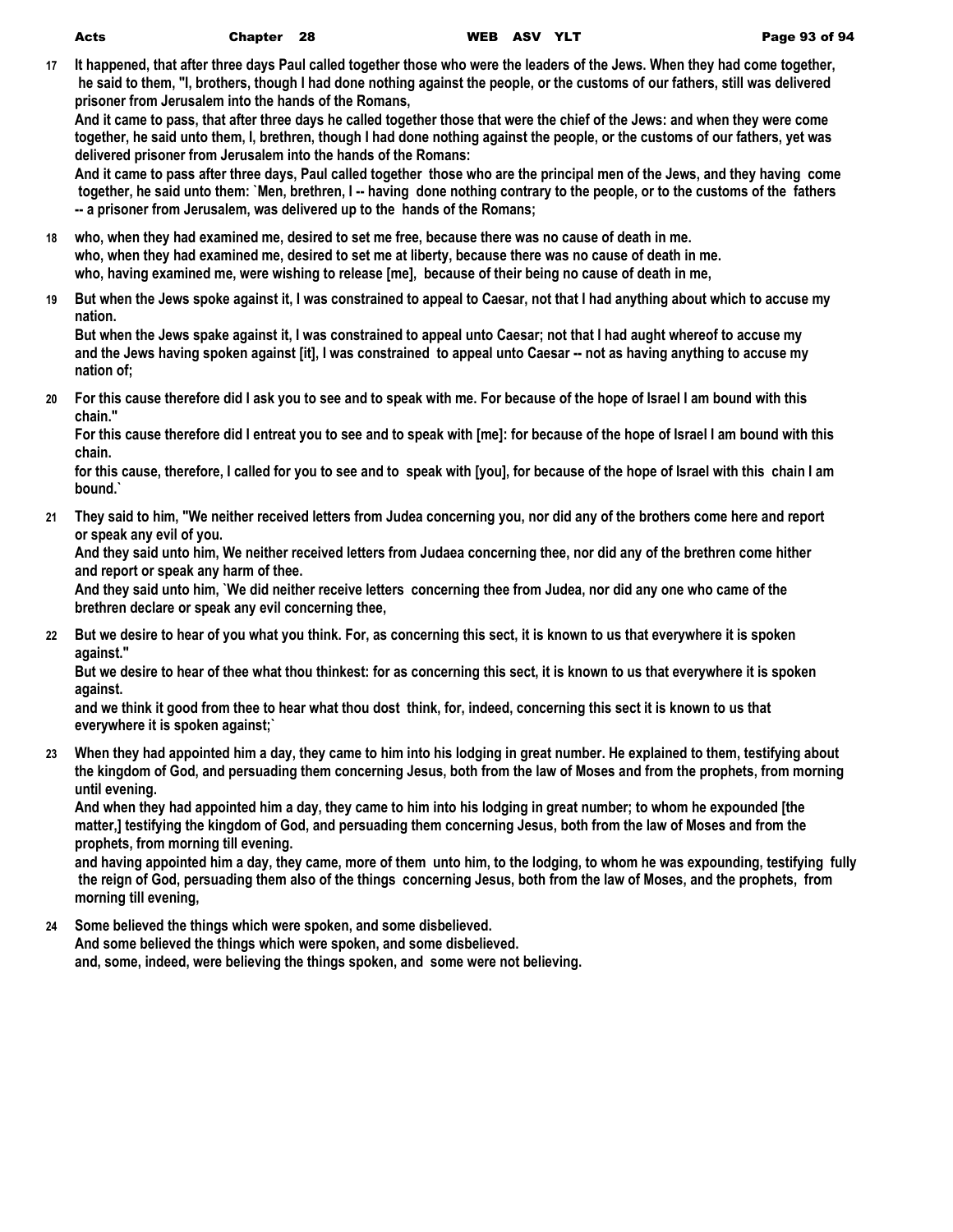**17 It happened, that after three days Paul called together those who were the leaders of the Jews. When they had come together, he said to them, "I, brothers, though I had done nothing against the people, or the customs of our fathers, still was delivered prisoner from Jerusalem into the hands of the Romans,**

**And it came to pass, that after three days he called together those that were the chief of the Jews: and when they were come together, he said unto them, I, brethren, though I had done nothing against the people, or the customs of our fathers, yet was delivered prisoner from Jerusalem into the hands of the Romans:**

**And it came to pass after three days, Paul called together those who are the principal men of the Jews, and they having come together, he said unto them: `Men, brethren, I -- having done nothing contrary to the people, or to the customs of the fathers -- a prisoner from Jerusalem, was delivered up to the hands of the Romans;**

- **18 who, when they had examined me, desired to set me free, because there was no cause of death in me. who, when they had examined me, desired to set me at liberty, because there was no cause of death in me. who, having examined me, were wishing to release [me], because of their being no cause of death in me,**
- **19 But when the Jews spoke against it, I was constrained to appeal to Caesar, not that I had anything about which to accuse my nation.**

**But when the Jews spake against it, I was constrained to appeal unto Caesar; not that I had aught whereof to accuse my and the Jews having spoken against [it], I was constrained to appeal unto Caesar -- not as having anything to accuse my nation of;**

**20 For this cause therefore did I ask you to see and to speak with me. For because of the hope of Israel I am bound with this chain."**

**For this cause therefore did I entreat you to see and to speak with [me]: for because of the hope of Israel I am bound with this chain.**

**for this cause, therefore, I called for you to see and to speak with [you], for because of the hope of Israel with this chain I am bound.`**

**21 They said to him, "We neither received letters from Judea concerning you, nor did any of the brothers come here and report or speak any evil of you.**

**And they said unto him, We neither received letters from Judaea concerning thee, nor did any of the brethren come hither and report or speak any harm of thee.**

**And they said unto him, `We did neither receive letters concerning thee from Judea, nor did any one who came of the brethren declare or speak any evil concerning thee,**

**22 But we desire to hear of you what you think. For, as concerning this sect, it is known to us that everywhere it is spoken against."**

**But we desire to hear of thee what thou thinkest: for as concerning this sect, it is known to us that everywhere it is spoken against.**

**and we think it good from thee to hear what thou dost think, for, indeed, concerning this sect it is known to us that everywhere it is spoken against;`**

**23 When they had appointed him a day, they came to him into his lodging in great number. He explained to them, testifying about the kingdom of God, and persuading them concerning Jesus, both from the law of Moses and from the prophets, from morning until evening.**

**And when they had appointed him a day, they came to him into his lodging in great number; to whom he expounded [the matter,] testifying the kingdom of God, and persuading them concerning Jesus, both from the law of Moses and from the prophets, from morning till evening.**

**and having appointed him a day, they came, more of them unto him, to the lodging, to whom he was expounding, testifying fully the reign of God, persuading them also of the things concerning Jesus, both from the law of Moses, and the prophets, from morning till evening,**

**24 Some believed the things which were spoken, and some disbelieved.**

**And some believed the things which were spoken, and some disbelieved.**

**and, some, indeed, were believing the things spoken, and some were not believing.**